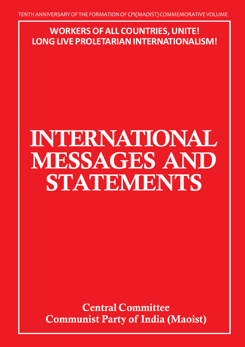TENTH ANNIVERSARY OF THE FORMATION OF CPI(MAOIST) COMMEMORATIVE VOLUME

### **WORKERS OF ALL COUNTRIES, UNITE! LONG LIVE PROLETARIAN INTERNATIONALISM!**

# INTERNATIONAL MESSAGES AND STATEMENTS

Central Committee Communist Party of India (Maoist)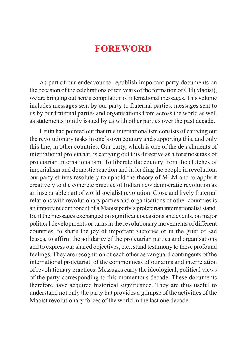### **FOREWORD**

As part of our endeavour to republish important party documents on the occasion of the celebrations of ten years of the formation of CPI(Maoist), we are bringing out here a compilation of international messages. This volume includes messages sent by our party to fraternal parties, messages sent to us by our fraternal parties and organisations from across the world as well as statements jointly issued by us with other parties over the past decade.

Lenin had pointed out that true internationalism consists of carrying out the revolutionary tasks in one's own country and supporting this, and only this line, in other countries. Our party, which is one of the detachments of international proletariat, is carrying out this directive as a foremost task of proletarian internationalism. To liberate the country from the clutches of imperialism and domestic reaction and in leading the people in revolution, our party strives resolutely to uphold the theory of MLM and to apply it creatively to the concrete practice of Indian new democratic revolution as an inseparable part of world socialist revolution. Close and lively fraternal relations with revolutionary parties and organisations of other countries is an important component of a Maoist party's proletarian internationalist stand. Be it the messages exchanged on significant occasions and events, on major political developments or turns in the revolutionary movements of different countries, to share the joy of important victories or in the grief of sad losses, to affirm the solidarity of the proletarian parties and organisations and to express our shared objectives, etc., stand testimony to these profound feelings. They are recognition of each other as vanguard contingents of the international proletariat, of the commonness of our aims and interrelation of revolutionary practices. Messages carry the ideological, political views of the party corresponding to this momentous decade. These documents therefore have acquired historical significance. They are thus useful to understand not only the party but provides a glimpse of the activities of the Maoist revolutionary forces of the world in the last one decade.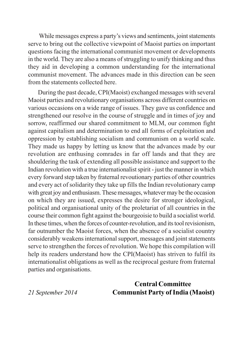While messages express a party's views and sentiments, joint statements serve to bring out the collective viewpoint of Maoist parties on important questions facing the international communist movement or developments in the world. They are also a means of struggling to unify thinking and thus they aid in developing a common understanding for the international communist movement. The advances made in this direction can be seen from the statements collected here.

During the past decade, CPI(Maoist) exchanged messages with several Maoist parties and revolutionary organisations across different countries on various occasions on a wide range of issues. They gave us confidence and strengthened our resolve in the course of struggle and in times of joy and sorrow, reaffirmed our shared commitment to MLM, our common fight against capitalism and determination to end all forms of exploitation and oppression by establishing socialism and communism on a world scale. They made us happy by letting us know that the advances made by our revolution are enthusing comrades in far off lands and that they are shouldering the task of extending all possible assistance and support to the Indian revolution with a true internationalist spirit - just the manner in which every forward step taken by fraternal revoutionary parties of other countries and every act of solidarity they take up fills the Indian revolutionary camp with great joy and enthusiasm. These messages, whatever may be the occasion on which they are issued, expresses the desire for stronger ideological, political and organisational unity of the proletariat of all countries in the course their common fight against the bourgeoisie to build a socialist world. In these times, when the forces of counter-revolution, and its tool revisionism, far outnumber the Maoist forces, when the absence of a socialist country considerably weakens international support, messages and joint statements serve to strengthen the forces of revolution. We hope this compilation will help its readers understand how the CPI(Maoist) has striven to fulfil its internationalist obligations as well as the reciprocal gesture from fraternal parties and organisations.

### **Central Committee** *21 September 2014* **Communist Party of India (Maoist)**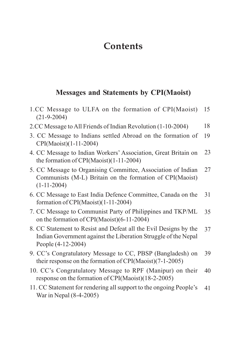### **Contents**

### **Messages and Statements by CPI(Maoist)**

| 1.CC Message to ULFA on the formation of CPI(Maoist)<br>$(21-9-2004)$                                                                                    | 15 |
|----------------------------------------------------------------------------------------------------------------------------------------------------------|----|
| 2.CC Message to All Friends of Indian Revolution (1-10-2004)                                                                                             | 18 |
| 3. CC Message to Indians settled Abroad on the formation of<br>CPI(Maoist)(1-11-2004)                                                                    | 19 |
| 4. CC Message to Indian Workers' Association, Great Britain on<br>the formation of $CPI(Maoist)(1-11-2004)$                                              | 23 |
| 5. CC Message to Organising Committee, Association of Indian<br>Communists (M-L) Britain on the formation of CPI(Maoist)<br>$(1-11-2004)$                | 27 |
| 6. CC Message to East India Defence Committee, Canada on the<br>formation of CPI(Maoist)(1-11-2004)                                                      | 31 |
| 7. CC Message to Communist Party of Philippines and TKP/ML<br>on the formation of CPI(Maoist)(6-11-2004)                                                 | 35 |
| 8. CC Statement to Resist and Defeat all the Evil Designs by the<br>Indian Government against the Liberation Struggle of the Nepal<br>People (4-12-2004) | 37 |
| 9. CC's Congratulatory Message to CC, PBSP (Bangladesh) on<br>their response on the formation of $CPI(Maoist)(7-1-2005)$                                 | 39 |
| 10. CC's Congratulatory Message to RPF (Manipur) on their<br>response on the formation of CPI(Maoist)(18-2-2005)                                         | 40 |
| 11. CC Statement for rendering all support to the ongoing People's<br>War in Nepal (8-4-2005)                                                            | 41 |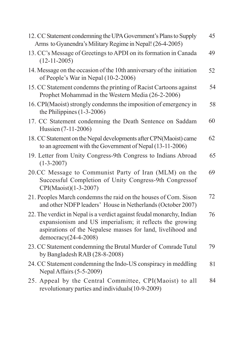| 12. CC Statement condemning the UPA Government's Plans to Supply<br>Arms to Gyanendra's Military Regime in Nepal! (26-4-2005)                                                                                              | 45 |
|----------------------------------------------------------------------------------------------------------------------------------------------------------------------------------------------------------------------------|----|
| 13. CC's Message of Greetings to APDI on its formation in Canada<br>$(12-11-2005)$                                                                                                                                         | 49 |
| 14. Message on the occasion of the 10th anniversary of the initiation<br>of People's War in Nepal (10-2-2006)                                                                                                              | 52 |
| 15. CC Statement condemns the printing of Racist Cartoons against<br>Prophet Mohammad in the Western Media (26-2-2006)                                                                                                     | 54 |
| 16. CPI(Maoist) strongly condemns the imposition of emergency in<br>the Philippines $(1-3-2006)$                                                                                                                           | 58 |
| 17. CC Statement condemning the Death Sentence on Saddam<br>Hussien (7-11-2006)                                                                                                                                            | 60 |
| 18. CC Statement on the Nepal developments after CPN(Maoist) came<br>to an agreement with the Government of Nepal (13-11-2006)                                                                                             | 62 |
| 19. Letter from Unity Congress-9th Congress to Indians Abroad<br>$(1-3-2007)$                                                                                                                                              | 65 |
| 20.CC Message to Communist Party of Iran (MLM) on the<br>Successful Completion of Unity Congress-9th Congressof<br>CPI(Maoist)(1-3-2007)                                                                                   | 69 |
| 21. Peoples March condemns the raid on the houses of Com. Sison<br>and other NDFP leaders' House in Netherlands (October 2007)                                                                                             | 72 |
| 22. The verdict in Nepal is a verdict against feudal monarchy, Indian<br>expansionism and US imperialism; it reflects the growing<br>aspirations of the Nepalese masses for land, livelihood and<br>$democracy(24-4-2008)$ | 76 |
| 23. CC Statement condemning the Brutal Murder of Comrade Tutul<br>by Bangladesh RAB (28-8-2008)                                                                                                                            | 79 |
| 24. CC Statement condemning the Indo-US conspiracy in meddling<br>Nepal Affairs (5-5-2009)                                                                                                                                 | 81 |
| 25. Appeal by the Central Committee, CPI(Maoist) to all<br>revolutionary parties and individuals (10-9-2009)                                                                                                               | 84 |
|                                                                                                                                                                                                                            |    |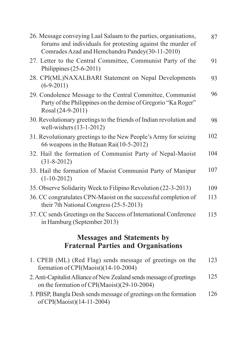| 26. Message conveying Laal Salaam to the parties, organisations,<br>forums and individuals for protesting against the murder of<br>Comrades Azad and Hemchandra Pandey(30-11-2010) | 87  |
|------------------------------------------------------------------------------------------------------------------------------------------------------------------------------------|-----|
| 27. Letter to the Central Committee, Communist Party of the<br>Philippines $(25-6-2011)$                                                                                           | 91  |
| 28. CPI(ML)NAXALBARI Statement on Nepal Developments<br>$(6-9-2011)$                                                                                                               | 93  |
| 29. Condolence Message to the Central Committee, Communist<br>Party of the Philippines on the demise of Gregorio "Ka Roger"<br>Rosal (24-9-2011)                                   | 96  |
| 30. Revolutionary greetings to the friends of Indian revolution and<br>well-wishers (13-1-2012)                                                                                    | 98  |
| 31. Revolutionary greetings to the New People's Army for seizing<br>66 weapons in the Butuan Rai(10-5-2012)                                                                        | 102 |
| 32. Hail the formation of Communist Party of Nepal-Maoist<br>$(31 - 8 - 2012)$                                                                                                     | 104 |
| 33. Hail the formation of Maoist Communist Party of Manipur<br>$(1-10-2012)$                                                                                                       | 107 |
| 35. Observe Solidarity Week to Filipino Revolution (22-3-2013)                                                                                                                     | 109 |
| 36. CC congratulates CPN-Maoist on the successful completion of<br>their 7th National Congress (25-5-2013)                                                                         | 113 |
| 37. CC sends Greetings on the Success of International Conference<br>in Hamburg (September 2013)                                                                                   | 115 |
|                                                                                                                                                                                    |     |

### **Messages and Statements by Fraternal Parties and Organisations**

| 1. CPEB (ML) (Red Flag) sends message of greetings on the<br>formation of CPI(Maoist)(14-10-2004)                    | 123 |
|----------------------------------------------------------------------------------------------------------------------|-----|
| 2. Anti-Capitalist Alliance of New Zealand sends message of greetings<br>on the formation of CPI(Maoist)(29-10-2004) | 125 |
| 3. PBSP, Bangla Desh sends message of greetings on the formation<br>of CPI(Maoist)(14-11-2004)                       | 126 |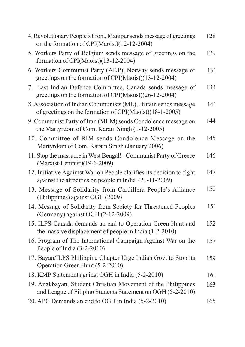| 4. Revolutionary People's Front, Manipur sends message of greetings<br>on the formation of CPI(Maoist)(12-12-2004)             | 128 |
|--------------------------------------------------------------------------------------------------------------------------------|-----|
| 5. Workers Party of Belgium sends message of greetings on the<br>formation of CPI(Maoist)(13-12-2004)                          | 129 |
| 6. Workers Communist Party (AKP), Norway sends message of<br>greetings on the formation of CPI(Maoist)(13-12-2004)             | 131 |
| 7. East Indian Defence Committee, Canada sends message of<br>greetings on the formation of CPI(Maoist)(26-12-2004)             | 133 |
| 8. Association of Indian Communists (ML), Britain sends message<br>of greetings on the formation of CPI(Maoist)(18-1-2005)     | 141 |
| 9. Communist Party of Iran (MLM) sends Condolence message on<br>the Martyrdom of Com. Karam Singh (1-12-2005)                  | 144 |
| 10. Committee of RIM sends Condolence Message on the<br>Martyrdom of Com. Karam Singh (January 2006)                           | 145 |
| 11. Stop the massacre in West Bengal! - Communist Party of Greece<br>(Marxist-Leninist)(19-6-2009)                             | 146 |
| 12. Initiative Agaimst War on People clarifies its decision to fight<br>against the atrocities on people in India (21-11-2009) | 147 |
| 13. Message of Solidarity from Cardillera People's Alliance<br>(Philippines) against OGH (2009)                                | 150 |
| 14. Message of Solidarity from Society for Threatened Peoples<br>(Germany) against OGH (2-12-2009)                             | 151 |
| 15. ILPS-Canada demands an end to Operation Green Hunt and<br>the massive displacement of people in India (1-2-2010)           | 152 |
| 16. Program of The International Campaign Against War on the<br>People of India (3-2-2010)                                     | 157 |
| 17. Bayan/ILPS Philippine Chapter Urge Indian Govt to Stop its<br>Operation Green Hunt (5-2-2010)                              | 159 |
| 18. KMP Statement against OGH in India (5-2-2010)                                                                              | 161 |
| 19. Anakbayan, Student Christian Movement of the Philippines<br>and League of Filipino Students Statement on OGH (5-2-2010)    | 163 |
| 20. APC Demands an end to OGH in India (5-2-2010)                                                                              | 165 |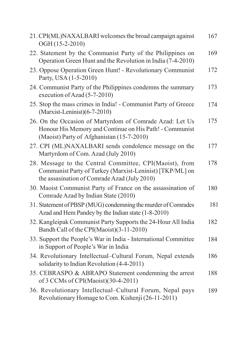| 21. CPI(ML)NAXALBARI welcomes the broad campaign against<br>OGH (15-2-2010)                                                                                         | 167 |
|---------------------------------------------------------------------------------------------------------------------------------------------------------------------|-----|
| 22. Statement by the Communist Party of the Philippines on<br>Operation Green Hunt and the Revolution in India (7-4-2010)                                           | 169 |
| 23. Oppose Operation Green Hunt! - Revolutionary Communist<br>Party, USA (1-5-2010)                                                                                 | 172 |
| 24. Communist Party of the Philippines condemns the summary<br>execution of Azad (5-7-2010)                                                                         | 173 |
| 25. Stop the mass crimes in India! - Communist Party of Greece<br>$(Marxist-Leninist)(6-7-2010)$                                                                    | 174 |
| 26. On the Occasion of Martyrdom of Comrade Azad: Let Us<br>Honour His Memory and Continue on His Path! - Communist<br>(Maoist) Party of Afghanistan (15-7-2010)    | 175 |
| 27. CPI (ML)NAXALBARI sends condolence message on the<br>Martyrdom of Com. Azad (July 2010)                                                                         | 177 |
| 28. Message to the Central Committee, CPI(Maoist), from<br>Communist Party of Turkey (Marxist-Leninist) [TKP/ML] on<br>the assasination of Comrade Azad (July 2010) | 178 |
| 30. Maoist Communist Party of France on the assassination of<br>Comrade Azad by Indian State (2010)                                                                 | 180 |
| 31. Statement of PBSP (MUG) condemning the murder of Comrades<br>Azad and Hem Pandey by the Indian state (1-8-2010)                                                 | 181 |
| 32. Kangleipak Communist Party Supports the 24-Hour All India<br>Bandh Call of the CPI(Maoist)(3-11-2010)                                                           | 182 |
| 33. Support the People's War in India - International Committee<br>in Support of People's War in India                                                              | 184 |
| 34. Revolutionary Intellectual-Cultural Forum, Nepal extends<br>solidarity to Indian Revolution (4-4-2011)                                                          | 186 |
| 35. CEBRASPO & ABRAPO Statement condemning the arrest<br>of 3 CCMs of CPI(Maoist)(30-4-2011)                                                                        | 188 |
| 36. Revolutionary Intellectual-Cultural Forum, Nepal pays<br>Revolutionary Homage to Com. Kishenji (26-11-2011)                                                     | 189 |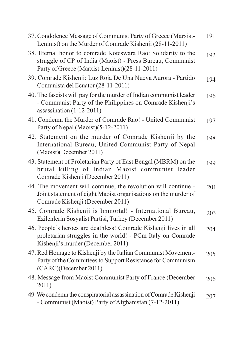| 37. Condolence Message of Communist Party of Greece (Marxist-<br>Leninist) on the Murder of Comrade Kishenji (28-11-2011)                                                     | 191 |
|-------------------------------------------------------------------------------------------------------------------------------------------------------------------------------|-----|
| 38. Eternal honor to comrade Koteswara Rao: Solidarity to the<br>struggle of CP of India (Maoist) - Press Bureau, Communist<br>Party of Greece (Marxist-Leninist)(28-11-2011) | 192 |
| 39. Comrade Kishenji: Luz Roja De Una Nueva Aurora - Partido<br>Comunista del Ecuator (28-11-2011)                                                                            | 194 |
| 40. The fascists will pay for the murder of Indian communist leader<br>- Communist Party of the Philippines on Comrade Kishenji's<br>assassination $(1-12-2011)$              | 196 |
| 41. Condemn the Murder of Comrade Rao! - United Communist<br>Party of Nepal (Maoist)(5-12-2011)                                                                               | 197 |
| 42. Statement on the murder of Comrade Kishenji by the<br>International Bureau, United Communist Party of Nepal<br>(Maoist)(December 2011)                                    | 198 |
| 43. Statement of Proletarian Party of East Bengal (MBRM) on the<br>brutal killing of Indian Maoist communist leader<br>Comrade Kishenji (December 2011)                       | 199 |
| 44. The movement will continue, the revolution will continue -<br>Joint statement of eight Maoist organisations on the murder of<br>Comrade Kishenji (December 2011)          | 201 |
| 45. Comrade Kishenji is Immortal! - International Bureau,<br>Ezilenlerin Sosyalist Partisi, Turkey (December 2011)                                                            | 203 |
| 46. People's heroes are deathless! Comrade Kishenji lives in all<br>proletarian struggles in the world! - PCm Italy on Comrade<br>Kishenji's murder (December 2011)           | 204 |
| 47. Red Homage to Kishenji by the Italian Communist Movement-<br>Party of the Committees to Support Resistance for Communism<br>(CARC)(December 2011)                         | 205 |
| 48. Message from Maoist Communist Party of France (December<br>2011)                                                                                                          | 206 |
| 49. We condemn the conspiratorial assassination of Comrade Kishenji<br>- Communist (Maoist) Party of Afghanistan (7-12-2011)                                                  | 207 |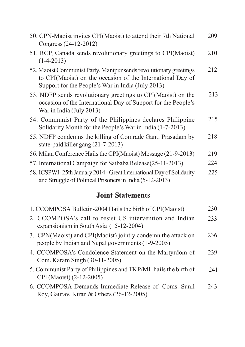| 50. CPN-Maoist invites CPI(Maoist) to attend their 7th National<br>Congress (24-12-2012)                                                                                             | 209 |
|--------------------------------------------------------------------------------------------------------------------------------------------------------------------------------------|-----|
| 51. RCP, Canada sends revolutionary greetings to CPI(Maoist)<br>$(1-4-2013)$                                                                                                         | 210 |
| 52. Maoist Communist Party, Manipur sends revolutionary greetings<br>to CPI(Maoist) on the occasion of the International Day of<br>Support for the People's War in India (July 2013) | 212 |
| 53. NDFP sends revolutionary greetings to CPI(Maoist) on the<br>occasion of the International Day of Support for the People's<br>War in India (July 2013)                            | 213 |
| 54. Communist Party of the Philippines declares Philippine<br>Solidarity Month for the People's War in India (1-7-2013)                                                              | 215 |
| 55. NDFP condemns the killing of Comrade Ganti Prasadam by<br>state-paid killer gang (21-7-2013)                                                                                     | 218 |
| 56. Milan Conference Hails the CPI(Maoist) Message (21-9-2013)                                                                                                                       | 219 |
| 57. International Campaign for Saibaba Release(25-11-2013)                                                                                                                           | 224 |
| 58. ICSPWI-25th January 2014 - Great International Day of Solidarity<br>and Struggle of Political Prisoners in India (5-12-2013)                                                     | 225 |

### **Joint Statements**

| 1. CCOMPOSA Bulletin-2004 Hails the birth of CPI(Maoist)                                                          | 230 |
|-------------------------------------------------------------------------------------------------------------------|-----|
| 2. CCOMPOSA's call to resist US intervention and Indian<br>expansionism in South Asia (15-12-2004)                | 233 |
| 3. CPN(Maoist) and CPI(Maoist) jointly condemn the attack on<br>people by Indian and Nepal governments (1-9-2005) | 236 |
| 4. CCOMPOSA's Condolence Statement on the Martyrdom of<br>Com. Karam Singh (30-11-2005)                           | 239 |
| 5. Communist Party of Philippines and TKP/ML hails the birth of<br>CPI (Maoist) (2-12-2005)                       | 241 |
| 6. CCOMPOSA Demands Immediate Release of Coms. Sunil<br>Roy, Gaurav, Kiran & Others (26-12-2005)                  | 243 |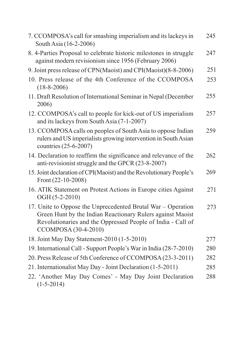| 7. CCOMPOSA's call for smashing imperialism and its lackeys in<br>South Asia (16-2-2006)                                                                                                                          | 245 |
|-------------------------------------------------------------------------------------------------------------------------------------------------------------------------------------------------------------------|-----|
| 8. 4-Parties Proposal to celebrate historic milestones in struggle<br>against modern revisionism since 1956 (February 2006)                                                                                       | 247 |
| 9. Joint press release of CPN(Maoist) and CPI(Maoist)(8-8-2006)                                                                                                                                                   | 251 |
| 10. Press release of the 4th Conference of the CCOMPOSA<br>$(18 - 8 - 2006)$                                                                                                                                      | 253 |
| 11. Draft Resolution of International Seminar in Nepal (December<br>2006)                                                                                                                                         | 255 |
| 12. CCOMPOSA's call to people for kick-out of US imperialism<br>and its lackeys from South Asia (7-1-2007)                                                                                                        | 257 |
| 13. CCOMPOSA calls on peoples of South Asia to oppose Indian<br>rulers and US imperialists growing intervention in South Asian<br>countries (25-6-2007)                                                           | 259 |
| 14. Declaration to reaffirm the significance and relevance of the<br>anti-revisionist struggle and the GPCR (23-8-2007)                                                                                           | 262 |
| 15. Joint declaration of CPI(Maoist) and the Revolutionary People's<br>Front (22-10-2008)                                                                                                                         | 269 |
| 16. ATIK Statement on Protest Actions in Europe cities Against<br>OGH (5-2-2010)                                                                                                                                  | 271 |
| 17. Unite to Oppose the Unprecedented Brutal War - Operation<br>Green Hunt by the Indian Reactionary Rulers against Maoist<br>Revolutionaries and the Oppressed People of India - Call of<br>CCOMPOSA (30-4-2010) | 273 |
| 18. Joint May Day Statement-2010 (1-5-2010)                                                                                                                                                                       | 277 |
| 19. International Call - Support People's War in India (28-7-2010)                                                                                                                                                | 280 |
| 20. Press Release of 5th Conference of CCOMPOSA (23-3-2011)                                                                                                                                                       | 282 |
| 21. Internationalist May Day - Joint Declaration (1-5-2011)                                                                                                                                                       | 285 |
| 22. 'Another May Day Comes' - May Day Joint Declaration<br>$(1-5-2014)$                                                                                                                                           | 288 |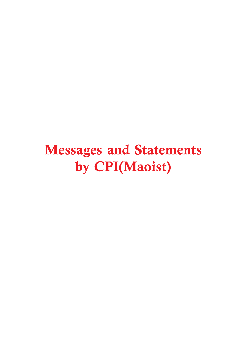## Messages and Statements by CPI(Maoist)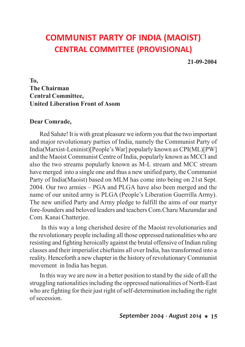**21-09-2004**

### **To, The Chairman Central Committee, United Liberation Front of Asom**

#### **Dear Comrade,**

Red Salute! It is with great pleasure we inform you that the two important and major revolutionary parties of India, namely the Communist Party of India(Marxist-Leninist)[People's War] popularly known as CPI(ML)[PW] and the Maoist Communist Centre of India, popularly known as MCCI and also the two streams popularly known as M-L stream and MCC stream have merged into a single one and thus a new unified party, the Communist Party of India(Maoist) based on MLM has come into being on 21st Sept. 2004. Our two armies – PGA and PLGA have also been merged and the name of our united army is PLGA (People's Liberation Guerrilla Army). The new unified Party and Army pledge to fulfill the aims of our martyr fore-founders and beloved leaders and teachers Com.Charu Mazumdar and Com. Kanai Chatterjee.

 In this way a long cherished desire of the Maoist revolutionaries and the revolutionary people including all those oppressed nationalities who are resisting and fighting heroically against the brutal offensive of Indian ruling classes and their imperialist chieftains all over India, has transformed into a reality. Henceforth a new chapter in the history of revolutionary Communist movement in India has begun.

In this way we are now in a better position to stand by the side of all the struggling nationalities including the oppressed nationalities of North-East who are fighting for their just right of self-determination including the right of secession.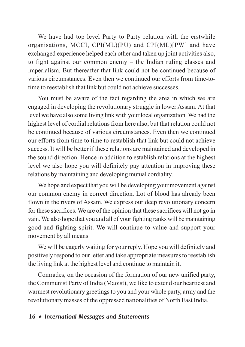We have had top level Party to Party relation with the erstwhile organisations, MCCI, CPI(ML)(PU) and CPI(ML)[PW] and have exchanged experience helped each other and taken up joint activities also, to fight against our common enemy – the Indian ruling classes and imperialism. But thereafter that link could not be continued because of various circumstances. Even then we continued our efforts from time-totime to reestablish that link but could not achieve successes.

You must be aware of the fact regarding the area in which we are engaged in developing the revolutionary struggle in lower Assam. At that level we have also some living link with your local organization. We had the highest level of cordial relations from here also, but that relation could not be continued because of various circumstances. Even then we continued our efforts from time to time to restablish that link but could not achieve success. It will be better if these relations are maintained and developed in the sound direction. Hence in addition to establish relations at the highest level we also hope you will definitely pay attention in improving these relations by maintaining and developing mutual cordiality.

We hope and expect that you will be developing your movement against our common enemy in correct direction. Lot of blood has already been flown in the rivers of Assam. We express our deep revolutionary concern for these sacrifices. We are of the opinion that these sacrifices will not go in vain. We also hope that you and all of your fighting ranks will be maintaining good and fighting spirit. We will continue to value and support your movement by all means.

We will be eagerly waiting for your reply. Hope you will definitely and positively respond to our letter and take appropriate measures to reestablish the living link at the highest level and continue to maintain it.

Comrades, on the occasion of the formation of our new unified party, the Communist Party of India (Maoist), we like to extend our heartiest and warmest revolutionary greetings to you and your whole party, army and the revolutionary masses of the oppressed nationalities of North East India.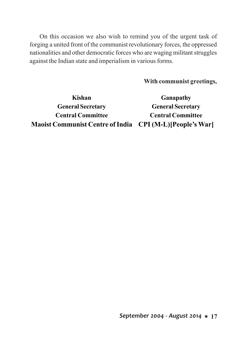On this occasion we also wish to remind you of the urgent task of forging a united front of the communist revolutionary forces, the oppressed nationalities and other democratic forces who are waging militant struggles against the Indian state and imperialism in various forms.

**With communist greetings,**

**Kishan General Secretary Central Committee Maoist Communist Centre of India CPI (M-L)[People's War]**

**Ganapathy General Secretary Central Committee**

*September 2004 - August 2014* **17**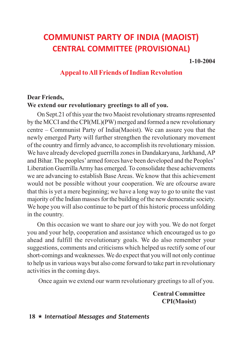#### **1-10-2004**

### **Appeal to All Friends of Indian Revolution**

#### **Dear Friends, We extend our revolutionary greetings to all of you.**

On Sept.21 of this year the two Maoist revolutionary streams represented by the MCCI and the CPI(ML)(PW) merged and formed a new revolutionary centre – Communist Party of India(Maoist). We can assure you that the newly emerged Party will further strengthen the revolutionary movement of the country and firmly advance, to accomplish its revolutionary mission. We have already developed guerrilla zones in Dandakaryana, Jarkhand, AP and Bihar. The peoples' armed forces have been developed and the Peoples' Liberation Guerrilla Army has emerged. To consolidate these achievements we are advancing to establish Base Areas. We know that this achievement would not be possible without your cooperation. We are ofcourse aware that this is yet a mere beginning; we have a long way to go to unite the vast majority of the Indian masses for the building of the new democratic society. We hope you will also continue to be part of this historic process unfolding in the country.

On this occasion we want to share our joy with you. We do not forget you and your help, cooperation and assistance which encouraged us to go ahead and fulfill the revolutionary goals. We do also remember your suggestions, comments and criticisms which helped us rectify some of our short-comings and weaknesses. We do expect that you will not only continue to help us in various ways but also come forward to take part in revolutionary activities in the coming days.

Once again we extend our warm revolutionary greetings to all of you.

**Central Committee CPI(Maoist)**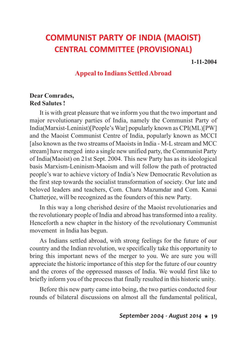#### **1-11-2004**

### **Appeal to Indians Settled Abroad**

#### **Dear Comrades, Red Salutes !**

It is with great pleasure that we inform you that the two important and major revolutionary parties of India, namely the Communist Party of India(Marxist-Leninist)[People's War] popularly known as CPI(ML)[PW] and the Maoist Communist Centre of India, popularly known as MCCI [also known as the two streams of Maoists in India - M-L stream and MCC stream] have merged into a single new unified party, the Communist Party of India(Maoist) on 21st Sept. 2004. This new Party has as its ideological basis Marxism-Leninism-Maoism and will follow the path of protracted people's war to achieve victory of India's New Democratic Revolution as the first step towards the socialist transformation of society. Our late and beloved leaders and teachers, Com. Charu Mazumdar and Com. Kanai Chatterjee, will be recognized as the founders of this new Party.

In this way a long cherished desire of the Maoist revolutionaries and the revolutionary people of India and abroad has transformed into a reality. Henceforth a new chapter in the history of the revolutionary Communist movement in India has begun.

As Indians settled abroad, with strong feelings for the future of our country and the Indian revolution, we specifically take this opportunity to bring this important news of the merger to you. We are sure you will appreciate the historic importance of this step for the future of our country and the crores of the oppressed masses of India. We would first like to briefly inform you of the process that finally resulted in this historic unity.

Before this new party came into being, the two parties conducted four rounds of bilateral discussions on almost all the fundamental political,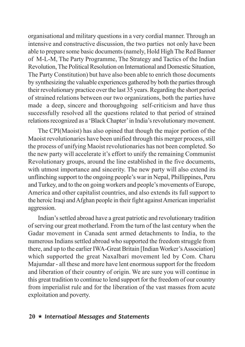organisational and military questions in a very cordial manner. Through an intensive and constructive discussion, the two parties not only have been able to prepare some basic documents (namely, Hold High The Red Banner of M-L-M, The Party Programme, The Strategy and Tactics of the Indian Revolution, The Political Resolution on International and Domestic Situation, The Party Constitution) but have also been able to enrich those documents by synthesizing the valuable experiences gathered by both the parties through their revolutionary practice over the last 35 years. Regarding the short period of strained relations between our two organizations, both the parties have made a deep, sincere and thoroughgoing self-criticism and have thus successfully resolved all the questions related to that period of strained relations recognized as a 'Black Chapter' in India's revolutionary movement.

The CPI(Maoist) has also opined that though the major portion of the Maoist revolutionaries have been unified through this merger process, still the process of unifying Maoist revolutionaries has not been completed. So the new party will accelerate it's effort to unify the remaining Communist Revolutionary groups, around the line established in the five documents, with utmost importance and sincerity. The new party will also extend its unflinching support to the ongoing people's war in Nepal, Phillippines, Peru and Turkey, and to the on going workers and people's movements of Europe, America and other capitalist countries, and also extends its full support to the heroic Iraqi and Afghan people in their fight against American imperialist aggression.

Indian's settled abroad have a great patriotic and revolutionary tradition of serving our great motherland. From the turn of the last century when the Gadar movement in Canada sent armed detachments to India, to the numerous Indians settled abroad who supported the freedom struggle from there, and up to the earlier IWA-Great Britain [Indian Worker's Association] which supported the great Naxalbari movement led by Com. Charu Majumdar - all these and more have lent enormous support for the freedom and liberation of their country of origin. We are sure you will continue in this great tradition to continue to lend support for the freedom of our country from imperialist rule and for the liberation of the vast masses from acute exploitation and poverty.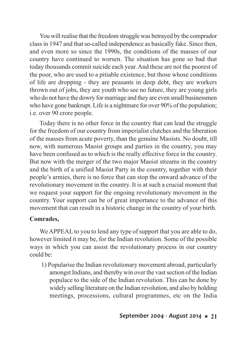You will realise that the freedom struggle was betrayed by the comprador class in 1947 and that so-called independence as basically fake. Since then, and even more so since the 1990s, the conditions of the masses of our country have continued to worsen. The situation has gone so bad that today thousands commit suicide each year. And these are not the poorest of the poor, who are used to a pitiable existence, but those whose conditions of life are dropping - they are peasants in deep debt, they are workers thrown out of jobs, they are youth who see no future, they are young girls who do not have the dowry for marriage and they are even small businessmen who have gone bankrupt. Life is a nightmare for over 90% of the population; i.e. over 90 crore people.

Today there is no other force in the country that can lead the struggle for the freedom of our country from imperialist clutches and the liberation of the masses from acute poverty, than the genuine Maoists. No doubt, till now, with numerous Maoist groups and parties in the country, you may have been confused as to which is the really effective force in the country. But now with the merger of the two major Maoist streams in the country and the birth of a unified Maoist Party in the country, together with their people's armies, there is no force that can stop the onward advance of the revolutionary movement in the country. It is at such a crucial moment that we request your support for the ongoing revolutionary movement in the country. Your support can be of great importance to the advance of this movement that can result in a historic change in the country of your birth.

### **Comrades,**

We APPEAL to you to lend any type of support that you are able to do. however limited it may be, for the Indian revolution. Some of the possible ways in which you can assist the revolutionary process in our country could be:

1) Popularise the Indian revolutionary movement abroad, particularly amongst Indians, and thereby win over the vast section of the Indian populace to the side of the Indian revolution. This can be done by widely selling literature on the Indian revolution, and also by holding meetings, processions, cultural programmes, etc on the India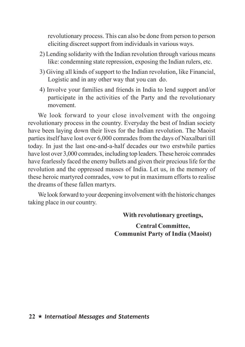revolutionary process. This can also be done from person to person eliciting discreet support from individuals in various ways.

- 2) Lending solidarity with the Indian revolution through various means like: condemning state repression, exposing the Indian rulers, etc.
- 3) Giving all kinds of support to the Indian revolution, like Financial, Logistic and in any other way that you can do.
- 4) Involve your families and friends in India to lend support and/or participate in the activities of the Party and the revolutionary movement.

We look forward to your close involvement with the ongoing revolutionary process in the country. Everyday the best of Indian society have been laying down their lives for the Indian revolution. The Maoist parties itself have lost over 6,000 comrades from the days of Naxalbari till today. In just the last one-and-a-half decades our two erstwhile parties have lost over 3,000 comrades, including top leaders. These heroic comrades have fearlessly faced the enemy bullets and given their precious life for the revolution and the oppressed masses of India. Let us, in the memory of these heroic martyred comrades, vow to put in maximum efforts to realise the dreams of these fallen martyrs.

We look forward to your deepening involvement with the historic changes taking place in our country.

**With revolutionary greetings,**

**Central Committee, Communist Party of India (Maoist)**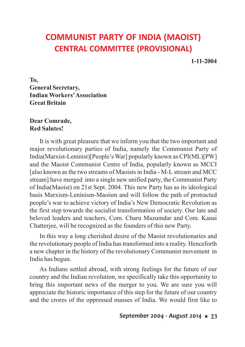**1-11-2004**

### **To, General Secretary, Indian Workers' Association Great Britain**

### **Dear Comrade, Red Salutes!**

It is with great pleasure that we inform you that the two important and major revolutionary parties of India, namely the Communist Party of India(Marxist-Leninist)[People's War] popularly known as CPI(ML)[PW] and the Maoist Communist Centre of India, popularly known as MCCI [also known as the two streams of Maoists in India - M-L stream and MCC stream] have merged into a single new unified party, the Communist Party of India(Maoist) on 21st Sept. 2004. This new Party has as its ideological basis Marxism-Leninism-Maoism and will follow the path of protracted people's war to achieve victory of India's New Democratic Revolution as the first step towards the socialist transformation of society. Our late and beloved leaders and teachers, Com. Charu Mazumdar and Com. Kanai Chatterjee, will be recognized as the founders of this new Party.

In this way a long cherished desire of the Maoist revolutionaries and the revolutionary people of India has transformed into a reality. Henceforth a new chapter in the history of the revolutionary Communist movement in India has begun.

As Indians settled abroad, with strong feelings for the future of our country and the Indian revolution, we specifically take this opportunity to bring this important news of the merger to you. We are sure you will appreciate the historic importance of this step for the future of our country and the crores of the oppressed masses of India. We would first like to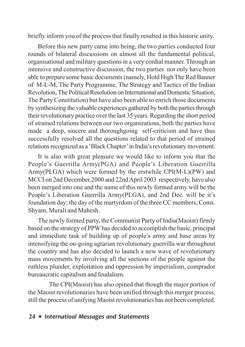briefly inform you of the process that finally resulted in this historic unity.

Before this new party came into being, the two parties conducted four rounds of bilateral discussions on almost all the fundamental political, organisational and military questions in a very cordial manner. Through an intensive and constructive discussion, the two parties not only have been able to prepare some basic documents (namely, Hold High The Red Banner of M-L-M, The Party Programme, The Strategy and Tactics of the Indian Revolution, The Political Resolution on International and Domestic Situation, The Party Constitution) but have also been able to enrich those documents by synthesizing the valuable experiences gathered by both the parties through their revolutionary practice over the last 35 years. Regarding the short period of strained relations between our two organizations, both the parties have made a deep, sincere and thoroughgoing self-criticism and have thus successfully resolved all the questions related to that period of strained relations recognized as a 'Black Chapter' in India's revolutionary movement.

It is also with great pleasure we would like to inform you that the People's Guerrilla Army(PGA) and People's Liberation Guerrilla Army(PLGA) which were formed by the erstwhile CPI(M-L)(PW) and MCCI on 2nd December.2000 and 22nd April 2003 respectively, have also been merged into one and the name of this newly formed army will be the People's Liberation Guerrilla Army(PLGA), and 2nd Dec. will be it's foundation day; the day of the martyrdom of the three CC members, Coms. Shyam, Murali and Mahesh.

The newly formed party, the Communist Party of India(Maoist) firmly based on the strategy of PPW has decided to accomplish the basic, principal and immediate task of building up of people's army and base areas by intensifying the on-going agrarian revolutionary guerrilla war throughout the country and has also decided to launch a new wave of revolutionary mass movements by involving all the sections of the people against the ruthless plunder, exploitation and oppression by imperialism, comprador bureaucratic capitalism and feudalism.

The CPI(Maoist) has also opined that though the major portion of the Maoist revolutionaries have been unified through this merger process, still the process of unifying Maoist revolutionaries has not been completed.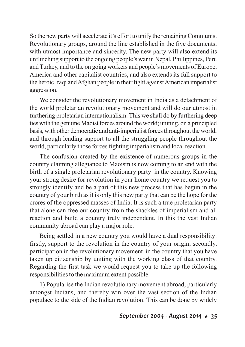So the new party will accelerate it's effort to unify the remaining Communist Revolutionary groups, around the line established in the five documents, with utmost importance and sincerity. The new party will also extend its unflinching support to the ongoing people's war in Nepal, Phillippines, Peru and Turkey, and to the on going workers and people's movements of Europe, America and other capitalist countries, and also extends its full support to the heroic Iraqi and Afghan people in their fight against American imperialist aggression.

We consider the revolutionary movement in India as a detachment of the world proletarian revolutionary movement and will do our utmost in furthering proletarian internationalism. This we shall do by furthering deep ties with the genuine Maoist forces around the world; uniting, on a principled basis, with other democratic and anti-imperialist forces throughout the world; and through lending support to all the struggling people throughout the world, particularly those forces fighting imperialism and local reaction.

The confusion created by the existence of numerous groups in the country claiming allegiance to Maoism is now coming to an end with the birth of a single proletarian revolutionary party in the country. Knowing your strong desire for revolution in your home country we request you to strongly identify and be a part of this new process that has begun in the country of your birth as it is only this new party that can be the hope for the crores of the oppressed masses of India. It is such a true proletarian party that alone can free our country from the shackles of imperialism and all reaction and build a country truly independent. In this the vast Indian community abroad can play a major role.

Being settled in a new country you would have a dual responsibility: firstly, support to the revolution in the country of your origin; secondly, participation in the revolutionary movement in the country that you have taken up citizenship by uniting with the working class of that country. Regarding the first task we would request you to take up the following responsibilities to the maximum extent possible.

1) Popularise the Indian revolutionary movement abroad, particularly amongst Indians, and thereby win over the vast section of the Indian populace to the side of the Indian revolution. This can be done by widely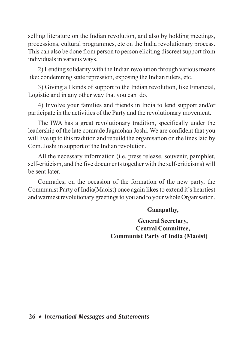selling literature on the Indian revolution, and also by holding meetings, processions, cultural programmes, etc on the India revolutionary process. This can also be done from person to person eliciting discreet support from individuals in various ways.

2) Lending solidarity with the Indian revolution through various means like: condemning state repression, exposing the Indian rulers, etc.

3) Giving all kinds of support to the Indian revolution, like Financial, Logistic and in any other way that you can do.

4) Involve your families and friends in India to lend support and/or participate in the activities of the Party and the revolutionary movement.

The IWA has a great revolutionary tradition, specifically under the leadership of the late comrade Jagmohan Joshi. We are confident that you will live up to this tradition and rebuild the organisation on the lines laid by Com. Joshi in support of the Indian revolution.

All the necessary information (i.e. press release, souvenir, pamphlet, self-criticism, and the five documents together with the self-criticisms) will be sent later.

Comrades, on the occasion of the formation of the new party, the Communist Party of India(Maoist) once again likes to extend it's heartiest and warmest revolutionary greetings to you and to your whole Organisation.

#### **Ganapathy,**

**General Secretary, Central Committee, Communist Party of India (Maoist)**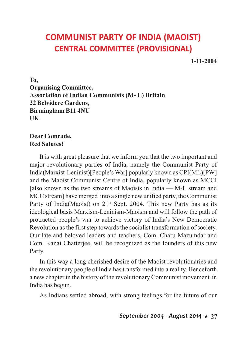**1-11-2004**

**To, Organising Committee, Association of Indian Communists (M- L) Britain 22 Belvidere Gardens, Birmingham B11 4NU UK**

### **Dear Comrade, Red Salutes!**

It is with great pleasure that we inform you that the two important and major revolutionary parties of India, namely the Communist Party of India(Marxist-Leninist)[People's War] popularly known as CPI(ML)[PW] and the Maoist Communist Centre of India, popularly known as MCCI [also known as the two streams of Maoists in India — M-L stream and MCC stream] have merged into a single new unified party, the Communist Party of India(Maoist) on  $21<sup>st</sup>$  Sept. 2004. This new Party has as its ideological basis Marxism-Leninism-Maoism and will follow the path of protracted people's war to achieve victory of India's New Democratic Revolution as the first step towards the socialist transformation of society. Our late and beloved leaders and teachers, Com. Charu Mazumdar and Com. Kanai Chatterjee, will be recognized as the founders of this new Party.

In this way a long cherished desire of the Maoist revolutionaries and the revolutionary people of India has transformed into a reality. Henceforth a new chapter in the history of the revolutionary Communist movement in India has begun.

As Indians settled abroad, with strong feelings for the future of our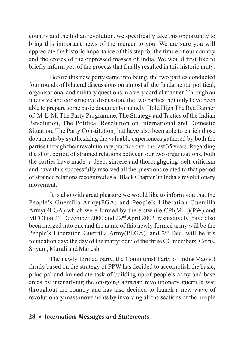country and the Indian revolution, we specifically take this opportunity to bring this important news of the merger to you. We are sure you will appreciate the historic importance of this step for the future of our country and the crores of the oppressed masses of India. We would first like to briefly inform you of the process that finally resulted in this historic unity.

Before this new party came into being, the two parties conducted four rounds of bilateral discussions on almost all the fundamental political, organisational and military questions in a very cordial manner. Through an intensive and constructive discussion, the two parties not only have been able to prepare some basic documents (namely, Hold High The Red Banner of M-L-M, The Party Programme, The Strategy and Tactics of the Indian Revolution, The Political Resolution on International and Domestic Situation, The Party Constitution) but have also been able to enrich those documents by synthesizing the valuable experiences gathered by both the parties through their revolutionary practice over the last 35 years. Regarding the short period of strained relations between our two organizations, both the parties have made a deep, sincere and thoroughgoing self-criticism and have thus successfully resolved all the questions related to that period of strained relations recognized as a 'Black Chapter' in India's revolutionary movement.

It is also with great pleasure we would like to inform you that the People's Guerrilla Army(PGA) and People's Liberation Guerrilla Army(PLGA) which were formed by the erstwhile CPI(M-L)(PW) and MCCI on 2<sup>nd</sup> December.2000 and 22<sup>nd</sup> April 2003 respectively, have also been merged into one and the name of this newly formed army will be the People's Liberation Guerrilla Army(PLGA), and 2<sup>nd</sup> Dec. will be it's foundation day; the day of the martyrdom of the three CC members, Coms. Shyam, Murali and Mahesh.

The newly formed party, the Communist Party of India(Maoist) firmly based on the strategy of PPW has decided to accomplish the basic, principal and immediate task of building up of people's army and base areas by intensifying the on-going agrarian revolutionary guerrilla war throughout the country and has also decided to launch a new wave of revolutionary mass movements by involving all the sections of the people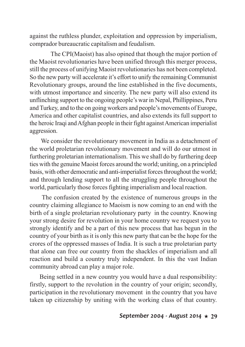against the ruthless plunder, exploitation and oppression by imperialism, comprador bureaucratic capitalism and feudalism.

The CPI(Maoist) has also opined that though the major portion of the Maoist revolutionaries have been unified through this merger process, still the process of unifying Maoist revolutionaries has not been completed. So the new party will accelerate it's effort to unify the remaining Communist Revolutionary groups, around the line established in the five documents, with utmost importance and sincerity. The new party will also extend its unflinching support to the ongoing people's war in Nepal, Phillippines, Peru and Turkey, and to the on going workers and people's movements of Europe, America and other capitalist countries, and also extends its full support to the heroic Iraqi and Afghan people in their fight against American imperialist aggression.

 We consider the revolutionary movement in India as a detachment of the world proletarian revolutionary movement and will do our utmost in furthering proletarian internationalism. This we shall do by furthering deep ties with the genuine Maoist forces around the world; uniting, on a principled basis, with other democratic and anti-imperialist forces throughout the world; and through lending support to all the struggling people throughout the world, particularly those forces fighting imperialism and local reaction.

 The confusion created by the existence of numerous groups in the country claiming allegiance to Maoism is now coming to an end with the birth of a single proletarian revolutionary party in the country. Knowing your strong desire for revolution in your home country we request you to strongly identify and be a part of this new process that has begun in the country of your birth as it is only this new party that can be the hope for the crores of the oppressed masses of India. It is such a true proletarian party that alone can free our country from the shackles of imperialism and all reaction and build a country truly independent. In this the vast Indian community abroad can play a major role.

Being settled in a new country you would have a dual responsibility: firstly, support to the revolution in the country of your origin; secondly, participation in the revolutionary movement in the country that you have taken up citizenship by uniting with the working class of that country.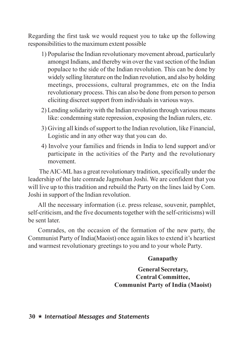Regarding the first task we would request you to take up the following responsibilities to the maximum extent possible

- 1) Popularise the Indian revolutionary movement abroad, particularly amongst Indians, and thereby win over the vast section of the Indian populace to the side of the Indian revolution. This can be done by widely selling literature on the Indian revolution, and also by holding meetings, processions, cultural programmes, etc on the India revolutionary process. This can also be done from person to person eliciting discreet support from individuals in various ways.
- 2) Lending solidarity with the Indian revolution through various means like: condemning state repression, exposing the Indian rulers, etc.
- 3) Giving all kinds of support to the Indian revolution, like Financial, Logistic and in any other way that you can do.
- 4) Involve your families and friends in India to lend support and/or participate in the activities of the Party and the revolutionary movement.

 The AIC-ML has a great revolutionary tradition, specifically under the leadership of the late comrade Jagmohan Joshi. We are confident that you will live up to this tradition and rebuild the Party on the lines laid by Com. Joshi in support of the Indian revolution.

All the necessary information (i.e. press release, souvenir, pamphlet, self-criticism, and the five documents together with the self-criticisms) will be sent later.

Comrades, on the occasion of the formation of the new party, the Communist Party of India(Maoist) once again likes to extend it's heartiest and warmest revolutionary greetings to you and to your whole Party.

### **Ganapathy**

**General Secretary, Central Committee, Communist Party of India (Maoist)**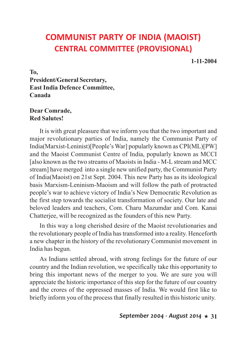**1-11-2004**

### **To, President/General Secretary, East India Defence Committee, Canada**

### **Dear Comrade, Red Salutes!**

It is with great pleasure that we inform you that the two important and major revolutionary parties of India, namely the Communist Party of India(Marxist-Leninist)[People's War] popularly known as CPI(ML)[PW] and the Maoist Communist Centre of India, popularly known as MCCI [also known as the two streams of Maoists in India - M-L stream and MCC stream] have merged into a single new unified party, the Communist Party of India(Maoist) on 21st Sept. 2004. This new Party has as its ideological basis Marxism-Leninism-Maoism and will follow the path of protracted people's war to achieve victory of India's New Democratic Revolution as the first step towards the socialist transformation of society. Our late and beloved leaders and teachers, Com. Charu Mazumdar and Com. Kanai Chatterjee, will be recognized as the founders of this new Party.

In this way a long cherished desire of the Maoist revolutionaries and the revolutionary people of India has transformed into a reality. Henceforth a new chapter in the history of the revolutionary Communist movement in India has begun.

As Indians settled abroad, with strong feelings for the future of our country and the Indian revolution, we specifically take this opportunity to bring this important news of the merger to you. We are sure you will appreciate the historic importance of this step for the future of our country and the crores of the oppressed masses of India. We would first like to briefly inform you of the process that finally resulted in this historic unity.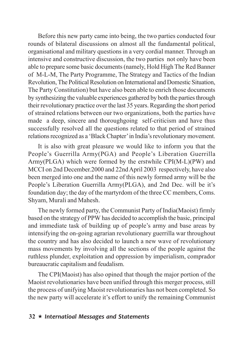Before this new party came into being, the two parties conducted four rounds of bilateral discussions on almost all the fundamental political, organisational and military questions in a very cordial manner. Through an intensive and constructive discussion, the two parties not only have been able to prepare some basic documents (namely, Hold High The Red Banner of M-L-M, The Party Programme, The Strategy and Tactics of the Indian Revolution, The Political Resolution on International and Domestic Situation, The Party Constitution) but have also been able to enrich those documents by synthesizing the valuable experiences gathered by both the parties through their revolutionary practice over the last 35 years. Regarding the short period of strained relations between our two organizations, both the parties have made a deep, sincere and thoroughgoing self-criticism and have thus successfully resolved all the questions related to that period of strained relations recognized as a 'Black Chapter' in India's revolutionary movement.

It is also with great pleasure we would like to inform you that the People's Guerrilla Army(PGA) and People's Liberation Guerrilla Army(PLGA) which were formed by the erstwhile CPI(M-L)(PW) and MCCI on 2nd December.2000 and 22nd April 2003 respectively, have also been merged into one and the name of this newly formed army will be the People's Liberation Guerrilla Army(PLGA), and 2nd Dec. will be it's foundation day; the day of the martyrdom of the three CC members, Coms. Shyam, Murali and Mahesh.

The newly formed party, the Communist Party of India(Maoist) firmly based on the strategy of PPW has decided to accomplish the basic, principal and immediate task of building up of people's army and base areas by intensifying the on-going agrarian revolutionary guerrilla war throughout the country and has also decided to launch a new wave of revolutionary mass movements by involving all the sections of the people against the ruthless plunder, exploitation and oppression by imperialism, comprador bureaucratic capitalism and feudalism.

The CPI(Maoist) has also opined that though the major portion of the Maoist revolutionaries have been unified through this merger process, still the process of unifying Maoist revolutionaries has not been completed. So the new party will accelerate it's effort to unify the remaining Communist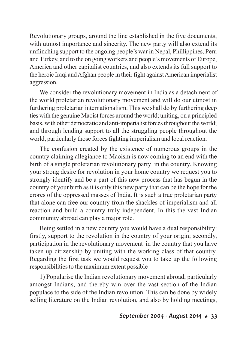Revolutionary groups, around the line established in the five documents, with utmost importance and sincerity. The new party will also extend its unflinching support to the ongoing people's war in Nepal, Phillippines, Peru and Turkey, and to the on going workers and people's movements of Europe, America and other capitalist countries, and also extends its full support to the heroic Iraqi and Afghan people in their fight against American imperialist aggression.

We consider the revolutionary movement in India as a detachment of the world proletarian revolutionary movement and will do our utmost in furthering proletarian internationalism. This we shall do by furthering deep ties with the genuine Maoist forces around the world; uniting, on a principled basis, with other democratic and anti-imperialist forces throughout the world; and through lending support to all the struggling people throughout the world, particularly those forces fighting imperialism and local reaction.

The confusion created by the existence of numerous groups in the country claiming allegiance to Maoism is now coming to an end with the birth of a single proletarian revolutionary party in the country. Knowing your strong desire for revolution in your home country we request you to strongly identify and be a part of this new process that has begun in the country of your birth as it is only this new party that can be the hope for the crores of the oppressed masses of India. It is such a true proletarian party that alone can free our country from the shackles of imperialism and all reaction and build a country truly independent. In this the vast Indian community abroad can play a major role.

Being settled in a new country you would have a dual responsibility: firstly, support to the revolution in the country of your origin; secondly, participation in the revolutionary movement in the country that you have taken up citizenship by uniting with the working class of that country. Regarding the first task we would request you to take up the following responsibilities to the maximum extent possible

1) Popularise the Indian revolutionary movement abroad, particularly amongst Indians, and thereby win over the vast section of the Indian populace to the side of the Indian revolution. This can be done by widely selling literature on the Indian revolution, and also by holding meetings,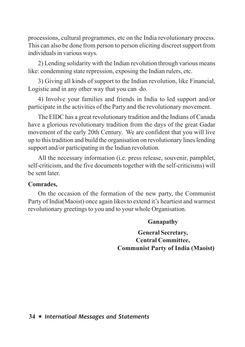processions, cultural programmes, etc on the India revolutionary process. This can also be done from person to person eliciting discreet support from individuals in various ways.

2) Lending solidarity with the Indian revolution through various means like: condemning state repression, exposing the Indian rulers, etc.

3) Giving all kinds of support to the Indian revolution, like Financial, Logistic and in any other way that you can do.

4) Involve your families and friends in India to led support and/or participate in the activities of the Party and the revolutionary movement.

The EIDC has a great revolutionary tradition and the Indians of Canada have a glorious revolutionary tradition from the days of the great Gadar movement of the early 20th Century. We are confident that you will live up to this tradition and build the organisation on revolutionary lines lending support and/or participating in the Indian revolution.

All the necessary information (i.e. press release, souvenir, pamphlet, self-criticism, and the five documents together with the self-criticisms) will be sent later

#### **Comrades,**

On the occasion of the formation of the new party, the Communist Party of India(Maoist) once again likes to extend it's heartiest and warmest revolutionary greetings to you and to your whole Organisation.

#### **Ganapathy**

**General Secretary, Central Committee, Communist Party of India (Maoist)**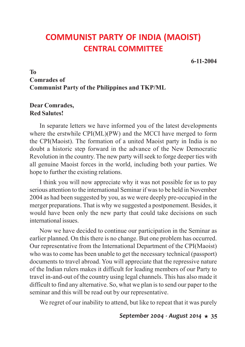### **COMMUNIST PARTY OF INDIA (MAOIST) CENTRAL COMMITTEE**

**6-11-2004**

### **To Comrades of Communist Party of the Philippines and TKP/ML**

### **Dear Comrades, Red Salutes!**

In separate letters we have informed you of the latest developments where the erstwhile CPI(ML)(PW) and the MCCI have merged to form the CPI(Maoist). The formation of a united Maoist party in India is no doubt a historic step forward in the advance of the New Democratic Revolution in the country. The new party will seek to forge deeper ties with all genuine Maoist forces in the world, including both your parties. We hope to further the existing relations.

I think you will now appreciate why it was not possible for us to pay serious attention to the international Seminar if was to be held in November 2004 as had been suggested by you, as we were deeply pre-occupied in the merger preparations. That is why we suggested a postponement. Besides, it would have been only the new party that could take decisions on such international issues.

Now we have decided to continue our participation in the Seminar as earlier planned. On this there is no change. But one problem has occurred. Our representative from the International Department of the CPI(Maoist) who was to come has been unable to get the necessary technical (passport) documents to travel abroad. You will appreciate that the repressive nature of the Indian rulers makes it difficult for leading members of our Party to travel in-and-out of the country using legal channels. This has also made it difficult to find any alternative. So, what we plan is to send our paper to the seminar and this will be read out by our representative.

We regret of our inability to attend, but like to repeat that it was purely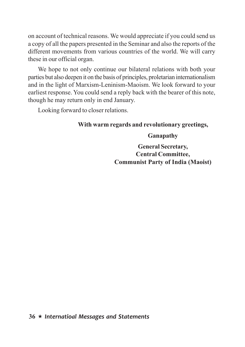on account of technical reasons. We would appreciate if you could send us a copy of all the papers presented in the Seminar and also the reports of the different movements from various countries of the world. We will carry these in our official organ.

We hope to not only continue our bilateral relations with both your parties but also deepen it on the basis of principles, proletarian internationalism and in the light of Marxism-Leninism-Maoism. We look forward to your earliest response. You could send a reply back with the bearer of this note, though he may return only in end January.

Looking forward to closer relations.

#### **With warm regards and revolutionary greetings,**

#### **Ganapathy**

**General Secretary, Central Committee, Communist Party of India (Maoist)**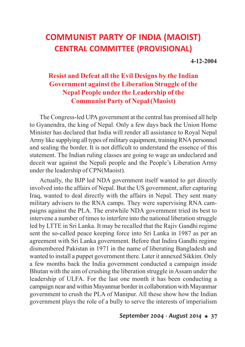**4-12-2004**

## **Resist and Defeat all the Evil Designs by the Indian Government against the Liberation Struggle of the Nepal People under the Leadership of the Communist Party of Nepal (Maoist)**

The Congress-led UPA government at the central has promised all help to Gyanendra, the king of Nepal. Only a few days back the Union Home Minister has declared that India will render all assistance to Royal Nepal Army like supplying all types of military equipment, training RNA personnel and sealing the border. It is not difficult to understand the essence of this statement. The Indian ruling classes are going to wage an undeclared and deceit war against the Nepali people and the People's Liberation Army under the leadership of CPN(Maoist).

Actually, the BJP led NDA government itself wanted to get directly involved into the affairs of Nepal. But the US government, after capturing Iraq, wanted to deal directly with the affairs in Nepal. They sent many military advisers to the RNA camps. They were supervising RNA campaigns against the PLA. The erstwhile NDA government tried its best to intervene a number of times to interfere into the national liberation struggle led by LTTE in Sri Lanka. It may be recalled that the Rajiv Gandhi regime sent the so-called peace keeping force into Sri Lanka in 1987 as per an agreement with Sri Lanka government. Before that Indira Gandhi regime dismembered Pakistan in 1971 in the name of liberating Bangladesh and wanted to install a puppet government there. Later it annexed Sikkim. Only a few months back the India government conducted a campaign inside Bhutan with the aim of crushing the liberation struggle in Assam under the leadership of ULFA. For the last one month it has been conducting a campaign near and within Mayanmar border in collaboration with Mayanmar government to crush the PLA of Manipur. All these show how the Indian government plays the role of a bully to serve the interests of imperialism

#### *September 2004 - August 2014* **37**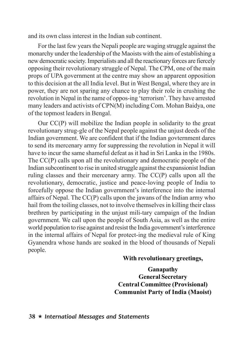and its own class interest in the Indian sub continent.

For the last few years the Nepali people are waging struggle against the monarchy under the leadership of the Maoists with the aim of establishing a new democratic society. Imperialists and all the reactionary forces are fiercely opposing their revolutionary struggle of Nepal. The CPM, one of the main props of UPA government at the centre may show an apparent opposition to this decision at the all India level. But in West Bengal, where they are in power, they are not sparing any chance to play their role in crushing the revolution in Nepal in the name of oppos-ing 'terrorism'. They have arrested many leaders and activists of CPN(M) including Com. Mohan Baidya, one of the topmost leaders in Bengal.

Our CC(P) will mobilize the Indian people in solidarity to the great revolutionary strug-gle of the Nepal people against the unjust deeds of the Indian government. We are confident that if the Indian govternment dares to send its mercenary army for suppressing the revolution in Nepal it will have to incur the same shameful defeat as it had in Sri Lanka in the 1980s. The CC(P) calls upon all the revolutionary and democratic people of the Indian subcontinent to rise in united struggle against the expansionist Indian ruling classes and their mercenary army. The CC(P) calls upon all the revolutionary, democratic, justice and peace-loving people of India to forcefully oppose the Indian government's interference into the internal affairs of Nepal. The CC(P) calls upon the jawans of the Indian army who hail from the toiling classes, not to involve themselves in killing their class brethren by participating in the unjust mili-tary campaign of the Indian government. We call upon the people of South Asia, as well as the entire world population to rise against and resist the India government's interference in the internal affairs of Nepal for protect-ing the medieval rule of King Gyanendra whose hands are soaked in the blood of thousands of Nepali people.

#### **With revolutionary greetings,**

**Ganapathy General Secretary Central Committee (Provisional) Communist Party of India (Maoist)**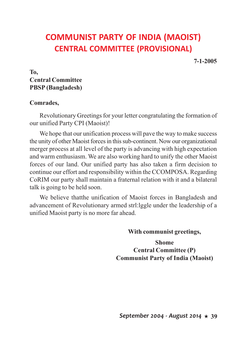**7-1-2005**

#### **To, Central Committee PBSP (Bangladesh)**

#### **Comrades,**

Revolutionary Greetings for your letter congratulating the formation of our unified Party CPI (Maoist)!

We hope that our unification process will pave the way to make success the unity of other Maoist forces in this sub-continent. Now our organizational merger process at all level of the party is advancing with high expectation and warm enthusiasm. We are also working hard to unify the other Maoist forces of our land. Our unified party has also taken a firm decision to continue our effort and responsibility within the CCOMPOSA. Regarding CoRIM our party shall maintain a fraternal relation with it and a bilateral talk is going to be held soon.

We believe thatthe unification of Maoist forces in Bangladesh and advancement of Revolutionary armed strl:lggle under the leadership of a unified Maoist party is no more far ahead.

**With communist greetings,**

**Shome Central Committee (P) Communist Party of India (Maoist)**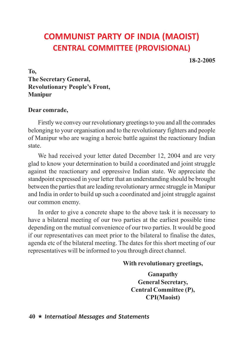**18-2-2005**

### **To, The Secretary General, Revolutionary People's Front, Manipur**

#### **Dear comrade,**

Firstly we convey our revolutionary greetings to you and all the comrades belonging to your organisation and to the revolutionary fighters and people of Manipur who are waging a heroic battle against the reactionary Indian state.

We had received your letter dated December 12, 2004 and are very glad to know your determination to build a coordinated and joint struggle against the reactionary and oppressive Indian state. We appreciate the standpoint expressed in your letter that an understanding should be brought between the parties that are leading revolutionary armec struggle in Manipur and India in order to build up such a coordinated and joint struggle against our common enemy.

In order to give a concrete shape to the above task it is necessary to have a bilateral meeting of our two parties at the earliest possible time depending on the mutual convenience of our two parties. It would be good if our representatives can meet prior to the bilateral to finalise the dates, agenda etc of the bilateral meeting. The dates for this short meeting of our representatives will be informed to you through direct channel.

#### **With revolutionary greetings,**

**Ganapathy General Secretary, Central Committee (P), CPI(Maoist)**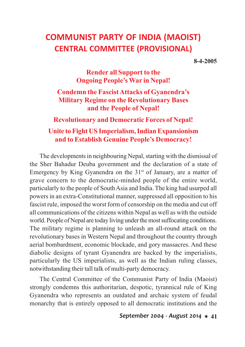**8-4-2005**

### **Render all Support to the Ongoing People's War in Nepal!**

## **Condemn the Fascist Attacks of Gyanendra's Military Regime on the Revolutionary Bases and the People of Nepal!**

### **Revolutionary and Democratic Forces of Nepal!**

## **Unite to Fight US Imperialism, Indian Expansionism and to Establish Genuine People's Democracy!**

The developments in neighbouring Nepal, starting with the dismissal of the Sher Bahadur Deuba government and the declaration of a state of Emergency by King Gyanendra on the  $31<sup>st</sup>$  of January, are a matter of grave concern to the democratic-minded people of the entire world, particularly to the people of South Asia and India. The king had usurped all powers in an extra-Constitutional manner, suppressed all opposition to his fascist rule, imposed the worst form of censorship on the media and cut off all communications of the citizens within Nepal as well as with the outside world. People of Nepal are today living under the most suffocating conditions. The military regime is planning to unleash an all-round attack on the revolutionary bases in Western Nepal and throughout the country through aerial bombardment, economic blockade, and gory massacres. And these diabolic designs of tyrant Gyanendra are backed by the imperialists, particularly the US imperialists, as well as the Indian ruling classes, notwithstanding their tall talk of multi-party democracy.

The Central Committee of the Communist Party of India (Maoist) strongly condemns this authoritarian, despotic, tyrannical rule of King Gyanendra who represents an outdated and archaic system of feudal monarchy that is entirely opposed to all democratic institutions and the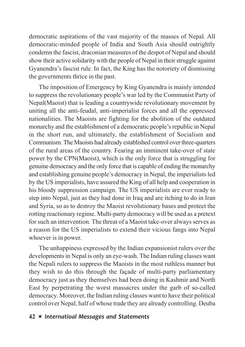democratic aspirations of the vast majority of the masses of Nepal. All democratic-minded people of India and South Asia should outrightly condemn the fascist, draconian measures of the despot of Nepal and should show their active solidarity with the people of Nepal in their struggle against Gyanendra's fascist rule. In fact, the King has the notoriety of dismissing the governments thrice in the past.

The imposition of Emergency by King Gyanendra is mainly intended to suppress the revolutionary people's war led by the Communist Party of Nepal(Maoist) that is leading a countrywide revolutionary movement by uniting all the anti-feudal, anti-imperialist forces and all the oppressed nationalities. The Maoists are fighting for the abolition of the outdated monarchy and the establishment of a democratic people's republic in Nepal in the short run, and ultimately, the establishment of Socialism and Communism. The Maoists had already established control over three-quarters of the rural areas of the country. Fearing an imminent take-over of state power by the CPN(Maoist), which is the only force that is struggling for genuine democracy and the only force that is capable of ending the monarchy and establishing genuine people's democracy in Nepal, the imperialists led by the US imperialists, have assured the King of all help and cooperation in his bloody suppression campaign. The US imperialists are ever ready to step into Nepal, just as they had done in Iraq and are itching to do in Iran and Syria, so as to destroy the Maoist revolutionary bases and protect the rotting reactionary regime. Multi-party democracy will be used as a pretext for such an intervention. The threat of a Maoist take-over always serves as a reason for the US imperialists to extend their vicious fangs into Nepal whoever is in power.

The unhappiness expressed by the Indian expansionist rulers over the developments in Nepal is only an eye-wash. The Indian ruling classes want the Nepali rulers to suppress the Maoists in the most ruthless manner but they wish to do this through the façade of multi-party parliamentary democracy just as they themselves had been doing in Kashmir and North East by perpetrating the worst massacres under the garb of so-called democracy. Moreover, the Indian ruling classes want to have their political control over Nepal, half of whose trade they are already controlling. Deuba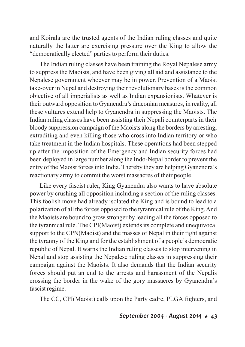and Koirala are the trusted agents of the Indian ruling classes and quite naturally the latter are exercising pressure over the King to allow the "democratically elected" parties to perform their duties.

The Indian ruling classes have been training the Royal Nepalese army to suppress the Maoists, and have been giving all aid and assistance to the Nepalese government whoever may be in power. Prevention of a Maoist take-over in Nepal and destroying their revolutionary bases is the common objective of all imperialists as well as Indian expansionists. Whatever is their outward opposition to Gyanendra's draconian measures, in reality, all these vultures extend help to Gyanendra in suppressing the Maoists. The Indian ruling classes have been assisting their Nepali counterparts in their bloody suppression campaign of the Maoists along the borders by arresting, extraditing and even killing those who cross into Indian territory or who take treatment in the Indian hospitals. These operations had been stepped up after the imposition of the Emergency and Indian security forces had been deployed in large number along the Indo-Nepal border to prevent the entry of the Maoist forces into India. Thereby they are helping Gyanendra's reactionary army to commit the worst massacres of their people.

Like every fascist ruler, King Gyanendra also wants to have absolute power by crushing all opposition including a section of the ruling classes. This foolish move had already isolated the King and is bound to lead to a polarization of all the forces opposed to the tyrannical rule of the King. And the Maoists are bound to grow stronger by leading all the forces opposed to the tyrannical rule. The CPI(Maoist) extends its complete and unequivocal support to the CPN(Maoist) and the masses of Nepal in their fight against the tyranny of the King and for the establishment of a people's democratic republic of Nepal. It warns the Indian ruling classes to stop intervening in Nepal and stop assisting the Nepalese ruling classes in suppressing their campaign against the Maoists. It also demands that the Indian security forces should put an end to the arrests and harassment of the Nepalis crossing the border in the wake of the gory massacres by Gyanendra's fascist regime.

The CC, CPI(Maoist) calls upon the Party cadre, PLGA fighters, and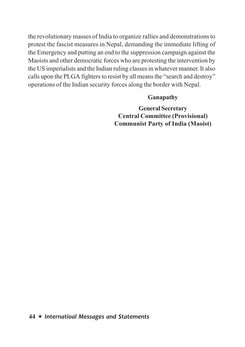the revolutionary masses of India to organize rallies and demonstrations to protest the fascist measures in Nepal, demanding the immediate lifting of the Emergency and putting an end to the suppression campaign against the Maoists and other democratic forces who are protesting the intervention by the US imperialists and the Indian ruling classes in whatever manner. It also calls upon the PLGA fighters to resist by all means the "search and destroy" operations of the Indian security forces along the border with Nepal.

#### **Ganapathy**

**General Secretary Central Committee (Provisional) Communist Party of India (Maoist)**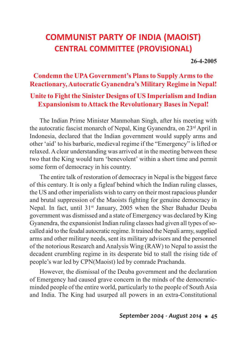**26-4-2005**

## **Condemn the UPA Government's Plans to Supply Arms to the Reactionary, Autocratic Gyanendra's Military Regime in Nepal! Unite to Fight the Sinister Designs of US Imperialism and Indian Expansionism to Attack the Revolutionary Bases in Nepal!**

The Indian Prime Minister Manmohan Singh, after his meeting with the autocratic fascist monarch of Nepal, King Gyanendra, on 23rd April in Indonesia, declared that the Indian government would supply arms and other 'aid' to his barbaric, medieval regime if the "Emergency" is lifted or relaxed. A clear understanding was arrived at in the meeting between these two that the King would turn 'benevolent' within a short time and permit some form of democracy in his country.

The entire talk of restoration of democracy in Nepal is the biggest farce of this century. It is only a figleaf behind which the Indian ruling classes, the US and other imperialists wish to carry on their most rapacious plunder and brutal suppression of the Maoists fighting for genuine democracy in Nepal. In fact, until 31<sup>st</sup> January, 2005 when the Sher Bahadur Deuba government was dismissed and a state of Emergency was declared by King Gyanendra, the expansionist Indian ruling classes had given all types of socalled aid to the feudal autocratic regime. It trained the Nepali army, supplied arms and other military needs, sent its military advisors and the personnel of the notorious Research and Analysis Wing (RAW) to Nepal to assist the decadent crumbling regime in its desperate bid to stall the rising tide of people's war led by CPN(Maoist) led by comrade Prachanda.

However, the dismissal of the Deuba government and the declaration of Emergency had caused grave concern in the minds of the democraticminded people of the entire world, particularly to the people of South Asia and India. The King had usurped all powers in an extra-Constitutional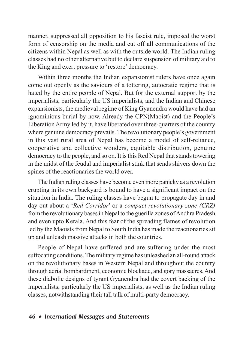manner, suppressed all opposition to his fascist rule, imposed the worst form of censorship on the media and cut off all communications of the citizens within Nepal as well as with the outside world. The Indian ruling classes had no other alternative but to declare suspension of military aid to the King and exert pressure to 'restore' democracy.

Within three months the Indian expansionist rulers have once again come out openly as the saviours of a tottering, autocratic regime that is hated by the entire people of Nepal. But for the external support by the imperialists, particularly the US imperialists, and the Indian and Chinese expansionists, the medieval regime of King Gyanendra would have had an ignominious burial by now. Already the CPN(Maoist) and the People's Liberation Army led by it, have liberated over three-quarters of the country where genuine democracy prevails. The revolutionary people's government in this vast rural area of Nepal has become a model of self-reliance, cooperative and collective wonders, equitable distribution, genuine democracy to the people, and so on. It is this Red Nepal that stands towering in the midst of the feudal and imperialist stink that sends shivers down the spines of the reactionaries the world over.

The Indian ruling classes have become even more panicky as a revolution erupting in its own backyard is bound to have a significant impact on the situation in India. The ruling classes have begun to propagate day in and day out about a '*Red Corridor*' or a *compact revolutionary zone (CRZ)* from the revolutionary bases in Nepal to the guerilla zones of Andhra Pradesh and even upto Kerala. And this fear of the spreading flames of revolution led by the Maoists from Nepal to South India has made the reactionaries sit up and unleash massive attacks in both the countries.

People of Nepal have suffered and are suffering under the most suffocating conditions. The military regime has unleashed an all-round attack on the revolutionary bases in Western Nepal and throughout the country through aerial bombardment, economic blockade, and gory massacres. And these diabolic designs of tyrant Gyanendra had the covert backing of the imperialists, particularly the US imperialists, as well as the Indian ruling classes, notwithstanding their tall talk of multi-party democracy.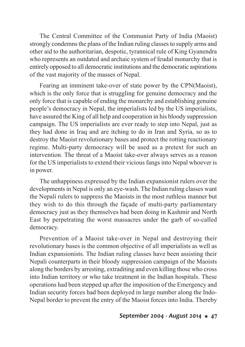The Central Committee of the Communist Party of India (Maoist) strongly condemns the plans of the Indian ruling classes to supply arms and other aid to the authoritarian, despotic, tyrannical rule of King Gyanendra who represents an outdated and archaic system of feudal monarchy that is entirely opposed to all democratic institutions and the democratic aspirations of the vast majority of the masses of Nepal.

Fearing an imminent take-over of state power by the CPN(Maoist), which is the only force that is struggling for genuine democracy and the only force that is capable of ending the monarchy and establishing genuine people's democracy in Nepal, the imperialists led by the US imperialists, have assured the King of all help and cooperation in his bloody suppression campaign. The US imperialists are ever ready to step into Nepal, just as they had done in Iraq and are itching to do in Iran and Syria, so as to destroy the Maoist revolutionary bases and protect the rotting reactionary regime. Multi-party democracy will be used as a pretext for such an intervention. The threat of a Maoist take-over always serves as a reason for the US imperialists to extend their vicious fangs into Nepal whoever is in power.

The unhappiness expressed by the Indian expansionist rulers over the developments in Nepal is only an eye-wash. The Indian ruling classes want the Nepali rulers to suppress the Maoists in the most ruthless manner but they wish to do this through the façade of multi-party parliamentary democracy just as they themselves had been doing in Kashmir and North East by perpetrating the worst massacres under the garb of so-called democracy.

Prevention of a Maoist take-over in Nepal and destroying their revolutionary bases is the common objective of all imperialists as well as Indian expansionists. The Indian ruling classes have been assisting their Nepali counterparts in their bloody suppression campaign of the Maoists along the borders by arresting, extraditing and even killing those who cross into Indian territory or who take treatment in the Indian hospitals. These operations had been stepped up after the imposition of the Emergency and Indian security forces had been deployed in large number along the Indo-Nepal border to prevent the entry of the Maoist forces into India. Thereby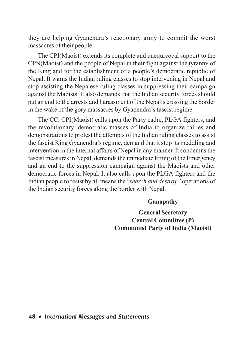they are helping Gyanendra's reactionary army to commit the worst massacres of their people.

The CPI(Maoist) extends its complete and unequivocal support to the CPN(Maoist) and the people of Nepal in their fight against the tyranny of the King and for the establishment of a people's democratic republic of Nepal. It warns the Indian ruling classes to stop intervening in Nepal and stop assisting the Nepalese ruling classes in suppressing their campaign against the Maoists. It also demands that the Indian security forces should put an end to the arrests and harassment of the Nepalis crossing the border in the wake of the gory massacres by Gyanendra's fascist regime.

The CC, CPI(Maoist) calls upon the Party cadre, PLGA fighters, and the revolutionary, democratic masses of India to organize rallies and demonstrations to protest the attempts of the Indian ruling classes to assist the fascist King Gyanendra's regime, demand that it stop its meddling and intervention in the internal affairs of Nepal in any manner. It condemns the fascist measures in Nepal, demands the immediate lifting of the Emergency and an end to the suppression campaign against the Maoists and other democratic forces in Nepal. It also calls upon the PLGA fighters and the Indian people to resist by all means the "*search and destroy"* operations of the Indian security forces along the border with Nepal.

#### **Ganapathy**

**General Secretary Central Committee (P) Communist Party of India (Maoist)**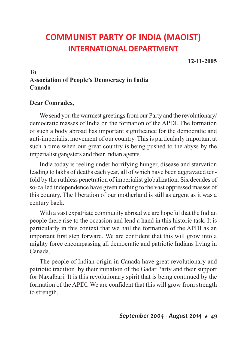# **COMMUNIST PARTY OF INDIA (MAOIST) INTERNATIONAL DEPARTMENT**

**12-11-2005**

### **To Association of People's Democracy in India Canada**

### **Dear Comrades,**

We send you the warmest greetings from our Party and the revolutionary/ democratic masses of India on the formation of the APDI. The formation of such a body abroad has important significance for the democratic and anti-imperialist movement of our country. This is particularly important at such a time when our great country is being pushed to the abyss by the imperialist gangsters and their Indian agents.

India today is reeling under horrifying hunger, disease and starvation leading to lakhs of deaths each year, all of which have been aggravated tenfold by the ruthless penetration of imperialist globalization. Six decades of so-called independence have given nothing to the vast oppressed masses of this country. The liberation of our motherland is still as urgent as it was a century back.

With a vast expatriate community abroad we are hopeful that the Indian people there rise to the occasion and lend a hand in this historic task. It is particularly in this context that we hail the formation of the APDI as an important first step forward. We are confident that this will grow into a mighty force encompassing all democratic and patriotic Indians living in Canada.

The people of Indian origin in Canada have great revolutionary and patriotic tradition by their initiation of the Gadar Party and their support for Naxalbari. It is this revolutionary spirit that is being continued by the formation of the APDI. We are confident that this will grow from strength to strength.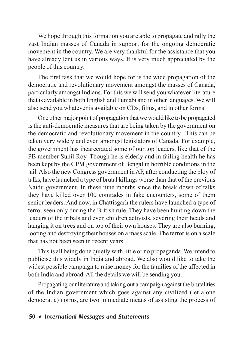We hope through this formation you are able to propagate and rally the vast Indian masses of Canada in support for the ongoing democratic movement in the country. We are very thankful for the assistance that you have already lent us in various ways. It is very much appreciated by the people of this country.

The first task that we would hope for is the wide propagation of the democratic and revolutionary movement amongst the masses of Canada, particularly amongst Indians. For this we will send you whatever literature that is available in both English and Punjabi and in other languages. We will also send you whatever is available on CDs, films, and in other forms.

One other major point of propagation that we would like to be propagated is the anti-democratic measures that are being taken by the government on the democratic and revolutionary movement in the country. This can be taken very widely and even amongst legislators of Canada. For example, the government has incarcerated some of our top leaders, like that of the PB member Sunil Roy. Though he is elderly and in failing health he has been kept by the CPM government of Bengal in horrible conditions in the jail. Also the new Congress government in AP, after conducting the ploy of talks, have launched a type of brutal killings worse than that of the previous Naidu government. In these nine months since the break down of talks they have killed over 100 comrades in fake encounters, some of them senior leaders. And now, in Chattisgarh the rulers have launched a type of terror seen only during the British rule. They have been hunting down the leaders of the tribals and even children activists, severing their heads and hanging it on trees and on top of their own houses. They are also burning, looting and destroying their houses on a mass scale. The terror is on a scale that has not been seen in recent years.

This is all being done quietly with little or no propaganda. We intend to publicise this widely in India and abroad. We also would like to take the widest possible campaign to raise money for the families of the affected in both India and abroad. All the details we will be sending you.

Propagating our literature and taking out a campaign against the brutalities of the Indian government which goes against any civilized (let alone democratic) norms, are two immediate means of assisting the process of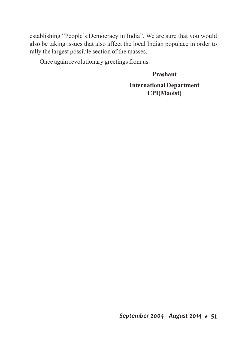establishing "People's Democracy in India". We are sure that you would also be taking issues that also affect the local Indian populace in order to rally the largest possible section of the masses.

Once again revolutionary greetings from us.

**Prashant**

**International Department CPI(Maoist)**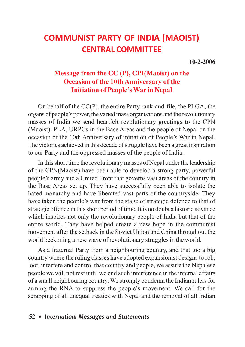## **COMMUNIST PARTY OF INDIA (MAOIST) CENTRAL COMMITTEE**

#### **10-2-2006**

## **Message from the CC (P), CPI(Maoist) on the Occasion of the 10th Anniversary of the Initiation of People's War in Nepal**

On behalf of the CC(P), the entire Party rank-and-file, the PLGA, the organs of people's power, the varied mass organisations and the revolutionary masses of India we send heartfelt revolutionary greetings to the CPN (Maoist), PLA, URPCs in the Base Areas and the people of Nepal on the occasion of the 10th Anniversary of initiation of People's War in Nepal. The victories achieved in this decade of struggle have been a great inspiration to our Party and the oppressed masses of the people of India.

In this short time the revolutionary masses of Nepal under the leadership of the CPN(Maoist) have been able to develop a strong party, powerful people's army and a United Front that governs vast areas of the country in the Base Areas set up. They have successfully been able to isolate the hated monarchy and have liberated vast parts of the countryside. They have taken the people's war from the stage of strategic defence to that of strategic offence in this short period of time. It is no doubt a historic advance which inspires not only the revolutionary people of India but that of the entire world. They have helped create a new hope in the communist movement after the setback in the Soviet Union and China throughout the world beckoning a new wave of revolutionary struggles in the world.

As a fraternal Party from a neighbouring country, and that too a big country where the ruling classes have adopted expansionist designs to rob, loot, interfere and control that country and people, we assure the Nepalese people we will not rest until we end such interference in the internal affairs of a small neighbouring country. We strongly condemn the Indian rulers for arming the RNA to suppress the people's movement. We call for the scrapping of all unequal treaties with Nepal and the removal of all Indian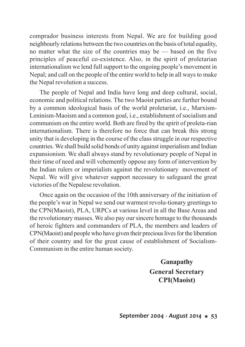comprador business interests from Nepal. We are for building good neighbourly relations between the two countries on the basis of total equality, no matter what the size of the countries may be — based on the five principles of peaceful co-existence. Also, in the spirit of proletarian internationalism we lend full support to the ongoing people's movement in Nepal; and call on the people of the entire world to help in all ways to make the Nepal revolution a success.

The people of Nepal and India have long and deep cultural, social, economic and political relations. The two Maoist parties are further bound by a common ideological basis of the world proletariat, i.e., Marxism-Leninism-Maoism and a common goal, i.e., establishment of socialism and communism on the entire world. Both are fired by the spirit of proleta-rian internationalism. There is therefore no force that can break this strong unity that is developing in the course of the class struggle in our respective countries. We shall build solid bonds of unity against imperialism and Indian expansionism. We shall always stand by revolutionary people of Nepal in their time of need and will vehemently oppose any form of intervention by the Indian rulers or imperialists against the revolutionary movement of Nepal. We will give whatever support necessary to safeguard the great victories of the Nepalese revolution.

Once again on the occasion of the 10th anniversary of the initiation of the people's war in Nepal we send our warmest revolu-tionary greetings to the CPN(Maoist), PLA, URPCs at various level in all the Base Areas and the revolutionary masses. We also pay our sincere homage to the thousands of heroic fighters and commanders of PLA, the members and leaders of CPN(Maoist) and people who have given their precious lives for the liberation of their country and for the great cause of establishment of Socialism-Communism in the entire human society.

> **Ganapathy General Secretary CPI(Maoist)**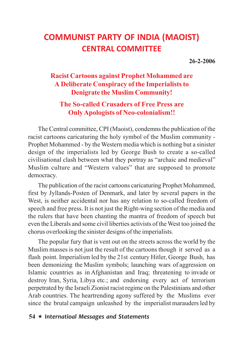## **COMMUNIST PARTY OF INDIA (MAOIST) CENTRAL COMMITTEE**

**26-2-2006**

## **Racist Cartoons against Prophet Mohammed are A Deliberate Conspiracy of the Imperialists to Denigrate the Muslim Community!**

## **The So-called Crusaders of Free Press are Only Apologists of Neo-colonialism!!**

The Central committee, CPI (Maoist), condemns the publication of the racist cartoons caricaturing the holy symbol of the Muslim community - Prophet Mohammed - by the Western media which is nothing but a sinister design of the imperialists led by George Bush to create a so-called civilisational clash between what they portray as "archaic and medieval" Muslim culture and "Western values" that are supposed to promote democracy.

The publication of the racist cartoons caricaturing Prophet Mohammed, first by Jyllands-Posten of Denmark, and later by several papers in the West, is neither accidental nor has any relation to so-called freedom of speech and free press. It is not just the Right-wing section of the media and the rulers that have been chanting the mantra of freedom of speech but even the Liberals and some civil liberties activists of the West too joined the chorus overlooking the sinister designs of the imperialists.

The popular fury that is vent out on the streets across the world by the Muslim masses is not just the result of the cartoons though it served as a flash point. Imperialism led by the 21st century Hitler, George Bush, has been demonizing the Muslim symbols; launching wars of aggression on Islamic countries as in Afghanistan and Iraq; threatening to invade or destroy Iran, Syria, Libya etc.; and endorsing every act of terrorism perpetrated by the Israeli Zionist racist regime on the Palestinians and other Arab countries. The heartrending agony suffered by the Muslims ever since the brutal campaign unleashed by the imperialist marauders led by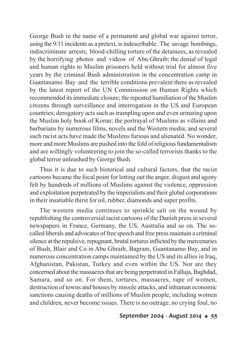George Bush in the name of a permanent and global war against terror, using the 9/11 incidents as a pretext, is indescribable. The savage bombings, indiscriminate arrests, blood-chilling torture of the detainees, as revealed by the horrifying photos and videos of Abu Ghraib; the denial of legal and human rights to Muslim prisoners held without trial for almost five years by the criminal Bush administration in the concentration camp in Guantanamo Bay and the terrible conditions prevalent there as revealed by the latest report of the UN Commission on Human Rights which recommended its immediate closure; the repeated humiliation of the Muslim citizens through surveillance and interrogation in the US and European countries; derogatory acts such as trampling upon and even urinating upon the Muslim holy book of Koran; the portrayal of Muslims as villains and barbarians by numerous films, novels and the Western media; and several such racist acts have made the Muslims furious and alienated. No wonder, more and more Muslims are pushed into the fold of religious fundamentalism and are willingly volunteering to join the so-called terrorists thanks to the global terror unleashed by George Bush.

Thus it is due to such historical and cultural factors, that the racist cartoons became the focal point for letting out the anger, disgust and agony felt by hundreds of millions of Muslims against the violence, oppression and exploitation perpetrated by the imperialists and their global corporations in their insatiable thirst for oil, rubber, diamonds and super profits.

The western media continues to sprinkle salt on the wound by republishing the controversial racist cartoons of the Danish press in several newspapers in France, Germany, the US, Australia and so on. The socalled liberals and advocates of free speech and free press maintain a criminal silence at the repulsive, repugnant, brutal tortures inflicted by the mercenaries of Bush, Blair and Co in Abu Ghraib, Bagram, Guantanamo Bay, and in numerous concentration camps maintained by the US and its allies in Iraq, Afghanistan, Pakistan, Turkey and even within the US. Nor are they concerned about the massacres that are being perpetrated in Falluja, Baghdad, Samara, and so on. For them, tortures, massacres, rape of women, destruction of towns and houses by missile attacks, and inhuman economic sanctions causing deaths of millions of Muslim people, including women and children, never become issues. There is no outrage, no crying foul, no

#### *September 2004 - August 2014* **55**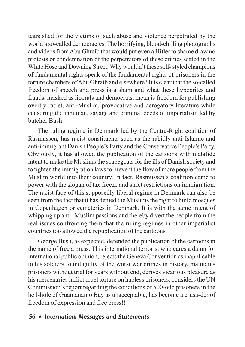tears shed for the victims of such abuse and violence perpetrated by the world's so-called democracies. The horrifying, blood-chilling photographs and videos from Abu Ghraib that would put even a Hitler to shame draw no protests or condemnation of the perpetrators of these crimes seated in the White Hose and Downing Street. Why wouldn't these self- styled champions of fundamental rights speak of the fundamental rights of prisoners in the torture chambers of Abu Ghraib and elsewhere? It is clear that the so-called freedom of speech and press is a sham and what these hypocrites and frauds, masked as liberals and democrats, mean is freedom for publishing overtly racist, anti-Muslim, provocative and derogatory literature while censoring the inhuman, savage and criminal deeds of imperialism led by butcher Bush.

The ruling regime in Denmark led by the Centre-Right coalition of Rasmussen, has racist constituents such as the rabidly anti-Islamic and anti-immigrant Danish People's Party and the Conservative People's Party. Obviously, it has allowed the publication of the cartoons with malafide intent to make the Muslims the scapegoats for the ills of Danish society and to tighten the immigration laws to prevent the flow of more people from the Muslim world into their country. In fact, Rasmussen's coalition came to power with the slogan of tax freeze and strict restrictions on immigration. The racist face of this supposedly liberal regime in Denmark can also be seen from the fact that it has denied the Muslims the right to build mosques in Copenhagen or cemeteries in Denmark. It is with the same intent of whipping up anti- Muslim passions and thereby divert the people from the real issues confronting them that the ruling regimes in other imperialist countries too allowed the republication of the cartoons.

George Bush, as expected, defended the publication of the cartoons in the name of free a press. This international terrorist who cares a damn for international public opinion, rejects the Geneva Convention as inapplicable to his soldiers found guilty of the worst war crimes in history, maintains prisoners without trial for years without end, derives vicarious pleasure as his mercenaries inflict cruel torture on hapless prisoners, considers the UN Commission's report regarding the conditions of 500-odd prisoners in the hell-hole of Guantanamo Bay as unacceptable, has become a crusa-der of freedom of expression and free press!!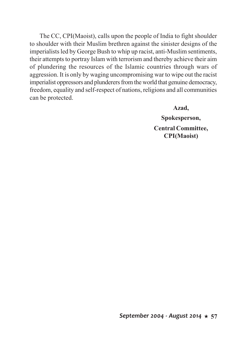The CC, CPI(Maoist), calls upon the people of India to fight shoulder to shoulder with their Muslim brethren against the sinister designs of the imperialists led by George Bush to whip up racist, anti-Muslim sentiments, their attempts to portray Islam with terrorism and thereby achieve their aim of plundering the resources of the Islamic countries through wars of aggression. It is only by waging uncompromising war to wipe out the racist imperialist oppressors and plunderers from the world that genuine democracy, freedom, equality and self-respect of nations, religions and all communities can be protected.

> **Azad, Spokesperson, Central Committee, CPI(Maoist)**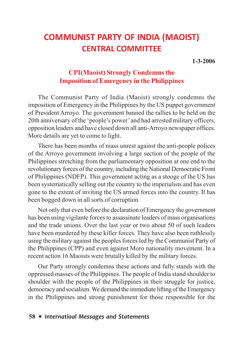## **COMMUNIST PARTY OF INDIA (MAOIST) CENTRAL COMMITTEE**

**1-3-2006**

## **CPI(Maoist) Strongly Condemns the Imposition of Emergency in the Philippines**

The Communist Party of India (Maoist) strongly condemns the imposition of Emergency in the Philippines by the US puppet government of President Arroyo. The government banned the rallies to be held on the 20th anniversary of the 'people's power' and had arrested military officers, opposition leaders and have closed down all anti-Arroyo newspaper offices. More details are yet to come to light.

There has been months of mass unrest against the anti-people polices of the Arroyo government involving a large section of the people of the Philippines stretching from the parliamentary opposition at one end to the revolutionary forces of the country, including the National Democratic Front of Philippines (NDFP). This government acting as a stooge of the US has been systematically selling out the country to the imperialists and has even gone to the extent of inviting the US armed forces into the country. It has been bogged down in all sorts of corruption.

Not only that even before the declaration of Emergency the government has been using vigilante forces to assassinate leaders of mass organisations and the trade unions. Over the last year or two about 50 of such leaders have been murdered by these killer forces. They have also been ruthlessly using the military against the peoples forces led by the Communist Party of the Philippines (CPP) and even against Moro nationality movement. In a recent action 16 Maoists were brutally killed by the military forces.

Our Party strongly condemns these actions and fully stands with the oppressed masses of the Philippines. The people of India stand shoulder to shoulder with the people of the Philippines in their struggle for justice, democracy and socialism. We demand the immediate lifting of the Emergency in the Philippines and strong punishment for those responsible for the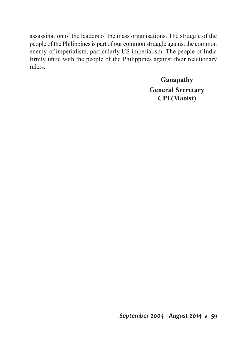assassination of the leaders of the mass organisations. The struggle of the people of the Philippines is part of our common struggle against the common enemy of imperialism, particularly US imperialism. The people of India firmly unite with the people of the Philippines against their reactionary rulers.

> **Ganapathy General Secretary CPI (Maoist)**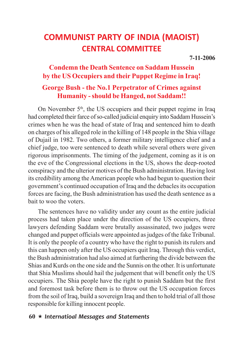# **COMMUNIST PARTY OF INDIA (MAOIST) CENTRAL COMMITTEE**

**7-11-2006**

### **Condemn the Death Sentence on Saddam Hussein by the US Occupiers and their Puppet Regime in Iraq!**

### **George Bush - the No.1 Perpetrator of Crimes against Humanity - should be Hanged, not Saddam!!**

On November  $5<sup>th</sup>$ , the US occupiers and their puppet regime in Iraq had completed their farce of so-called judicial enquiry into Saddam Hussein's crimes when he was the head of state of Iraq and sentenced him to death on charges of his alleged role in the killing of 148 people in the Shia village of Dujail in 1982. Two others, a former military intelligence chief and a chief judge, too were sentenced to death while several others were given rigorous imprisonments. The timing of the judgement, coming as it is on the eve of the Congressional elections in the US, shows the deep-rooted conspiracy and the ulterior motives of the Bush administration. Having lost its credibility among the American people who had begun to question their government's continued occupation of Iraq and the debacles its occupation forces are facing, the Bush administration has used the death sentence as a bait to woo the voters.

The sentences have no validity under any count as the entire judicial process had taken place under the direction of the US occupiers, three lawyers defending Saddam were brutally assassinated, two judges were changed and puppet officials were appointed as judges of the fake Tribunal. It is only the people of a country who have the right to punish its rulers and this can happen only after the US occupiers quit Iraq. Through this verdict, the Bush administration had also aimed at furthering the divide between the Shias and Kurds on the one side and the Sunnis on the other. It is unfortunate that Shia Muslims should hail the judgement that will benefit only the US occupiers. The Shia people have the right to punish Saddam but the first and foremost task before them is to throw out the US occupation forces from the soil of Iraq, build a sovereign Iraq and then to hold trial of all those responsible for killing innocent people.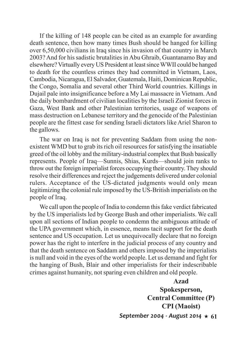If the killing of 148 people can be cited as an example for awarding death sentence, then how many times Bush should be hanged for killing over 6,50,000 civilians in Iraq since his invasion of that country in March 2003? And for his sadistic brutalities in Abu Ghraib, Guantanamo Bay and elsewhere? Virtually every US President at least since WWII could be hanged to death for the countless crimes they had committed in Vietnam, Laos, Cambodia, Nicaragua, El Salvador, Guatemala, Haiti, Dominican Republic, the Congo, Somalia and several other Third World countries. Killings in Dujail pale into insignificance before a My Lai massacre in Vietnam. And the daily bombardment of civilian localities by the Israeli Zionist forces in Gaza, West Bank and other Palestinian territories, usage of weapons of mass destruction on Lebanese territory and the genocide of the Palestinian people are the fittest case for sending Israeli dictators like Ariel Sharon to the gallows.

The war on Iraq is not for preventing Saddam from using the nonexistent WMD but to grab its rich oil resources for satisfying the insatiable greed of the oil lobby and the military-industrial complex that Bush basically represents. People of Iraq—Sunnis, Shias, Kurds—should join ranks to throw out the foreign imperialist forces occupying their country. They should resolve their differences and reject the judgements delivered under colonial rulers. Acceptance of the US-dictated judgments would only mean legitimizing the colonial rule imposed by the US-British imperialists on the people of Iraq.

We call upon the people of India to condemn this fake verdict fabricated by the US imperialists led by George Bush and other imperialists. We call upon all sections of Indian people to condemn the ambiguous attitude of the UPA government which, in essence, means tacit support for the death sentence and US occupation. Let us unequivocally declare that no foreign power has the right to interfere in the judicial process of any country and that the death sentence on Saddam and others imposed by the imperialists is null and void in the eyes of the world people. Let us demand and fight for the hanging of Bush, Blair and other imperialists for their indescribable crimes against humanity, not sparing even children and old people.

> September 2004 - August 2014  $\star$  61 **Azad Spokesperson, Central Committee (P) CPI (Maoist)**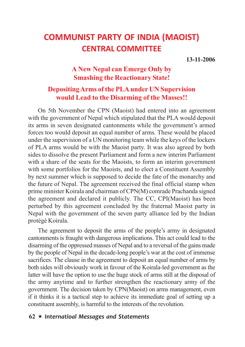## **COMMUNIST PARTY OF INDIA (MAOIST) CENTRAL COMMITTEE**

**13-11-2006**

## **A New Nepal can Emerge Only by Smashing the Reactionary State!**

## **Depositing Arms of the PLA under UN Supervision would Lead to the Disarming of the Masses!!**

On 5th November the CPN (Maoist) had entered into an agreement with the government of Nepal which stipulated that the PLA would deposit its arms in seven designated cantonments while the government's armed forces too would deposit an equal number of arms. These would be placed under the supervision of a UN monitoring team while the keys of the lockers of PLA arms would be with the Maoist party. It was also agreed by both sides to dissolve the present Parliament and form a new interim Parliament with a share of the seats for the Maoists, to form an interim government with some portfolios for the Maoists, and to elect a Constituent Assembly by next summer which is supposed to decide the fate of the monarchy and the future of Nepal. The agreement received the final official stamp when prime minister Koirala and chairman of CPN(M) comrade Prachanda signed the agreement and declared it publicly. The CC, CPI(Maoist) has been perturbed by this agreement concluded by the fraternal Maoist party in Nepal with the government of the seven party alliance led by the Indian protégé Koirala.

The agreement to deposit the arms of the people's army in designated cantonments is fraught with dangerous implications. This act could lead to the disarming of the oppressed masses of Nepal and to a reversal of the gains made by the people of Nepal in the decade-long people's war at the cost of immense sacrifices. The clause in the agreement to deposit an equal number of arms by both sides will obviously work in favour of the Koirala-led government as the latter will have the option to use the huge stock of arms still at the disposal of the army anytime and to further strengthen the reactionary army of the government. The decision taken by CPN(Maoist) on arms management, even if it thinks it is a tactical step to achieve its immediate goal of setting up a constituent assembly, is harmful to the interests of the revolution.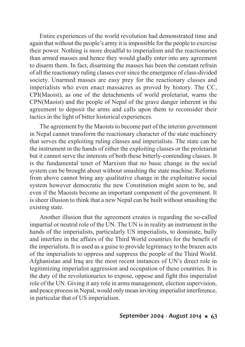Entire experiences of the world revolution had demonstrated time and again that without the people's army it is impossible for the people to exercise their power. Nothing is more dreadful to imperialism and the reactionaries than armed masses and hence they would gladly enter into any agreement to disarm them. In fact, disarming the masses has been the constant refrain of all the reactionary ruling classes ever since the emergence of class-divided society. Unarmed masses are easy prey for the reactionary classes and imperialists who even enact massacres as proved by history. The CC, CPI(Maoist), as one of the detachments of world proletariat, warns the CPN(Maoist) and the people of Nepal of the grave danger inherent in the agreement to deposit the arms and calls upon them to reconsider their tactics in the light of bitter historical experiences.

The agreement by the Maoists to become part of the interim government in Nepal cannot transform the reactionary character of the state machinery that serves the exploiting ruling classes and imperialists. The state can be the instrument in the hands of either the exploiting classes or the proletariat but it cannot serve the interests of both these bitterly-contending classes. It is the fundamental tenet of Marxism that no basic change in the social system can be brought about without smashing the state machine. Reforms from above cannot bring any qualitative change in the exploitative social system however democratic the new Constitution might seem to be, and even if the Maoists become an important component of the government. It is sheer illusion to think that a new Nepal can be built without smashing the existing state.

Another illusion that the agreement creates is regarding the so-called impartial or neutral role of the UN. The UN is in reality an instrument in the hands of the imperialists, particularly US imperialists, to dominate, bully and interfere in the affairs of the Third World countries for the benefit of the imperialists. It is used as a guise to provide legitimacy to the brazen acts of the imperialists to oppress and suppress the people of the Third World. Afghanistan and Iraq are the most recent instances of UN's direct role in legitimizing imperialist aggression and occupation of these countries. It is the duty of the revolutionaries to expose, oppose and fight this imperialist role of the UN. Giving it any role in arms management, election supervision, and peace process in Nepal, would only mean inviting imperialist interference, in particular that of US imperialism.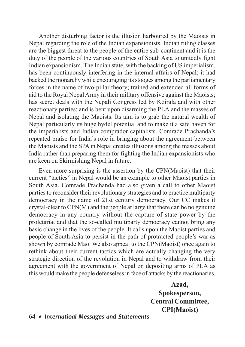Another disturbing factor is the illusion harboured by the Maoists in Nepal regarding the role of the Indian expansionists. Indian ruling classes are the biggest threat to the people of the entire sub-continent and it is the duty of the people of the various countries of South Asia to unitedly fight Indian expansionism. The Indian state, with the backing of US imperialism, has been continuously interfering in the internal affairs of Nepal; it had backed the monarchy while encouraging its stooges among the parliamentary forces in the name of two-pillar theory; trained and extended all forms of aid to the Royal Nepal Army in their military offensive against the Maoists; has secret deals with the Nepali Congress led by Koirala and with other reactionary parties; and is bent upon disarming the PLA and the masses of Nepal and isolating the Maoists. Its aim is to grab the natural wealth of Nepal particularly its huge hydel potential and to make it a safe haven for the imperialists and Indian comprador capitalists. Comrade Prachanda's repeated praise for India's role in bringing about the agreement between the Maoists and the SPA in Nepal creates illusions among the masses about India rather than preparing them for fighting the Indian expansionists who are keen on Skirmishing Nepal in future.

Even more surprising is the assertion by the CPN(Maoist) that their current "tactics" in Nepal would be an example to other Maoist parties in South Asia. Comrade Prachanda had also given a call to other Maoist parties to reconsider their revolutionary strategies and to practice multiparty democracy in the name of 21st century democracy. Our CC makes it crystal-clear to CPN(M) and the people at large that there can be no genuine democracy in any country without the capture of state power by the proletariat and that the so-called multiparty democracy cannot bring any basic change in the lives of the people. It calls upon the Maoist parties and people of South Asia to persist in the path of protracted people's war as shown by comrade Mao. We also appeal to the CPN(Maoist) once again to rethink about their current tactics which are actually changing the very strategic direction of the revolution in Nepal and to withdraw from their agreement with the government of Nepal on depositing arms of PLA as this would make the people defenseless in face of attacks by the reactionaries.

> **Azad, Spokesperson, Central Committee, CPI(Maoist)**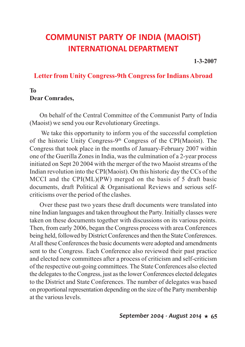# **COMMUNIST PARTY OF INDIA (MAOIST) INTERNATIONAL DEPARTMENT**

**1-3-2007**

### **Letter from Unity Congress-9th Congress for Indians Abroad**

### **To Dear Comrades,**

On behalf of the Central Committee of the Communist Party of India (Maoist) we send you our Revolutionary Greetings.

We take this opportunity to inform you of the successful completion of the historic Unity Congress-9<sup>th</sup> Congress of the CPI(Maoist). The Congress that took place in the months of January-February 2007 within one of the Guerilla Zones in India, was the culmination of a 2-year process initiated on Sept 20 2004 with the merger of the two Maoist streams of the Indian revolution into the CPI(Maoist). On this historic day the CCs of the MCCI and the CPI(ML)(PW) merged on the basis of 5 draft basic documents, draft Political & Organisational Reviews and serious selfcriticisms over the period of the clashes.

Over these past two years these draft documents were translated into nine Indian languages and taken throughout the Party. Initially classes were taken on these documents together with discussions on its various points. Then, from early 2006, began the Congress process with area Conferences being held, followed by District Conferences and then the State Conferences. At all these Conferences the basic documents were adopted and amendments sent to the Congress. Each Conference also reviewed their past practice and elected new committees after a process of criticism and self-criticism of the respective out-going committees. The State Conferences also elected the delegates to the Congress, just as the lower Conferences elected delegates to the District and State Conferences. The number of delegates was based on proportional representation depending on the size of the Party membership at the various levels.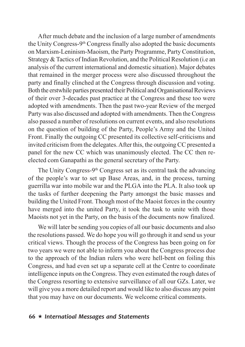After much debate and the inclusion of a large number of amendments the Unity Congress-9th Congress finally also adopted the basic documents on Marxism-Leninism-Maoism, the Party Programme, Party Constitution, Strategy & Tactics of Indian Revolution, and the Political Resolution (i.e an analysis of the current international and domestic situation). Major debates that remained in the merger process were also discussed throughout the party and finally clinched at the Congress through discussion and voting. Both the erstwhile parties presented their Political and Organisational Reviews of their over 3-decades past practice at the Congress and these too were adopted with amendments. Then the past two-year Review of the merged Party was also discussed and adopted with amendments. Then the Congress also passed a number of resolutions on current events, and also resolutions on the question of building of the Party, People's Army and the United Front. Finally the outgoing CC presented its collective self-criticisms and invited criticism from the delegates. After this, the outgoing CC presented a panel for the new CC which was unanimously elected. The CC then reelected com Ganapathi as the general secretary of the Party.

The Unity Congress-9<sup>th</sup> Congress set as its central task the advancing of the people's war to set up Base Areas, and, in the process, turning guerrilla war into mobile war and the PLGA into the PLA. It also took up the tasks of further deepening the Party amongst the basic masses and building the United Front. Though most of the Maoist forces in the country have merged into the united Party, it took the task to unite with those Maoists not yet in the Party, on the basis of the documents now finalized.

We will later be sending you copies of all our basic documents and also the resolutions passed. We do hope you will go through it and send us your critical views. Though the process of the Congress has been going on for two years we were not able to inform you about the Congress process due to the approach of the Indian rulers who were hell-bent on foiling this Congress, and had even set up a separate cell at the Centre to coordinate intelligence inputs on the Congress. They even estimated the rough dates of the Congress resorting to extensive surveillance of all our GZs. Later, we will give you a more detailed report and would like to also discuss any point that you may have on our documents. We welcome critical comments.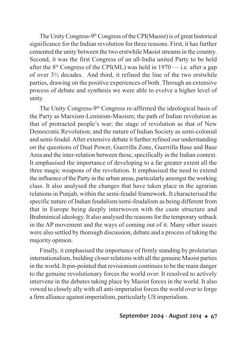The Unity Congress-9th Congress of the CPI(Maoist) is of great historical significance for the Indian revolution for three reasons. First, it has further cemented the unity between the two erstwhile Maoist streams in the country. Second, it was the first Congress of an all-India united Party to be held after the  $8<sup>th</sup>$  Congress of the CPI(ML) was held in 1970 — i.e. after a gap of over 3½ decades. And third, it refined the line of the two erstwhile parties, drawing on the positive experiences of both. Through an extensive process of debate and synthesis we were able to evolve a higher level of unity.

The Unity Congress- $9<sup>th</sup>$  Congress re-affirmed the ideological basis of the Party as Marxism-Leninism-Maoism; the path of Indian revolution as that of protracted people's war; the stage of revolution as that of New Democratic Revolution; and the nature of Indian Society as semi-colonial and semi-feudal. After extensive debate it further refined our understanding on the questions of Dual Power, Guerrilla Zone, Guerrilla Base and Base Area and the inter-relation between these, specifically in the Indian context. It emphasised the importance of developing to a far greater extent all the three magic weapons of the revolution. It emphasised the need to extend the influence of the Party in the urban areas, particularly amongst the working class. It also analysed the changes that have taken place in the agrarian relations in Punjab, within the semi-feudal framework. It characterised the specific nature of Indian feudalism/semi-feudalism as being different from that in Europe being deeply interwoven with the caste structure and Brahminical ideology. It also analysed the reasons for the temporary setback in the AP movement and the ways of coming out of it. Many other issues were also settled by thorough discussion, debate and a process of taking the majority opinion.

Finally, it emphasised the importance of firmly standing by proletarian internationalism, building closer relations with all the genuine Maoist parties in the world. It pin-pointed that revisionism continues to be the main danger to the genuine revolutionary forces the world over. It resolved to actively intervene in the debates taking place by Maoist forces in the world. It also vowed to closely ally with all anti-imperialist forces the world over to forge a firm alliance against imperialism, particularly US imperialism.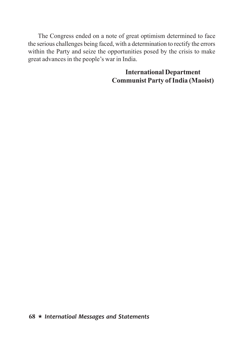The Congress ended on a note of great optimism determined to face the serious challenges being faced, with a determination to rectify the errors within the Party and seize the opportunities posed by the crisis to make great advances in the people's war in India.

> **International Department Communist Party of India (Maoist)**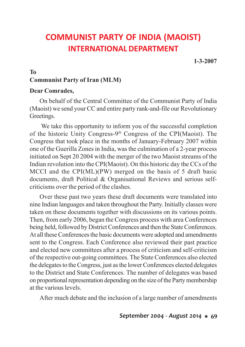# **COMMUNIST PARTY OF INDIA (MAOIST) INTERNATIONAL DEPARTMENT**

**1-3-2007**

### **To Communist Party of Iran (MLM)**

#### **Dear Comrades,**

On behalf of the Central Committee of the Communist Party of India (Maoist) we send your CC and entire party rank-and-file our Revolutionary Greetings.

 We take this opportunity to inform you of the successful completion of the historic Unity Congress-9th Congress of the CPI(Maoist). The Congress that took place in the months of January-February 2007 within one of the Guerilla Zones in India, was the culmination of a 2-year process initiated on Sept 20 2004 with the merger of the two Maoist streams of the Indian revolution into the CPI(Maoist). On this historic day the CCs of the MCCI and the CPI(ML)(PW) merged on the basis of 5 draft basic documents, draft Political & Organisational Reviews and serious selfcriticisms over the period of the clashes.

Over these past two years these draft documents were translated into nine Indian languages and taken throughout the Party. Initially classes were taken on these documents together with discussions on its various points. Then, from early 2006, began the Congress process with area Conferences being held, followed by District Conferences and then the State Conferences. At all these Conferences the basic documents were adopted and amendments sent to the Congress. Each Conference also reviewed their past practice and elected new committees after a process of criticism and self-criticism of the respective out-going committees. The State Conferences also elected the delegates to the Congress, just as the lower Conferences elected delegates to the District and State Conferences. The number of delegates was based on proportional representation depending on the size of the Party membership at the various levels.

After much debate and the inclusion of a large number of amendments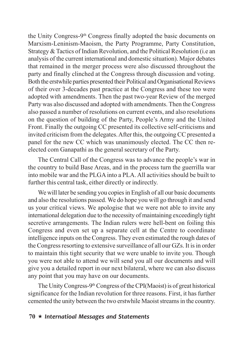the Unity Congress-9th Congress finally adopted the basic documents on Marxism-Leninism-Maoism, the Party Programme, Party Constitution, Strategy & Tactics of Indian Revolution, and the Political Resolution (i.e an analysis of the current international and domestic situation). Major debates that remained in the merger process were also discussed throughout the party and finally clinched at the Congress through discussion and voting. Both the erstwhile parties presented their Political and Organisational Reviews of their over 3-decades past practice at the Congress and these too were adopted with amendments. Then the past two-year Review of the merged Party was also discussed and adopted with amendments. Then the Congress also passed a number of resolutions on current events, and also resolutions on the question of building of the Party, People's Army and the United Front. Finally the outgoing CC presented its collective self-criticisms and invited criticism from the delegates. After this, the outgoing CC presented a panel for the new CC which was unanimously elected. The CC then reelected com Ganapathi as the general secretary of the Party.

The Central Call of the Congress was to advance the people's war in the country to build Base Areas, and in the process turn the guerrilla war into mobile war and the PLGA into a PLA. All activities should be built to further this central task, either directly or indirectly.

We will later be sending you copies in English of all our basic documents and also the resolutions passed. We do hope you will go through it and send us your critical views. We apologise that we were not able to invite any international delegation due to the necessity of maintaining exceedingly tight secretive arrangements. The Indian rulers were hell-bent on foiling this Congress and even set up a separate cell at the Centre to coordinate intelligence inputs on the Congress. They even estimated the rough dates of the Congress resorting to extensive surveillance of all our GZs. It is in order to maintain this tight security that we were unable to invite you. Though you were not able to attend we will send you all our documents and will give you a detailed report in our next bilateral, where we can also discuss any point that you may have on our documents.

The Unity Congress-9th Congress of the CPI(Maoist) is of great historical significance for the Indian revolution for three reasons. First, it has further cemented the unity between the two erstwhile Maoist streams in the country.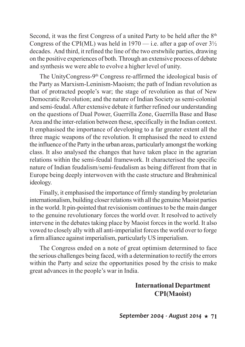Second, it was the first Congress of a united Party to be held after the 8<sup>th</sup> Congress of the CPI(ML) was held in 1970 — i.e. after a gap of over  $3\frac{1}{2}$ decades. And third, it refined the line of the two erstwhile parties, drawing on the positive experiences of both. Through an extensive process of debate and synthesis we were able to evolve a higher level of unity.

The UnityCongress-9th Congress re-affirmed the ideological basis of the Party as Marxism-Leninism-Maoism; the path of Indian revolution as that of protracted people's war; the stage of revolution as that of New Democratic Revolution; and the nature of Indian Society as semi-colonial and semi-feudal. After extensive debate it further refined our understanding on the questions of Dual Power, Guerrilla Zone, Guerrilla Base and Base Area and the inter-relation between these, specifically in the Indian context. It emphasised the importance of developing to a far greater extent all the three magic weapons of the revolution. It emphasised the need to extend the influence of the Party in the urban areas, particularly amongst the working class. It also analysed the changes that have taken place in the agrarian relations within the semi-feudal framework. It characterised the specific nature of Indian feudalism/semi-feudalism as being different from that in Europe being deeply interwoven with the caste structure and Brahminical ideology.

Finally, it emphasised the importance of firmly standing by proletarian internationalism, building closer relations with all the genuine Maoist parties in the world. It pin-pointed that revisionism continues to be the main danger to the genuine revolutionary forces the world over. It resolved to actively intervene in the debates taking place by Maoist forces in the world. It also vowed to closely ally with all anti-imperialist forces the world over to forge a firm alliance against imperialism, particularly US imperialism.

The Congress ended on a note of great optimism determined to face the serious challenges being faced, with a determination to rectify the errors within the Party and seize the opportunities posed by the crisis to make great advances in the people's war in India.

## **International Department CPI(Maoist)**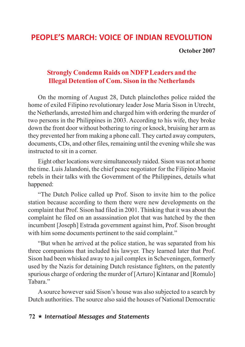## **PEOPLE'S MARCH: VOICE OF INDIAN REVOLUTION**

**October 2007**

## **Strongly Condemn Raids on NDFP Leaders and the Illegal Detention of Com. Sison in the Netherlands**

On the morning of August 28, Dutch plainclothes police raided the home of exiled Filipino revolutionary leader Jose Maria Sison in Utrecht, the Netherlands, arrested him and charged him with ordering the murder of two persons in the Philippines in 2003. According to his wife, they broke down the front door without bothering to ring or knock, bruising her arm as they prevented her from making a phone call. They carted away computers, documents, CDs, and other files, remaining until the evening while she was instructed to sit in a corner.

Eight other locations were simultaneously raided. Sison was not at home the time. Luis Jalandoni, the chief peace negotiator for the Filipino Maoist rebels in their talks with the Government of the Philippines, details what happened:

"The Dutch Police called up Prof. Sison to invite him to the police station because according to them there were new developments on the complaint that Prof. Sison had filed in 2001. Thinking that it was about the complaint he filed on an assassination plot that was hatched by the then incumbent [Joseph] Estrada government against him, Prof. Sison brought with him some documents pertinent to the said complaint."

"But when he arrived at the police station, he was separated from his three companions that included his lawyer. They learned later that Prof. Sison had been whisked away to a jail complex in Scheveningen, formerly used by the Nazis for detaining Dutch resistance fighters, on the patently spurious charge of ordering the murder of [Arturo] Kintanar and [Romulo] Tabara<sup>"</sup>

A source however said Sison's house was also subjected to a search by Dutch authorities. The source also said the houses of National Democratic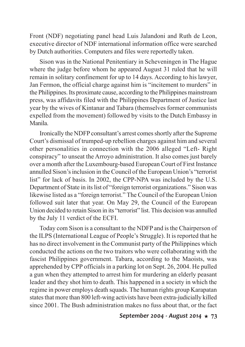Front (NDF) negotiating panel head Luis Jalandoni and Ruth de Leon, executive director of NDF international information office were searched by Dutch authorities. Computers and files were reportedly taken.

Sison was in the National Penitentiary in Scheveningen in The Hague where the judge before whom he appeared August 31 ruled that he will remain in solitary confinement for up to 14 days. According to his lawyer, Jan Fermon, the official charge against him is "incitement to murders" in the Philippines. Its proximate cause, according to the Philippines mainstream press, was affidavits filed with the Philippines Department of Justice last year by the wives of Kintanar and Tabara (themselves former communists expelled from the movement) followed by visits to the Dutch Embassy in Manila.

Ironically the NDFP consultant's arrest comes shortly after the Supreme Court's dismissal of trumped-up rebellion charges against him and several other personalities in connection with the 2006 alleged "Left- Right conspiracy" to unseat the Arroyo administration. It also comes just barely over a month after the Luxembourg-based European Court of First Instance annulled Sison's inclusion in the Council of the European Union's "terrorist list" for lack of basis. In 2002, the CPP-NPA was included by the U.S. Department of State in its list of "foreign terrorist organizations." Sison was likewise listed as a "foreign terrorist." The Council of the European Union followed suit later that year. On May 29, the Council of the European Union decided to retain Sison in its "terrorist" list. This decision was annulled by the July 11 verdict of the ECFI.

Today com Sison is a consultant to the NDFP and is the Chairperson of the ILPS (International League of People's Struggle). It is reported that he has no direct involvement in the Communist party of the Philippines which conducted the actions on the two traitors who were collaborating with the fascist Philippines government. Tabara, according to the Maoists, was apprehended by CPP officials in a parking lot on Sept. 26, 2004. He pulled a gun when they attempted to arrest him for murdering an elderly peasant leader and they shot him to death. This happened in a society in which the regime in power employs death squads. The human rights group Karapatan states that more than 800 left-wing activists have been extra-judicially killed since 2001. The Bush administration makes no fuss about that, or the fact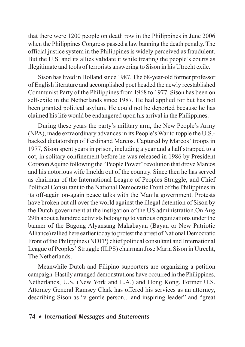that there were 1200 people on death row in the Philippines in June 2006 when the Philippines Congress passed a law banning the death penalty. The official justice system in the Philippines is widely perceived as fraudulent. But the U.S. and its allies validate it while treating the people's courts as illegitimate and tools of terrorists answering to Sison in his Utrecht exile.

Sison has lived in Holland since 1987. The 68-year-old former professor of English literature and accomplished poet headed the newly reestablished Communist Party of the Philippines from 1968 to 1977. Sison has been on self-exile in the Netherlands since 1987. He had applied for but has not been granted political asylum. He could not be deported because he has claimed his life would be endangered upon his arrival in the Philippines.

During these years the party's military arm, the New People's Army (NPA), made extraordinary advances in its People's War to topple the U.S. backed dictatorship of Ferdinand Marcos. Captured by Marcos' troops in 1977, Sison spent years in prison, including a year and a half strapped to a cot, in solitary confinement before he was released in 1986 by President Corazon Aquino following the "People Power" revolution that drove Marcos and his notorious wife Imelda out of the country. Since then he has served as chairman of the International League of Peoples Struggle, and Chief Political Consultant to the National Democratic Front of the Philippines in its off-again on-again peace talks with the Manila government. Protests have broken out all over the world against the illegal detention of Sison by the Dutch government at the instigation of the US administration.On Aug 29th about a hundred activists belonging to various organizations under the banner of the Bagong Alyansang Makabayan (Bayan or New Patriotic Alliance) rallied here earlier today to protest the arrest of National Democratic Front of the Philippines (NDFP) chief political consultant and International League of Peoples' Struggle (ILPS) chairman Jose Maria Sison in Utrecht, The Netherlands.

Meanwhile Dutch and Filipino supporters are organizing a petition campaign. Hastily arranged demonstrations have occurred in the Philippines, Netherlands, U.S. (New York and L.A.) and Hong Kong. Former U.S. Attorney General Ramsey Clark has offered his services as an attorney, describing Sison as "a gentle person... and inspiring leader" and "great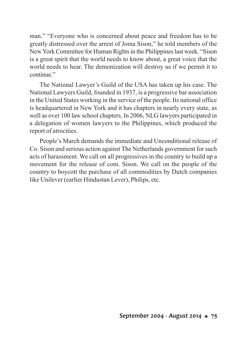man." "Everyone who is concerned about peace and freedom has to be greatly distressed over the arrest of Joma Sison," he told members of the New York Committee for Human Rights in the Philippines last week. "Sison is a great spirit that the world needs to know about, a great voice that the world needs to hear. The demonization will destroy us if we permit it to continue."

The National Lawyer's Guild of the USA has taken up his case. The National Lawyers Guild, founded in 1937, is a progressive bar association in the United States working in the service of the people. Its national office is headquartered in New York and it has chapters in nearly every state, as well as over 100 law school chapters. In 2006, NLG lawyers participated in a delegation of women lawyers to the Philippines, which produced the report of atrocities.

People's March demands the immediate and Unconditional release of Co. Sison and serious action against The Netherlands government for such acts of harassment. We call on all progressives in the country to build up a movement for the release of com. Sison. We call on the people of the country to boycott the purchase of all commodities by Dutch companies like Unilever (earlier Hindustan Lever), Philips, etc.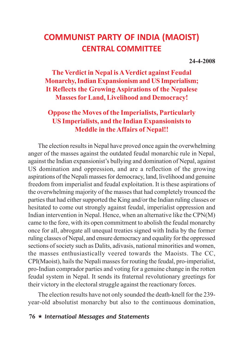**24-4-2008**

# **The Verdict in Nepal is A Verdict against Feudal Monarchy, Indian Expansionism and US Imperialism; It Reflects the Growing Aspirations of the Nepalese Masses for Land, Livelihood and Democracy!**

# **Oppose the Moves of the Imperialists, Particularly US Imperialists, and the Indian Expansionists to Meddle in the Affairs of Nepal!!**

The election results in Nepal have proved once again the overwhelming anger of the masses against the outdated feudal monarchic rule in Nepal, against the Indian expansionist's bullying and domination of Nepal, against US domination and oppression, and are a reflection of the growing aspirations of the Nepali masses for democracy, land, livelihood and genuine freedom from imperialist and feudal exploitation. It is these aspirations of the overwhelming majority of the masses that had completely trounced the parties that had either supported the King and/or the Indian ruling classes or hesitated to come out strongly against feudal, imperialist oppression and Indian intervention in Nepal. Hence, when an alternative like the CPN(M) came to the fore, with its open commitment to abolish the feudal monarchy once for all, abrogate all unequal treaties signed with India by the former ruling classes of Nepal, and ensure democracy and equality for the oppressed sections of society such as Dalits, adivasis, national minorities and women, the masses enthusiastically veered towards the Maoists. The CC, CPI(Maoist), hails the Nepali masses for routing the feudal, pro-imperialist, pro-Indian comprador parties and voting for a genuine change in the rotten feudal system in Nepal. It sends its fraternal revolutionary greetings for their victory in the electoral struggle against the reactionary forces.

The election results have not only sounded the death-knell for the 239 year-old absolutist monarchy but also to the continuous domination,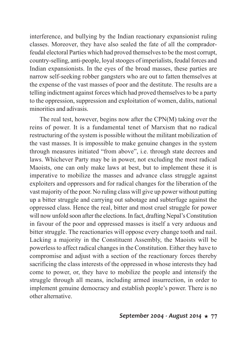interference, and bullying by the Indian reactionary expansionist ruling classes. Moreover, they have also sealed the fate of all the compradorfeudal electoral Parties which had proved themselves to be the most corrupt, country-selling, anti-people, loyal stooges of imperialists, feudal forces and Indian expansionists. In the eyes of the broad masses, these parties are narrow self-seeking robber gangsters who are out to fatten themselves at the expense of the vast masses of poor and the destitute. The results are a telling indictment against forces which had proved themselves to be a party to the oppression, suppression and exploitation of women, dalits, national minorities and adivasis.

The real test, however, begins now after the CPN(M) taking over the reins of power. It is a fundamental tenet of Marxism that no radical restructuring of the system is possible without the militant mobilization of the vast masses. It is impossible to make genuine changes in the system through measures initiated "from above", i.e. through state decrees and laws. Whichever Party may be in power, not excluding the most radical Maoists, one can only make laws at best, but to implement these it is imperative to mobilize the masses and advance class struggle against exploiters and oppressors and for radical changes for the liberation of the vast majority of the poor. No ruling class will give up power without putting up a bitter struggle and carrying out sabotage and subterfuge against the oppressed class. Hence the real, bitter and most cruel struggle for power will now unfold soon after the elections. In fact, drafting Nepal's Constitution in favour of the poor and oppressed masses is itself a very arduous and bitter struggle. The reactionaries will oppose every change tooth and nail. Lacking a majority in the Constituent Assembly, the Maoists will be powerless to affect radical changes in the Constitution. Either they have to compromise and adjust with a section of the reactionary forces thereby sacrificing the class interests of the oppressed in whose interests they had come to power, or, they have to mobilize the people and intensify the struggle through all means, including armed insurrection, in order to implement genuine democracy and establish people's power. There is no other alternative.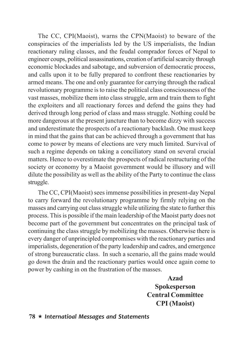The CC, CPI(Maoist), warns the CPN(Maoist) to beware of the conspiracies of the imperialists led by the US imperialists, the Indian reactionary ruling classes, and the feudal comprador forces of Nepal to engineer coups, political assassinations, creation of artificial scarcity through economic blockades and sabotage, and subversion of democratic process, and calls upon it to be fully prepared to confront these reactionaries by armed means. The one and only guarantee for carrying through the radical revolutionary programme is to raise the political class consciousness of the vast masses, mobilize them into class struggle, arm and train them to fight the exploiters and all reactionary forces and defend the gains they had derived through long period of class and mass struggle. Nothing could be more dangerous at the present juncture than to become dizzy with success and underestimate the prospects of a reactionary backlash. One must keep in mind that the gains that can be achieved through a government that has come to power by means of elections are very much limited. Survival of such a regime depends on taking a conciliatory stand on several crucial matters. Hence to overestimate the prospects of radical restructuring of the society or economy by a Maoist government would be illusory and will dilute the possibility as well as the ability of the Party to continue the class struggle.

The CC, CPI(Maoist) sees immense possibilities in present-day Nepal to carry forward the revolutionary programme by firmly relying on the masses and carrying out class struggle while utilizing the state to further this process. This is possible if the main leadership of the Maoist party does not become part of the government but concentrates on the principal task of continuing the class struggle by mobilizing the masses. Otherwise there is every danger of unprincipled compromises with the reactionary parties and imperialists, degeneration of the party leadership and cadres, and emergence of strong bureaucratic class. In such a scenario, all the gains made would go down the drain and the reactionary parties would once again come to power by cashing in on the frustration of the masses.

> **Azad Spokesperson Central Committee CPI (Maoist)**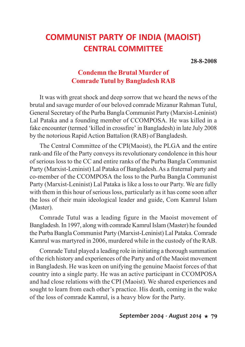**28-8-2008**

# **Condemn the Brutal Murder of Comrade Tutul by Bangladesh RAB**

It was with great shock and deep sorrow that we heard the news of the brutal and savage murder of our beloved comrade Mizanur Rahman Tutul, General Secretary of the Purba Bangla Communist Party (Marxist-Leninist) Lal Pataka and a founding member of CCOMPOSA. He was killed in a fake encounter (termed 'killed in crossfire' in Bangladesh) in late July 2008 by the notorious Rapid Action Battalion (RAB) of Bangladesh.

The Central Committee of the CPI(Maoist), the PLGA and the entire rank-and file of the Party conveys its revolutionary condolence in this hour of serious loss to the CC and entire ranks of the Purba Bangla Communist Party (Marxist-Leninist) Lal Pataka of Bangladesh. As a fraternal party and co-member of the CCOMPOSA the loss to the Purba Bangla Communist Party (Marxist-Leninist) Lal Pataka is like a loss to our Party. We are fully with them in this hour of serious loss, particularly as it has come soon after the loss of their main ideological leader and guide, Com Kamrul Islam (Master).

Comrade Tutul was a leading figure in the Maoist movement of Bangladesh. In 1997, along with comrade Kamrul Islam (Master) he founded the Purba Bangla Communist Party (Marxist-Leninist) Lal Pataka. Comrade Kamrul was martyred in 2006, murdered while in the custody of the RAB.

Comrade Tutul played a leading role in initiating a thorough summation of the rich history and experiences of the Party and of the Maoist movement in Bangladesh. He was keen on unifying the genuine Maoist forces of that country into a single party. He was an active participant in CCOMPOSA and had close relations with the CPI (Maoist). We shared experiences and sought to learn from each other's practice. His death, coming in the wake of the loss of comrade Kamrul, is a heavy blow for the Party.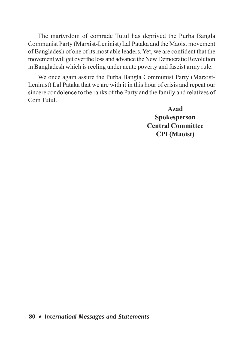The martyrdom of comrade Tutul has deprived the Purba Bangla Communist Party (Marxist-Leninist) Lal Pataka and the Maoist movement of Bangladesh of one of its most able leaders. Yet, we are confident that the movement will get over the loss and advance the New Democratic Revolution in Bangladesh which is reeling under acute poverty and fascist army rule.

We once again assure the Purba Bangla Communist Party (Marxist-Leninist) Lal Pataka that we are with it in this hour of crisis and repeat our sincere condolence to the ranks of the Party and the family and relatives of Com Tutul.

> **Azad Spokesperson Central Committee CPI (Maoist)**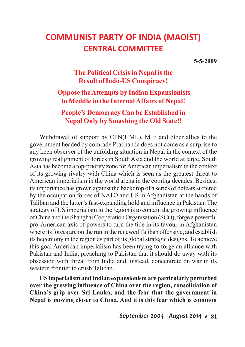**5-5-2009**

## **The Political Crisis in Nepal is the Result of Indo-US Conspiracy!**

## **Oppose the Attempts by Indian Expansionists to Meddle in the Internal Affairs of Nepal!**

## **People's Democracy Can be Established in Nepal Only by Smashing the Old State!!**

Withdrawal of support by CPN(UML), MJF and other allies to the government headed by comrade Prachanda does not come as a surprise to any keen observer of the unfolding situation in Nepal in the context of the growing realignment of forces in South Asia and the world at large. South Asia has become a top-priority zone for American imperialism in the context of its growing rivalry with China which is seen as the greatest threat to American imperialism in the world arena in the coming decades. Besides, its importance has grown against the backdrop of a series of defeats suffered by the occupation forces of NATO and US in Afghanistan at the hands of Taliban and the latter's fast-expanding hold and influence in Pakistan. The strategy of US imperialism in the region is to contain the growing influence of China and the Shanghai Cooperation Organisation (SCO), forge a powerful pro-American axis of powers to turn the tide in its favour in Afghanistan where its forces are on the run in the renewed Taliban offensive, and establish its hegemony in the region as part of its global strategic designs. To achieve this goal American imperialism has been trying to forge an alliance with Pakistan and India, preaching to Pakistan that it should do away with its obsession with threat from India and, instead, concentrate on war in its western frontier to crush Taliban.

**US imperialism and Indian expansionism are particularly perturbed over the growing influence of China over the region, consolidation of China's grip over Sri Lanka, and the fear that the government in Nepal is moving closer to China. And it is this fear which is common**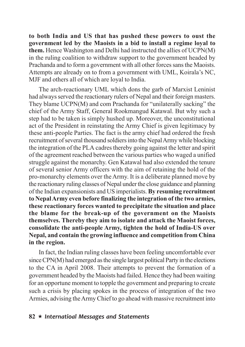**to both India and US that has pushed these powers to oust the government led by the Maoists in a bid to install a regime loyal to them.** Hence Washington and Delhi had instructed the allies of UCPN(M) in the ruling coalition to withdraw support to the government headed by Prachanda and to form a government with all other forces sans the Maoists. Attempts are already on to from a government with UML, Koirala's NC, MJF and others all of which are loyal to India.

The arch-reactionary UML which dons the garb of Marxist Leninist had always served the reactionary rulers of Nepal and their foreign masters. They blame UCPN(M) and com Prachanda for "unilaterally sacking" the chief of the Army Staff, General Rookmangud Katawal. But why such a step had to be taken is simply hushed up. Moreover, the unconstitutional act of the President in reinstating the Army Chief is given legitimacy by these anti-people Parties. The fact is the army chief had ordered the fresh recruitment of several thousand soldiers into the Nepal Army while blocking the integration of the PLA cadres thereby going against the letter and spirit of the agreement reached between the various parties who waged a unified struggle against the monarchy. Gen Katawal had also extended the tenure of several senior Army officers with the aim of retaining the hold of the pro-monarchy elements over the Army. It is a deliberate planned move by the reactionary ruling classes of Nepal under the close guidance and planning of the Indian expansionists and US imperialists. **By resuming recruitment to Nepal Army even before finalizing the integration of the two armies, these reactionary forces wanted to precipitate the situation and place the blame for the break-up of the government on the Maoists themselves. Thereby they aim to isolate and attack the Maoist forces, consolidate the anti-people Army, tighten the hold of India-US over Nepal, and contain the growing influence and competition from China in the region.**

In fact, the Indian ruling classes have been feeling uncomfortable ever since CPN(M) had emerged as the single largest political Party in the elections to the CA in April 2008. Their attempts to prevent the formation of a government headed by the Maoists had failed. Hence they had been waiting for an opportune moment to topple the government and preparing to create such a crisis by placing spokes in the process of integration of the two Armies, advising the Army Chief to go ahead with massive recruitment into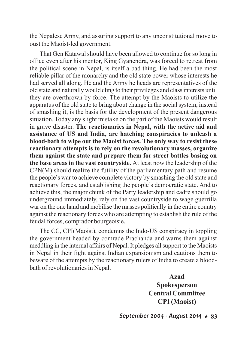the Nepalese Army, and assuring support to any unconstitutional move to oust the Maoist-led government.

That Gen Katawal should have been allowed to continue for so long in office even after his mentor, King Gyanendra, was forced to retreat from the political scene in Nepal, is itself a bad thing. He had been the most reliable pillar of the monarchy and the old state power whose interests he had served all along. He and the Army he heads are representatives of the old state and naturally would cling to their privileges and class interests until they are overthrown by force. The attempt by the Maoists to utilize the apparatus of the old state to bring about change in the social system, instead of smashing it, is the basis for the development of the present dangerous situation. Today any slight mistake on the part of the Maoists would result in grave disaster. **The reactionaries in Nepal, with the active aid and assistance of US and India, are hatching conspiracies to unleash a blood-bath to wipe out the Maoist forces. The only way to resist these reactionary attempts is to rely on the revolutionary masses, organize them against the state and prepare them for street battles basing on the base areas in the vast countryside.** At least now the leadership of the CPN(M) should realize the futility of the parliamentary path and resume the people's war to achieve complete victory by smashing the old state and reactionary forces, and establishing the people's democratic state. And to achieve this, the major chunk of the Party leadership and cadre should go underground immediately, rely on the vast countryside to wage guerrilla war on the one hand and mobilise the masses politically in the entire country against the reactionary forces who are attempting to establish the rule of the feudal forces, comprador bourgeoisie.

The CC, CPI(Maoist), condemns the Indo-US conspiracy in toppling the government headed by comrade Prachanda and warns them against meddling in the internal affairs of Nepal. It pledges all support to the Maoists in Nepal in their fight against Indian expansionism and cautions them to beware of the attempts by the reactionary rulers of India to create a bloodbath of revolutionaries in Nepal.

> **Azad Spokesperson Central Committee CPI (Maoist)**

*September 2004 - August 2014* **83**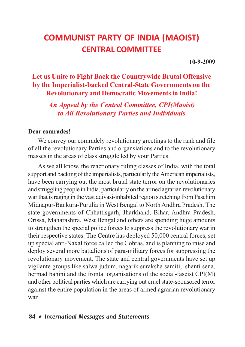**10-9-2009**

# **Let us Unite to Fight Back the Countrywide Brutal Offensive by the Imperialist-backed Central-State Governments on the Revolutionary and Democratic Movements in India!**

*An Appeal by the Central Committee, CPI(Maoist) to All Revolutionary Parties and Individuals*

#### **Dear comrades!**

We convey our comradely revolutionary greetings to the rank and file of all the revolutionary Parties and organsiations and to the revolutionary masses in the areas of class struggle led by your Parties.

As we all know, the reactionary ruling classes of India, with the total support and backing of the imperialists, particularly the American imperialists, have been carrying out the most brutal state terror on the revolutionaries and struggling people in India, particularly on the armed agrarian revolutionary war that is raging in the vast adivasi-inhabited region stretching from Paschim Midnapur-Bankura-Purulia in West Bengal to North Andhra Pradesh. The state governments of Chhattisgarh, Jharkhand, Bihar, Andhra Pradesh, Orissa, Maharashtra, West Bengal and others are spending huge amounts to strengthen the special police forces to suppress the revolutionary war in their respective states. The Centre has deployed 50,000 central forces, set up special anti-Naxal force called the Cobras, and is planning to raise and deploy several more battalions of para-military forces for suppressing the revolutionary movement. The state and central governments have set up vigilante groups like salwa judum, nagarik suraksha samiti, shanti sena, hermad bahini and the frontal organisations of the social-fascist CPI(M) and other political parties which are carrying out cruel state-sponsored terror against the entire population in the areas of armed agrarian revolutionary war.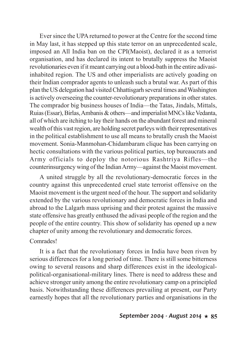Ever since the UPA returned to power at the Centre for the second time in May last, it has stepped up this state terror on an unprecedented scale, imposed an All India ban on the CPI(Maoist), declared it as a terrorist organisation, and has declared its intent to brutally suppress the Maoist revolutionaries even if it meant carrying out a blood-bath in the entire adivasiinhabited region. The US and other imperialists are actively goading on their Indian comprador agents to unleash such a brutal war. As part of this plan the US delegation had visited Chhattisgarh several times and Washington is actively overseeing the counter-revolutionary preparations in other states. The comprador big business houses of India—the Tatas, Jindals, Mittals, Ruias (Essar), Birlas, Ambanis & others—and imperialist MNCs like Vedanta, all of which are itching to lay their hands on the abundant forest and mineral wealth of this vast region, are holding secret parleys with their representatives in the political establishment to use all means to brutally crush the Maoist movement. Sonia-Manmohan-Chidambaram clique has been carrying on hectic consultations with the various political parties, top bureaucrats and Army officials to deploy the notorious Rashtriya Rifles—the counterinsurgency wing of the Indian Army—against the Maoist movement.

A united struggle by all the revolutionary-democratic forces in the country against this unprecedented cruel state terrorist offensive on the Maoist movement is the urgent need of the hour. The support and solidarity extended by the various revolutionary and democratic forces in India and abroad to the Lalgarh mass uprising and their protest against the massive state offensive has greatly enthused the adivasi people of the region and the people of the entire country. This show of solidarity has opened up a new chapter of unity among the revolutionary and democratic forces.

#### Comrades!

It is a fact that the revolutionary forces in India have been riven by serious differences for a long period of time. There is still some bitterness owing to several reasons and sharp differences exist in the ideologicalpolitical-organisational-military lines. There is need to address these and achieve stronger unity among the entire revolutionary camp on a principled basis. Notwithstanding these differences prevailing at present, our Party earnestly hopes that all the revolutionary parties and organisations in the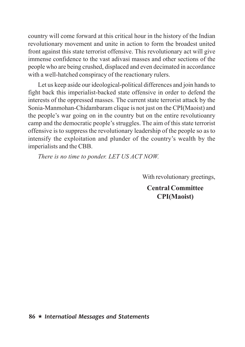country will come forward at this critical hour in the history of the Indian revolutionary movement and unite in action to form the broadest united front against this state terrorist offensive. This revolutionary act will give immense confidence to the vast adivasi masses and other sections of the people who are being crushed, displaced and even decimated in accordance with a well-hatched conspiracy of the reactionary rulers.

Let us keep aside our ideological-political differences and join hands to fight back this imperialist-backed state offensive in order to defend the interests of the oppressed masses. The current state terrorist attack by the Sonia-Manmohan-Chidambaram clique is not just on the CPI(Maoist) and the people's war going on in the country but on the entire revolutioanry camp and the democratic people's struggles. The aim of this state terrorist offensive is to suppress the revolutionary leadership of the people so as to intensify the exploitation and plunder of the country's wealth by the imperialists and the CBB.

*There is no time to ponder. LET US ACT NOW.*

With revolutionary greetings,

**Central Committee CPI(Maoist)**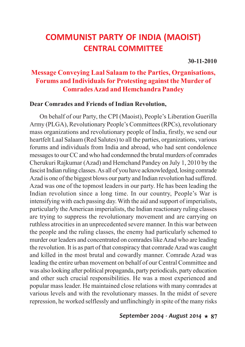**30-11-2010**

# **Message Conveying Laal Salaam to the Parties, Organisations, Forums and Individuals for Protesting against the Murder of Comrades Azad and Hemchandra Pandey**

### **Dear Comrades and Friends of Indian Revolution,**

On behalf of our Party, the CPI (Maoist), People's Liberation Guerilla Army (PLGA), Revolutionary People's Committees (RPCs), revolutionary mass organizations and revolutionary people of India, firstly, we send our heartfelt Laal Salaam (Red Salutes) to all the parties, organizations, various forums and individuals from India and abroad, who had sent condolence messages to our CC and who had condemned the brutal murders of comrades Cherukuri Rajkumar (Azad) and Hemchand Pandey on July 1, 2010 by the fascist Indian ruling classes. As all of you have acknowledged, losing comrade Azad is one of the biggest blows our party and Indian revolution had suffered. Azad was one of the topmost leaders in our party. He has been leading the Indian revolution since a long time. In our country, People's War is intensifying with each passing day. With the aid and support of imperialists, particularly the American imperialists, the Indian reactionary ruling classes are trying to suppress the revolutionary movement and are carrying on ruthless atrocities in an unprecedented severe manner. In this war between the people and the ruling classes, the enemy had particularly schemed to murder our leaders and concentrated on comrades like Azad who are leading the revolution. It is as part of that conspiracy that comrade Azad was caught and killed in the most brutal and cowardly manner. Comrade Azad was leading the entire urban movement on behalf of our Central Committee and was also looking after political propaganda, party periodicals, party education and other such crucial responsibilities. He was a most experienced and popular mass leader. He maintained close relations with many comrades at various levels and with the revolutionary masses. In the midst of severe repression, he worked selflessly and unflinchingly in spite of the many risks

### *September 2004 - August 2014* **87**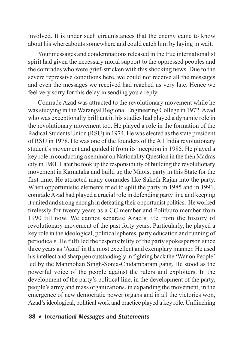involved. It is under such circumstances that the enemy came to know about his whereabouts somewhere and could catch him by laying in wait.

Your messages and condemnations released in the true internationalist spirit had given the necessary moral support to the oppressed peoples and the comrades who were grief-stricken with this shocking news. Due to the severe repressive conditions here, we could not receive all the messages and even the messages we received had reached us very late. Hence we feel very sorry for this delay in sending you a reply.

Comrade Azad was attracted to the revolutionary movement while he was studying in the Warangal Regional Engineering College in 1972. Azad who was exceptionally brilliant in his studies had played a dynamic role in the revolutionary movement too. He played a role in the formation of the Radical Students Union (RSU) in 1974. He was elected as the state president of RSU in 1978. He was one of the founders of the All India revolutionary student's movement and guided it from its inception in 1985. He played a key role in conducting a seminar on Nationality Question in the then Madras city in 1981. Later he took up the responsibility of building the revolutionary movement in Karnataka and build up the Maoist party in this State for the first time. He attracted many comrades like Saketh Rajan into the party. When opportunistic elements tried to split the party in 1985 and in 1991, comrade Azad had played a crucial role in defending party line and keeping it united and strong enough in defeating their opportunist politics. He worked tirelessly for twenty years as a CC member and Politburo member from 1990 till now. We cannot separate Azad's life from the history of revolutionary movement of the past forty years. Particularly, he played a key role in the ideological, political spheres, party education and running of periodicals. He fulfilled the responsibility of the party spokesperson since three years as 'Azad' in the most excellent and exemplary manner. He used his intellect and sharp pen outstandingly in fighting back the 'War on People' led by the Manmohan Singh-Sonia-Chidambaram gang. He stood as the powerful voice of the people against the rulers and exploiters. In the development of the party's political line, in the development of the party, people's army and mass organizations, in expanding the movement, in the emergence of new democratic power organs and in all the victories won, Azad's ideological, political work and practice played a key role. Unflinching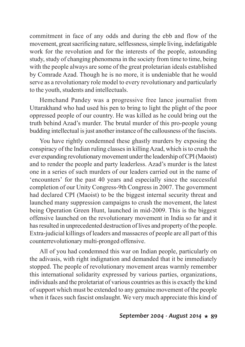commitment in face of any odds and during the ebb and flow of the movement, great sacrificing nature, selflessness, simple living, indefatigable work for the revolution and for the interests of the people, astounding study, study of changing phenomena in the society from time to time, being with the people always are some of the great proletarian ideals established by Comrade Azad. Though he is no more, it is undeniable that he would serve as a revolutionary role model to every revolutionary and particularly to the youth, students and intellectuals.

Hemchand Pandey was a progressive free lance journalist from Uttarakhand who had used his pen to bring to light the plight of the poor oppressed people of our country. He was killed as he could bring out the truth behind Azad's murder. The brutal murder of this pro-people young budding intellectual is just another instance of the callousness of the fascists.

You have rightly condemned these ghastly murders by exposing the conspiracy of the Indian ruling classes in killing Azad, which is to crush the ever expanding revolutionary movement under the leadership of CPI (Maoist) and to render the people and party leaderless. Azad's murder is the latest one in a series of such murders of our leaders carried out in the name of 'encounters' for the past 40 years and especially since the successful completion of our Unity Congress-9th Congress in 2007. The government had declared CPI (Maoist) to be the biggest internal security threat and launched many suppression campaigns to crush the movement, the latest being Operation Green Hunt, launched in mid-2009. This is the biggest offensive launched on the revolutionary movement in India so far and it has resulted in unprecedented destruction of lives and property of the people. Extra-judicial killings of leaders and massacres of people are all part of this counterrevolutionary multi-pronged offensive.

All of you had condemned this war on Indian people, particularly on the adivasis, with right indignation and demanded that it be immediately stopped. The people of revolutionary movement areas warmly remember this international solidarity expressed by various parties, organizations, individuals and the proletariat of various countries as this is exactly the kind of support which must be extended to any genuine movement of the people when it faces such fascist onslaught. We very much appreciate this kind of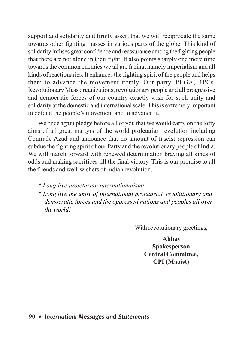support and solidarity and firmly assert that we will reciprocate the same towards other fighting masses in various parts of the globe. This kind of solidarity infuses great confidence and reassurance among the fighting people that there are not alone in their fight. It also points sharply one more time towards the common enemies we all are facing, namely imperialism and all kinds of reactionaries. It enhances the fighting spirit of the people and helps them to advance the movement firmly. Our party, PLGA, RPCs, Revolutionary Mass organizations, revolutionary people and all progressive and democratic forces of our country exactly wish for such unity and solidarity at the domestic and international scale. This is extremely important to defend the people's movement and to advance it.

We once again pledge before all of you that we would carry on the lofty aims of all great martyrs of the world proletarian revolution including Comrade Azad and announce that no amount of fascist repression can subdue the fighting spirit of our Party and the revolutionary people of India. We will march forward with renewed determination braving all kinds of odds and making sacrifices till the final victory. This is our promise to all the friends and well-wishers of Indian revolution.

- *\* Long live proletarian internationalism!*
- *\* Long live the unity of international proletariat, revolutionary and democratic forces and the oppressed nations and peoples all over the world!*

With revolutionary greetings,

 **Abhay Spokesperson Central Committee, CPI (Maoist)**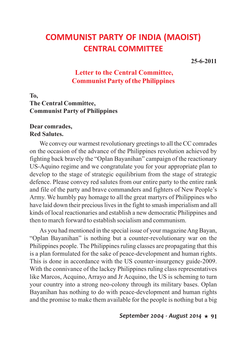**25-6-2011**

## **Letter to the Central Committee, Communist Party of the Philippines**

## **To, The Central Committee, Communist Party of Philippines**

## **Dear comrades, Red Salutes.**

We convey our warmest revolutionary greetings to all the CC comrades on the occasion of the advance of the Philippines revolution achieved by fighting back bravely the "Oplan Bayanihan" campaign of the reactionary US-Aquino regime and we congratulate you for your appropriate plan to develop to the stage of strategic equilibrium from the stage of strategic defence. Please convey red salutes from our entire party to the entire rank and file of the party and brave commanders and fighters of New People's Army. We humbly pay homage to all the great martyrs of Philippines who have laid down their precious lives in the fight to smash imperialism and all kinds of local reactionaries and establish a new democratic Philippines and then to march forward to establish socialism and communism.

As you had mentioned in the special issue of your magazine Ang Bayan, "Oplan Bayanihan" is nothing but a counter-revolutionary war on the Philippines people. The Philippines ruling classes are propagating that this is a plan formulated for the sake of peace-development and human rights. This is done in accordance with the US counter-insurgency guide-2009. With the connivance of the lackey Philippines ruling class representatives like Marcos, Acquino, Arrayo and Jr Acquino, the US is scheming to turn your country into a strong neo-colony through its military bases. Oplan Bayanihan has nothing to do with peace-development and human rights and the promise to make them available for the people is nothing but a big

### *September 2004 - August 2014* **91**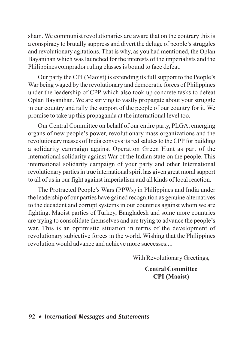sham. We communist revolutionaries are aware that on the contrary this is a conspiracy to brutally suppress and divert the deluge of people's struggles and revolutionary agitations. That is why, as you had mentioned, the Oplan Bayanihan which was launched for the interests of the imperialists and the Philippines comprador ruling classes is bound to face defeat.

Our party the CPI (Maoist) is extending its full support to the People's War being waged by the revolutionary and democratic forces of Philippines under the leadership of CPP which also took up concrete tasks to defeat Oplan Bayanihan. We are striving to vastly propagate about your struggle in our country and rally the support of the people of our country for it. We promise to take up this propaganda at the international level too.

Our Central Committee on behalf of our entire party, PLGA, emerging organs of new people's power, revolutionary mass organizations and the revolutionary masses of India conveys its red salutes to the CPP for building a solidarity campaign against Operation Green Hunt as part of the international solidarity against War of the Indian state on the people. This international solidarity campaign of your party and other International revolutionary parties in true international spirit has given great moral support to all of us in our fight against imperialism and all kinds of local reaction.

The Protracted People's Wars (PPWs) in Philippines and India under the leadership of our parties have gained recognition as genuine alternatives to the decadent and corrupt systems in our countries against whom we are fighting. Maoist parties of Turkey, Bangladesh and some more countries are trying to consolidate themselves and are trying to advance the people's war. This is an optimistic situation in terms of the development of revolutionary subjective forces in the world. Wishing that the Philippines revolution would advance and achieve more successes.

With Revolutionary Greetings,

**Central Committee CPI (Maoist)**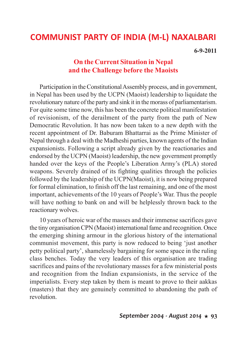# **COMMUNIST PARTY OF INDIA (M-L) NAXALBARI**

**6-9-2011**

## **On the Current Situation in Nepal and the Challenge before the Maoists**

Participation in the Constitutional Assembly process, and in government, in Nepal has been used by the UCPN (Maoist) leadership to liquidate the revolutionary nature of the party and sink it in the morass of parliamentarism. For quite some time now, this has been the concrete political manifestation of revisionism, of the derailment of the party from the path of New Democratic Revolution. It has now been taken to a new depth with the recent appointment of Dr. Baburam Bhattarrai as the Prime Minister of Nepal through a deal with the Madheshi parties, known agents of the Indian expansionists. Following a script already given by the reactionaries and endorsed by the UCPN (Maoist) leadership, the new government promptly handed over the keys of the People's Liberation Army's (PLA) stored weapons. Severely drained of its fighting qualities through the policies followed by the leadership of the UCPN(Maoist), it is now being prepared for formal elimination, to finish off the last remaining, and one of the most important, achievements of the 10 years of People's War. Thus the people will have nothing to bank on and will be helplessly thrown back to the reactionary wolves.

10 years of heroic war of the masses and their immense sacrifices gave the tiny organisation CPN (Maoist) international fame and recognition. Once the emerging shining armour in the glorious history of the international communist movement, this party is now reduced to being 'just another petty political party', shamelessly bargaining for some space in the ruling class benches. Today the very leaders of this organisation are trading sacrifices and pains of the revolutionary masses for a few ministerial posts and recognition from the Indian expansionists, in the service of the imperialists. Every step taken by them is meant to prove to their aakkas (masters) that they are genuinely committed to abandoning the path of revolution.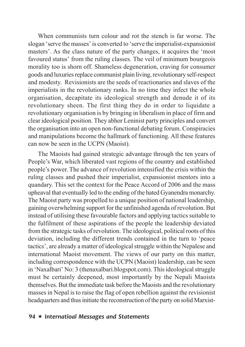When communists turn colour and rot the stench is far worse. The slogan 'serve the masses' is converted to 'serve the imperialist-expansionist masters'. As the class nature of the party changes, it acquires the 'most favoured status' from the ruling classes. The veil of minimum bourgeois morality too is shorn off. Shameless degeneration, craving for consumer goods and luxuries replace communist plain living, revolutionary self-respect and modesty. Revisionists are the seeds of reactionaries and slaves of the imperialists in the revolutionary ranks. In no time they infect the whole organisation, decapitate its ideological strength and denude it of its revolutionary sheen. The first thing they do in order to liquidate a revolutionary organisation is by bringing in liberalism in place of firm and clear ideological position. They abhor Leninist party principles and convert the organisation into an open non-functional debating forum. Conspiracies and manipulations become the hallmark of functioning. All these features can now be seen in the UCPN (Maoist).

The Maoists had gained strategic advantage through the ten years of People's War, which liberated vast regions of the country and established people's power. The advance of revolution intensified the crisis within the ruling classes and pushed their imperialist, expansionist mentors into a quandary. This set the context for the Peace Accord of 2006 and the mass upheaval that eventually led to the ending of the hated Gyanendra monarchy. The Maoist party was propelled to a unique position of national leadership, gaining overwhelming support for the unfinished agenda of revolution. But instead of utilising these favourable factors and applying tactics suitable to the fulfilment of these aspirations of the people the leadership deviated from the strategic tasks of revolution. The ideological, political roots of this deviation, including the different trends contained in the turn to 'peace tactics', are already a matter of ideological struggle within the Nepalese and international Maoist movement. The views of our party on this matter, including correspondence with the UCPN (Maoist) leadership, can be seen in 'Naxalbari' No: 3 (thenaxalbari.blogspot.com). This ideological struggle must be certainly deepened, most importantly by the Nepali Maoists themselves. But the immediate task before the Maoists and the revolutionary masses in Nepal is to raise the flag of open rebellion against the revisionist headquarters and thus initiate the reconstruction of the party on solid Marxist-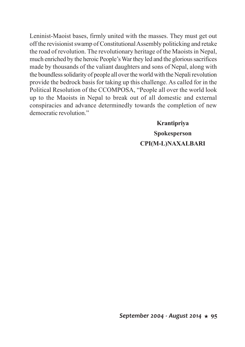Leninist-Maoist bases, firmly united with the masses. They must get out off the revisionist swamp of Constitutional Assembly politicking and retake the road of revolution. The revolutionary heritage of the Maoists in Nepal, much enriched by the heroic People's War they led and the glorious sacrifices made by thousands of the valiant daughters and sons of Nepal, along with the boundless solidarity of people all over the world with the Nepali revolution provide the bedrock basis for taking up this challenge. As called for in the Political Resolution of the CCOMPOSA, "People all over the world look up to the Maoists in Nepal to break out of all domestic and external conspiracies and advance determinedly towards the completion of new democratic revolution."

# **Krantipriya Spokesperson CPI(M-L)NAXALBARI**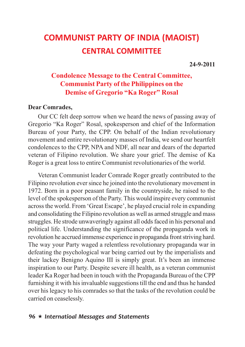**24-9-2011**

# **Condolence Message to the Central Committee, Communist Party of the Philippines on the Demise of Gregorio "Ka Roger" Rosal**

#### **Dear Comrades,**

Our CC felt deep sorrow when we heard the news of passing away of Gregorio "Ka Roger" Rosal, spokesperson and chief of the Information Bureau of your Party, the CPP. On behalf of the Indian revolutionary movement and entire revolutionary masses of India, we send our heartfelt condolences to the CPP, NPA and NDF, all near and dears of the departed veteran of Filipino revolution. We share your grief. The demise of Ka Roger is a great loss to entire Communist revolutionaries of the world.

Veteran Communist leader Comrade Roger greatly contributed to the Filipino revolution ever since he joined into the revolutionary movement in 1972. Born in a poor peasant family in the countryside, he raised to the level of the spokesperson of the Party. This would inspire every communist across the world. From 'Great Escape', he played crucial role in expanding and consolidating the Filipino revolution as well as armed struggle and mass struggles. He strode unwaveringly against all odds faced in his personal and political life. Understanding the significance of the propaganda work in revolution he accrued immense experience in propaganda front striving hard. The way your Party waged a relentless revolutionary propaganda war in defeating the psychological war being carried out by the imperialists and their lackey Benigno Aquino III is simply great. It's been an immense inspiration to our Party. Despite severe ill health, as a veteran communist leader Ka Roger had been in touch with the Propaganda Bureau of the CPP furnishing it with his invaluable suggestions till the end and thus he handed over his legacy to his comrades so that the tasks of the revolution could be carried on ceaselessly.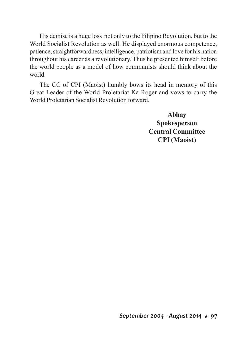His demise is a huge loss not only to the Filipino Revolution, but to the World Socialist Revolution as well. He displayed enormous competence, patience, straightforwardness, intelligence, patriotism and love for his nation throughout his career as a revolutionary. Thus he presented himself before the world people as a model of how communists should think about the world.

The CC of CPI (Maoist) humbly bows its head in memory of this Great Leader of the World Proletariat Ka Roger and vows to carry the World Proletarian Socialist Revolution forward.

> **Abhay Spokesperson Central Committee CPI (Maoist)**

*September 2004 - August 2014* **97**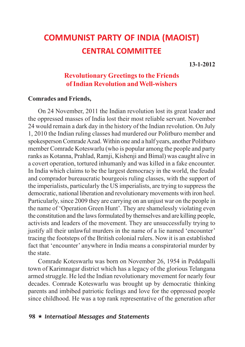#### **13-1-2012**

## **Revolutionary Greetings to the Friends of Indian Revolution and Well-wishers**

#### **Comrades and Friends,**

On 24 November, 2011 the Indian revolution lost its great leader and the oppressed masses of India lost their most reliable servant. November 24 would remain a dark day in the history of the Indian revolution. On July 1, 2010 the Indian ruling classes had murdered our Politburo member and spokesperson Comrade Azad. Within one and a half years, another Politburo member Comrade Koteswarlu (who is popular among the people and party ranks as Kotanna, Prahlad, Ramji, Kishenji and Bimal) was caught alive in a covert operation, tortured inhumanly and was killed in a fake encounter. In India which claims to be the largest democracy in the world, the feudal and comprador bureaucratic bourgeois ruling classes, with the support of the imperialists, particularly the US imperialists, are trying to suppress the democratic, national liberation and revolutionary movements with iron heel. Particularly, since 2009 they are carrying on an unjust war on the people in the name of 'Operation Green Hunt'. They are shamelessly violating even the constitution and the laws formulated by themselves and are killing people, activists and leaders of the movement. They are unsuccessfully trying to justify all their unlawful murders in the name of a lie named 'encounter' tracing the footsteps of the British colonial rulers. Now it is an established fact that 'encounter' anywhere in India means a conspiratorial murder by the state.

Comrade Koteswarlu was born on November 26, 1954 in Peddapalli town of Karimnagar district which has a legacy of the glorious Telangana armed struggle. He led the Indian revolutionary movement for nearly four decades. Comrade Koteswarlu was brought up by democratic thinking parents and imbibed patriotic feelings and love for the oppressed people since childhood. He was a top rank representative of the generation after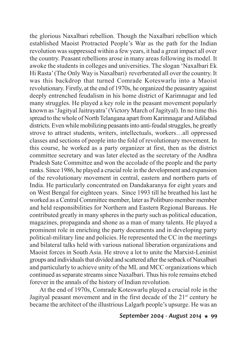the glorious Naxalbari rebellion. Though the Naxalbari rebellion which established Maoist Protracted People's War as the path for the Indian revolution was suppressed within a few years, it had a great impact all over the country. Peasant rebellions arose in many areas following its model. It awoke the students in colleges and universities. The slogan 'Naxalbari Ek Hi Rasta' (The Only Way is Naxalbari) reverberated all over the country. It was this backdrop that turned Comrade Koteswarlu into a Maoist revolutionary. Firstly, at the end of 1970s, he organized the peasantry against deeply entrenched feudalism in his home district of Karimnagar and led many struggles. He played a key role in the peasant movement popularly known as 'Jagityal Jaitrayatra' (Victory March of Jagityal). In no time this spread to the whole of North Telangana apart from Karimnagar and Adilabad districts. Even while mobilizing peasants into anti-feudal struggles, he greatly strove to attract students, writers, intellectuals, workers…all oppressed classes and sections of people into the fold of revolutionary movement. In this course, he worked as a party organizer at first, then as the district committee secretary and was later elected as the secretary of the Andhra Pradesh Sate Committee and won the accolade of the people and the party ranks. Since 1986, he played a crucial role in the development and expansion of the revolutionary movement in central, eastern and northern parts of India. He particularly concentrated on Dandakaranya for eight years and on West Bengal for eighteen years. Since 1993 till he breathed his last he worked as a Central Committee member, later as Politburo member member and held responsibilities for Northern and Eastern Regional Bureaus. He contributed greatly in many spheres in the party such as political education, magazines, propaganda and shone as a man of many talents. He played a prominent role in enriching the party documents and in developing party political-military line and policies. He represented the CC in the meetings and bilateral talks held with various national liberation organizations and Maoist forces in South Asia. He strove a lot to unite the Marxist-Leninist groups and individuals that divided and scattered after the setback of Naxalbari and particularly to achieve unity of the ML and MCC organizations which continued as separate streams since Naxalbari. Thus his role remains etched forever in the annals of the history of Indian revolution.

At the end of 1970s, Comrade Koteswarlu played a crucial role in the Jagityal peasant movement and in the first decade of the  $21<sup>st</sup>$  century he became the architect of the illustrious Lalgarh people's upsurge. He was an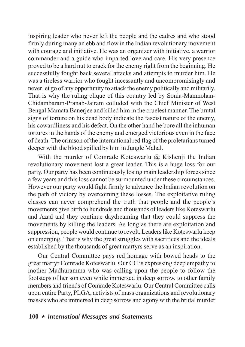inspiring leader who never left the people and the cadres and who stood firmly during many an ebb and flow in the Indian revolutionary movement with courage and initiative. He was an organizer with initiative, a warrior commander and a guide who imparted love and care. His very presence proved to be a hard nut to crack for the enemy right from the beginning. He successfully fought back several attacks and attempts to murder him. He was a tireless warrior who fought incessantly and uncompromisingly and never let go of any opportunity to attack the enemy politically and militarily. That is why the ruling clique of this country led by Sonia-Manmohan-Chidambaram-Pranab-Jairam colluded with the Chief Minister of West Bengal Mamata Banerjee and killed him in the cruelest manner. The brutal signs of torture on his dead body indicate the fascist nature of the enemy, his cowardliness and his defeat. On the other hand he bore all the inhuman tortures in the hands of the enemy and emerged victorious even in the face of death. The crimson of the international red flag of the proletarians turned deeper with the blood spilled by him in Jungle Mahal.

With the murder of Comrade Koteswarlu @ Kishenji the Indian revolutionary movement lost a great leader. This is a huge loss for our party. Our party has been continuously losing main leadership forces since a few years and this loss cannot be surmounted under these circumstances. However our party would fight firmly to advance the Indian revolution on the path of victory by overcoming these losses. The exploitative ruling classes can never comprehend the truth that people and the people's movements give birth to hundreds and thousands of leaders like Koteswarlu and Azad and they continue daydreaming that they could suppress the movements by killing the leaders. As long as there are exploitation and suppression, people would continue to revolt. Leaders like Koteswarlu keep on emerging. That is why the great struggles with sacrifices and the ideals established by the thousands of great martyrs serve as an inspiration.

Our Central Committee pays red homage with bowed heads to the great martyr Comrade Koteswarlu. Our CC is expressing deep empathy to mother Madhuramma who was calling upon the people to follow the footsteps of her son even while immersed in deep sorrow, to other family members and friends of Comrade Koteswarlu. Our Central Committee calls upon entire Party, PLGA, activists of mass organizations and revolutionary masses who are immersed in deep sorrow and agony with the brutal murder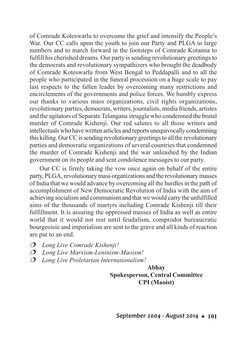of Comrade Koteswarlu to overcome the grief and intensify the People's War. Our CC calls upon the youth to join our Party and PLGA in large numbers and to march forward in the footsteps of Comrade Kotanna to fulfill his cherished dreams. Our party is sending revolutionary greetings to the democrats and revolutionary sympathizers who brought the deadbody of Comrade Koteswarlu from West Bengal to Peddapalli and to all the people who participated in the funeral procession on a huge scale to pay last respects to the fallen leader by overcoming many restrictions and encirclements of the governments and police forces. We humbly express our thanks to various mass organizations, civil rights organizations, revolutionary parties, democrats, writers, journalists, media friends, artistes and the agitators of Separate Telangana struggle who condemned the brutal murder of Comrade Kishenii. Our red salutes to all those writers and intellectuals who have written articles and reports unequivocally condemning this killing. Our CC is sending revolutionary greetings to all the revolutionary parties and democratic organizations of several countries that condemned the murder of Comrade Kishenji and the war unleashed by the Indian government on its people and sent condolence messages to our party.

Our CC is firmly taking the vow once again on behalf of the entire party, PLGA, revolutionary mass organizations and the revolutionary masses of India that we would advance by overcoming all the hurdles in the path of accomplishment of New Democratic Revolution of India with the aim of achieving socialism and communism and that we would carry the unfulfilled aims of the thousands of martyrs including Comrade Kishenji till their fulfillment. It is assuring the oppressed masses of India as well as entire world that it would not rest until feudalism, comprodor bureaucratic bourgeoisie and imperialism are sent to the grave and all kinds of reaction are put to an end.

- *Long Live Comrade Kishenji!*
- *Long Live Marxism-Leninism-Maoism!*
- *Long Live Proletarian Internationalism!*

**Abhay Spokesperson, Central Committee CPI (Maoist)**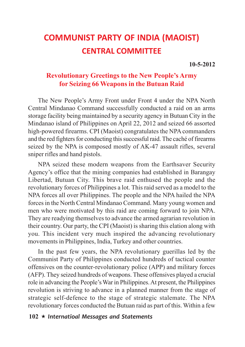**10-5-2012**

## **Revolutionary Greetings to the New People's Army for Seizing 66 Weapons in the Butuan Raid**

The New People's Army Front under Front 4 under the NPA North Central Mindanao Command successfully conducted a raid on an arms storage facility being maintained by a security agency in Butuan City in the Mindanao island of Philippines on April 22, 2012 and seized 66 assorted high-powered firearms. CPI (Maoist) congratulates the NPA commanders and the red fighters for conducting this successful raid. The caché of firearms seized by the NPA is composed mostly of AK-47 assault rifles, several sniper rifles and hand pistols.

NPA seized these modern weapons from the Earthsaver Security Agency's office that the mining companies had established in Barangay Libertad, Butuan City. This brave raid enthused the people and the revolutionary forces of Philippines a lot. This raid served as a model to the NPA forces all over Philippines. The people and the NPA hailed the NPA forces in the North Central Mindanao Command. Many young women and men who were motivated by this raid are coming forward to join NPA. They are readying themselves to advance the armed agrarian revolution in their country. Our party, the CPI (Maoist) is sharing this elation along with you. This incident very much inspired the advancing revolutionary movements in Philippines, India, Turkey and other countries.

In the past few years, the NPA revolutionary guerillas led by the Communist Party of Philippines conducted hundreds of tactical counter offensives on the counter-revolutionary police (APP) and military forces (AFP). They seized hundreds of weapons. These offensives played a crucial role in advancing the People's War in Philippines. At present, the Philippines revolution is striving to advance in a planned manner from the stage of strategic self-defence to the stage of strategic stalemate. The NPA revolutionary forces conducted the Butuan raid as part of this. Within a few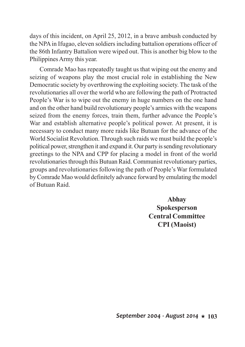days of this incident, on April 25, 2012, in a brave ambush conducted by the NPA in Ifugao, eleven soldiers including battalion operations officer of the 86th Infantry Battalion were wiped out. This is another big blow to the Philippines Army this year.

Comrade Mao has repeatedly taught us that wiping out the enemy and seizing of weapons play the most crucial role in establishing the New Democratic society by overthrowing the exploiting society. The task of the revolutionaries all over the world who are following the path of Protracted People's War is to wipe out the enemy in huge numbers on the one hand and on the other hand build revolutionary people's armies with the weapons seized from the enemy forces, train them, further advance the People's War and establish alternative people's political power. At present, it is necessary to conduct many more raids like Butuan for the advance of the World Socialist Revolution. Through such raids we must build the people's political power, strengthen it and expand it. Our party is sending revolutionary greetings to the NPA and CPP for placing a model in front of the world revolutionaries through this Butuan Raid. Communist revolutionary parties, groups and revolutionaries following the path of People's War formulated by Comrade Mao would definitely advance forward by emulating the model of Butuan Raid.

> **Abhay Spokesperson Central Committee CPI (Maoist)**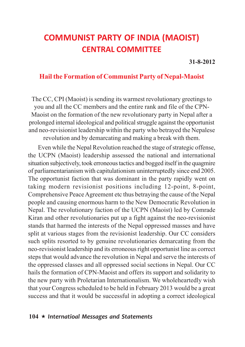**31-8-2012**

### **Hail the Formation of Communist Party of Nepal-Maoist**

The CC, CPI (Maoist) is sending its warmest revolutionary greetings to you and all the CC members and the entire rank and file of the CPN-Maoist on the formation of the new revolutionary party in Nepal after a prolonged internal ideological and political struggle against the opportunist and neo-revisionist leadership within the party who betrayed the Nepalese

revolution and by demarcating and making a break with them.

Even while the Nepal Revolution reached the stage of strategic offense, the UCPN (Maoist) leadership assessed the national and international situation subjectively, took erroneous tactics and bogged itself in the quagmire of parliamentarianism with capitulationism uninterruptedly since end 2005. The opportunist faction that was dominant in the party rapidly went on taking modern revisionist positions including 12-point, 8-point, Comprehensive Peace Agreement etc thus betraying the cause of the Nepal people and causing enormous harm to the New Democratic Revolution in Nepal. The revolutionary faction of the UCPN (Maoist) led by Comrade Kiran and other revolutionaries put up a fight against the neo-revisionist stands that harmed the interests of the Nepal oppressed masses and have split at various stages from the revisionist leadership. Our CC considers such splits resorted to by genuine revolutionaries demarcating from the neo-revisionist leadership and its erroneous right opportunist line as correct steps that would advance the revolution in Nepal and serve the interests of the oppressed classes and all oppressed social sections in Nepal. Our CC hails the formation of CPN-Maoist and offers its support and solidarity to the new party with Proletarian Internationalism. We wholeheartedly wish that your Congress scheduled to be held in February 2013 would be a great success and that it would be successful in adopting a correct ideological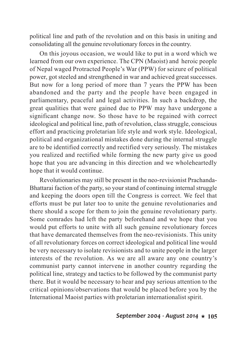political line and path of the revolution and on this basis in uniting and consolidating all the genuine revolutionary forces in the country.

On this joyous occasion, we would like to put in a word which we learned from our own experience. The CPN (Maoist) and heroic people of Nepal waged Protracted People's War (PPW) for seizure of political power, got steeled and strengthened in war and achieved great successes. But now for a long period of more than 7 years the PPW has been abandoned and the party and the people have been engaged in parliamentary, peaceful and legal activities. In such a backdrop, the great qualities that were gained due to PPW may have undergone a significant change now. So those have to be regained with correct ideological and political line, path of revolution, class struggle, conscious effort and practicing proletarian life style and work style. Ideological, political and organizational mistakes done during the internal struggle are to be identified correctly and rectified very seriously. The mistakes you realized and rectified while forming the new party give us good hope that you are advancing in this direction and we wholeheartedly hope that it would continue.

Revolutionaries may still be present in the neo-revisionist Prachanda-Bhattarai faction of the party, so your stand of continuing internal struggle and keeping the doors open till the Congress is correct. We feel that efforts must be put later too to unite the genuine revolutionaries and there should a scope for them to join the genuine revolutionary party. Some comrades had left the party beforehand and we hope that you would put efforts to unite with all such genuine revolutionary forces that have demarcated themselves from the neo-revisionists. This unity of all revolutionary forces on correct ideological and political line would be very necessary to isolate revisionists and to unite people in the larger interests of the revolution. As we are all aware any one country's communist party cannot intervene in another country regarding the political line, strategy and tactics to be followed by the communist party there. But it would be necessary to hear and pay serious attention to the critical opinions/observations that would be placed before you by the International Maoist parties with proletarian internationalist spirit.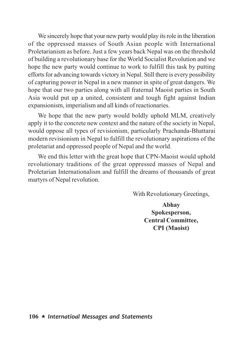We sincerely hope that your new party would play its role in the liberation of the oppressed masses of South Asian people with International Proletarianism as before. Just a few years back Nepal was on the threshold of building a revolutionary base for the World Socialist Revolution and we hope the new party would continue to work to fulfill this task by putting efforts for advancing towards victory in Nepal. Still there is every possibility of capturing power in Nepal in a new manner in spite of great dangers. We hope that our two parties along with all fraternal Maoist parties in South Asia would put up a united, consistent and tough fight against Indian expansionism, imperialism and all kinds of reactionaries.

We hope that the new party would boldly uphold MLM, creatively apply it to the concrete new context and the nature of the society in Nepal, would oppose all types of revisionism, particularly Prachanda-Bhattarai modern revisionism in Nepal to fulfill the revolutionary aspirations of the proletariat and oppressed people of Nepal and the world.

We end this letter with the great hope that CPN-Maoist would uphold revolutionary traditions of the great oppressed masses of Nepal and Proletarian Internationalism and fulfill the dreams of thousands of great martyrs of Nepal revolution.

With Revolutionary Greetings,

**Abhay Spokesperson, Central Committee, CPI (Maoist)**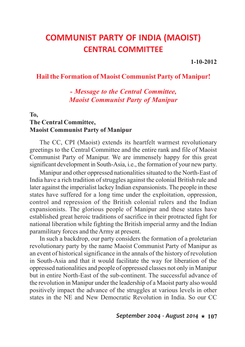**1-10-2012**

### **Hail the Formation of Maoist Communist Party of Manipur!**

## *- Message to the Central Committee, Maoist Communist Party of Manipur*

## **To, The Central Committee, Maoist Communist Party of Manipur**

The CC, CPI (Maoist) extends its heartfelt warmest revolutionary greetings to the Central Committee and the entire rank and file of Maoist Communist Party of Manipur. We are immensely happy for this great significant development in South-Asia, i.e., the formation of your new party.

Manipur and other oppressed nationalities situated to the North-East of India have a rich tradition of struggles against the colonial British rule and later against the imperialist lackey Indian expansionists. The people in these states have suffered for a long time under the exploitation, oppression, control and repression of the British colonial rulers and the Indian expansionists. The glorious people of Manipur and these states have established great heroic traditions of sacrifice in their protracted fight for national liberation while fighting the British imperial army and the Indian paramilitary forces and the Army at present.

In such a backdrop, our party considers the formation of a proletarian revolutionary party by the name Maoist Communist Party of Manipur as an event of historical significance in the annals of the history of revolution in South-Asia and that it would facilitate the way for liberation of the oppressed nationalities and people of oppressed classes not only in Manipur but in entire North-East of the sub-continent. The successful advance of the revolution in Manipur under the leadership of a Maoist party also would positively impact the advance of the struggles at various levels in other states in the NE and New Democratic Revolution in India. So our CC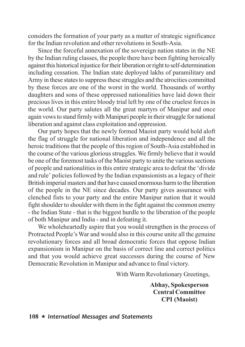considers the formation of your party as a matter of strategic significance for the Indian revolution and other revolutions in South-Asia.

Since the forceful annexation of the sovereign nation states in the NE by the Indian ruling classes, the people there have been fighting heroically against this historical injustice for their liberation or right to self-determination including cessation. The Indian state deployed lakhs of paramilitary and Army in these states to suppress these struggles and the atrocities committed by these forces are one of the worst in the world. Thousands of worthy daughters and sons of these oppressed nationalities have laid down their precious lives in this entire bloody trial left by one of the cruelest forces in the world. Our party salutes all the great martyrs of Manipur and once again vows to stand firmly with Manipuri people in their struggle for national liberation and against class exploitation and oppression.

Our party hopes that the newly formed Maoist party would hold aloft the flag of struggle for national liberation and independence and all the heroic traditions that the people of this region of South-Asia established in the course of the various glorious struggles. We firmly believe that it would be one of the foremost tasks of the Maoist party to unite the various sections of people and nationalities in this entire strategic area to defeat the 'divide and rule' policies followed by the Indian expansionists as a legacy of their British imperial masters and that have caused enormous harm to the liberation of the people in the NE since decades. Our party gives assurance with clenched fists to your party and the entire Manipur nation that it would fight shoulder to shoulder with them in the fight against the common enemy - the Indian State - that is the biggest hurdle to the liberation of the people of both Manipur and India - and in defeating it.

We wholeheartedly aspire that you would strengthen in the process of Protracted People's War and would also in this course unite all the genuine revolutionary forces and all broad democratic forces that oppose Indian expansionism in Manipur on the basis of correct line and correct politics and that you would achieve great successes during the course of New Democratic Revolution in Manipur and advance to final victory.

With Warm Revolutionary Greetings,

**Abhay, Spokesperson Central Committee CPI (Maoist)**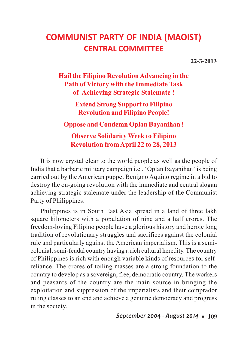# **COMMUNIST PARTY OF INDIA (MAOIST) CENTRAL COMMITTEE**

**22-3-2013**

**Hail the Filipino Revolution Advancing in the Path of Victory with the Immediate Task of Achieving Strategic Stalemate !**

> **Extend Strong Support to Filipino Revolution and Filipino People!**

**Oppose and Condemn Oplan Bayanihan !**

**Observe Solidarity Week to Filipino Revolution from April 22 to 28, 2013**

It is now crystal clear to the world people as well as the people of India that a barbaric military campaign i.e., 'Oplan Bayanihan' is being carried out by the American puppet Benigno Aquino regime in a bid to destroy the on-going revolution with the immediate and central slogan achieving strategic stalemate under the leadership of the Communist Party of Philippines.

Philippines is in South East Asia spread in a land of three lakh square kilometers with a population of nine and a half crores. The freedom-loving Filipino people have a glorious history and heroic long tradition of revolutionary struggles and sacrifices against the colonial rule and particularly against the American imperialism. This is a semicolonial, semi-feudal country having a rich cultural heredity. The country of Philippines is rich with enough variable kinds of resources for selfreliance. The crores of toiling masses are a strong foundation to the country to develop as a sovereign, free, democratic country. The workers and peasants of the country are the main source in bringing the exploitation and suppression of the imperialists and their comprador ruling classes to an end and achieve a genuine democracy and progress in the society.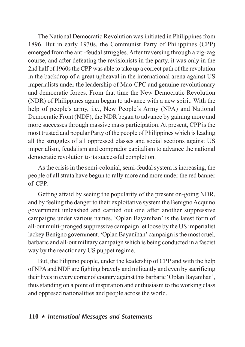The National Democratic Revolution was initiated in Philippines from 1896. But in early 1930s, the Communist Party of Philippines (CPP) emerged from the anti-feudal struggles. After traversing through a zig-zag course, and after defeating the revisionists in the party, it was only in the 2nd half of 1960s the CPP was able to take up a correct path of the revolution in the backdrop of a great upheaval in the international arena against US imperialists under the leadership of Mao-CPC and genuine revolutionary and democratic forces. From that time the New Democratic Revolution (NDR) of Philippines again began to advance with a new spirit. With the help of people's army, i.e., New People's Army (NPA) and National Democratic Front (NDF), the NDR began to advance by gaining more and more successes through massive mass participation. At present, CPP is the most trusted and popular Party of the people of Philippines which is leading all the struggles of all oppressed classes and social sections against US imperialism, feudalism and comprador capitalism to advance the national democratic revolution to its successful completion.

As the crisis in the semi-colonial, semi-feudal system is increasing, the people of all strata have begun to rally more and more under the red banner of CPP.

Getting afraid by seeing the popularity of the present on-going NDR, and by feeling the danger to their exploitative system the Benigno Acquino government unleashed and carried out one after another suppressive campaigns under various names. 'Oplan Bayanihan' is the latest form of all-out multi-pronged suppressive campaign let loose by the US imperialist lackey Benigno government. 'Oplan Bayanihan' campaign is the most cruel, barbaric and all-out military campaign which is being conducted in a fascist way by the reactionary US puppet regime.

But, the Filipino people, under the leadership of CPP and with the help of NPA and NDF are fighting bravely and militantly and even by sacrificing their lives in every corner of country against this barbaric 'Oplan Bayanihan', thus standing on a point of inspiration and enthusiasm to the working class and oppresed nationalities and people across the world.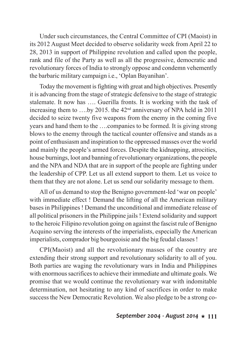Under such circumstances, the Central Committee of CPI (Maoist) in its 2012 August Meet decided to observe solidarity week from April 22 to 28, 2013 in support of Philippine revolution and called upon the people, rank and file of the Party as well as all the progressive, democratic and revolutionary forces of India to strongly oppose and condemn vehemently the barbaric military campaign i.e., 'Oplan Bayanihan'.

Today the movement is fighting with great and high objectives. Presently it is advancing from the stage of strategic defensive to the stage of strategic stalemate. It now has …. Guerilla fronts. It is working with the task of increasing them to ..., by 2015. the  $42<sup>nd</sup>$  anniversary of NPA held in 2011 decided to seize twenty five weapons from the enemy in the coming five years and hand them to the ….companies to be formed. It is giving strong blows to the enemy through the tactical counter offensive and stands as a point of enthusiasm and inspiration to the oppressed masses over the world and mainly the people's armed forces. Despite the kidnapping, atrocities, house burnings, loot and banning of revolutionary organizations, the people and the NPA and NDA that are in support of the people are fighting under the leadership of CPP. Let us all extend support to them. Let us voice to them that they are not alone. Let us send our solidarity message to them.

All of us demand to stop the Benigno government-led 'war on people' with immediate effect ! Demand the lifting of all the American military bases in Philippines ! Demand the unconditional and immediate release of all political prisoners in the Philippine jails ! Extend solidarity and support to the heroic Filipino revolution going on against the fascist rule of Benigno Acquino serving the interests of the imperialists, especially the American imperialists, comprador big bourgeoisie and the big feudal classes !

CPI(Maoist) and all the revolutionary masses of the country are extending their strong support and revolutionary solidarity to all of you. Both parties are waging the revolutionary wars in India and Philippines with enormous sacrifices to achieve their immediate and ultimate goals. We promise that we would continue the revolutionary war with indomitable determination, not hesitating to any kind of sacrifices in order to make success the New Democratic Revolution. We also pledge to be a strong co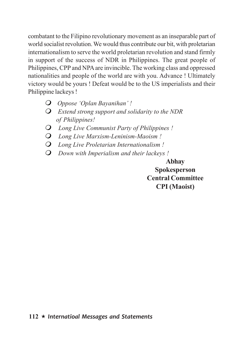combatant to the Filipino revolutionary movement as an inseparable part of world socialist revolution. We would thus contribute our bit, with proletarian internationalism to serve the world proletarian revolution and stand firmly in support of the success of NDR in Philippines. The great people of Philippines, CPP and NPA are invincible. The working class and oppressed nationalities and people of the world are with you. Advance ! Ultimately victory would be yours ! Defeat would be to the US imperialists and their Philippine lackeys !

- *Oppose 'Oplan Bayanihan' !*
- *Extend strong support and solidarity to the NDR of Philippines!*
- *Long Live Communist Party of Philippines !*
- *Long Live Marxism-Leninism-Maoism !*
- *Long Live Proletarian Internationalism !*
- *Down with Imperialism and their lackeys !*

**Abhay**

**Spokesperson Central Committee CPI (Maoist)**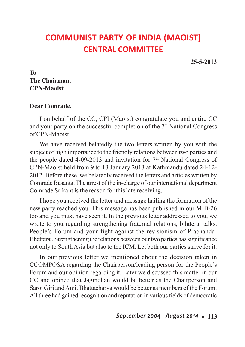# **COMMUNIST PARTY OF INDIA (MAOIST) CENTRAL COMMITTEE**

**25-5-2013**

### **To The Chairman, CPN-Maoist**

### **Dear Comrade,**

I on behalf of the CC, CPI (Maoist) congratulate you and entire CC and your party on the successful completion of the 7th National Congress of CPN-Maoist.

We have received belatedly the two letters written by you with the subject of high importance to the friendly relations between two parties and the people dated 4-09-2013 and invitation for  $7<sup>th</sup>$  National Congress of CPN-Maoist held from 9 to 13 January 2013 at Kathmandu dated 24-12- 2012. Before these, we belatedly received the letters and articles written by Comrade Basanta. The arrest of the in-charge of our international department Comrade Srikant is the reason for this late receiving.

I hope you received the letter and message hailing the formation of the new party reached you. This message has been published in our MIB-26 too and you must have seen it. In the previous letter addressed to you, we wrote to you regarding strengthening fraternal relations, bilateral talks, People's Forum and your fight against the revisionism of Prachanda-Bhattarai. Strengthening the relations between our two parties has significance not only to South Asia but also to the ICM. Let both our parties strive for it.

In our previous letter we mentioned about the decision taken in CCOMPOSA regarding the Chairperson/leading person for the People's Forum and our opinion regarding it. Later we discussed this matter in our CC and opined that Jagmohan would be better as the Chairperson and Saroj Giri and Amit Bhattacharya would be better as members of the Forum. All three had gained recognition and reputation in various fields of democratic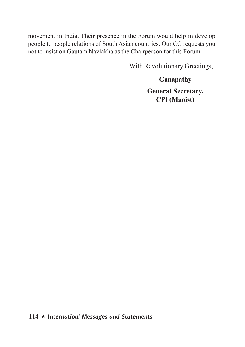movement in India. Their presence in the Forum would help in develop people to people relations of South Asian countries. Our CC requests you not to insist on Gautam Navlakha as the Chairperson for this Forum.

With Revolutionary Greetings,

**Ganapathy**

**General Secretary, CPI (Maoist)**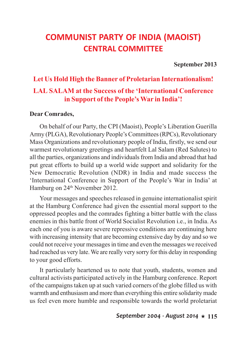# **COMMUNIST PARTY OF INDIA (MAOIST) CENTRAL COMMITTEE**

**September 2013**

# **Let Us Hold High the Banner of Proletarian Internationalism! LAL SALAM at the Success of the 'International Conference in Support of the People's War in India'!**

### **Dear Comrades,**

On behalf of our Party, the CPI (Maoist), People's Liberation Guerilla Army (PLGA), Revolutionary People's Committees (RPCs), Revolutionary Mass Organizations and revolutionary people of India, firstly, we send our warmest revolutionary greetings and heartfelt Lal Salam (Red Salutes) to all the parties, organizations and individuals from India and abroad that had put great efforts to build up a world wide support and solidarity for the New Democratic Revolution (NDR) in India and made success the 'International Conference in Support of the People's War in India' at Hamburg on 24<sup>th</sup> November 2012.

Your messages and speeches released in genuine internationalist spirit at the Hamburg Conference had given the essential moral support to the oppressed peoples and the comrades fighting a bitter battle with the class enemies in this battle front of World Socialist Revolution i.e., in India. As each one of you is aware severe repressive conditions are continuing here with increasing intensity that are becoming extensive day by day and so we could not receive your messages in time and even the messages we received had reached us very late. We are really very sorry for this delay in responding to your good efforts.

It particularly heartened us to note that youth, students, women and cultural activists participated actively in the Hamburg conference. Report of the campaigns taken up at such varied corners of the globe filled us with warmth and enthusiasm and more than everything this entire solidarity made us feel even more humble and responsible towards the world proletariat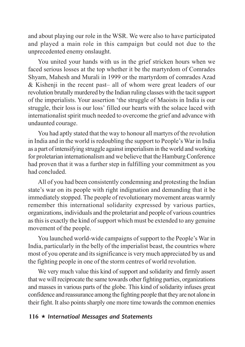and about playing our role in the WSR. We were also to have participated and played a main role in this campaign but could not due to the unprecedented enemy onslaught.

You united your hands with us in the grief stricken hours when we faced serious losses at the top whether it be the martyrdom of Comrades Shyam, Mahesh and Murali in 1999 or the martyrdom of comrades Azad & Kishenji in the recent past– all of whom were great leaders of our revolution brutally murdered by the Indian ruling classes with the tacit support of the imperialists. Your assertion 'the struggle of Maoists in India is our struggle, their loss is our loss' filled our hearts with the solace laced with internationalist spirit much needed to overcome the grief and advance with undaunted courage.

You had aptly stated that the way to honour all martyrs of the revolution in India and in the world is redoubling the support to People's War in India as a part of intensifying struggle against imperialism in the world and working for proletarian internationalism and we believe that the Hamburg Conference had proven that it was a further step in fulfilling your commitment as you had concluded.

All of you had been consistently condemning and protesting the Indian state's war on its people with right indignation and demanding that it be immediately stopped. The people of revolutionary movement areas warmly remember this international solidarity expressed by various parties, organizations, individuals and the proletariat and people of various countries as this is exactly the kind of support which must be extended to any genuine movement of the people.

You launched world-wide campaigns of support to the People's War in India, particularly in the belly of the imperialist beast, the countries where most of you operate and its significance is very much appreciated by us and the fighting people in one of the storm centres of world revolution.

We very much value this kind of support and solidarity and firmly assert that we will reciprocate the same towards other fighting parties, organizations and masses in various parts of the globe. This kind of solidarity infuses great confidence and reassurance among the fighting people that they are not alone in their fight. It also points sharply one more time towards the common enemies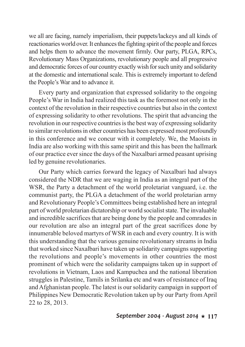we all are facing, namely imperialism, their puppets/lackeys and all kinds of reactionaries world over. It enhances the fighting spirit of the people and forces and helps them to advance the movement firmly. Our party, PLGA, RPCs, Revolutionary Mass Organizations, revolutionary people and all progressive and democratic forces of our country exactly wish for such unity and solidarity at the domestic and international scale. This is extremely important to defend the People's War and to advance it.

Every party and organization that expressed solidarity to the ongoing People's War in India had realized this task as the foremost not only in the context of the revolution in their respective countries but also in the context of expressing solidarity to other revolutions. The spirit that advancing the revolution in our respective countries is the best way of expressing solidarity to similar revolutions in other countries has been expressed most profoundly in this conference and we concur with it completely. We, the Maoists in India are also working with this same spirit and this has been the hallmark of our practice ever since the days of the Naxalbari armed peasant uprising led by genuine revolutionaries.

Our Party which carries forward the legacy of Naxalbari had always considered the NDR that we are waging in India as an integral part of the WSR, the Party a detachment of the world proletariat vanguard, i.e. the communist party, the PLGA a detachment of the world proletarian army and Revolutionary People's Committees being established here an integral part of world proletarian dictatorship or world socialist state. The invaluable and incredible sacrifices that are being done by the people and comrades in our revolution are also an integral part of the great sacrifices done by innumerable beloved martyrs of WSR in each and every country. It is with this understanding that the various genuine revolutionary streams in India that worked since Naxalbari have taken up solidarity campaigns supporting the revolutions and people's movements in other countries the most prominent of which were the solidarity campaigns taken up in support of revolutions in Vietnam, Laos and Kampuchea and the national liberation struggles in Palestine, Tamils in Srilanka etc and wars of resistance of Iraq and Afghanistan people. The latest is our solidarity campaign in support of Philippines New Democratic Revolution taken up by our Party from April 22 to 28, 2013.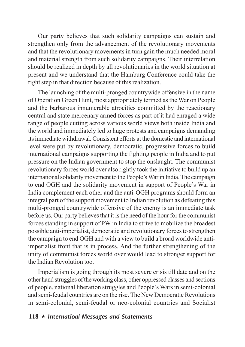Our party believes that such solidarity campaigns can sustain and strengthen only from the advancement of the revolutionary movements and that the revolutionary movements in turn gain the much needed moral and material strength from such solidarity campaigns. Their interrelation should be realized in depth by all revolutionaries in the world situation at present and we understand that the Hamburg Conference could take the right step in that direction because of this realization.

The launching of the multi-pronged countrywide offensive in the name of Operation Green Hunt, most appropriately termed as the War on People and the barbarous innumerable atrocities committed by the reactionary central and state mercenary armed forces as part of it had enraged a wide range of people cutting across various world views both inside India and the world and immediately led to huge protests and campaigns demanding its immediate withdrawal. Consistent efforts at the domestic and international level were put by revolutionary, democratic, progressive forces to build international campaigns supporting the fighting people in India and to put pressure on the Indian government to stop the onslaught. The communist revolutionary forces world over also rightly took the initiative to build up an international solidarity movement to the People's War in India. The campaign to end OGH and the solidarity movement in support of People's War in India complement each other and the anti-OGH programs should form an integral part of the support movement to Indian revolution as defeating this multi-pronged countrywide offensive of the enemy is an immediate task before us. Our party believes that it is the need of the hour for the communist forces standing in support of PW in India to strive to mobilize the broadest possible anti-imperialist, democratic and revolutionary forces to strengthen the campaign to end OGH and with a view to build a broad worldwide antiimperialist front that is in process. And the further strengthening of the unity of communist forces world over would lead to stronger support for the Indian Revolution too.

Imperialism is going through its most severe crisis till date and on the other hand struggles of the working class, other oppressed classes and sections of people, national liberation struggles and People's Wars in semi-colonial and semi-feudal countries are on the rise. The New Democratic Revolutions in semi-colonial, semi-feudal or neo-colonial countries and Socialist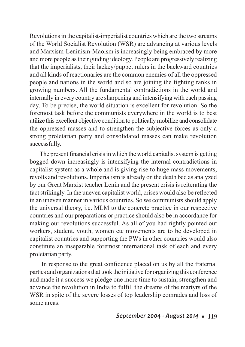Revolutions in the capitalist-imperialist countries which are the two streams of the World Socialist Revolution (WSR) are advancing at various levels and Marxism-Leninism-Maoism is increasingly being embraced by more and more people as their guiding ideology. People are progressively realizing that the imperialists, their lackey/puppet rulers in the backward countries and all kinds of reactionaries are the common enemies of all the oppressed people and nations in the world and so are joining the fighting ranks in growing numbers. All the fundamental contradictions in the world and internally in every country are sharpening and intensifying with each passing day. To be precise, the world situation is excellent for revolution. So the foremost task before the communists everywhere in the world is to best utilize this excellent objective condition to politically mobilize and consolidate the oppressed masses and to strengthen the subjective forces as only a strong proletarian party and consolidated masses can make revolution successfully.

The present financial crisis in which the world capitalist system is getting bogged down increasingly is intensifying the internal contradictions in capitalist system as a whole and is giving rise to huge mass movements, revolts and revolutions. Imperialism is already on the death bed as analyzed by our Great Marxist teacher Lenin and the present crisis is reiterating the fact strikingly. In the uneven capitalist world, crises would also be reflected in an uneven manner in various countries. So we communists should apply the universal theory, i.e. MLM to the concrete practice in our respective countries and our preparations or practice should also be in accordance for making our revolutions successful. As all of you had rightly pointed out workers, student, youth, women etc movements are to be developed in capitalist countries and supporting the PWs in other countries would also constitute an inseparable foremost international task of each and every proletarian party.

 In response to the great confidence placed on us by all the fraternal parties and organizations that took the initiative for organizing this conference and made it a success we pledge one more time to sustain, strengthen and advance the revolution in India to fulfill the dreams of the martyrs of the WSR in spite of the severe losses of top leadership comrades and loss of some areas.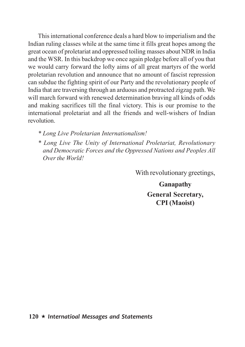This international conference deals a hard blow to imperialism and the Indian ruling classes while at the same time it fills great hopes among the great ocean of proletariat and oppressed toiling masses about NDR in India and the WSR. In this backdrop we once again pledge before all of you that we would carry forward the lofty aims of all great martyrs of the world proletarian revolution and announce that no amount of fascist repression can subdue the fighting spirit of our Party and the revolutionary people of India that are traversing through an arduous and protracted zigzag path. We will march forward with renewed determination braving all kinds of odds and making sacrifices till the final victory. This is our promise to the international proletariat and all the friends and well-wishers of Indian revolution.

- *\* Long Live Proletarian Internationalism!*
- *\* Long Live The Unity of International Proletariat, Revolutionary and Democratic Forces and the Oppressed Nations and Peoples All Over the World!*

With revolutionary greetings,

**Ganapathy General Secretary, CPI (Maoist)**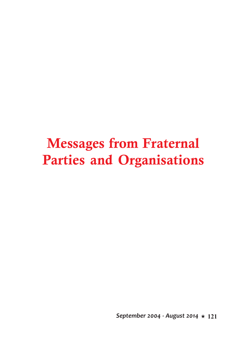# Messages from Fraternal Parties and Organisations

*September 2004 - August 2014* **121**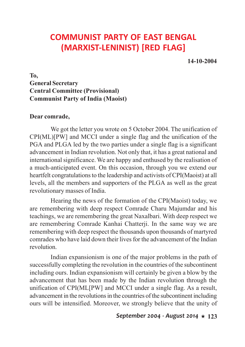# **COMMUNIST PARTY OF EAST BENGAL (MARXIST-LENINIST) [RED FLAG]**

**14-10-2004**

## **To, General Secretary Central Committee (Provisional) Communist Party of India (Maoist)**

#### **Dear comrade,**

We got the letter you wrote on 5 October 2004. The unification of CPI(ML)[PW] and MCCI under a single flag and the unification of the PGA and PLGA led by the two parties under a single flag is a significant advancement in Indian revolution. Not only that, it has a great national and international significance. We are happy and enthused by the realisation of a much-anticipated event. On this occasion, through you we extend our heartfelt congratulations to the leadership and activists of CPI(Maoist) at all levels, all the members and supporters of the PLGA as well as the great revolutionary masses of India.

Hearing the news of the formation of the CPI(Maoist) today, we are remembering with deep respect Comrade Charu Majumdar and his teachings, we are remembering the great Naxalbari. With deep respect we are remembering Comrade Kanhai Chatterji. In the same way we are remembering with deep respect the thousands upon thousands of martyred comrades who have laid down their lives for the advancement of the Indian revolution.

Indian expansionism is one of the major problems in the path of successfully completing the revolution in the countries of the subcontinent including ours. Indian expansionism will certainly be given a blow by the advancement that has been made by the Indian revolution through the unification of CPI(ML[PW] and MCCI under a single flag. As a result, advancement in the revolutions in the countries of the subcontinent including ours will be intensified. Moreover, we strongly believe that the unity of

#### *September 2004 - August 2014* **123**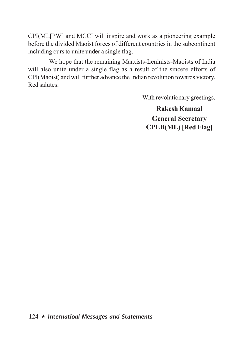CPI(ML[PW] and MCCI will inspire and work as a pioneering example before the divided Maoist forces of different countries in the subcontinent including ours to unite under a single flag.

We hope that the remaining Marxists-Leninists-Maoists of India will also unite under a single flag as a result of the sincere efforts of CPI(Maoist) and will further advance the Indian revolution towards victory. Red salutes.

With revolutionary greetings,

**Rakesh Kamaal General Secretary CPEB(ML) [Red Flag]**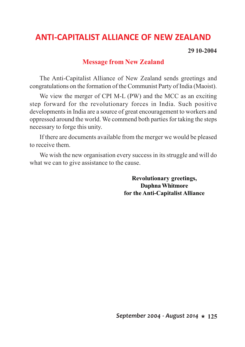# **ANTI-CAPITALIST ALLIANCE OF NEW ZEALAND**

**29 10-2004**

#### **Message from New Zealand**

The Anti-Capitalist Alliance of New Zealand sends greetings and congratulations on the formation of the Communist Party of India (Maoist).

We view the merger of CPI M-L (PW) and the MCC as an exciting step forward for the revolutionary forces in India. Such positive developments in India are a source of great encouragement to workers and oppressed around the world. We commend both parties for taking the steps necessary to forge this unity.

If there are documents available from the merger we would be pleased to receive them.

We wish the new organisation every success in its struggle and will do what we can to give assistance to the cause.

> **Revolutionary greetings, Daphna Whitmore for the Anti-Capitalist Alliance**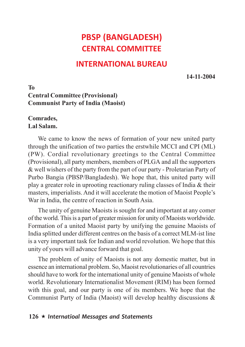# **PBSP (BANGLADESH) CENTRAL COMMITTEE**

# **INTERNATIONAL BUREAU**

**14-11-2004**

### **To Central Committee (Provisional) Communist Party of India (Maoist)**

#### **Comrades, Lal Salam.**

We came to know the news of formation of your new united party through the unification of two parties the erstwhile MCCI and CPI (ML) (PW). Cordial revolutionary greetings to the Central Committee (Provisional), all party members, members of PLGA and all the supporters & well wishers of the party from the part of our party - Proletarian Party of Purbo Bangia (PBSP/Bangladesh). We hope that, this united party will play a greater role in uprooting reactionary ruling classes of India & their masters, imperialists. And it will accelerate the motion of Maoist People's War in India, the centre of reaction in South Asia.

The unity of genuine Maoists is sought for and important at any comer of the world. This is a part of greater mission for unity of Maoists worldwide. Formation of a united Maoist party by unifying the genuine Maoists of India splitted under different centres on the basis of a correct MLM-ist line is a very important task for Indian and world revolution. We hope that this unity of yours will advance forward that goal.

The problem of unity of Maoists is not any domestic matter, but in essence an international problem. So, Maoist revolutionaries of all countries should have to work for the international unity of genuine Maoists of whole world. Revolutionary Internationalist Movement (RIM) has been formed with this goal, and our party is one of its members. We hope that the Communist Party of India (Maoist) will develop healthy discussions &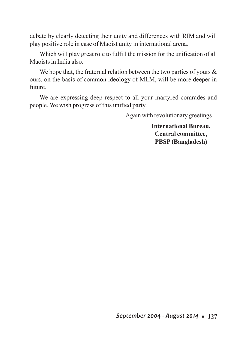debate by clearly detecting their unity and differences with RIM and will play positive role in case of Maoist unity in international arena.

Which will play great role to fulfill the mission for the unification of all Maoists in India also.

We hope that, the fraternal relation between the two parties of yours  $\&$ ours, on the basis of common ideology of MLM, will be more deeper in future.

We are expressing deep respect to all your martyred comrades and people. We wish progress of this unified party.

Again with revolutionary greetings

**International Bureau, Central committee, PBSP (Bangladesh)**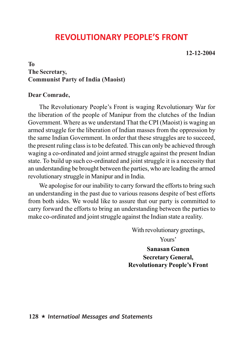# **REVOLUTIONARY PEOPLE'S FRONT**

**12-12-2004**

### **To The Secretary, Communist Party of India (Maoist)**

#### **Dear Comrade,**

The Revolutionary People's Front is waging Revolutionary War for the liberation of the people of Manipur from the clutches of the Indian Government. Where as we understand That the CPI (Maoist) is waging an armed struggle for the liberation of Indian masses from the oppression by the same Indian Government. In order that these struggles are to succeed, the present ruling class is to be defeated. This can only be achieved through waging a co-ordinated and joint armed struggle against the present Indian state. To build up such co-ordinated and joint struggle it is a necessity that an understanding be brought between the parties, who are leading the armed revolutionary struggle in Manipur and in India.

We apologise for our inability to carry forward the efforts to bring such an understanding in the past due to various reasons despite of best efforts from both sides. We would like to assure that our party is committed to carry forward the efforts to bring an understanding between the parties to make co-ordinated and joint struggle against the Indian state a reality.

With revolutionary greetings,

Yours'

**Sanasan Gunen Secretary General, Revolutionary People's Front**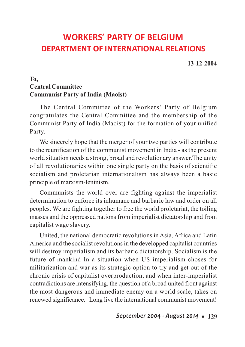# **WORKERS' PARTY OF BELGIUM DEPARTMENT OF INTERNATIONAL RELATIONS**

**13-12-2004**

## **To, Central Committee Communist Party of India (Maoist)**

The Central Committee of the Workers' Party of Belgium congratulates the Central Committee and the membership of the Communist Party of India (Maoist) for the formation of your unified Party.

We sincerely hope that the merger of your two parties will contribute to the reunification of the communist movement in India - as the present world situation needs a strong, broad and revolutionary answer.The unity of all revolutionaries within one single party on the basis of scientific socialism and proletarian internationalism has always been a basic principle of marxism-leninism.

Communists the world over are fighting against the imperialist determination to enforce its inhumane and barbaric law and order on all peoples. We are fighting together to free the world proletariat, the toiling masses and the oppressed nations from imperialist dictatorship and from capitalist wage slavery.

United, the national democratic revolutions in Asia, Africa and Latin America and the socialist revolutions in the developped capitalist countries will destroy imperialism and its barbaric dictatorship. Socialism is the future of mankind In a situation when US imperialism choses for militarization and war as its strategic option to try and get out of the chronic crisis of capitalist overproduction, and when inter-imperialist contradictions are intensifying, the question of a broad united front against the most dangerous and immediate enemy on a world scale, takes on renewed significance. Long live the international communist movement!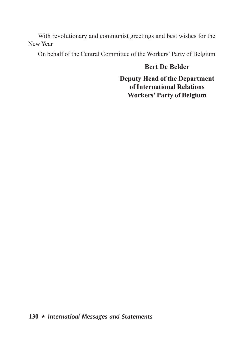With revolutionary and communist greetings and best wishes for the New Year

On behalf of the Central Committee of the Workers' Party of Belgium

# **Bert De Belder**

**Deputy Head of the Department of International Relations Workers' Party of Belgium**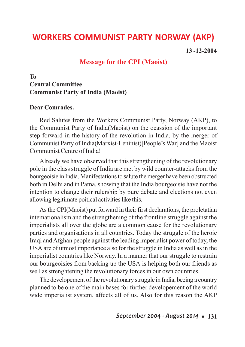# **WORKERS COMMUNIST PARTY NORWAY (AKP)**

**13 -12-2004**

## **Message for the CPI (Maoist)**

### **To Central Committee Communist Party of India (Maoist)**

#### **Dear Comrades.**

Red Salutes from the Workers Communist Party, Norway (AKP), to the Communist Party of India(Maoist) on the ocassion of the important step forward in the history of the revolution in India. by the merger of Communist Party of India(Marxist-Leninist)[People's War] and the Maoist Communist Centre of India!

Already we have observed that this strengthening of the revolutionary pole in the class struggle of India are met by wild counter-attacks from the bourgeoisie in India. Manifestations to salute the merger have been obstructed both in Delhi and in Patna, showing that the India bourgeoisie have not the intention to change their rulership by pure debate and elections not even allowing legitimate poitical activities like this.

As the CPI(Maoist) put forward in their first declarations, the proletatian intemationalism and the strengthening of the frontline struggle against the imperialists all over the globe are a common cause for the revolutionary parties and organisations in all countries. Today the struggle of the heroic Iraqi and Afghan people against the leading imperialist power of today, the USA are of utmost importance also for the struggle in India as well as in the imperialist countries like Norway. In a manner that our struggle to restrain our bourgeoisies from backing up the USA is helping both our friends as well as strenghtening the revolutionary forces in our own countries.

The developement of the revolutionary struggle in India, beeing a country planned to be one of the main bases for further developement of the world wide imperialist system, affects all of us. Also for this reason the AKP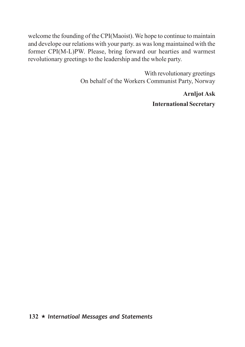welcome the founding of the CPI(Maoist). We hope to continue to maintain and develope our relations with your party. as was long maintained with the former CPI(M-L)PW. Please, bring forward our hearties and warmest revolutionary greetings to the leadership and the whole party.

> With revolutionary greetings On behalf of the Workers Communist Party, Norway

> > **Arnljot Ask**

**International Secretary**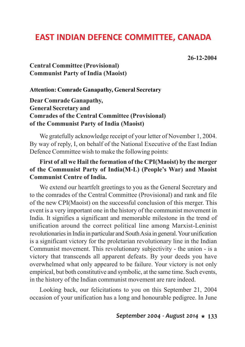# **EAST INDIAN DEFENCE COMMITTEE, CANADA**

**26-12-2004**

#### **Central Committee (Provisional) Communist Party of India (Maoist)**

### **Attention: Comrade Ganapathy, General Secretary**

**Dear Comrade Ganapathy, General Secretary and Comrades of the Central Committee (Provisional) of the Communist Party of India (Maoist)**

We gratefully acknowledge receipt of your letter of November 1, 2004. By way of reply, I, on behalf of the National Executive of the East Indian Defence Committee wish to make the following points:

# **First of all we Hail the formation of the CPI(Maoist) by the merger of the Communist Party of India(M-L) (People's War) and Maoist Communist Centre of India.**

We extend our heartfelt greetings to you as the General Secretary and to the comrades of the Central Committee (Provisional) and rank and file of the new CPI(Maoist) on the successful conclusion of this merger. This event is a very important one in the history of the communist movement in India. It signifies a significant and memorable milestone in the trend of unification around the correct political line among Marxist-Leninist revolutionaries in India in particular and South Asia in general. Your unification is a significant victory for the proletarian revolutionary line in the Indian Communist movement. This revolutionary subjectivity - the union - is a victory that transcends all apparent defeats. By your deeds you have overwhelmed what only appeared to be failure. Your victory is not only empirical, but both constitutive and symbolic, at the same time. Such events, in the history of the Indian communist movement are rare indeed.

Looking back, our felicitations to you on this September 21, 2004 occasion of your unification has a long and honourable pedigree. In June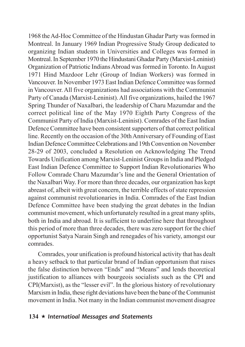1968 the Ad-Hoc Committee of the Hindustan Ghadar Party was formed in Montreal. In January 1969 Indian Progressive Study Group dedicated to organizing Indian students in Universities and Colleges was formed in Montreal. In September 1970 the Hindustani Ghadar Party (Marxist-Leninist) Organization of Patriotic Indians Abroad was formed in Toronto. In August 1971 Hind Mazdoor Lehr (Group of Indian Workers) was formed in Vancouver. In November 1973 East Indian Defence Committee was formed in Vancouver. All five organizations had associations with the Communist Party of Canada (Marxist-Leninist). All five organizations, hailed the 1967 Spring Thunder of Naxalbari, the leadership of Charu Mazumdar and the correct political line of the May 1970 Eighth Party Congress of the Communist Party of India (Marxist-Leninist). Comrades of the East Indian Defence Committee have been consistent supporters of that correct political line. Recently on the occasion of the 30th Anniversary of Founding of East Indian Defence Committee Celebrations and 19th Convention on November 28-29 of 2003, concluded a Resolution on Acknowledging The Trend Towards Unification among Marxist-Leninist Groups in India and Pledged East Indian Defence Committee to Support Indian Revolutionaries Who Follow Comrade Charu Mazumdar's line and the General Orientation of the Naxalbari Way. For more than three decades, our organization has kept abreast of, albeit with great concern, the terrible effects of state repression against communist revolutionaries in India. Comrades of the East Indian Defence Committee have been studying the great debates in the Indian communist movement, which unfortunately resulted in a great many splits, both in India and abroad. It is sufficient to underline here that throughout this period of more than three decades, there was zero support for the chief opportunist Satya Narain Singh and renegades of his variety, amongst our comrades.

Comrades, your unification is profound historical activity that has dealt a heavy setback to that particular brand of Indian opportunism that raises the false distinction between "Ends" and "Means" and lends theoretical justification to alliances with bourgeois socialists such as the CPI and CPI(Marxist), as the "lesser evil". In the glorious history of revolutionary Marxism in India, these right deviations have been the bane of the Communist movement in India. Not many in the Indian communist movement disagree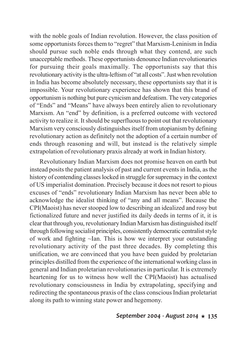with the noble goals of Indian revolution. However, the class position of some opportunists forces them to "regret" that Marxism-Leninism in India should pursue such noble ends through what they contend, are such unacceptable methods. These opportunists denounce Indian revolutionaries for pursuing their goals maximally. The opportunists say that this revolutionary activity is the ultra-leftism of "at all costs". Just when revolution in India has become absolutely necessary, these opportunists say that it is impossible. Your revolutionary experience has shown that this brand of opportunism is nothing but pure cynicism and defeatism. The very categories of "Ends" and "Means" have always been entirely alien to revolutionary Marxism. An "end" by definition, is a preferred outcome with vectored activity to realize it. It should be superfluous to point out that revolutionary Marxism very consciously distinguishes itself from utopianism by defining revolutionary action as definitely not the adoption of a certain number of ends through reasoning and will, but instead is the relatively simple extrapolation of revolutionary praxis already at work in Indian history.

Revolutionary Indian Marxism does not promise heaven on earth but instead posits the patient analysis of past and current events in India, as the history of contending classes locked in struggle for supremacy in the context of US imperialist domination. Precisely because it does not resort to pious excuses of "ends" revolutionary Indian Marxism has never been able to acknowledge the idealist thinking of "any and all means". Because the CPI(Maoist) has never stooped low to describing an idealized and rosy but fictionalized future and never justified its daily deeds in terms of it, it is clear that through you, revolutionary Indian Marxism has distinguished itself through following socialist principles, consistently democratic centralist style of work and fighting ~Ian. This is how we interpret your outstanding revolutionary activity of the past three decades. By completing this unification, we are convinced that you have been guided by proletarian principles distilled from the experience of the international working class in general and Indian proletarian revolutionaries in particular. It is extremely heartening for us to witness how well the CPI(Maoist) has actualised revolutionary consciousness in India by extrapolating, specifying and redirecting the spontaneous praxis of the class conscious Indian proletariat along its path to winning state power and hegemony.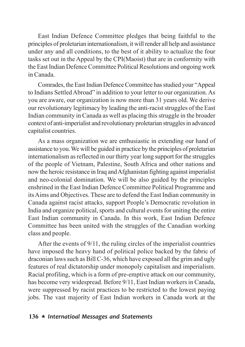East Indian Defence Committee pledges that being faithful to the principles of proletarian internationalism, it will render all help and assistance under any and all conditions, to the best of it ability to actualize the four tasks set out in the Appeal by the CPI(Maoist) that are in conformity with the East Indian Defence Committee Political Resolutions and ongoing work in Canada.

Comrades, the East Indian Defence Committee has studied your "Appeal to Indians Settled Abroad" in addition to your letter to our organization. As you are aware, our organization is now more than 31 years old. We derive our revolutionary legitimacy by leading the anti-racist struggles of the East Indian community in Canada as well as placing this struggle in the broader context of anti-imperialist and revolutionary proletarian struggles in advanced capitalist countries.

As a mass organization we are enthusiastic in extending our hand of assistance to you. We will be guided in practice by the principles of proletarian internationalism as reflected in our thirty year long support for the struggles of the people of Vietnam, Palestine, South Africa and other nations and now the heroic resistance in Iraq and Afghanistan fighting against imperialist and neo-colonial domination. We will be also guided by the principles enshrined in the East Indian Defence Committee Political Programme and its Aims and Objectives. These are to defend the East Indian community in Canada against racist attacks, support People's Democratic revolution in India and organize political, sports and cultural events for uniting the entire East Indian community in Canada. In this work, East Indian Defence Committee has been united with the struggles of the Canadian working class and people.

After the events of 9/11, the ruling circles of the imperialist countries have imposed the heavy hand of political police backed by the fabric of draconian laws such as Bill C-36, which have exposed all the grim and ugly features of real dictatorship under monopoly capitalism and imperialism. Racial profiling, which is a form of pre-emptive attack on our community, has become very widespread. Before 9/11, East Indian workers in Canada, were suppressed by racist practices to be restricted to the lowest paying jobs. The vast majority of East Indian workers in Canada work at the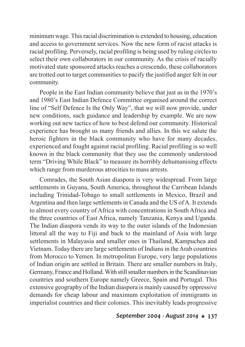minimum wage. This racial discrimination is extended to housing, education and access to government services. Now the new form of racist attacks is racial profiling. Perversely, racial profiling is being used by ruling circles to select their own collaborators in our community. As the crisis of racially motivated state sponsored attacks reaches a crescendo, these collaborators are trotted out to target communities to pacify the justified anger felt in our community.

People in the East Indian community believe that just as in the 1970's and 1980's East Indian Defence Committee organised around the correct line of "Self Defence Is the Only Way", that we will now provide, under new conditions, such guidance and leadership by example. We are now working out new tactics of how to best defend our community. Historical experience has brought us many friends and allies. In this we salute the heroic fighters in the black community who have for many decades, experienced and fought against racial profiling. Racial profiling is so well known in the black community that they use the commonly understood term "Driving While Black" to measure its horribly dehumanising effects which range from murderous atrocities to mass arrests.

Comrades, the South Asian diaspora is very widespread. From large settlements in Guyana, South America, throughout the Carribean Islands including Trinidad-Tobago to small settlements in Mexico, Brazil and Argentina and then large settlements in Canada and the US of A. It extends to almost every country of Africa with concentrations in South Africa and the three countries of East Africa, namely Tanzania, Kenya and Uganda. The Indian diaspora vends its way to the outer islands of the Indonesian littoral all the way to Fiji and back to the mainland of Asia with large settlements in Malayasia and smaller ones in Thailand, Kampuchea and Vietnam. Today there are large settlements of Indians in the Arab countries from Morocco to Yemen. In metropolitan Europe, very large populations of Indian origin are settled in Britain. There are smaller numbers in Italy, Germany, France and Holland. With still smaller numbers in the Scandinavian countries and southern Europe namely Greece, Spain and Portugal. This extensive geography of the Indian diaspora is mainly caused by oppressive demands for cheap labour and maximum exploitation of immigrants in imperialist countries and their colonies. This inevitably leads progressive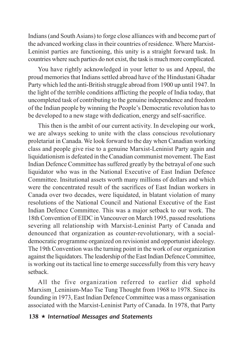Indians (and South Asians) to forge close alliances with and become part of the advanced working class in their countries of residence. Where Marxist-Leninist parties are functioning, this unity is a straight forward task. In countries where such parties do not exist, the task is much more complicated.

You have rightly acknowledged in your letter to us and Appeal, the proud memories that Indians settled abroad have of the Hindustani Ghadar Party which led the anti-British struggle abroad from 1900 up until 1947. In the light of the terrible conditions afflicting the people of India today, that uncompleted task of contributing to the genuine independence and freedom of the Indian people by winning the People's Democratic revolution has to be developed to a new stage with dedication, energy and self-sacrifice.

This then is the ambit of our current activity. In developing our work, we are always seeking to unite with the class conscious revolutionary proletariat in Canada. We look forward to the day when Canadian working class and people give rise to a genuine Marxist-Leninist Party again and liquidationism is defeated in the Canadian communist movement. The East Indian Defence Committee has suffered greatly by the betrayal of one such liquidator who was in the National Executive of East Indian Defence Committee. Insitutional assets worth many millions of dollars and which were the concentrated result of the sacrifices of East Indian workers in Canada over two decades, were liquidated, in blatant violation of many resolutions of the National Council and National Executive of the East Indian Defence Committee. This was a major setback to our work. The 18th Convention of EIDC in Vancouver on March 1995, passed resolutions severing all relationship with Marxist-Leninist Party of Canada and denounced that organization as counter-revolutionary, with a socialdemocratic programme organized on revisionist and opportunist ideology. The 19th Convention was the turning point in the work of our organization against the liquidators. The leadership of the East Indian Defence Committee, is working out its tactical line to emerge successfully from this very heavy setback.

All the five organization referred to earlier did uphold Marxism Leninism-Mao Tse Tung Thought from 1968 to 1978. Since its founding in 1973, East Indian Defence Committee was a mass organisation associated with the Marxist-Leninist Party of Canada. In 1978, that Party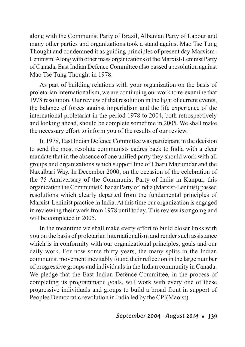along with the Communist Party of Brazil, Albanian Party of Labour and many other parties and organizations took a stand against Mao Tse Tung Thought and condemned it as guiding principles of present day Marxism-Leninism. Along with other mass organizations of the Marxist-Leninist Party of Canada, East Indian Defence Committee also passed a resolution against Mao Tse Tung Thought in 1978.

As part of building relations with your organization on the basis of proletarian internationalism, we are continuing our work to re-examine that 1978 resolution. Our review of that resolution in the light of current events, the balance of forces against imperialism and the life experience of the international proletariat in the period 1978 to 2004, both retrospectively and looking ahead, should be complete sometime in 2005. We shall make the necessary effort to inform you of the results of our review.

In 1978, East Indian Defence Committee was participant in the decision to send the most resolute communists cadres back to India with a clear mandate that in the absence of one unified party they should work with all groups and organizations which support line of Charu Mazumdar and the Naxalbari Way. In December 2000, on the occasion of the celebration of the 75 Anniversary of the Communist Party of India in Kanpur, this organization the Communist Ghadar Party of India (Marxist-Leninist) passed resolutions which clearly departed from the fundamental principles of Marxist-Leninist practice in India. At this time our organization is engaged in reviewing their work from 1978 until today. This review is ongoing and will be completed in 2005.

In the meantime we shall make every effort to build closer links with you on the basis of proletarian internationalism and render such assistance which is in conformity with our organizational principles, goals and our daily work. For now some thirty years, the many splits in the Indian communist movement inevitably found their reflection in the large number of progressive groups and individuals in the Indian community in Canada. We pledge that the East Indian Defence Committee, in the process of completing its programmatic goals, will work with every one of these progressive individuals and groups to build a broad front in support of Peoples Democratic revolution in India led by the CPI(Maoist).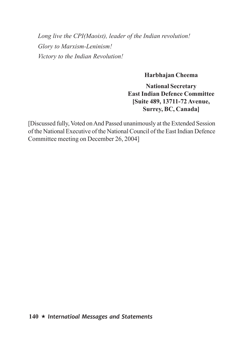*Long live the CPI(Maoist), leader of the Indian revolution! Glory to Marxism-Leninism! Victory to the Indian Revolution!*

**Harbhajan Cheema**

**National Secretary East Indian Defence Committee [Suite 489, 13711-72 Avenue, Surrey, BC, Canada]**

[Discussed fully, Voted on And Passed unanimously at the Extended Session of the National Executive of the National Council of the East Indian Defence Committee meeting on December 26, 2004]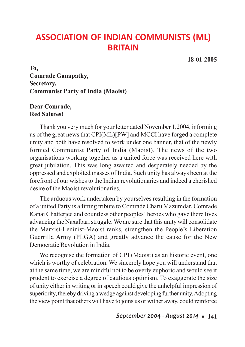# **ASSOCIATION OF INDIAN COMMUNISTS (ML) BRITAIN**

**18-01-2005**

**To, Comrade Ganapathy, Secretary, Communist Party of India (Maoist)**

### **Dear Comrade, Red Salutes!**

Thank you very much for your letter dated November 1,2004, informing us of the great news that CPI(ML)[PW] and MCCI have forged a complete unity and both have resolved to work under one banner, that of the newly formed Communist Party of India (Maoist). The news of the two organisations working together as a united force was received here with great jubilation. This was long awaited and desperately needed by the oppressed and exploited masses of India. Such unity has always been at the forefront of our wishes to the Indian revolutionaries and indeed a cherished desire of the Maoist revolutionaries.

The arduous work undertaken by yourselves resulting in the formation of a united Party is a fitting tribute to Comrade Charu Mazumdar, Comrade Kanai Chatterjee and countless other peoples' heroes who gave there lives advancing the Naxalbari struggle. We are sure that this unity will consolidate the Marxist-Leninist-Maoist ranks, strengthen the People's Liberation Guerrilla Army (PLGA) and greatly advance the cause for the New Democratic Revolution in India.

We recognise the formation of CPI (Maoist) as an historic event, one which is worthy of celebration. We sincerely hope you will understand that at the same time, we are mindful not to be overly euphoric and would see it prudent to exercise a degree of cautious optimism. To exaggerate the size of unity either in writing or in speech could give the unhelpful impression of superiority, thereby driving a wedge against developing further unity. Adopting the view point that others will have to joins us or wither away, could reinforce

### *September 2004 - August 2014* **141**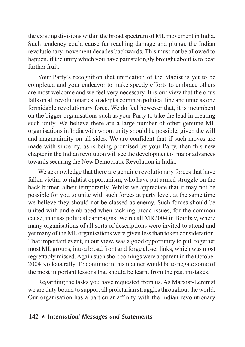the existing divisions within the broad spectrum of ML movement in India. Such tendency could cause far reaching damage and plunge the Indian revolutionary movement decades backwards. This must not be allowed to happen, if the unity which you have painstakingly brought about is to bear further fruit

Your Party's recognition that unification of the Maoist is yet to be completed and your endeavor to make speedy efforts to embrace others are most welcome and we feel very necessary. It is our view that the onus falls on all revolutionaries to adopt a common political line and unite as one formidable revolutionary force. We do feel however that, it is incumbent on the bigger organisations such as your Party to take the lead in creating such unity. We believe there are a large number of other genuine ML organisations in India with whom unity should be possible, given the will and magnanimity on all sides. We are confident that if such moves are made with sincerity, as is being promised by your Party, then this new chapter in the Indian revolution will see the development of major advances towards securing the New Democratic Revolution in India.

We acknowledge that there are genuine revolutionary forces that have fallen victim to rightist opportunism, who have put armed struggle on the back burner, albeit temporarily. Whilst we appreciate that it may not be possible for you to unite with such forces at party level, at the same time we believe they should not be classed as enemy. Such forces should be united with and embraced when tackling broad issues, for the common cause, in mass political campaigns. We recall MR2004 in Bombay, where many organisations of all sorts of descriptions were invited to attend and yet many of the ML organisations were given less than token consideration. That important event, in our view, was a good opportunity to pull together most ML groups, into a broad front and forge closer links, which was most regrettably missed. Again such short comings were apparent in the October 2004 Kolkata rally. To continue in this manner would be to negate some of the most important lessons that should be learnt from the past mistakes.

Regarding the tasks you have requested from us. As Marxist-Leninist we are duty bound to support all proletarian struggles throughout the world. Our organisation has a particular affinity with the Indian revolutionary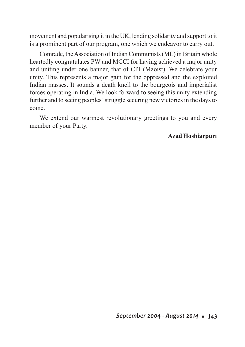movement and popularising it in the UK, lending solidarity and support to it is a prominent part of our program, one which we endeavor to carry out.

Comrade, the Association of Indian Communists (ML) in Britain whole heartedly congratulates PW and MCCI for having achieved a major unity and uniting under one banner, that of CPI (Maoist). We celebrate your unity. This represents a major gain for the oppressed and the exploited Indian masses. It sounds a death knell to the bourgeois and imperialist forces operating in India. We look forward to seeing this unity extending further and to seeing peoples' struggle securing new victories in the days to come.

We extend our warmest revolutionary greetings to you and every member of your Party.

#### **Azad Hoshiarpuri**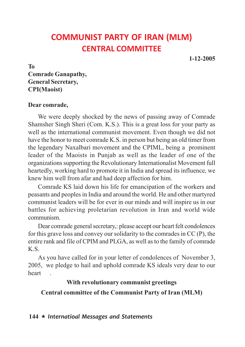# **COMMUNIST PARTY OF IRAN (MLM) CENTRAL COMMITTEE**

**1-12-2005**

### **To Comrade Ganapathy, General Secretary, CPI(Maoist)**

### **Dear comrade,**

We were deeply shocked by the news of passing away of Comrade Shamsher Singh Sheri (Com. K.S.). This is a great loss for your party as well as the international communist movement. Even though we did not have the honor to meet comrade K.S. in person but being an old timer from the legendary Naxalbari movement and the CPIML, being a prominent leader of the Maoists in Punjab as well as the leader of one of the organizations supporting the Revolutionary Internationalist Movement full heartedly, working hard to promote it in India and spread its influence, we knew him well from afar and had deep affection for him.

Comrade KS laid down his life for emancipation of the workers and peasants and peoples in India and around the world. He and other martyred communist leaders will be for ever in our minds and will inspire us in our battles for achieving proletarian revolution in Iran and world wide communism.

Dear comrade general secretary,: please accept our heart felt condolences for this grave loss and convey our solidarity to the comrades in CC (P), the entire rank and file of CPIM and PLGA, as well as to the family of comrade K.S.

As you have called for in your letter of condolences of November 3, 2005, we pledge to hail and uphold comrade KS ideals very dear to our heart .

#### **With revolutionary communist greetings**

**Central committee of the Communist Party of Iran (MLM)**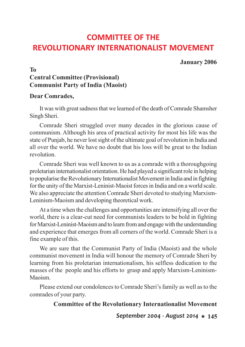## **COMMITTEE OF THE REVOLUTIONARY INTERNATIONALIST MOVEMENT**

#### **January 2006**

## **To Central Committee (Provisional) Communist Party of India (Maoist)**

#### **Dear Comrades,**

It was with great sadness that we learned of the death of Comrade Shamsher Singh Sheri.

Comrade Sheri struggled over many decades in the glorious cause of communism. Although his area of practical activity for most his life was the state of Punjab, he never lost sight of the ultimate goal of revolution in India and all over the world. We have no doubt that his loss will be great to the Indian revolution.

Comrade Sheri was well known to us as a comrade with a thoroughgoing proletarian internationalist orientation. He had played a significant role in helping to popularise the Revolutionary Internationalist Movement in India and in fighting for the unity of the Marxist-Leninist-Maoist forces in India and on a world scale. We also appreciate the attention Comrade Sheri devoted to studying Marxism-Leninism-Maoism and developing theoretical work.

At a time when the challenges and opportunities are intensifying all over the world, there is a clear-cut need for communists leaders to be bold in fighting for Marxist-Leninist-Maoism and to learn from and engage with the understanding and experience that emerges from all corners of the world. Comrade Sheri is a fine example of this.

We are sure that the Communist Party of India (Maoist) and the whole communist movement in India will honour the memory of Comrade Sheri by learning from his proletarian internationalism, his selfless dedication to the masses of the people and his efforts to grasp and apply Marxism-Leninism-Maoism.

Please extend our condolences to Comrade Sheri's family as well as to the comrades of your party.

### **Committee of the Revolutionary Internationalist Movement**

*September 2004 - August 2014* **145**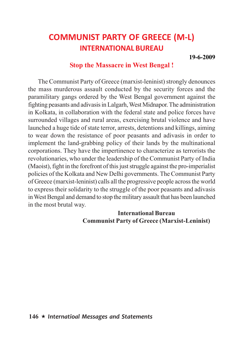# **COMMUNIST PARTY OF GREECE (M-L) INTERNATIONAL BUREAU**

**19-6-2009**

## **Stop the Massacre in West Bengal !**

The Communist Party of Greece (marxist-leninist) strongly denounces the mass murderous assault conducted by the security forces and the paramilitary gangs ordered by the West Bengal government against the fighting peasants and adivasis in Lalgarh, West Midnapor. The administration in Kolkata, in collaboration with the federal state and police forces have surrounded villages and rural areas, exercising brutal violence and have launched a huge tide of state terror, arrests, detentions and killings, aiming to wear down the resistance of poor peasants and adivasis in order to implement the land-grabbing policy of their lands by the multinational corporations. They have the impertinence to characterize as terrorists the revolutionaries, who under the leadership of the Communist Party of India (Maoist), fight in the forefront of this just struggle against the pro-imperialist policies of the Kolkata and New Delhi governments. The Communist Party of Greece (marxist-leninist) calls all the progressive people across the world to express their solidarity to the struggle of the poor peasants and adivasis in West Bengal and demand to stop the military assault that has been launched in the most brutal way.

### **International Bureau Communist Party of Greece (Marxist-Leninist)**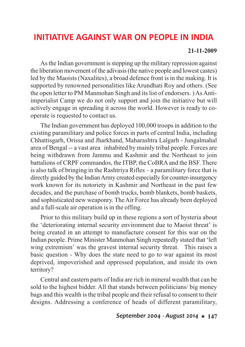# **INITIATIVE AGAINST WAR ON PEOPLE IN INDIA**

#### **21-11-2009**

As the Indian government is stepping up the military repression against the liberation movement of the adivasis (the native people and lowest castes) led by the Maoists (Naxalites), a broad defence front is in the making. It is supported by renowned personalities like Arundhati Roy and others. (See the open letter to PM Manmohan Singh and its list of endorsers. ) As Antiimperialist Camp we do not only support and join the initiative but will actively engage in spreading it across the world. However is ready to cooperate is requested to contact us.

The Indian government has deployed 100,000 troops in addition to the existing paramilitary and police forces in parts of central India, including Chhattisgarh, Orissa and Jharkhand, Maharashtra Lalgarh - Jungalmahal area of Bengal -- a vast area inhabited by mainly tribal people. Forces are being withdrawn from Jammu and Kashmir and the Northeast to join battalions of CRPF commandos, the ITBP, the CoBRA and the BSF. There is also talk of bringing in the Rashtriya Rifles – a paramilitary force that is directly guided by the Indian Army created especially for counter-insurgency work known for its notoriety in Kashmir and Northeast in the past few decades, and the purchase of bomb trucks, bomb blankets, bomb baskets, and sophisticated new weaponry. The Air Force has already been deployed and a full-scale air operation is in the offing.

Prior to this military build up in these regions a sort of hysteria about the 'deteriorating internal security environment due to Maoist threat' is being created in an attempt to manufacture consent for this war on the Indian people. Prime Minister Manmohan Singh repeatedly stated that 'left wing extremism' was the gravest internal security threat. This raises a basic question - Why does the state need to go to war against its most deprived, impoverished and oppressed population, and inside its own territory?

Central and eastern parts of India are rich in mineral wealth that can be sold to the highest bidder. All that stands between politicians/ big money bags and this wealth is the tribal people and their refusal to consent to their designs. Addressing a conference of heads of different paramilitary,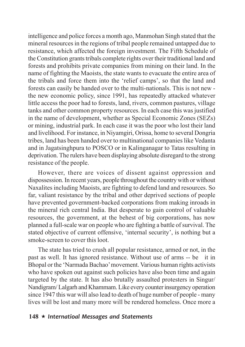intelligence and police forces a month ago, Manmohan Singh stated that the mineral resources in the regions of tribal people remained untapped due to resistance, which affected the foreign investment. The Fifth Schedule of the Constitution grants tribals complete rights over their traditional land and forests and prohibits private companies from mining on their land. In the name of fighting the Maoists, the state wants to evacuate the entire area of the tribals and force them into the 'relief camps', so that the land and forests can easily be handed over to the multi-nationals. This is not new the new economic policy, since 1991, has repeatedly attacked whatever little access the poor had to forests, land, rivers, common pastures, village tanks and other common property resources. In each case this was justified in the name of development, whether as Special Economic Zones (SEZs) or mining, industrial park. In each case it was the poor who lost their land and livelihood. For instance, in Niyamgiri, Orissa, home to several Dongria tribes, land has been handed over to multinational companies like Vedanta and in Jagatsinghpura to POSCO or in Kalinganagar to Tatas resulting in deprivation. The rulers have been displaying absolute disregard to the strong resistance of the people.

However, there are voices of dissent against oppression and dispossession. In recent years, people throughout the country with or without Naxalites including Maoists, are fighting to defend land and resources. So far, valiant resistance by the tribal and other deprived sections of people have prevented government-backed corporations from making inroads in the mineral rich central India. But desperate to gain control of valuable resources, the government, at the behest of big corporations, has now planned a full-scale war on people who are fighting a battle of survival. The stated objective of current offensive, 'internal security', is nothing but a smoke-screen to cover this loot.

The state has tried to crush all popular resistance, armed or not, in the past as well. It has ignored resistance. Without use of arms -- be it in Bhopal or the 'Narmada Bachao' movement. Various human rights activists who have spoken out against such policies have also been time and again targeted by the state. It has also brutally assaulted protesters in Singur/ Nandigram/ Lalgarh and Khammam. Like every counter insurgency operation since 1947 this war will also lead to death of huge number of people - many lives will be lost and many more will be rendered homeless. Once more a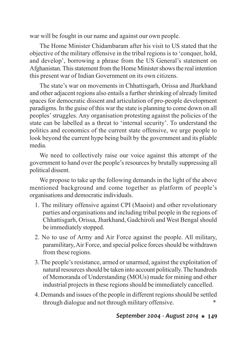war will be fought in our name and against our own people.

The Home Minister Chidambaram after his visit to US stated that the objective of the military offensive in the tribal regions is to 'conquer, hold, and develop', borrowing a phrase from the US General's statement on Afghanistan. This statement from the Home Minister shows the real intention this present war of Indian Government on its own citizens.

The state's war on movements in Chhattisgarh, Orissa and Jharkhand and other adjacent regions also entails a further shrinking of already limited spaces for democratic dissent and articulation of pro-people development paradigms. In the guise of this war the state is planning to come down on all peoples' struggles. Any organisation protesting against the policies of the state can be labelled as a threat to 'internal security'. To understand the politics and economics of the current state offensive, we urge people to look beyond the current hype being built by the government and its pliable media.

We need to collectively raise our voice against this attempt of the government to hand over the people's resources by brutally suppressing all political dissent.

We propose to take up the following demands in the light of the above mentioned background and come together as platform of people's organisations and democratic individuals.

- 1. The military offensive against CPI (Maoist) and other revolutionary parties and organisations and including tribal people in the regions of Chhattisgarh, Orissa, Jharkhand, Gadchiroli and West Bengal should be immediately stopped.
- 2. No to use of Army and Air Force against the people. All military, paramilitary, Air Force, and special police forces should be withdrawn from these regions.
- 3. The people's resistance, armed or unarmed, against the exploitation of natural resources should be taken into account politically. The hundreds of Memoranda of Understanding (MOUs) made for mining and other industrial projects in these regions should be immediately cancelled.
- 4. Demands and issues of the people in different regions should be settled through dialogue and not through military offensive. \*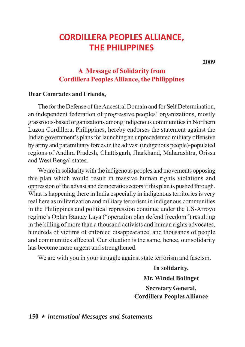# **CORDILLERA PEOPLES ALLIANCE, THE PHILIPPINES**

**2009**

## **A Message of Solidarity from Cordillera Peoples Alliance, the Philippines**

#### **Dear Comrades and Friends,**

The for the Defense of the Ancestral Domain and for Self Determination, an independent federation of progressive peoples' organizations, mostly grassroots-based organizations among indigenous communities in Northern Luzon Cordillera, Philippines, hereby endorses the statement against the Indian government's plans for launching an unprecedented military offensive by army and paramilitary forces in the adivasi (indigenous people)-populated regions of Andhra Pradesh, Chattisgarh, Jharkhand, Maharashtra, Orissa and West Bengal states.

We are in solidarity with the indigenous peoples and movements opposing this plan which would result in massive human rights violations and oppression of the advasi and democratic sectors if this plan is pushed through. What is happening there in India especially in indigenous territories is very real here as militarization and military terrorism in indigenous communities in the Philippines and political repression continue under the US-Arroyo regime's Oplan Bantay Laya ("operation plan defend freedom") resulting in the killing of more than a thousand activists and human rights advocates, hundreds of victims of enforced disappearance, and thousands of people and communities affected. Our situation is the same, hence, our solidarity has become more urgent and strengthened.

We are with you in your struggle against state terrorism and fascism.

**In solidarity, Mr. Windel Bolinget Secretary General, Cordillera Peoples Alliance**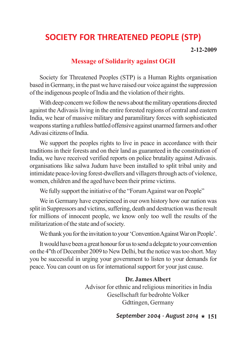# **SOCIETY FOR THREATENED PEOPLE (STP)**

#### **2-12-2009**

## **Message of Solidarity against OGH**

Society for Threatened Peoples (STP) is a Human Rights organisation based in Germany, in the past we have raised our voice against the suppression of the indigenous people of India and the violation of their rights.

With deep concern we follow the news about the military operations directed against the Adivasis living in the entire forested regions of central and eastern India, we hear of massive military and paramilitary forces with sophisticated weapons starting a ruthless battled offensive against unarmed farmers and other Adivasi citizens of India.

We support the peoples rights to live in peace in accordance with their traditions in their forests and on their land as guaranteed in the constitution of India, we have received verified reports on police brutality against Adivasis. organisations like salwa Judum have been installed to split tribal unity and intimidate peace-loving forest-dwellers and villagers through acts of violence, women, children and the aged have been their prime victims.

We fully support the initiative of the "Forum Against war on People"

We in Germany have experienced in our own history how our nation was split in Suppressors and victims, suffering, death and destruction was the result for millions of innocent people, we know only too well the results of the militarization of the state and of society.

We thank you for the invitation to your 'Convention Against War on People'.

It would have been a great honour for us to send a delegate to your convention on the 4"th of December 2009 to New Delhi, but the notice was too short. May you be successful in urging your government to listen to your demands for peace. You can count on us for international support for your just cause.

#### **Dr. James Albert**

 Advisor for ethnic and religious minorities in India Gesellschaft fur bedrohte Volker Gdttingen, Germany

### *September 2004 - August 2014* **151**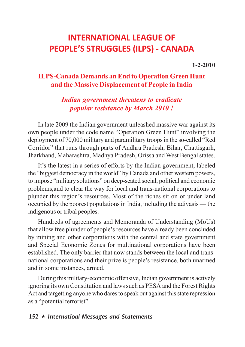# **INTERNATIONAL LEAGUE OF PEOPLE'S STRUGGLES (ILPS) - CANADA**

**1-2-2010**

## **ILPS-Canada Demands an End to Operation Green Hunt and the Massive Displacement of People in India**

## *Indian government threatens to eradicate popular resistance by March 2010 !*

In late 2009 the Indian government unleashed massive war against its own people under the code name "Operation Green Hunt" involving the deployment of 70,000 military and paramilitary troops in the so-called "Red Corridor" that runs through parts of Andhra Pradesh, Bihar, Chattisgarh, Jharkhand, Maharashtra, Madhya Pradesh, Orissa and West Bengal states.

It's the latest in a series of efforts by the Indian government, labeled the "biggest democracy in the world" by Canada and other western powers, to impose "military solutions" on deep-seated social, political and economic problems,and to clear the way for local and trans-national corporations to plunder this region's resources. Most of the riches sit on or under land occupied by the poorest populations in India, including the adivasis — the indigenous or tribal peoples.

Hundreds of agreements and Memoranda of Understanding (MoUs) that allow free plunder of people's resources have already been concluded by mining and other corporations with the central and state government and Special Economic Zones for multinational corporations have been established. The only barrier that now stands between the local and transnational corporations and their prize is people's resistance, both unarmed and in some instances, armed.

During this military-economic offensive, Indian government is actively ignoring its own Constitution and laws such as PESA and the Forest Rights Act and targetting anyone who dares to speak out against this state repression as a "potential terrorist".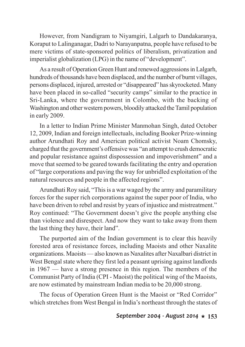However, from Nandigram to Niyamgiri, Lalgarh to Dandakaranya, Koraput to Lalinganagar, Dadri to Narayanpatna, people have refused to be mere victims of state-sponsored politics of liberalism, privatization and imperialist globalization (LPG) in the name of "development".

As a result of Operation Green Hunt and renewed aggressions in Lalgarh, hundreds of thousands have been displaced, and the number of burnt villages, persons displaced, injured, arrested or "disappeared" has skyrocketed. Many have been placed in so-called "security camps" similar to the practice in Sri-Lanka, where the government in Colombo, with the backing of Washington and other western powers, bloodily attacked the Tamil population in early 2009.

In a letter to Indian Prime Minister Manmohan Singh, dated October 12, 2009, Indian and foreign intellectuals, including Booker Prize-winning author Arundhati Roy and American political activist Noam Chomsky, charged that the government's offensive was "an attempt to crush democratic and popular resistance against dispossession and impoverishment" and a move that seemed to be geared towards facilitating the entry and operation of "large corporations and paving the way for unbridled exploitation of the natural resources and people in the affected regions".

Arundhati Roy said, "This is a war waged by the army and paramilitary forces for the super rich corporations against the super poor of India, who have been driven to rebel and resist by years of injustice and mistreatment." Roy continued: "The Government doesn't give the people anything else than violence and disrespect. And now they want to take away from them the last thing they have, their land".

The purported aim of the Indian government is to clear this heavily forested area of resistance forces, including Maoists and other Naxalite organizations. Maoists — also known as Naxalites after Naxalbari district in West Bengal state where they first led a peasant uprising against landlords in 1967 — have a strong presence in this region. The members of the Communist Party of India (CPI - Maoist) the political wing of the Maoists, are now estimated by mainstream Indian media to be 20,000 strong.

The focus of Operation Green Hunt is the Maoist or "Red Corridor" which stretches from West Bengal in India's northeast through the states of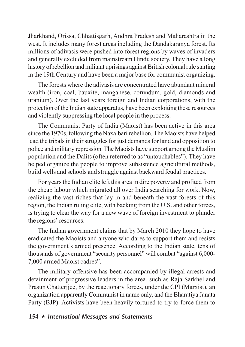Jharkhand, Orissa, Chhattisgarh, Andhra Pradesh and Maharashtra in the west. It includes many forest areas including the Dandakaranya forest. Its millions of adivasis were pushed into forest regions by waves of invaders and generally excluded from mainstream Hindu society. They have a long history of rebellion and militant uprisings against British colonial rule starting in the 19th Century and have been a major base for communist organizing.

The forests where the adivasis are concentrated have abundant mineral wealth (iron, coal, bauxite, manganese, corundum, gold, diamonds and uranium). Over the last years foreign and Indian corporations, with the protection of the Indian state apparatus, have been exploiting these resources and violently suppressing the local people in the process.

The Communist Party of India (Maoist) has been active in this area since the 1970s, following the Naxalbari rebellion. The Maoists have helped lead the tribals in their struggles for just demands for land and opposition to police and military repression. The Maoists have support among the Muslim population and the Dalits (often referred to as "untouchables"). They have helped organize the people to improve subsistence agricultural methods, build wells and schools and struggle against backward feudal practices.

For years the Indian elite left this area in dire poverty and profited from the cheap labour which migrated all over India searching for work. Now, realizing the vast riches that lay in and beneath the vast forests of this region, the Indian ruling elite, with backing from the U.S. and other forces, is trying to clear the way for a new wave of foreign investment to plunder the regions' resources.

The Indian government claims that by March 2010 they hope to have eradicated the Maoists and anyone who dares to support them and resists the government's armed presence. According to the Indian state, tens of thousands of government "security personnel" will combat "against 6,000- 7,000 armed Maoist cadres".

The military offensive has been accompanied by illegal arrests and detainment of progressive leaders in the area, such as Raja Sarkhel and Prasun Chatterjjee, by the reactionary forces, under the CPI (Marxist), an organization apparently Communist in name only, and the Bharatiya Janata Party (BJP). Activists have been heavily tortured to try to force them to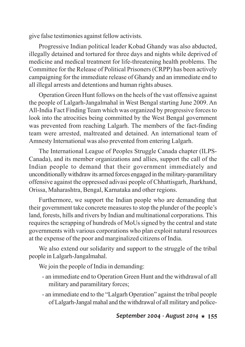give false testimonies against fellow activists.

Progressive Indian political leader Kobad Ghandy was also abducted, illegally detained and tortured for three days and nights while deprived of medicine and medical treatment for life-threatening health problems. The Committee for the Release of Political Prisoners (CRPP) has been actively campaigning for the immediate release of Ghandy and an immediate end to all illegal arrests and detentions and human rights abuses.

Operation Green Hunt follows on the heels of the vast offensive against the people of Lalgarh-Jangalmahal in West Bengal starting June 2009. An All-India Fact Finding Team which was organized by progressive forces to look into the atrocities being committed by the West Bengal government was prevented from reaching Lalgarh. The members of the fact-finding team were arrested, maltreated and detained. An international team of Amnesty International was also prevented from entering Lalgarh.

The International League of Peoples Struggle Canada chapter (ILPS-Canada), and its member organizations and allies, support the call of the Indian people to demand that their government immediately and unconditionally withdraw its armed forces engaged in the military-paramilitary offensive against the oppressed adivasi people of Chhattisgarh, Jharkhand, Orissa, Maharashtra, Bengal, Karnataka and other regions.

Furthermore, we support the Indian people who are demanding that their government take concrete measures to stop the plunder of the people's land, forests, hills and rivers by Indian and multinational corporations. This requires the scrapping of hundreds of MoUs signed by the central and state governments with various corporations who plan exploit natural resources at the expense of the poor and marginalized citizens of India.

We also extend our solidarity and support to the struggle of the tribal people in Lalgarh-Jangalmahal.

We join the people of India in demanding:

- an immediate end to Operation Green Hunt and the withdrawal of all military and paramilitary forces;
- an immediate end to the "Lalgarh Operation" against the tribal people of Lalgarh-Jangal mahal and the withdrawal of all military and police-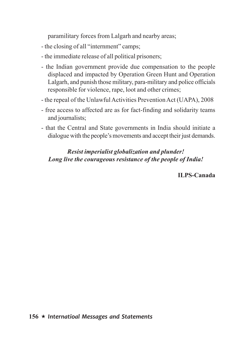paramilitary forces from Lalgarh and nearby areas;

- the closing of all "internment" camps;
- the immediate release of all political prisoners;
- the Indian government provide due compensation to the people displaced and impacted by Operation Green Hunt and Operation Lalgarh, and punish those military, para-military and police officials responsible for violence, rape, loot and other crimes;
- the repeal of the Unlawful Activities Prevention Act (UAPA), 2008
- free access to affected are as for fact-finding and solidarity teams and journalists;
- that the Central and State governments in India should initiate a dialogue with the people's movements and accept their just demands.

## *Resist imperialist globalization and plunder! Long live the courageous resistance of the people of India!*

**ILPS-Canada**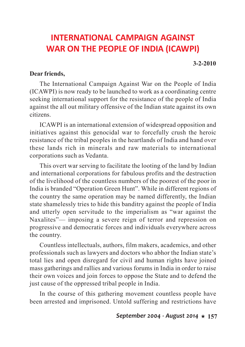# **INTERNATIONAL CAMPAIGN AGAINST WAR ON THE PEOPLE OF INDIA (ICAWPI)**

### **3-2-2010**

### **Dear friends,**

The International Campaign Against War on the People of India (ICAWPI) is now ready to be launched to work as a coordinating centre seeking international support for the resistance of the people of India against the all out military offensive of the Indian state against its own citizens.

ICAWPI is an international extension of widespread opposition and initiatives against this genocidal war to forcefully crush the heroic resistance of the tribal peoples in the heartlands of India and hand over these lands rich in minerals and raw materials to international corporations such as Vedanta.

This overt war serving to facilitate the looting of the land by Indian and international corporations for fabulous profits and the destruction of the livelihood of the countless numbers of the poorest of the poor in India is branded "Operation Green Hunt". While in different regions of the country the same operation may be named differently, the Indian state shamelessly tries to hide this banditry against the people of India and utterly open servitude to the imperialism as "war against the Naxalites"— imposing a severe reign of terror and repression on progressive and democratic forces and individuals everywhere across the country.

Countless intellectuals, authors, film makers, academics, and other professionals such as lawyers and doctors who abhor the Indian state's total lies and open disregard for civil and human rights have joined mass gatherings and rallies and various forums in India in order to raise their own voices and join forces to oppose the State and to defend the just cause of the oppressed tribal people in India.

In the course of this gathering movement countless people have been arrested and imprisoned. Untold suffering and restrictions have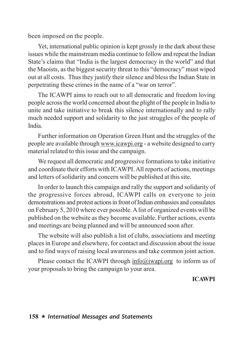been imposed on the people.

Yet, international public opinion is kept grossly in the dark about these issues while the mainstream media continue to follow and repeat the Indian State's claims that "India is the largest democracy in the world" and that the Maoists, as the biggest security threat to this "democracy" must wiped out at all costs. Thus they justify their silence and bless the Indian State in perpetrating these crimes in the name of a "war on terror".

The ICAWPI aims to reach out to all democratic and freedom loving people across the world concerned about the plight of the people in India to unite and take initiative to break this silence internationally and to rally much needed support and solidarity to the just struggles of the people of India.

Further information on Operation Green Hunt and the struggles of the people are available through www.icawpi.org - a website designed to carry material related to this issue and the campaign.

We request all democratic and progressive formations to take initiative and coordinate their efforts with ICAWPI. All reports of actions, meetings and letters of solidarity and concern will be published at this site.

In order to launch this campaign and rally the support and solidarity of the progressive forces abroad, ICAWPI calls on everyone to join demonstrations and protest actions in front of Indian embassies and consulates on February 5, 2010 where ever possible. A list of organized events will be published on the website as they become available. Further actions, events and meetings are being planned and will be announced soon after.

The website will also publish a list of clubs, associations and meeting places in Europe and elsewhere, for contact and discussion about the issue and to find ways of raising local awareness and take common joint action.

Please contact the ICAWPI through info@iwapi.org to inform us of your proposals to bring the campaign to your area.

#### **ICAWPI**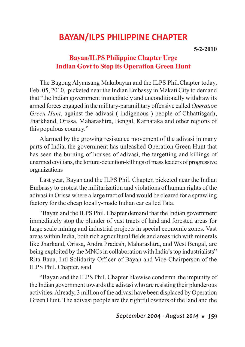# **BAYAN/ILPS PHILIPPINE CHAPTER**

#### **5-2-2010**

## **Bayan/ILPS Philippine Chapter Urge Indian Govt to Stop its Operation Green Hunt**

The Bagong Alyansang Makabayan and the ILPS Phil.Chapter today, Feb. 05, 2010, picketed near the Indian Embassy in Makati City to demand that "the Indian government immediately and unconditionally withdraw its armed forces engaged in the military-paramilitary offensive called *Operation Green Hunt*, against the adivasi ( indigenous ) people of Chhattisgarh, Jharkhand, Orissa, Maharashtra, Bengal, Karnataka and other regions of this populous country."

Alarmed by the growing resistance movement of the adivasi in many parts of India, the government has unleashed Operation Green Hunt that has seen the burning of houses of adivasi, the targetting and killings of unarmed civilians, the torture-detention-killings of mass leaders of progressive organizations

Last year, Bayan and the ILPS Phil. Chapter, picketed near the Indian Embassy to protest the militarization and violations of human rights of the adivasi in Orissa where a large tract of land would be cleared for a sprawling factory for the cheap locally-made Indian car called Tata.

"Bayan and the ILPS Phil. Chapter demand that the Indian government immediately stop the plunder of vast tracts of land and forested areas for large scale mining and industrial projects in special economic zones. Vast areas within India, both rich agricultural fields and areas rich with minerals like Jharkand, Orissa, Andra Pradesh, Maharashtra, and West Bengal, are being exploited by the MNCs in collaboration with India's top industrialists" Rita Baua, Intl Solidarity Officer of Bayan and Vice-Chairperson of the ILPS Phil. Chapter, said.

"Bayan and the ILPS Phil. Chapter likewise condemn the impunity of the Indian government towards the adivasi who are resisting their plunderous activities. Already, 3 million of the adivasi have been displaced by Operation Green Hunt. The adivasi people are the rightful owners of the land and the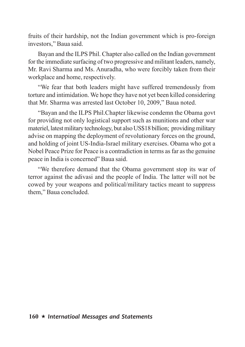fruits of their hardship, not the Indian government which is pro-foreign investors," Baua said.

Bayan and the ILPS Phil. Chapter also called on the Indian government for the immediate surfacing of two progressive and militant leaders, namely, Mr. Ravi Sharma and Ms. Anuradha, who were forcibly taken from their workplace and home, respectively.

"We fear that both leaders might have suffered tremendously from torture and intimidation. We hope they have not yet been killed considering that Mr. Sharma was arrested last October 10, 2009," Baua noted.

"Bayan and the ILPS Phil.Chapter likewise condemn the Obama govt for providing not only logistical support such as munitions and other war materiel, latest military technology, but also US\$18 billion; providing military advise on mapping the deployment of revolutionary forces on the ground, and holding of joint US-India-Israel military exercises. Obama who got a Nobel Peace Prize for Peace is a contradiction in terms as far as the genuine peace in India is concerned" Baua said.

"We therefore demand that the Obama government stop its war of terror against the adivasi and the people of India. The latter will not be cowed by your weapons and political/military tactics meant to suppress them," Baua concluded.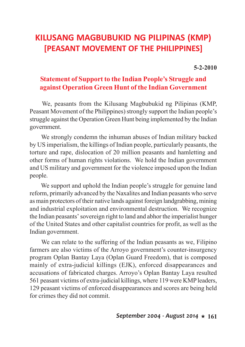# **KILUSANG MAGBUBUKID NG PILIPINAS (KMP) [PEASANT MOVEMENT OF THE PHILIPPINES]**

### **5-2-2010**

## **Statement of Support to the Indian People's Struggle and against Operation Green Hunt of the Indian Government**

 We, peasants from the Kilusang Magbubukid ng Pilipinas (KMP, Peasant Movement of the Philippines) strongly support the Indian people's struggle against the Operation Green Hunt being implemented by the Indian government.

 We strongly condemn the inhuman abuses of Indian military backed by US imperialism, the killings of Indian people, particularly peasants, the torture and rape, dislocation of 20 million peasants and hamletting and other forms of human rights violations. We hold the Indian government and US military and government for the violence imposed upon the Indian people.

We support and uphold the Indian people's struggle for genuine land reform, primarily advanced by the Naxalites and Indian peasants who serve as main protectors of their native lands against foreign landgrabbing, mining and industrial exploitation and environmental destruction. We recognize the Indian peasants' sovereign right to land and abhor the imperialist hunger of the United States and other capitalist countries for profit, as well as the Indian government.

We can relate to the suffering of the Indian peasants as we, Filipino farmers are also victims of the Arroyo government's counter-insurgency program Oplan Bantay Laya (Oplan Guard Freedom), that is composed mainly of extra-judicial killings (EJK), enforced disappearances and accusations of fabricated charges. Arroyo's Oplan Bantay Laya resulted 561 peasant victims of extra-judicial killings, where 119 were KMP leaders, 129 peasant victims of enforced disappearances and scores are being held for crimes they did not commit.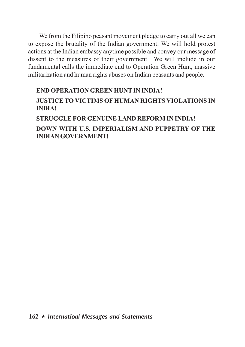We from the Filipino peasant movement pledge to carry out all we can to expose the brutality of the Indian government. We will hold protest actions at the Indian embassy anytime possible and convey our message of dissent to the measures of their government. We will include in our fundamental calls the immediate end to Operation Green Hunt, massive militarization and human rights abuses on Indian peasants and people.

## **END OPERATION GREEN HUNT IN INDIA! JUSTICE TO VICTIMS OF HUMAN RIGHTS VIOLATIONS IN INDIA! STRUGGLE FOR GENUINE LAND REFORM IN INDIA!**

**DOWN WITH U.S. IMPERIALISM AND PUPPETRY OF THE INDIAN GOVERNMENT!**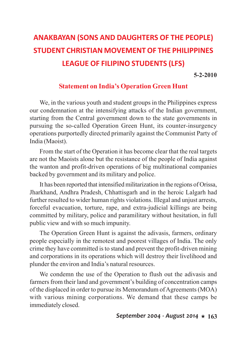# **ANAKBAYAN (SONS AND DAUGHTERS OF THE PEOPLE) STUDENT CHRISTIAN MOVEMENT OF THE PHILIPPINES LEAGUE OF FILIPINO STUDENTS (LFS)**

**5-2-2010**

## **Statement on India's Operation Green Hunt**

We, in the various youth and student groups in the Philippines express our condemnation at the intensifying attacks of the Indian government, starting from the Central government down to the state governments in pursuing the so-called Operation Green Hunt, its counter-insurgency operations purportedly directed primarily against the Communist Party of India (Maoist).

From the start of the Operation it has become clear that the real targets are not the Maoists alone but the resistance of the people of India against the wanton and profit-driven operations of big multinational companies backed by government and its military and police.

It has been reported that intensified militarization in the regions of Orissa, Jharkhand, Andhra Pradesh, Chhattisgarh and in the heroic Lalgarh had further resulted to wider human rights violations. Illegal and unjust arrests, forceful evacuation, torture, rape, and extra-judicial killings are being committed by military, police and paramilitary without hesitation, in full public view and with so much impunity.

The Operation Green Hunt is against the adivasis, farmers, ordinary people especially in the remotest and poorest villages of India. The only crime they have committed is to stand and prevent the profit-driven mining and corporations in its operations which will destroy their livelihood and plunder the environ and India's natural resources.

We condemn the use of the Operation to flush out the adivasis and farmers from their land and government's building of concentration camps of the displaced in order to pursue its Memorandum of Agreements (MOA) with various mining corporations. We demand that these camps be immediately closed.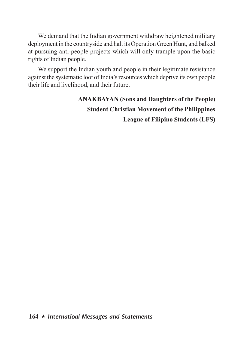We demand that the Indian government withdraw heightened military deployment in the countryside and halt its Operation Green Hunt, and balked at pursuing anti-people projects which will only trample upon the basic rights of Indian people.

We support the Indian youth and people in their legitimate resistance against the systematic loot of India's resources which deprive its own people their life and livelihood, and their future.

## **ANAKBAYAN (Sons and Daughters of the People) Student Christian Movement of the Philippines League of Filipino Students (LFS)**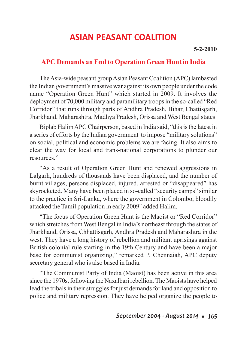# **ASIAN PEASANT COALITION**

#### **5-2-2010**

### **APC Demands an End to Operation Green Hunt in India**

The Asia-wide peasant group Asian Peasant Coalition (APC) lambasted the Indian government's massive war against its own people under the code name "Operation Green Hunt" which started in 2009. It involves the deployment of 70,000 military and paramilitary troops in the so-called "Red Corridor" that runs through parts of Andhra Pradesh, Bihar, Chattisgarh, Jharkhand, Maharashtra, Madhya Pradesh, Orissa and West Bengal states.

Biplab Halim APC Chairperson, based in India said, "this is the latest in a series of efforts by the Indian government to impose "military solutions" on social, political and economic problems we are facing. It also aims to clear the way for local and trans-national corporations to plunder our resources."

"As a result of Operation Green Hunt and renewed aggressions in Lalgarh, hundreds of thousands have been displaced, and the number of burnt villages, persons displaced, injured, arrested or "disappeared" has skyrocketed. Many have been placed in so-called "security camps" similar to the practice in Sri-Lanka, where the government in Colombo, bloodily attacked the Tamil population in early 2009" added Halim.

"The focus of Operation Green Hunt is the Maoist or "Red Corridor" which stretches from West Bengal in India's northeast through the states of Jharkhand, Orissa, Chhattisgarh, Andhra Pradesh and Maharashtra in the west. They have a long history of rebellion and militant uprisings against British colonial rule starting in the 19th Century and have been a major base for communist organizing," remarked P. Chennaiah, APC deputy secretary general who is also based in India.

"The Communist Party of India (Maoist) has been active in this area since the 1970s, following the Naxalbari rebellion. The Maoists have helped lead the tribals in their struggles for just demands for land and opposition to police and military repression. They have helped organize the people to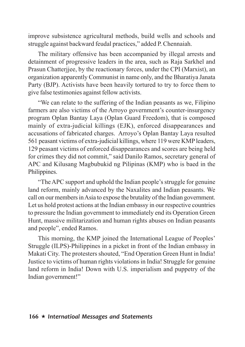improve subsistence agricultural methods, build wells and schools and struggle against backward feudal practices," added P. Chennaiah.

The military offensive has been accompanied by illegal arrests and detainment of progressive leaders in the area, such as Raja Sarkhel and Prasun Chatterjjee, by the reactionary forces, under the CPI (Marxist), an organization apparently Communist in name only, and the Bharatiya Janata Party (BJP). Activists have been heavily tortured to try to force them to give false testimonies against fellow activists.

"We can relate to the suffering of the Indian peasants as we, Filipino farmers are also victims of the Arroyo government's counter-insurgency program Oplan Bantay Laya (Oplan Guard Freedom), that is composed mainly of extra-judicial killings (EJK), enforced disappearances and accusations of fabricated charges. Arroyo's Oplan Bantay Laya resulted 561 peasant victims of extra-judicial killings, where 119 were KMP leaders, 129 peasant victims of enforced disappearances and scores are being held for crimes they did not commit," said Danilo Ramos, secretary general of APC and Kilusang Magbubukid ng Pilipinas (KMP) who is baed in the Philippines.

"The APC support and uphold the Indian people's struggle for genuine land reform, mainly advanced by the Naxalites and Indian peasants. We call on our members in Asia to expose the brutality of the Indian government. Let us hold protest actions at the Indian embassy in our respective countries to pressure the Indian government to immediately end its Operation Green Hunt, massive militarization and human rights abuses on Indian peasants and people", ended Ramos.

This morning, the KMP joined the International League of Peoples' Struggle (ILPS)-Philippines in a picket in front of the Indian embassy in Makati City. The protesters shouted, "End Operation Green Hunt in India! Justice to victims of human rights violations in India! Struggle for genuine land reform in India! Down with U.S. imperialism and puppetry of the Indian government!"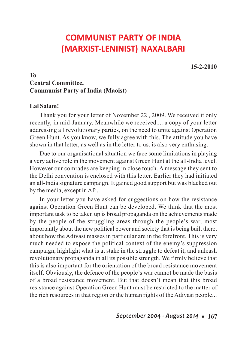# **COMMUNIST PARTY OF INDIA (MARXIST-LENINIST) NAXALBARI**

**15-2-2010**

### **To Central Committee, Communist Party of India (Maoist)**

#### **Lal Salam!**

Thank you for your letter of November 22 , 2009. We received it only recently, in mid-January. Meanwhile we received.... a copy of your letter addressing all revolutionary parties, on the need to unite against Operation Green Hunt. As you know, we fully agree with this. The attitude you have shown in that letter, as well as in the letter to us, is also very enthusing.

Due to our organisational situation we face some limitations in playing a very active role in the movement against Green Hunt at the all-India level. However our comrades are keeping in close touch. A message they sent to the Delhi convention is enclosed with this letter. Earlier they had initiated an all-India signature campaign. It gained good support but was blacked out by the media, except in AP...

In your letter you have asked for suggestions on how the resistance against Operation Green Hunt can be developed. We think that the most important task to be taken up is broad propaganda on the achievements made by the people of the struggling areas through the people's war, most importantly about the new political power and society that is being built there, about how the Adivasi masses in particular are in the forefront. This is very much needed to expose the political context of the enemy's suppression campaign, highlight what is at stake in the struggle to defeat it, and unleash revolutionary propaganda in all its possible strength. We firmly believe that this is also important for the orientation of the broad resistance movement itself. Obviously, the defence of the people's war cannot be made the basis of a broad resistance movement. But that doesn't mean that this broad resistance against Operation Green Hunt must be restricted to the matter of the rich resources in that region or the human rights of the Adivasi people...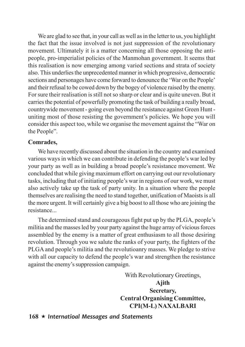We are glad to see that, in your call as well as in the letter to us, you highlight the fact that the issue involved is not just suppression of the revolutionary movement. Ultimately it is a matter concerning all those opposing the antipeople, pro-imperialist policies of the Manmohan government. It seems that this realisation is now emerging among varied sections and strata of society also. This underlies the unprecedented manner in which progressive, democratic sections and personages have come forward to denounce the 'War on the People' and their refusal to be cowed down by the bogey of violence raised by the enemy. For sure their realisation is still not so sharp or clear and is quite uneven. But it carries the potential of powerfully promoting the task of building a really broad, countrywide movement - going even beyond the resistance against Green Hunt uniting most of those resisting the government's policies. We hope you will consider this aspect too, while we organise the movement against the "War on the People".

### **Comrades,**

We have recently discussed about the situation in the country and examined various ways in which we can contribute in defending the people's war led by your party as well as in building a broad people's resistance movement. We concluded that while giving maximum effort on carrying out our revolutionary tasks, including that of initiating people's war in regions of our work, we must also actively take up the task of party unity. In a situation where the people themselves are realising the need to stand together, unification of Maoists is all the more urgent. It will certainly give a big boost to all those who are joining the resistance...

The determined stand and courageous fight put up by the PLGA, people's militia and the masses led by your party against the huge array of vicious forces assembled by the enemy is a matter of great enthusiasm to all those desiring revolution. Through you we salute the ranks of your party, the fighters of the PLGA and people's militia and the revolutioanry masses. We pledge to strive with all our capacity to defend the people's war and strengthen the resistance against the enemy's suppression campaign.

> With Revolutionary Greetings, **Ajith Secretary, Central Organising Committee, CPI(M-L) NAXALBARI**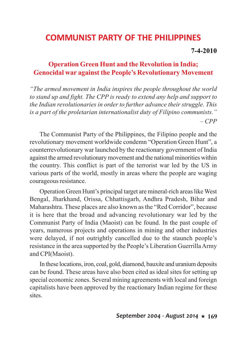# **COMMUNIST PARTY OF THE PHILIPPINES**

**7-4-2010**

## **Operation Green Hunt and the Revolution in India; Genocidal war against the People's Revolutionary Movement**

*"The armed movement in India inspires the people throughout the world to stand up and fight. The CPP is ready to extend any help and support to the Indian revolutionaries in order to further advance their struggle. This is a part of the proletarian internationalist duty of Filipino communists."*

*– CPP*

The Communist Party of the Philippines, the Filipino people and the revolutionary movement worldwide condemn "Operation Green Hunt", a counterrevolutionary war launched by the reactionary government of India against the armed revolutionary movement and the national minorities within the country. This conflict is part of the terrorist war led by the US in various parts of the world, mostly in areas where the people are waging courageous resistance.

Operation Green Hunt's principal target are mineral-rich areas like West Bengal, Jharkhand, Orissa, Chhattisgarh, Andhra Pradesh, Bihar and Maharashtra. These places are also known as the "Red Corridor", because it is here that the broad and advancing revolutionary war led by the Communist Party of India (Maoist) can be found. In the past couple of years, numerous projects and operations in mining and other industries were delayed, if not outrightly cancelled due to the staunch people's resistance in the area supported by the People's Liberation Guerrilla Army and CPI(Maoist).

In these locations, iron, coal, gold, diamond, bauxite and uranium deposits can be found. These areas have also been cited as ideal sites for setting up special economic zones. Several mining agreements with local and foreign capitalists have been approved by the reactionary Indian regime for these **sites**.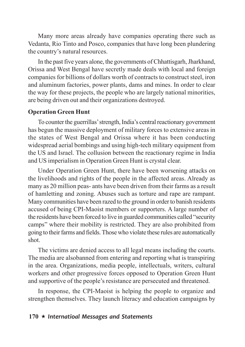Many more areas already have companies operating there such as Vedanta, Rio Tinto and Posco, companies that have long been plundering the country's natural resources.

In the past five years alone, the governments of Chhattisgarh, Jharkhand, Orissa and West Bengal have secretly made deals with local and foreign companies for billions of dollars worth of contracts to construct steel, iron and aluminum factories, power plants, dams and mines. In order to clear the way for these projects, the people who are largely national minorities, are being driven out and their organizations destroyed.

#### **Operation Green Hunt**

To counter the guerrillas' strength, India's central reactionary government has begun the massive deployment of military forces to extensive areas in the states of West Bengal and Orissa where it has been conducting widespread aerial bombings and using high-tech military equipment from the US and Israel. The collusion between the reactionary regime in India and US imperialism in Operation Green Hunt is crystal clear.

Under Operation Green Hunt, there have been worsening attacks on the livelihoods and rights of the people in the affected areas. Already as many as 20 million peas- ants have been driven from their farms as a result of hamletting and zoning. Abuses such as torture and rape are rampant. Many communities have been razed to the ground in order to banish residents accused of being CPI-Maoist members or supporters. A large number of the residents have been forced to live in guarded communities called "security camps" where their mobility is restricted. They are also prohibited from going to their farms and fields. Those who violate these rules are automatically shot.

The victims are denied access to all legal means including the courts. The media are alsobanned from entering and reporting what is transpiring in the area. Organizations, media people, intellectuals, writers, cultural workers and other progressive forces opposed to Operation Green Hunt and supportive of the people's resistance are persecuted and threatened.

In response, the CPI-Maoist is helping the people to organize and strengthen themselves. They launch literacy and education campaigns by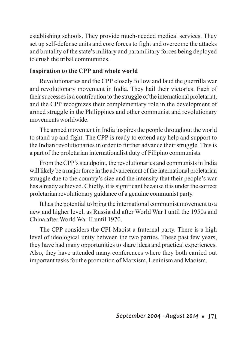establishing schools. They provide much-needed medical services. They set up self-defense units and core forces to fight and overcome the attacks and brutality of the state's military and paramilitary forces being deployed to crush the tribal communities.

## **Inspiration to the CPP and whole world**

Revolutionaries and the CPP closely follow and laud the guerrilla war and revolutionary movement in India. They hail their victories. Each of their successes is a contribution to the struggle of the international proletariat, and the CPP recognizes their complementary role in the development of armed struggle in the Philippines and other communist and revolutionary movements worldwide.

The armed movement in India inspires the people throughout the world to stand up and fight. The CPP is ready to extend any help and support to the Indian revolutionaries in order to further advance their struggle. This is a part of the proletarian internationalist duty of Filipino communists.

From the CPP's standpoint, the revolutionaries and communists in India will likely be a major force in the advancement of the international proletarian struggle due to the country's size and the intensity that their people's war has already achieved. Chiefly, it is significant because it is under the correct proletarian revolutionary guidance of a genuine communist party.

It has the potential to bring the international communist movement to a new and higher level, as Russia did after World War I until the 1950s and China after World War II until 1970.

The CPP considers the CPI-Maoist a fraternal party. There is a high level of ideological unity between the two parties. These past few years, they have had many opportunities to share ideas and practical experiences. Also, they have attended many conferences where they both carried out important tasks for the promotion of Marxism, Leninism and Maoism.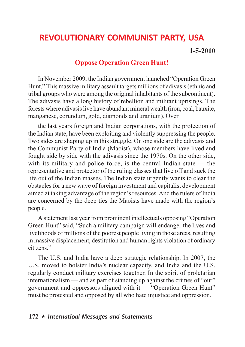# **REVOLUTIONARY COMMUNIST PARTY, USA**

**1-5-2010**

## **Oppose Operation Green Hunt!**

In November 2009, the Indian government launched "Operation Green Hunt." This massive military assault targets millions of adivasis (ethnic and tribal groups who were among the original inhabitants of the subcontinent). The adivasis have a long history of rebellion and militant uprisings. The forests where adivasis live have abundant mineral wealth (iron, coal, bauxite, manganese, corundum, gold, diamonds and uranium). Over

the last years foreign and Indian corporations, with the protection of the Indian state, have been exploiting and violently suppressing the people. Two sides are shaping up in this struggle. On one side are the adivasis and the Communist Party of India (Maoist), whose members have lived and fought side by side with the adivasis since the 1970s. On the other side, with its military and police force, is the central Indian state — the representative and protector of the ruling classes that live off and suck the life out of the Indian masses. The Indian state urgently wants to clear the obstacles for a new wave of foreign investment and capitalist development aimed at taking advantage of the region's resources. And the rulers of India are concerned by the deep ties the Maoists have made with the region's people.

A statement last year from prominent intellectuals opposing "Operation Green Hunt" said, "Such a military campaign will endanger the lives and livelihoods of millions of the poorest people living in those areas, resulting in massive displacement, destitution and human rights violation of ordinary citizens<sup>"</sup>

The U.S. and India have a deep strategic relationship. In 2007, the U.S. moved to bolster India's nuclear capacity, and India and the U.S. regularly conduct military exercises together. In the spirit of proletarian internationalism — and as part of standing up against the crimes of "our" government and oppressors aligned with it — "Operation Green Hunt" must be protested and opposed by all who hate injustice and oppression.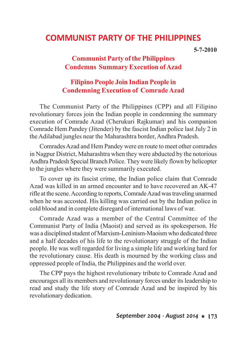# **COMMUNIST PARTY OF THE PHILIPPINES**

**5-7-2010**

## **Communist Party of the Philippines Condemns Summary Execution of Azad**

## **Filipino People Join Indian People in Condemning Execution of Comrade Azad**

The Communist Party of the Philippines (CPP) and all Filipino revolutionary forces join the Indian people in condemning the summary execution of Comrade Azad (Cherukuri Rajkumar) and his companion Comrade Hem Pandey (Jitender) by the fascist Indian police last July 2 in the Adilabad jungles near the Maharashtra border, Andhra Pradesh.

Comrades Azad and Hem Pandey were en route to meet other comrades in Nagpur District, Maharashtra when they were abducted by the notorious Andhra Pradesh Special Branch Police. They were likely flown by helicopter to the jungles where they were summarily executed.

To cover up its fascist crime, the Indian police claim that Comrade Azad was killed in an armed encounter and to have recovered an AK-47 rifle at the scene. According to reports, Comrade Azad was traveling unarmed when he was accosted. His killing was carried out by the Indian police in cold blood and in complete disregard of international laws of war.

Comrade Azad was a member of the Central Committee of the Communist Party of India (Maoist) and served as its spokesperson. He was a disciplined student of Marxism-Leninism-Maoism who dedicated three and a half decades of his life to the revolutionary struggle of the Indian people. He was well regarded for living a simple life and working hard for the revolutionary cause. His death is mourned by the working class and oppressed people of India, the Philippines and the world over.

The CPP pays the highest revolutionary tribute to Comrade Azad and encourages all its members and revolutionary forces under its leadership to read and study the life story of Comrade Azad and be inspired by his revolutionary dedication.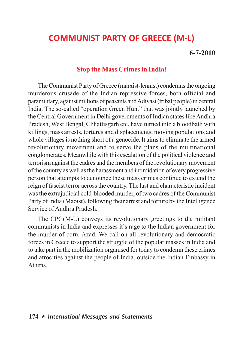## **COMMUNIST PARTY OF GREECE (M-L)**

**6-7-2010**

### **Stop the Mass Crimes in India!**

The Communist Party of Greece (marxist-lennist) condemns the ongoing murderous crusade of the Indian repressive forces, both official and paramilitary, against millions of peasants and Adivasi (tribal people) in central India. The so-called "operation Green Hunt" that was jointly launched by the Central Government in Delhi governments of Indian states like Andhra Pradesh, West Bengal, Chhattisgarh etc, have turned into a bloodbath with killings, mass arrests, tortures and displacements, moving populations and whole villages is nothing short of a genocide. It aims to eliminate the armed revolutionary movement and to serve the plans of the multinational conglomerates. Meanwhile with this escalation of the political violence and terrorism against the cadres and the members of the revolutionary movement of the country as well as the harassment and intimidation of every progressive person that attempts to denounce these mass crimes continue to extend the reign of fascist terror across the country. The last and characteristic incident was the extrajudicial cold-blooded murder, of two cadres of the Communist Party of India (Maoist), following their arrest and torture by the Intelligence Service of Andhra Pradesh.

The CPG(M-L) conveys its revolutionary greetings to the militant communists in India and expresses it's rage to the Indian government for the murder of corn. Azad. We call on all revolutionary and democratic forces in Greece to support the struggle of the popular masses in India and to take part in the mobilization organised for today to condemn these crimes and atrocities against the people of India, outside the Indian Embassy in Athens.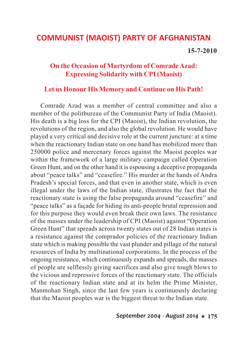## **COMMUNIST (MAOIST) PARTY OF AFGHANISTAN**

**15-7-2010**

## **On the Occasion of Martyrdom of Comrade Azad: Expressing Solidarity with CPI (Maoist)**

### **Let us Honour His Memory and Continue on His Path!**

Comrade Azad was a member of central committee and also a member of the politbureau of the Communist Party of India (Maoist). His death is a big loss for the CPI (Maoist), the Indian revolution, the revolutions of the region, and also the global revolution. He would have played a very critical and decisive role at the current juncture: at a time when the reactionary Indian state on one hand has mobilized more than 250000 police and mercenary forces against the Maoist peoples war within the framework of a large military campaign called Operation Green Hunt, and on the other hand it is espousing a deceptive propaganda about "peace talks" and "ceasefire." His murder at the hands of Andra Pradesh's special forces, and that even in another state, which is even illegal under the laws of the Indian state, illustrates the fact that the reactionary state is using the false propaganda around "ceasefire" and "peace talks" as a façade for hiding its anti-people brutal repression and for this purpose they would even break their own laws. The resistance of the masses under the leadership of CPI (Maoist) against "Operation Green Hunt" that spreads across twenty states out of 28 Indian states is a resistance against the comprador policies of the reactionary Indian state which is making possible the vast plunder and pillage of the natural resources of India by multinational corporations. In the process of the ongoing resistance, which continuously expands and spreads, the masses of people are selflessly giving sacrifices and also give tough blows to the vicious and repressive forces of the reactionary state. The officials of the reactionary Indian state and at its helm the Prime Minister, Manmohan Singh, since the last few years is continuously declaring that the Maoist peoples war is the biggest threat to the Indian state.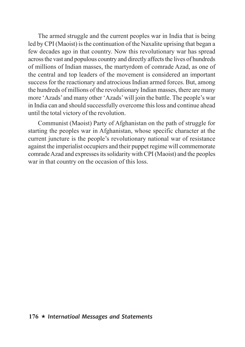The armed struggle and the current peoples war in India that is being led by CPI (Maoist) is the continuation of the Naxalite uprising that began a few decades ago in that country. Now this revolutionary war has spread across the vast and populous country and directly affects the lives of hundreds of millions of Indian masses, the martyrdom of comrade Azad, as one of the central and top leaders of the movement is considered an important success for the reactionary and atrocious Indian armed forces. But, among the hundreds of millions of the revolutionary Indian masses, there are many more 'Azads' and many other 'Azads' will join the battle. The people's war in India can and should successfully overcome this loss and continue ahead until the total victory of the revolution.

Communist (Maoist) Party of Afghanistan on the path of struggle for starting the peoples war in Afghanistan, whose specific character at the current juncture is the people's revolutionary national war of resistance against the imperialist occupiers and their puppet regime will commemorate comrade Azad and expresses its solidarity with CPI (Maoist) and the peoples war in that country on the occasion of this loss.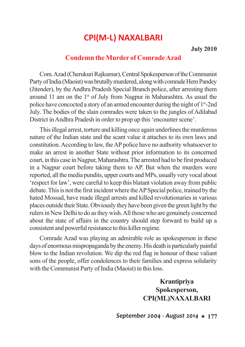# **CPI(M-L) NAXALBARI**

#### **July 2010**

### **Condemn the Murder of Comrade Azad**

Com. Azad (Cherukuri Rajkumar), Central Spokesperson of the Communist Party of India (Maoist) was brutally murdered, along with comrade Hem Pandey (Jitender), by the Andhra Pradesh Special Branch police, after arresting them around 11 am on the 1st of July from Nagpur in Maharashtra. As usual the police have concocted a story of an armed encounter during the night of 1st-2nd July. The bodies of the slain comrades were taken to the jungles of Adilabad District in Andhra Pradesh in order to prop up this 'encounter scene'.

This illegal arrest, torture and killing once again underlines the murderous nature of the Indian state and the scant value it attaches to its own laws and constitution. According to law, the AP police have no authority whatsoever to make an arrest in another State without prior information to its concerned court, in this case in Nagpur, Maharashtra. The arrested had to be first produced in a Nagpur court before taking them to AP. But when the murders were reported, all the media pundits, upper courts and MPs, usually very vocal about 'respect for law', were careful to keep this blatant violation away from public debate. This is not the first incident where the AP Special police, trained by the hated Mossad, have made illegal arrests and killed revolutionaries in various places outside their State. Obviously they have been given the green light by the rulers in New Delhi to do as they wish. All those who are genuinely concerned about the state of affairs in the country should step forward to build up a consistent and powerful resistance to this killer regime.

Comrade Azad was playing an admirable role as spokesperson in these days of enormous mispropaganda by the enemy. His death is particularly painful blow to the Indian revolution. We dip the red flag in honour of these valiant sons of the people, offer condolences to their families and express solidarity with the Communist Party of India (Maoist) in this loss.

> **Krantipriya Spokesperson, CPI(ML)NAXALBARI**

*September 2004 - August 2014* **177**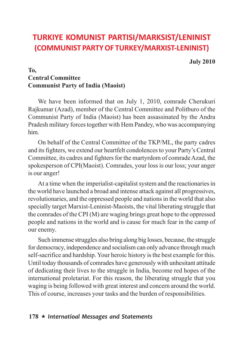# **TURKIYE KOMUNIST PARTISI/MARKSIST/LENINIST (COMMUNIST PARTY OF TURKEY/MARXIST-LENINIST)**

**July 2010**

## **To, Central Committee Communist Party of India (Maoist)**

We have been informed that on July 1, 2010, comrade Cherukuri Rajkumar (Azad), member of the Central Committee and Politburo of the Communist Party of India (Maoist) has been assassinated by the Andra Pradesh military forces together with Hem Pandey, who was accompanying him.

On behalf of the Central Committee of the TKP/ML, the party cadres and its fighters, we extend our heartfelt condolences to your Party's Central Committee, its cadres and fighters for the martyrdom of comrade Azad, the spokesperson of CPI(Maoist). Comrades, your loss is our loss; your anger is our anger!

At a time when the imperialist-capitalist system and the reactionaries in the world have launched a broad and intense attack against all progressives, revolutionaries, and the oppressed people and nations in the world that also specially target Marxist-Leninist-Maoists, the vital liberating struggle that the comrades of the CPI (M) are waging brings great hope to the oppressed people and nations in the world and is cause for much fear in the camp of our enemy.

Such immense struggles also bring along big losses, because, the struggle for democracy, independence and socialism can only advance through much self-sacrifice and hardship. Your heroic history is the best example for this. Until today thousands of comrades have generously with unhesitant attitude of dedicating their lives to the struggle in India, become red hopes of the international proletariat. For this reason, the liberating struggle that you waging is being followed with great interest and concern around the world. This of course, increases your tasks and the burden of responsibilities.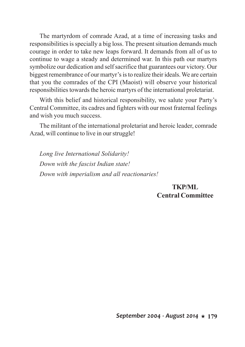The martyrdom of comrade Azad, at a time of increasing tasks and responsibilities is specially a big loss. The present situation demands much courage in order to take new leaps forward. It demands from all of us to continue to wage a steady and determined war. In this path our martyrs symbolize our dedication and self sacrifice that guarantees our victory. Our biggest remembrance of our martyr's is to realize their ideals. We are certain that you the comrades of the CPI (Maoist) will observe your historical responsibilities towards the heroic martyrs of the international proletariat.

With this belief and historical responsibility, we salute your Party's Central Committee, its cadres and fighters with our most fraternal feelings and wish you much success.

The militant of the international proletariat and heroic leader, comrade Azad, will continue to live in our struggle!

*Long live International Solidarity! Down with the fascist Indian state! Down with imperialism and all reactionaries!*

## **TKP/ML Central Committee**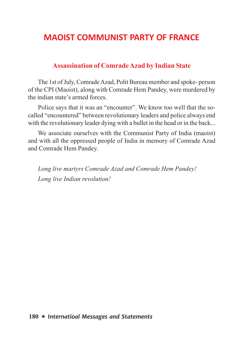# **MAOIST COMMUNIST PARTY OF FRANCE**

## **Assassination of Comrade Azad by Indian State**

The 1st of July, Comrade Azad, Polit Bureau member and spoke- person of the CPI (Maoist), along with Comrade Hem Pandey, were murdered by the indian state's armed forces.

Police says that it was an "encounter". We know too well that the socalled "encountered" between revolutionary leaders and police always end with the revolutionary leader dying with a bullet in the head or in the back...

We associate ourselves with the Communist Party of India (maoist) and with all the oppressed people of India in memory of Comrade Azad and Comrade Hem Pandey.

*Long live martyrs Comrade Azad and Comrade Hem Pandey! Long live Indian revolution!*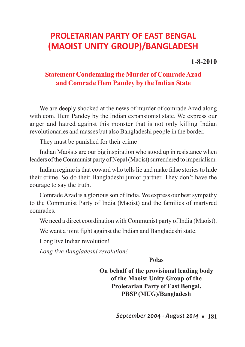# **PROLETARIAN PARTY OF EAST BENGAL (MAOIST UNITY GROUP)/BANGLADESH**

#### **1-8-2010**

### **Statement Condemning the Murder of Comrade Azad and Comrade Hem Pandey by the Indian State**

We are deeply shocked at the news of murder of comrade Azad along with com. Hem Pandey by the Indian expansionist state. We express our anger and hatred against this monster that is not only killing Indian revolutionaries and masses but also Bangladeshi people in the border.

They must be punished for their crime!

Indian Maoists are our big inspiration who stood up in resistance when leaders of the Communist party of Nepal (Maoist) surrendered to imperialism.

Indian regime is that coward who tells lie and make false stories to hide their crime. So do their Bangladeshi junior partner. They don't have the courage to say the truth.

Comrade Azad is a glorious son of India. We express our best sympathy to the Communist Party of India (Maoist) and the families of martyred comrades.

We need a direct coordination with Communist party of India (Maoist).

We want a joint fight against the Indian and Bangladeshi state.

Long live Indian revolution!

*Long live Bangladeshi revolution!*

#### **Polas**

**On behalf of the provisional leading body of the Maoist Unity Group of the Proletarian Party of East Bengal, PBSP (MUG)/Bangladesh**

*September 2004 - August 2014* **181**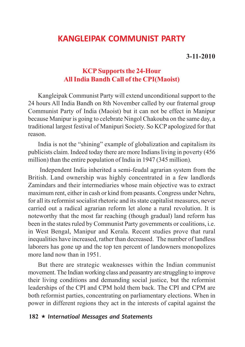## **KANGLEIPAK COMMUNIST PARTY**

#### **3-11-2010**

### **KCP Supports the 24-Hour All India Bandh Call of the CPI(Maoist)**

Kangleipak Communist Party will extend unconditional support to the 24 hours All India Bandh on 8th November called by our fraternal group Communist Party of India (Maoist) but it can not be effect in Manipur because Manipur is going to celebrate Ningol Chakouba on the same day, a traditional largest festival of Manipuri Society. So KCP apologized for that reason.

India is not the "shining" example of globalization and capitalism its publicists claim. Indeed today there are more Indians living in poverty (456 million) than the entire population of India in 1947 (345 million).

 Independent India inherited a semi-feudal agrarian system from the British. Land ownership was highly concentrated in a few landlords Zamindars and their intermediaries whose main objective was to extract maximum rent, either in cash or kind from peasants. Congress under Nehru, for all its reformist socialist rhetoric and its state capitalist measures, never carried out a radical agrarian reform let alone a rural revolution. It is noteworthy that the most far reaching (though gradual) land reform has been in the states ruled by Communist Party governments or coalitions, i.e. in West Bengal, Manipur and Kerala. Recent studies prove that rural inequalities have increased, rather than decreased. The number of landless laborers has gone up and the top ten percent of landowners monopolizes more land now than in 1951.

But there are strategic weaknesses within the Indian communist movement. The Indian working class and peasantry are struggling to improve their living conditions and demanding social justice, but the reformist leaderships of the CPI and CPM hold them back. The CPI and CPM are both reformist parties, concentrating on parliamentary elections. When in power in different regions they act in the interests of capital against the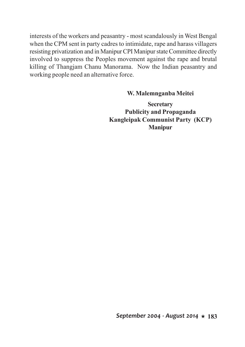interests of the workers and peasantry - most scandalously in West Bengal when the CPM sent in party cadres to intimidate, rape and harass villagers resisting privatization and in Manipur CPI Manipur state Committee directly involved to suppress the Peoples movement against the rape and brutal killing of Thangjam Chanu Manorama. Now the Indian peasantry and working people need an alternative force.

#### **W. Malemnganba Meitei**

**Secretary Publicity and Propaganda Kangleipak Communist Party (KCP) Manipur**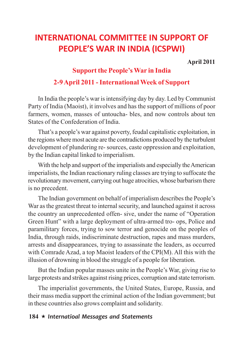# **INTERNATIONAL COMMITTEE IN SUPPORT OF PEOPLE'S WAR IN INDIA (ICSPWI)**

#### **April 2011**

# **Support the People's War in India 2-9 April 2011 - International Week of Support**

In India the people's war is intensifying day by day. Led by Communist Party of India (Maoist), it involves and has the support of millions of poor farmers, women, masses of untoucha- bles, and now controls about ten States of the Confederation of India.

That's a people's war against poverty, feudal capitalistic exploitation, in the regions where most acute are the contradictions produced by the turbulent development of plundering re- sources, caste oppression and exploitation, by the Indian capital linked to imperialism.

With the help and support of the imperialists and especially the American imperialists, the Indian reactionary ruling classes are trying to suffocate the revolutionary movement, carrying out huge atrocities, whose barbarism there is no precedent.

The Indian government on behalf of imperialism describes the People's War as the greatest threat to internal security, and launched against it across the country an unprecedented offen- sive, under the name of "Operation Green Hunt" with a large deployment of ultra-armed tro- ops, Police and paramilitary forces, trying to sow terror and genocide on the peoples of India, through raids, indiscriminate destruction, rapes and mass murders, arrests and disappearances, trying to assassinate the leaders, as occurred with Comrade Azad, a top Maoist leaders of the CPI(M). All this with the illusion of drowning in blood the struggle of a people for liberation.

But the Indian popular masses unite in the People's War, giving rise to large protests and strikes against rising prices, corruption and state terrorism.

The imperialist governments, the United States, Europe, Russia, and their mass media support the criminal action of the Indian government; but in these countries also grows complaint and solidarity.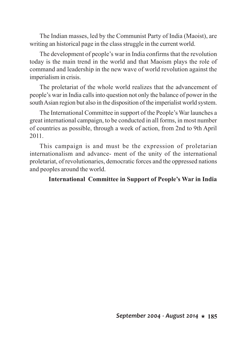The Indian masses, led by the Communist Party of India (Maoist), are writing an historical page in the class struggle in the current world.

The development of people's war in India confirms that the revolution today is the main trend in the world and that Maoism plays the role of command and leadership in the new wave of world revolution against the imperialism in crisis.

The proletariat of the whole world realizes that the advancement of people's war in India calls into question not only the balance of power in the south Asian region but also in the disposition of the imperialist world system.

The International Committee in support of the People's War launches a great international campaign, to be conducted in all forms, in most number of countries as possible, through a week of action, from 2nd to 9th April 2011.

This campaign is and must be the expression of proletarian internationalism and advance- ment of the unity of the international proletariat, of revolutionaries, democratic forces and the oppressed nations and peoples around the world.

#### **International Committee in Support of People's War in India**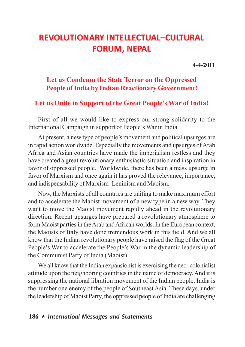# **REVOLUTIONARY INTELLECTUAL–CULTURAL FORUM, NEPAL**

**4-4-2011**

### **Let us Condemn the State Terror on the Oppressed People of India by Indian Reactionary Government!**

#### **Let us Unite in Support of the Great People's War of India!**

First of all we would like to express our strong solidarity to the International Campaign in support of People's War in India.

At present, a new type of people's movement and political upsurges are in rapid action worldwide. Especially the movements and upsurges of Arab Africa and Asian countries have made the imperialism restless and they have created a great revolutionary enthusiastic situation and inspiration in favor of oppressed people. Worldwide, there has been a mass upsurge in favor of Marxism and once again it has proved the relevance, importance, and indispensability of Marxism–Leninism and Maoism.

Now, the Marxists of all countries are uniting to make maximum effort and to accelerate the Maoist movement of a new type in a new way. They want to move the Maoist movement rapidly ahead in the revolutionary direction. Recent upsurges have prepared a revolutionary atmosphere to form Maoist parties in the Arab and African worlds. In the European context, the Maoists of Italy have done tremendous work in this field. And we all know that the Indian revolutionary people have raised the flag of the Great People's War to accelerate the People's War in the dynamic leadership of the Communist Party of India (Maoist).

We all know that the Indian expansionist is exercising the neo–colonialist attitude upon the neighboring countries in the name of democracy. And it is suppressing the national libration movement of the Indian people. India is the number one enemy of the people of Southeast Asia. These days, under the leadership of Maoist Party, the oppressed people of India are challenging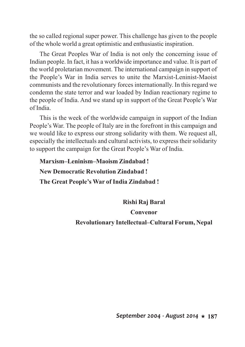the so called regional super power. This challenge has given to the people of the whole world a great optimistic and enthusiastic inspiration.

The Great Peoples War of India is not only the concerning issue of Indian people. In fact, it has a worldwide importance and value. It is part of the world proletarian movement. The international campaign in support of the People's War in India serves to unite the Marxist-Leninist-Maoist communists and the revolutionary forces internationally. In this regard we condemn the state terror and war loaded by Indian reactionary regime to the people of India. And we stand up in support of the Great People's War of India.

This is the week of the worldwide campaign in support of the Indian People's War. The people of Italy are in the forefront in this campaign and we would like to express our strong solidarity with them. We request all, especially the intellectuals and cultural activists, to express their solidarity to support the campaign for the Great People's War of India.

#### **Marxism–Leninism–Maoism Zindabad !**

#### **New Democratic Revolution Zindabad !**

#### **The Great People's War of India Zindabad !**

**Rishi Raj Baral**

#### **Convenor**

#### **Revolutionary Intellectual–Cultural Forum, Nepal**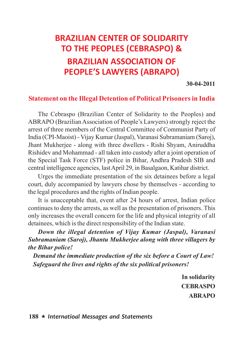# **BRAZILIAN CENTER OF SOLIDARITY TO THE PEOPLES (CEBRASPO) & BRAZILIAN ASSOCIATION OF PEOPLE'S LAWYERS (ABRAPO)**

#### **30-04-2011**

#### **Statement on the Illegal Detention of Political Prisoners in India**

The Cebraspo (Brazilian Center of Solidarity to the Peoples) and ABRAPO (Brazilian Association of People's Lawyers) strongly reject the arrest of three members of the Central Committee of Communist Party of India (CPI-Maoist) - Vijay Kumar (Jaspal), Varanasi Subramaniam (Saroj), Jhant Mukherjee - along with three dwellers - Rishi Shyam, Aniruddha Rishidev and Mohammad - all taken into custody after a joint operation of the Special Task Force (STF) police in Bihar, Andhra Pradesh SIB and central intelligence agencies, last April 29, in Basalgaon, Katihar district.

Urges the immediate presentation of the six detainees before a legal court, duly accompanied by lawyers chose by themselves - according to the legal procedures and the rights of Indian people.

It is unacceptable that, event after 24 hours of arrest, Indian police continues to deny the arrests, as well as the presentation of prisoners. This only increases the overall concern for the life and physical integrity of all detainees, which is the direct responsibility of the Indian state.

*Down the illegal detention of Vijay Kumar (Jaspal), Varanasi Subramaniam (Saroj), Jhantu Mukherjee along with three villagers by the Bihar police!*

*Demand the immediate production of the six before a Court of Law! Safeguard the lives and rights of the six political prisoners!*

> **In solidarity CEBRASPO ABRAPO**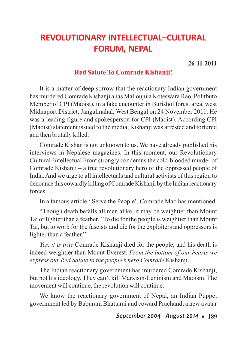# **REVOLUTIONARY INTELLECTUAL–CULTURAL FORUM, NEPAL**

#### **26-11-2011**

### **Red Salute To Comrade Kishanji!**

It is a matter of deep sorrow that the reactionary Indian government has murdered Comrade Kishanji alias Malloujula Koteswara Rao, Politbuto Member of CPI (Maoist), in a fake encounter in Burishol forest area, west Midnaport District, Jangalmahal, West Bengal on 24 November 2011. He was a leading figure and spokesperson for CPI (Maoist). According CPI (Maoist) statement issued to the media, Kishanji was arrested and tortured and then brutally killed.

Comrade Kishan is not unknown to us. We have already published his interviews in Nepalese magazines. In this moment, our Revolutionary Cultural-Intellectual Front strongly condemns the cold-blooded murder of Comrade Kishanji – a true revolutionary hero of the oppressed people of India. And we urge to all intellectuals and cultural activists of this region to denounce this cowardly killing of Comrade Kishanji by the Indian reactionary forces.

In a famous article ' Serve the People', Comrade Mao has mentioned:

"Though death befalls all men alike, it may be weightier than Mount Tai or lighter than a feather." To die for the people is weightier than Mount Tai, but to work for the fascists and die for the exploiters and oppressors is lighter than a feather."

*Yes, it is true* Comrade Kishanji died for the people, and his death is indeed weightier than Mount Everest. *From the bottom of our hearts we express our Red Salute to the people's hero Comrade* Kishanji.

The Indian reactionary government has murdered Comrade Kishanji, but not his ideology. They can't kill Marxism-Leninism and Maoism. The movement will continue, the revolution will continue.

We know the reactionary government of Nepal, an Indian Puppet government led by Baburam Bhattarai and coward Prachand, a new avatar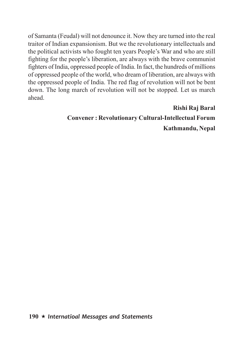of Samanta (Feudal) will not denounce it. Now they are turned into the real traitor of Indian expansionism. But we the revolutionary intellectuals and the political activists who fought ten years People's War and who are still fighting for the people's liberation, are always with the brave communist fighters of India, oppressed people of India. In fact, the hundreds of millions of oppressed people of the world, who dream of liberation, are always with the oppressed people of India. The red flag of revolution will not be bent down. The long march of revolution will not be stopped. Let us march ahead.

**Rishi Raj Baral**

# **Convener : Revolutionary Cultural-Intellectual Forum Kathmandu, Nepal**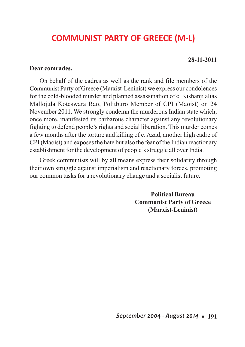# **COMMUNIST PARTY OF GREECE (M-L)**

#### **28-11-2011**

#### **Dear comrades,**

On behalf of the cadres as well as the rank and file members of the Communist Party of Greece (Marxist-Leninist) we express our condolences for the cold-blooded murder and planned assassination of c. Kishanji alias Mallojula Koteswara Rao, Politburo Member of CPI (Maoist) on 24 November 2011. We strongly condemn the murderous Indian state which, once more, manifested its barbarous character against any revolutionary fighting to defend people's rights and social liberation. This murder comes a few months after the torture and killing of c. Azad, another high cadre of CPI (Maoist) and exposes the hate but also the fear of the Indian reactionary establishment for the development of people's struggle all over India.

Greek communists will by all means express their solidarity through their own struggle against imperialism and reactionary forces, promoting our common tasks for a revolutionary change and a socialist future.

> **Political Bureau Communist Party of Greece (Marxist-Leninist)**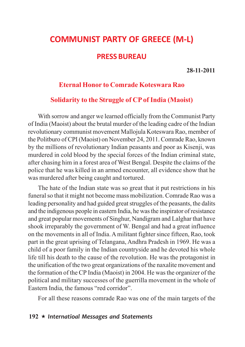# **COMMUNIST PARTY OF GREECE (M-L)**

### **PRESS BUREAU**

**28-11-2011**

### **Eternal Honor to Comrade Koteswara Rao**

#### **Solidarity to the Struggle of CP of India (Maoist)**

With sorrow and anger we learned officially from the Communist Party of India (Maoist) about the brutal murder of the leading cadre of the Indian revolutionary communist movement Mallojula Koteswara Rao, member of the Politburo of CPI (Maoist) on November 24, 2011. Comrade Rao, known by the millions of revolutionary Indian peasants and poor as Kisenji, was murdered in cold blood by the special forces of the Indian criminal state, after chasing him in a forest area of West Bengal. Despite the claims of the police that he was killed in an armed encounter, all evidence show that he was murdered after being caught and tortured.

The hate of the Indian state was so great that it put restrictions in his funeral so that it might not become mass mobilization. Comrade Rao was a leading personality and had guided great struggles of the peasants, the dalits and the indigenous people in eastern India, he was the inspirator of resistance and great popular movements of Singhur, Nandigram and Lalghar that have shook irreparably the government of W. Bengal and had a great influence on the movements in all of India. A militant fighter since fifteen, Rao, took part in the great uprising of Telangana, Andhra Pradesh in 1969. He was a child of a poor family in the Indian countryside and he devoted his whole life till his death to the cause of the revolution. He was the protagonist in the unification of the two great organizations of the naxalite movement and the formation of the CP India (Maoist) in 2004. He was the organizer of the political and military successes of the guerrilla movement in the whole of Eastern India, the famous "red corridor".

For all these reasons comrade Rao was one of the main targets of the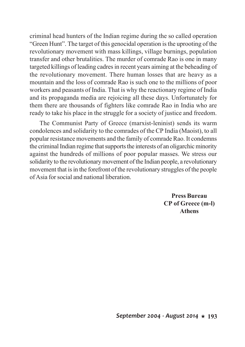criminal head hunters of the Indian regime during the so called operation "Green Hunt". The target of this genocidal operation is the uprooting of the revolutionary movement with mass killings, village burnings, population transfer and other brutalities. The murder of comrade Rao is one in many targeted killings of leading cadres in recent years aiming at the beheading of the revolutionary movement. There human losses that are heavy as a mountain and the loss of comrade Rao is such one to the millions of poor workers and peasants of India. That is why the reactionary regime of India and its propaganda media are rejoicing all these days. Unfortunately for them there are thousands of fighters like comrade Rao in India who are ready to take his place in the struggle for a society of justice and freedom.

The Communist Party of Greece (marxist-leninist) sends its warm condolences and solidarity to the comrades of the CP India (Maoist), to all popular resistance movements and the family of comrade Rao. It condemns the criminal Indian regime that supports the interests of an oligarchic minority against the hundreds of millions of poor popular masses. We stress our solidarity to the revolutionary movement of the Indian people, a revolutionary movement that is in the forefront of the revolutionary struggles of the people of Asia for social and national liberation.

> **Press Bureau CP of Greece (m-l) Athens**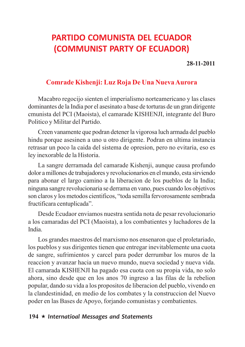# **PARTIDO COMUNISTA DEL ECUADOR (COMMUNIST PARTY OF ECUADOR)**

**28-11-2011**

### **Comrade Kishenji: Luz Roja De Una Nueva Aurora**

Macabro regocijo sienten el imperialismo norteamericano y las clases dominantes de la India por el asesinato a base de torturas de un gran dirigente cmunista del PCI (Maoista), el camarade KISHENJI, integrante del Buro Politico y Militar del Partido.

Creen vanamente que podran detener la vigorosa luch armada del pueblo hindu porque asesinen a uno u otro dirigente. Podran en ultima instancia retrasar un poco la caida del sistema de opresion, pero no evitaria, eso es ley inexorable de la Historia.

La sangre derramada del camarade Kishenji, aunque causa profundo dolor a millones de trabajadores y revolucionarios en el mundo, esta sirviendo para abonar el largo camino a la liberacion de los pueblos de la India; ninguna sangre revolucionaria se derrama en vano, pues cuando los objetivos son claros y los metodos cientificos, "toda semilla fervorosamente sembrada fructificara centuplicada".

Desde Ecudaor enviamos nuestra sentida nota de pesar revolucionario a los camaradas del PCI (Maoista), a los combatientes y luchadores de la India.

Los grandes maestros del marxismo nos ensenaron que el proletariado, los pueblos y sus dirigentes tienen que entregar inevitablemente una cuota de sangre, sufrimientos y carcel para poder derrumbar los muros de la reaccion y avanzar hacia un nuevo mundo, nueva sociedad y nueva vida. El camarada KISHENJI ha pagado esa cuota con su propia vida, no solo ahora, sino desde que en los anos 70 ingreso a las filas de la rebelion popular, dando su vida a los propositos de liberacion del pueblo, vivendo en la clandestinidad, en medio de los combates y la construccion del Nuevo poder en las Bases de Apoyo, forjando comunistas y combatientes.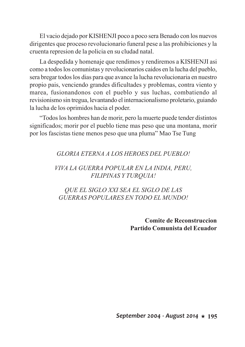El vacio dejado por KISHENJI poco a poco sera Benado con los nuevos dirigentes que proceso revolucionario funeral pese a las prohibiciones y la cruenta represion de la policia en su cludad natal.

La despedida y homenaje que rendimos y rendiremos a KISHENJI asi como a todos los comunistas y revolucionarios caidos en la lucha del pueblo, sera bregar todos los dias para que avance la lucha revolucionaria en nuestro propio pais, venciendo grandes dificultades y problemas, contra viento y marea, fusionandonos con el pueblo y sus luchas, combatiendo al revisionismo sin tregua, levantando el internacionalismo proletario, guiando la lucha de los oprimidos hacia el poder.

"Todos los hombres han de morir, pero la muerte puede tender distintos significados; morir por el pueblo tiene mas peso que una montana, morir por los fascistas tiene menos peso que una pluma" Mao Tse Tung

#### *GLORIA ETERNA A LOS HEROES DEL PUEBLO!*

#### *VIVA LA GUERRA POPULAR EN LA INDIA, PERU, FILIPINAS Y TURQUIA!*

#### *QUE EL SIGLO XXI SEA EL SIGLO DE LAS GUERRAS POPULARES EN TODO EL MUNDO!*

#### **Comite de Reconstruccion Partido Comunista del Ecuador**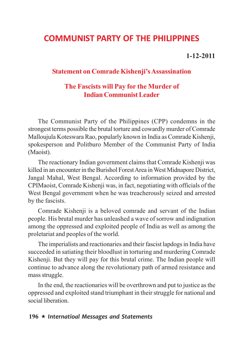### **COMMUNIST PARTY OF THE PHILIPPINES**

#### **1-12-2011**

#### **Statement on Comrade Kishenji's Assassination**

### **The Fascists will Pay for the Murder of Indian Communist Leader**

The Communist Party of the Philippines (CPP) condemns in the strongest terms possible the brutal torture and cowardly murder of Comrade Malloujula Koteswara Rao, popularly known in India as Comrade Kishenji, spokesperson and Politburo Member of the Communist Party of India (Maoist).

The reactionary Indian government claims that Comrade Kishenji was killed in an encounter in the Burishol Forest Area in West Midnapore District, Jangal Mahal, West Bengal. According to information provided by the CPIMaoist, Comrade Kishenji was, in fact, negotiating with officials of the West Bengal government when he was treacherously seized and arrested by the fascists.

Comrade Kishenii is a beloved comrade and servant of the Indian people. His brutal murder has unleashed a wave of sorrow and indignation among the oppressed and exploited people of India as well as among the proletariat and peoples of the world.

The imperialists and reactionaries and their fascist lapdogs in India have succeeded in satiating their bloodlust in torturing and murdering Comrade Kishenji. But they will pay for this brutal crime. The Indian people will continue to advance along the revolutionary path of armed resistance and mass struggle.

In the end, the reactionaries will be overthrown and put to justice as the oppressed and exploited stand triumphant in their struggle for national and social liberation.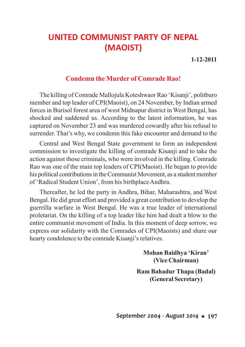# **UNITED COMMUNIST PARTY OF NEPAL (MAOIST)**

**1-12-2011**

#### **Condemn the Murder of Comrade Rao!**

The killing of Comrade Mallojula Koteshwaor Rao 'Kisanji', politburo member and top leader of CPI(Maoist), on 24 November, by Indian armed forces in Burisol forest area of west Midnapur district in West Bengal, has shocked and saddened us. According to the latest information, he was captured on November 23 and was murdered cowardly after his refusal to surrender. That's why, we condemn this fake encounter and demand to the

Central and West Bengal State government to form an independent commission to investigate the killing of comrade Kisanji and to take the action against those criminals, who were involved in the killing. Comrade Rao was one of the main top leaders of CPI(Maoist). He began to provide his political contributions in the Communist Movement, as a student member of 'Radical Student Union', from his birthplace Andhra.

Thereafter, he led the party in Andhra, Bihar, Maharashtra, and West Bengal. He did great effort and provided a great contribution to develop the guerrilla warfare in West Bengal. He was a true leader of international proletariat. On the killing of a top leader like him had dealt a blow to the entire communist movement of India. In this moment of deep sorrow, we express our solidarity with the Comrades of CPI(Maoists) and share our hearty condolence to the comrade Kisanji's relatives.

> **Mohan Baidhya 'Kiran' (Vice Chairman)**

**Ram Bahadur Thapa (Badal) (General Secretary)**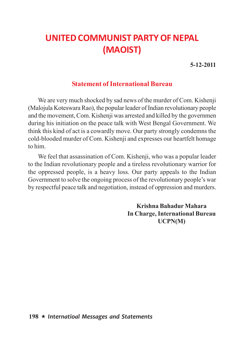# **UNITED COMMUNIST PARTY OF NEPAL (MAOIST)**

**5-12-2011**

#### **Statement of International Bureau**

We are very much shocked by sad news of the murder of Com. Kishenji (Malojula Koteswara Rao), the popular leader of Indian revolutionary people and the movement, Com. Kishenji was arrested and killed by the governmen during his initiation on the peace talk with West Bengal Government. We think this kind of act is a cowardly move. Our party strongly condemns the cold-blooded murder of Com. Kishenji and expresses our heartfelt homage to him.

We feel that assassination of Com. Kishenji, who was a popular leader to the Indian revolutionary people and a tireless revolutionary warrior for the oppressed people, is a heavy loss. Our party appeals to the Indian Government to solve the ongoing process of the revolutionary people's war by respectful peace talk and negotiation, instead of oppression and murders.

> **Krishna Bahadur Mahara In Charge, International Bureau UCPN(M)**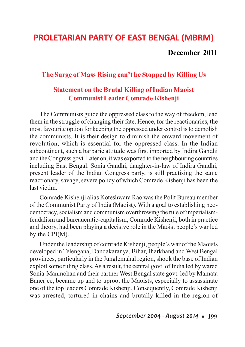# **PROLETARIAN PARTY OF EAST BENGAL (MBRM)**

### **December 2011**

### **The Surge of Mass Rising can't be Stopped by Killing Us**

### **Statement on the Brutal Killing of Indian Maoist Communist Leader Comrade Kishenji**

The Communists guide the oppressed class to the way of freedom, lead them in the struggle of changing their fate. Hence, for the reactionaries, the most favourite option for keeping the oppressed under control is to demolish the communists. It is their design to diminish the onward movement of revolution, which is essential for the oppressed class. In the Indian subcontinent, such a barbaric attitude was first imported by Indira Gandhi and the Congress govt. Later on, it was exported to the neighbouring countries including East Bengal. Sonia Gandhi, daughter-in-law of Indira Gandhi, present leader of the Indian Congress party, is still practising the same reactionary, savage, severe policy of which Comrade Kishenji has been the last victim.

Comrade Kishenji alias Koteshwara Rao was the Polit Bureau member of the Communist Party of India (Maoist). With a goal to establishing neodemocracy, socialism and communism overthrowing the rule of imperialismfeudalism and bureaucratic-capitalism, Comrade Kishenji, both in practice and theory, had been playing a decisive role in the Maoist people's war led by the CPI(M).

Under the leadership of comrade Kishenji, people's war of the Maoists developed in Telengana, Dandakaranya, Bihar, Jharkhand and West Bengal provinces, particularly in the Junglemahal region, shook the base of Indian exploit some ruling class. As a result, the central govt. of India led by wared Sonia-Manmohan and their partner West Bengal state govt. led by Mamata Baneriee, became up and to uproot the Maoists, especially to assassinate one of the top leaders Comrade Kishenji. Consequently, Comrade Kishenji was arrested, tortured in chains and brutally killed in the region of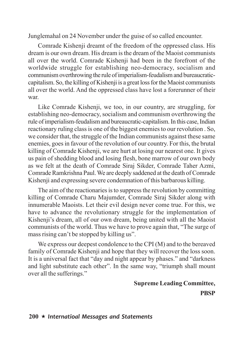Junglemahal on 24 November under the guise of so called encounter.

Comrade Kishenji dreamt of the freedom of the oppressed class. His dream is our own dream. His dream is the dream of the Maoist communists all over the world. Comrade Kishenji had been in the forefront of the worldwide struggle for establishing neo-democracy, socialism and communism overthrowing the rule of imperialism-feudalism and bureaucraticcapitalism. So, the killing of Kishenji is a great loss for the Maoist communists all over the world. And the oppressed class have lost a forerunner of their war.

Like Comrade Kishenii, we too, in our country, are struggling, for establishing neo-democracy, socialism and communism overthrowing the rule of imperialism-feudalism and bureaucratic-capitalism. In this case, Indian reactionary ruling class is one of the biggest enemies to our revolution . So, we consider that, the struggle of the Indian communists against these same enemies, goes in favour of the revolution of our country. For this, the brutal killing of Comrade Kishenji, we are hurt at losing our nearest one. It gives us pain of shedding blood and losing flesh, bone marrow of our own body as we felt at the death of Comrade Siraj Sikder, Comrade Taher Azmi, Comrade Ramkrishna Paul. We are deeply saddened at the death of Comrade Kishenji and expressing severe condemnation of this barbarous killing.

The aim of the reactionaries is to suppress the revolution by committing killing of Comrade Charu Majumder, Comrade Siraj Sikder along with innumerable Maoists. Let their evil design never come true. For this, we have to advance the revolutionary struggle for the implementation of Kishenji's dream, all of our own dream, being united with all the Maoist communists of the world. Thus we have to prove again that, "The surge of mass rising can't be stopped by killing us".

We express our deepest condolence to the CPI (M) and to the bereaved family of Comrade Kishenji and hope that they will recover the loss soon. It is a universal fact that "day and night appear by phases." and "darkness and light substitute each other". In the same way, "triumph shall mount over all the sufferings."

### **Supreme Leading Committee, PBSP**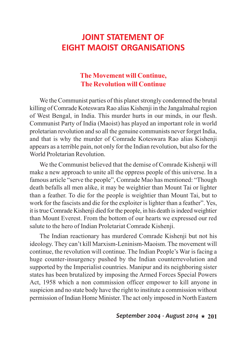# **JOINT STATEMENT OF EIGHT MAOIST ORGANISATIONS**

### **The Movement will Continue, The Revolution will Continue**

We the Communist parties of this planet strongly condemned the brutal killing of Comrade Koteswara Rao alias Kishenji in the Jangalmahal region of West Bengal, in India. This murder hurts in our minds, in our flesh. Communist Party of India (Maoist) has played an important role in world proletarian revolution and so all the genuine communists never forget India, and that is why the murder of Comrade Koteswara Rao alias Kishenji appears as a terrible pain, not only for the Indian revolution, but also for the World Proletarian Revolution.

We the Communist believed that the demise of Comrade Kishenji will make a new approach to unite all the oppress people of this universe. In a famous article "serve the people", Comrade Mao has mentioned: "Though death befalls all men alike, it may be weightier than Mount Tai or lighter than a feather. To die for the people is weightier than Mount Tai, but to work for the fascists and die for the exploiter is lighter than a feather". Yes, it is true Comrade Kishenji died for the people, in his death is indeed weightier than Mount Everest. From the bottom of our hearts we expressed our red salute to the hero of Indian Proletariat Comrade Kishenji.

The Indian reactionary has murdered Comrade Kishenji but not his ideology. They can't kill Marxism-Leninism-Maoism. The movement will continue, the revolution will continue. The Indian People's War is facing a huge counter-insurgency pushed by the Indian counterrevolution and supported by the Imperialist countries. Manipur and its neighboring sister states has been brutalized by imposing the Armed Forces Special Powers Act, 1958 which a non commission officer empower to kill anyone in suspicion and no state body have the right to institute a commission without permission of Indian Home Minister. The act only imposed in North Eastern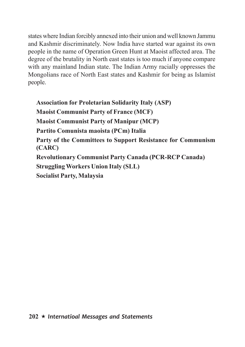states where Indian forcibly annexed into their union and well known Jammu and Kashmir discriminately. Now India have started war against its own people in the name of Operation Green Hunt at Maoist affected area. The degree of the brutality in North east states is too much if anyone compare with any mainland Indian state. The Indian Army racially oppresses the Mongolians race of North East states and Kashmir for being as Islamist people.

**Association for Proletarian Solidarity Italy (ASP) Maoist Communist Party of France (MCF) Maoist Communist Party of Manipur (MCP) Partito Comunista maoista (PCm) Italia Party of the Committees to Support Resistance for Communism (CARC) Revolutionary Communist Party Canada (PCR-RCP Canada) Struggling Workers Union Italy (SLL) Socialist Party, Malaysia**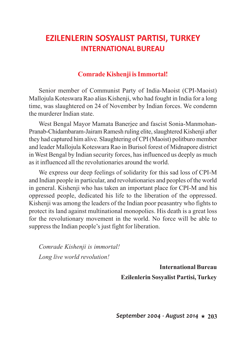# **EZILENLERIN SOSYALIST PARTISI, TURKEY INTERNATIONAL BUREAU**

### **Comrade Kishenji is Immortal!**

Senior member of Communist Party of India-Maoist (CPI-Maoist) Mallojula Koteswara Rao alias Kishenji, who had fought in India for a long time, was slaughtered on 24 of November by Indian forces. We condemn the murderer Indian state.

West Bengal Mayor Mamata Banerjee and fascist Sonia-Manmohan-Pranab-Chidambaram-Jairam Ramesh ruling elite, slaughtered Kishenji after they had captured him alive. Slaughtering of CPI (Maoist) politburo member and leader Mallojula Koteswara Rao in Burisol forest of Midnapore district in West Bengal by Indian security forces, has influenced us deeply as much as it influenced all the revolutionaries around the world.

We express our deep feelings of solidarity for this sad loss of CPI-M and Indian people in particular, and revolutionaries and peoples of the world in general. Kishenji who has taken an important place for CPI-M and his oppressed people, dedicated his life to the liberation of the oppressed. Kishenji was among the leaders of the Indian poor peasantry who fights to protect its land against multinational monopolies. His death is a great loss for the revolutionary movement in the world. No force will be able to suppress the Indian people's just fight for liberation.

*Comrade Kishenji is immortal! Long live world revolution!*

> **International Bureau Ezilenlerin Sosyalist Partisi, Turkey**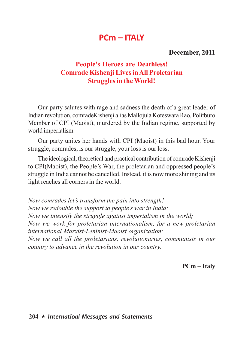## **PCm – ITALY**

#### **December, 2011**

### **People's Heroes are Deathless! Comrade Kishenji Lives in All Proletarian Struggles in the World!**

Our party salutes with rage and sadness the death of a great leader of Indian revolution, comradeKishenji alias Mallojula Koteswara Rao, Politburo Member of CPI (Maoist), murdered by the Indian regime, supported by world imperialism.

Our party unites her hands with CPI (Maoist) in this bad hour. Your struggle, comrades, is our struggle, your loss is our loss.

The ideological, theoretical and practical contribution of comrade Kishenji to CPI(Maoist), the People's War, the proletarian and oppressed people's struggle in India cannot be cancelled. Instead, it is now more shining and its light reaches all corners in the world.

*Now comrades let's transform the pain into strength! Now we redouble the support to people's war in India: Now we intensify the struggle against imperialism in the world; Now we work for proletarian internationalism, for a new proletarian international Marxist-Leninist-Maoist organization; Now we call all the proletarians, revolutionaries, communists in our country to advance in the revolution in our country.*

**PCm – Italy**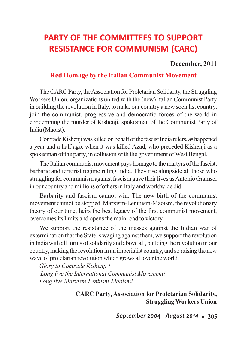# **PARTY OF THE COMMITTEES TO SUPPORT RESISTANCE FOR COMMUNISM (CARC)**

### **December, 2011**

### **Red Homage by the Italian Communist Movement**

The CARC Party, the Association for Proletarian Solidarity, the Struggling Workers Union, organizations united with the (new) Italian Communist Party in building the revolution in Italy, to make our country a new socialist country, join the communist, progressive and democratic forces of the world in condemning the murder of Kishenji, spokesman of the Communist Party of India (Maoist).

Comrade Kishenji was killed on behalf of the fascist India rulers, as happened a year and a half ago, when it was killed Azad, who preceded Kishenji as a spokesman of the party, in collusion with the government of West Bengal.

The Italian communist movement pays homage to the martyrs of the fascist, barbaric and terrorist regime ruling India. They rise alongside all those who struggling for communism against fascism gave their lives as Antonio Gramsci in our country and millions of others in Italy and worldwide did.

Barbarity and fascism cannot win. The new birth of the communist movement cannot be stopped. Marxism-Leninism-Maoism, the revolutionary theory of our time, heirs the best legacy of the first communist movement, overcomes its limits and opens the main road to victory.

We support the resistance of the masses against the Indian war of extermination that the State is waging against them, we support the revolution in India with all forms of solidarity and above all, building the revolution in our country, making the revolution in an imperialist country, and so raising the new wave of proletarian revolution which grows all over the world.

*Glory to Comrade Kishenji !*

 *Long live the International Communist Movement! Long live Marxism-Leninsm-Maoism!*

### **CARC Party, Association for Proletarian Solidarity, Struggling Workers Union**

*September 2004 - August 2014* **205**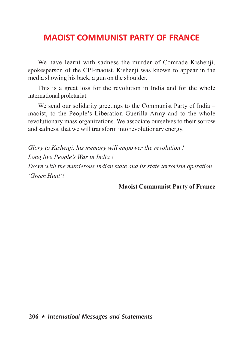# **MAOIST COMMUNIST PARTY OF FRANCE**

We have learnt with sadness the murder of Comrade Kishenii. spokesperson of the CPI-maoist. Kishenji was known to appear in the media showing his back, a gun on the shoulder.

This is a great loss for the revolution in India and for the whole international proletariat.

We send our solidarity greetings to the Communist Party of India – maoist, to the People's Liberation Guerilla Army and to the whole revolutionary mass organizations. We associate ourselves to their sorrow and sadness, that we will transform into revolutionary energy.

*Glory to Kishenji, his memory will empower the revolution ! Long live People's War in India ! Down with the murderous Indian state and its state terrorism operation 'Green Hunt'!*

#### **Maoist Communist Party of France**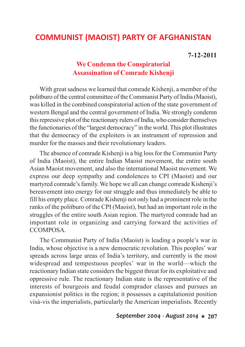# **COMMUNIST (MAOIST) PARTY OF AFGHANISTAN**

**7-12-2011**

### **We Condemn the Conspiratorial Assassination of Comrade Kishenji**

With great sadness we learned that comrade Kishenji, a member of the politburo of the central committee of the Communist Party of India (Maoist), was killed in the combined conspiratorial action of the state government of western Bengal and the central government of India. We strongly condemn this repressive plot of the reactionary rulers of India, who consider themselves the functionaries of the "largest democracy" in the world. This plot illustrates that the democracy of the exploiters is an instrument of repression and murder for the masses and their revolutionary leaders.

The absence of comrade Kishenji is a big loss for the Communist Party of India (Maoist), the entire Indian Maoist movement, the entire south Asian Maoist movement, and also the international Maoist movement. We express our deep sympathy and condolences to CPI (Maoist) and our martyred comrade's family. We hope we all can change comrade Kishenji's bereavement into energy for our struggle and thus immediately be able to fill his empty place. Comrade Kishenji not only had a prominent role in the ranks of the politburo of the CPI (Maoist), but had an important role in the struggles of the entire south Asian region. The martyred comrade had an important role in organizing and carrying forward the activities of **CCOMPOSA** 

The Communist Party of India (Maoist) is leading a people's war in India, whose objective is a new democratic revolution. This peoples' war spreads across large areas of India's territory, and currently is the most widespread and tempestuous peoples' war in the world––which the reactionary Indian state considers the biggest threat for its exploitative and oppressive rule. The reactionary Indian state is the representative of the interests of bourgeois and feudal comprador classes and pursues an expansionist politics in the region; it possesses a capitulationist position visà-vis the imperialists, particularly the American imperialists. Recently

#### *September 2004 - August 2014* **207**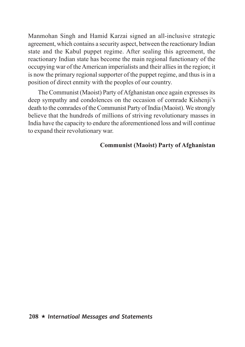Manmohan Singh and Hamid Karzai signed an all-inclusive strategic agreement, which contains a security aspect, between the reactionary Indian state and the Kabul puppet regime. After sealing this agreement, the reactionary Indian state has become the main regional functionary of the occupying war of the American imperialists and their allies in the region; it is now the primary regional supporter of the puppet regime, and thus is in a position of direct enmity with the peoples of our country.

The Communist (Maoist) Party of Afghanistan once again expresses its deep sympathy and condolences on the occasion of comrade Kishenji's death to the comrades of the Communist Party of India (Maoist). We strongly believe that the hundreds of millions of striving revolutionary masses in India have the capacity to endure the aforementioned loss and will continue to expand their revolutionary war.

#### **Communist (Maoist) Party of Afghanistan**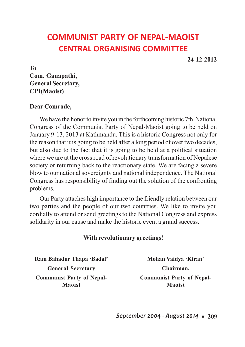# **COMMUNIST PARTY OF NEPAL-MAOIST CENTRAL ORGANISING COMMITTEE**

**24-12-2012**

#### **To Com. Ganapathi, General Secretary, CPI(Maoist)**

#### **Dear Comrade,**

We have the honor to invite you in the forthcoming historic 7th National Congress of the Communist Party of Nepal-Maoist going to be held on January 9-13, 2013 at Kathmandu. This is a historic Congress not only for the reason that it is going to be held after a long period of over two decades, but also due to the fact that it is going to be held at a political situation where we are at the cross road of revolutionary transformation of Nepalese society or returning back to the reactionary state. We are facing a severe blow to our national sovereignty and national independence. The National Congress has responsibility of finding out the solution of the confronting problems.

Our Party attaches high importance to the friendly relation between our two parties and the people of our two countries. We like to invite you cordially to attend or send greetings to the National Congress and express solidarity in our cause and make the historic event a grand success.

#### **With revolutionary greetings!**

**Ram Bahadur Thapa 'Badal' General Secretary Communist Party of Nepal-Maoist**

**Mohan Vaidya 'Kiran**' **Chairman, Communist Party of Nepal-Maoist**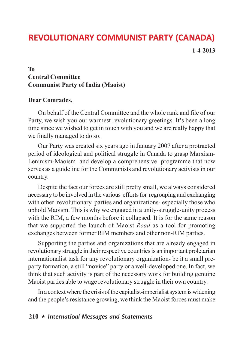# **REVOLUTIONARY COMMUNIST PARTY (CANADA)**

**1-4-2013**

### **To Central Committee Communist Party of India (Maoist)**

#### **Dear Comrades,**

On behalf of the Central Committee and the whole rank and file of our Party, we wish you our warmest revolutionary greetings. It's been a long time since we wished to get in touch with you and we are really happy that we finally managed to do so.

Our Party was created six years ago in January 2007 after a protracted period of ideological and political struggle in Canada to grasp Marxism-Leninism-Maoism and develop a comprehensive programme that now serves as a guideline for the Communists and revolutionary activists in our country.

Despite the fact our forces are still pretty small, we always considered necessary to be involved in the various efforts for regrouping and exchanging with other revolutionary parties and organizations- especially those who uphold Maoism. This is why we engaged in a unity-struggle-unity process with the RIM, a few months before it collapsed. It is for the same reason that we supported the launch of Maoist *Road* as a tool for promoting exchanges between former RIM members and other non-RIM parties.

Supporting the parties and organizations that are already engaged in revolutionary struggle in their respective countries is an important proletarian internationalist task for any revolutionary organization- be it a small preparty formation, a still "novice" party or a well-developed one. In fact, we think that such activity is part of the necessary work for building genuine Maoist parties able to wage revolutionary struggle in their own country.

In a context where the crisis of the capitalist-imperialist system is widening and the people's resistance growing, we think the Maoist forces must make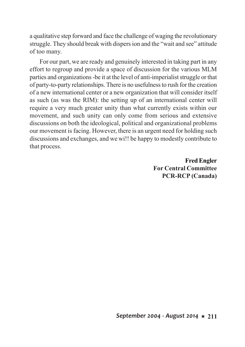a qualitative step forward and face the challenge of waging the revolutionary struggle. They should break with dispers ion and the "wait and see" attitude of too many.

For our part, we are ready and genuinely interested in taking part in any effort to regroup and provide a space of discussion for the various MLM parties and organizations -be it at the level of anti-imperialist struggle or that of party-to-party relationships. There is no usefulness to rush for the creation of a new international center or a new organization that will consider itself as such (as was the RIM): the setting up of an international center will require a very much greater unity than what currently exists within our movement, and such unity can only come from serious and extensive discussions on both the ideological, political and organizational problems our movement is facing. However, there is an urgent need for holding such discussions and exchanges, and we wi!! be happy to modestly contribute to that process.

> **Fred Engler For Central Committee PCR-RCP (Canada)**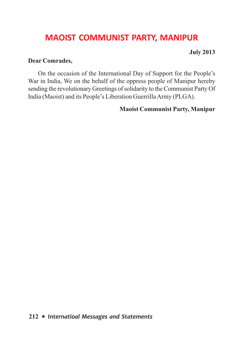# **MAOIST COMMUNIST PARTY, MANIPUR**

**July 2013**

#### **Dear Comrades,**

On the occasion of the International Day of Support for the People's War in India, We on the behalf of the oppress people of Manipur hereby sending the revolutionary Greetings of solidarity to the Communist Party Of India (Maoist) and its People's Liberation Guerrilla Army (PLGA).

#### **Maoist Communist Party, Manipur**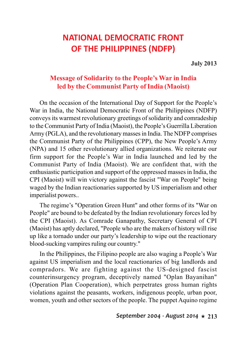# **NATIONAL DEMOCRATIC FRONT OF THE PHILIPPINES (NDFP)**

**July 2013**

### **Message of Solidarity to the People's War in India led by the Communist Party of India (Maoist)**

On the occasion of the International Day of Support for the People's War in India, the National Democratic Front of the Philippines (NDFP) conveys its warmest revolutionary greetings of solidarity and comradeship to the Communist Party of India (Maoist), the People's Guerrilla Liberation Army (PGLA), and the revolutionary masses in India. The NDFP comprises the Communist Party of the Philippines (CPP), the New People's Army (NPA) and 15 other revolutionary allied organizations. We reiterate our firm support for the People's War in India launched and led by the Communist Party of India (Maoist). We are confident that, with the enthusiastic participation and support of the oppressed masses in India, the CPI (Maoist) will win victory against the fascist "War on People" being waged by the Indian reactionaries supported by US imperialism and other imperialist powers..

The regime's "Operation Green Hunt" and other forms of its "War on People" are bound to be defeated by the Indian revolutionary forces led by the CPI (Maoist). As Comrade Ganapathy, Secretary General of CPI (Maoist) has aptly declared, "People who are the makers of history will rise up like a tornado under our party's leadership to wipe out the reactionary blood-sucking vampires ruling our country."

In the Philippines, the Filipino people are also waging a People's War against US imperialism and the local reactionaries of big landlords and compradors. We are fighting against the US-designed fascist counterinsurgency program, deceptively named "Oplan Bayanihan" (Operation Plan Cooperation), which perpetrates gross human rights violations against the peasants, workers, indigenous people, urban poor, women, youth and other sectors of the people. The puppet Aquino regime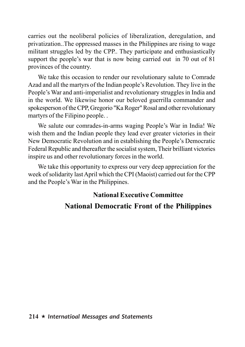carries out the neoliberal policies of liberalization, deregulation, and privatization..The oppressed masses in the Philippines are rising to wage militant struggles led by the CPP.. They participate and enthusiastically support the people's war that is now being carried out in 70 out of 81 provinces of the country.

We take this occasion to render our revolutionary salute to Comrade Azad and all the martyrs of the Indian people's Revolution. They live in the People's War and anti-imperialist and revolutionary struggles in India and in the world. We likewise honor our beloved guerrilla commander and spokesperson of the CPP, Gregorio "Ka Roger" Rosal and other revolutionary martyrs of the Filipino people. .

We salute our comrades-in-arms waging People's War in India! We wish them and the Indian people they lead ever greater victories in their New Democratic Revolution and in establishing the People's Democratic Federal Republic and thereafter the socialist system, Their brilliant victories inspire us and other revolutionary forces in the world.

We take this opportunity to express our very deep appreciation for the week of solidarity last April which the CPI (Maoist) carried out for the CPP and the People's War in the Philippines.

## **National Executive Committee National Democratic Front of the Philippines**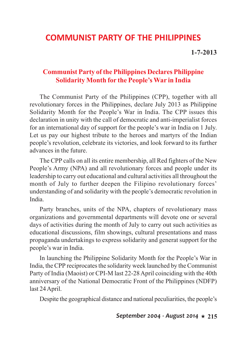# **COMMUNIST PARTY OF THE PHILIPPINES**

**1-7-2013**

### **Communist Party of the Philippines Declares Philippine Solidarity Month for the People's War in India**

The Communist Party of the Philippines (CPP), together with all revolutionary forces in the Philippines, declare July 2013 as Philippine Solidarity Month for the People's War in India. The CPP issues this declaration in unity with the call of democratic and anti-imperialist forces for an international day of support for the people's war in India on 1 July. Let us pay our highest tribute to the heroes and martyrs of the Indian people's revolution, celebrate its victories, and look forward to its further advances in the future.

The CPP calls on all its entire membership, all Red fighters of the New People's Army (NPA) and all revolutionary forces and people under its leadership to carry out educational and cultural activities all throughout the month of July to further deepen the Filipino revolutionary forces' understanding of and solidarity with the people's democratic revolution in India.

Party branches, units of the NPA, chapters of revolutionary mass organizations and governmental departments will devote one or several days of activities during the month of July to carry out such activities as educational discussions, film showings, cultural presentations and mass propaganda undertakings to express solidarity and generat support for the people's war in India.

In launching the Philippine Solidarity Month for the People's War in India, the CPP reciprocates the solidarity week launched by the Communist Party of India (Maoist) or CPI-M last 22-28 April coinciding with the 40th anniversary of the National Democratic Front of the Philippines (NDFP) last 24 April.

Despite the geographical distance and national peculiarities, the people's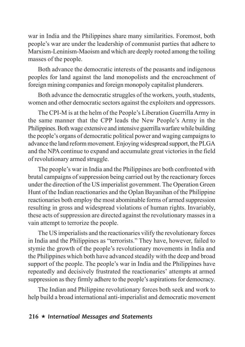war in India and the Philippines share many similarities. Foremost, both people's war are under the leadership of communist parties that adhere to Marxism-Leninism-Maoism and which are deeply rooted among the toiling masses of the people.

Both advance the democratic interests of the peasants and indigenous peoples for land against the land monopolists and the encroachment of foreign mining companies and foreign monopoly capitalist plunderers.

Both advance the democratic struggles of the workers, youth, students, women and other democratic sectors against the exploiters and oppressors.

The CPI-M is at the helm of the People's Liberation Guerrilla Army in the same manner that the CPP leads the New People's Army in the Philippines. Both wage extensive and intensive guerrilla warfare while building the people's organs of democratic political power and waging campaigns to advance the land reform movement. Enjoying widespread support, the PLGA and the NPA continue to expand and accumulate great victories in the field of revolutionary armed struggle.

The people's war in India and the Philippines are both confronted with brutal campaigns of suppression being carried out by the reactionary forces under the direction of the US imperialist government. The Operation Green Hunt of the Indian reactionaries and the Oplan Bayanihan of the Philippine reactionaries both employ the most abominable forms of armed suppression resulting in gross and widespread violations of human rights. Invariably, these acts of suppression are directed against the revolutionary masses in a vain attempt to terrorize the people.

The US imperialists and the reactionaries vilify the revolutionary forces in India and the Philippines as "terrorists." They have, however, failed to stymie the growth of the people's revolutionary movements in India and the Philippines which both have advanced steadily with the deep and broad support of the people. The people's war in India and the Philippines have repeatedly and decisively frustrated the reactionaries' attempts at armed suppression as they firmly adhere to the people's aspirations for democracy.

The Indian and Philippine revolutionary forces both seek and work to help build a broad international anti-imperialist and democratic movement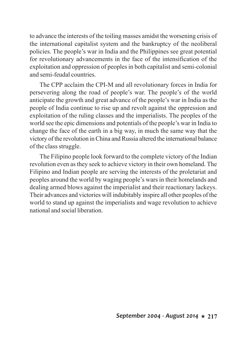to advance the interests of the toiling masses amidst the worsening crisis of the international capitalist system and the bankruptcy of the neoliberal policies. The people's war in India and the Philippines see great potential for revolutionary advancements in the face of the intensification of the exploitation and oppression of peoples in both capitalist and semi-colonial and semi-feudal countries.

The CPP acclaim the CPI-M and all revolutionary forces in India for persevering along the road of people's war. The people's of the world anticipate the growth and great advance of the people's war in India as the people of India continue to rise up and revolt against the oppression and exploitation of the ruling classes and the imperialists. The peoples of the world see the epic dimensions and potentials of the people's war in India to change the face of the earth in a big way, in much the same way that the victory of the revolution in China and Russia altered the international balance of the class struggle.

The Filipino people look forward to the complete victory of the Indian revolution even as they seek to achieve victory in their own homeland. The Filipino and Indian people are serving the interests of the proletariat and peoples around the world by waging people's wars in their homelands and dealing armed blows against the imperialist and their reactionary lackeys. Their advances and victories will indubitably inspire all other peoples of the world to stand up against the imperialists and wage revolution to achieve national and social liberation.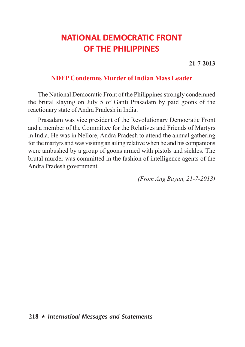# **NATIONAL DEMOCRATIC FRONT OF THE PHILIPPINES**

**21-7-2013**

## **NDFP Condemns Murder of Indian Mass Leader**

The National Democratic Front of the Philippines strongly condemned the brutal slaying on July 5 of Ganti Prasadam by paid goons of the reactionary state of Andra Pradesh in India.

Prasadam was vice president of the Revolutionary Democratic Front and a member of the Committee for the Relatives and Friends of Martyrs in India. He was in Nellore, Andra Pradesh to attend the annual gathering for the martyrs and was visiting an ailing relative when he and his companions were ambushed by a group of goons armed with pistols and sickles. The brutal murder was committed in the fashion of intelligence agents of the Andra Pradesh government.

*(From Ang Bayan, 21-7-2013)*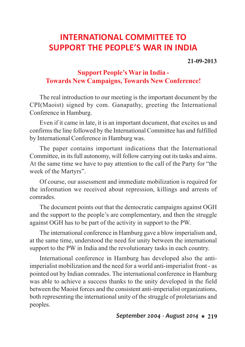# **INTERNATIONAL COMMITTEE TO SUPPORT THE PEOPLE'S WAR IN INDIA**

**21-09-2013**

### **Support People's War in India - Towards New Campaigns, Towards New Conference!**

The real introduction to our meeting is the important document by the CPI(Maoist) signed by com. Ganapathy, greeting the International Conference in Hamburg.

Even if it came in late, it is an important document, that excites us and confirms the line followed by the International Committee has and fulfilled by International Conference in Hamburg was.

The paper contains important indications that the International Committee, in its full autonomy, will follow carrying out its tasks and aims. At the same time we have to pay attention to the call of the Party for "the week of the Martyrs".

Of course, our assessment and immediate mobilization is required for the information we received about repression, killings and arrests of comrades.

The document points out that the democratic campaigns against OGH and the support to the people's are complementary, and then the struggle against OGH has to be part of the activity in support to the PW.

The international conference in Hamburg gave a blow imperialism and, at the same time, understood the need for unity between the international support to the PW in India and the revolutionary tasks in each country.

International conference in Hamburg has developed also the antiimperialist mobilization and the need for a world anti-imperialist front - as pointed out by Indian comrades. The international conference in Hamburg was able to achieve a success thanks to the unity developed in the field between the Maoist forces and the consistent anti-imperialist organizations, both representing the international unity of the struggle of proletarians and peoples.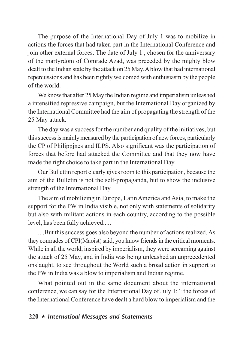The purpose of the International Day of July 1 was to mobilize in actions the forces that had taken part in the International Conference and join other external forces. The date of July 1 , chosen for the anniversary of the martyrdom of Comrade Azad, was preceded by the mighty blow dealt to the Indian state by the attack on 25 May. A blow that had international repercussions and has been rightly welcomed with enthusiasm by the people of the world.

We know that after 25 May the Indian regime and imperialism unleashed a intensified repressive campaign, but the International Day organized by the International Committee had the aim of propagating the strength of the 25 May attack.

The day was a success for the number and quality of the initiatives, but this success is mainly measured by the participation of new forces, particularly the CP of Philippjnes and ILPS. Also significant was the participation of forces that before had attacked the Committee and that they now have made the right choice to take part in the International Day.

Our Bullettin report clearly gives room to this participation, because the aim of the Bulletin is not the self-propaganda, but to show the inclusive strength of the International Day.

The aim of mobilizing in Europe, Latin America and Asia, to make the support for the PW in India visible, not only with statements of solidarity but also with militant actions in each country, according to the possible level, has been fully achieved.....

....But this success goes also beyond the number of actions realized. As they comrades of CPI(Maoist) said, you know friends in the critical moments. While in all the world, inspired by imperialism, they were screaming against the attack of 25 May, and in India was being unleashed an unprecedented onslaught, to see throughout the World such a broad action in support to the PW in India was a blow to imperialism and Indian regime.

What pointed out in the same document about the international conference, we can say for the International Day of July 1: " the forces of the International Conference have dealt a hard blow to imperialism and the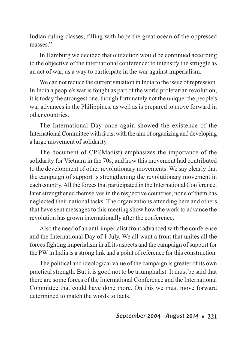Indian ruling classes, filling with hope the great ocean of the oppressed masses<sup>"</sup>

In Hamburg we decided that our action would be continued according to the objective of the international conference: to intensify the struggle as an act of war, as a way to participate in the war against imperialism.

We can not reduce the current situation in India to the issue of repression. In India a people's war is fought as part of the world proletarian revolution, it is today the strongest one, though fortunately not the unique: the people's war advances in the Philippines, as well as is prepared to move forward in other countries.

The International Day once again showed the existence of the International Committee with facts, with the aim of organizing and developing a large movement of solidarity.

The document of CPI(Maoist) emphasizes the importance of the solidarity for Vietnam in the 70s, and how this movement had contributed to the development of other revolutionary movements. We say clearly that the campaign of support is strengthening the revolutionary movement in each country. All the forces that participated in the International Conference, later strengthened themselves in the respective countries, none of them has neglected their national tasks. The organizations attending here and others that have sent messages to this meeting show how the work to advance the revolution has grown internationally after the conference.

Also the need of an anti-imperialist front advanced with the conference and the International Day of 1 July. We all want a front that unites all the forces fighting imperialism in all its aspects and the campaign of support for the PW in India is a strong link and a point of reference for this construction.

The political and ideological value of the campaign is greater of its own practical strength. But it is good not to be triumphalist. It must be said that there are some forces of the International Conference and the International Committee that could have done more. On this we must move forward determined to match the words to facts.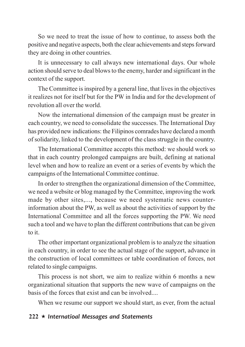So we need to treat the issue of how to continue, to assess both the positive and negative aspects, both the clear achievements and steps forward they are doing in other countries.

It is unnecessary to call always new international days. Our whole action should serve to deal blows to the enemy, harder and significant in the context of the support.

The Committee is inspired by a general line, that lives in the objectives it realizes not for itself but for the PW in India and for the development of revolution all over the world.

Now the international dimension of the campaign must be greater in each country, we need to consolidate the successes. The International Day has provided new indications: the Filipinos comrades have declared a month of solidarity, linked to the development of the class struggle in the country.

The International Committee accepts this method: we should work so that in each country prolonged campaigns are built, defining at national level when and how to realize an event or a series of events by which the campaigns of the International Committee continue.

In order to strengthen the organizational dimension of the Committee, we need a website or blog managed by the Committee, improving the work made by other sites,..., because we need systematic news counterinformation about the PW, as well as about the activities of support by the International Committee and all the forces supporting the PW. We need such a tool and we have to plan the different contributions that can be given to it.

The other important organizational problem is to analyze the situation in each country, in order to see the actual stage of the support, advance in the construction of local committees or table coordination of forces, not related to single campaigns.

This process is not short, we aim to realize within 6 months a new organizational situation that supports the new wave of campaigns on the basis of the forces that exist and can be involved....

When we resume our support we should start, as ever, from the actual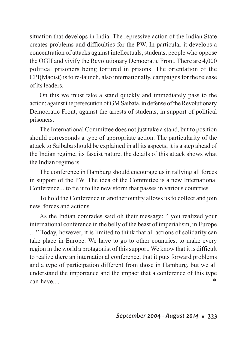situation that develops in India. The repressive action of the Indian State creates problems and difficulties for the PW. In particular it develops a concentration of attacks against intellectuals, students, people who oppose the OGH and vivify the Revolutionary Democratic Front. There are 4,000 political prisoners being tortured in prisons. The orientation of the CPI(Maoist) is to re-launch, also internationally, campaigns for the release of its leaders.

On this we must take a stand quickly and immediately pass to the action: against the persecution of GM Saibata, in defense of the Revolutionary Democratic Front, against the arrests of students, in support of political prisoners.

The International Committee does not just take a stand, but to position should corresponds a type of appropriate action. The particularity of the attack to Saibaba should be explained in all its aspects, it is a step ahead of the Indian regime, its fascist nature. the details of this attack shows what the Indian regime is.

The conference in Hamburg should encourage us in rallying all forces in support of the PW. The idea of the Committee is a new International Conference....to tie it to the new storm that passes in various countries

To hold the Conference in another ountry allows us to collect and join new forces and actions

As the Indian comrades said oh their message: " you realized your international conference in the belly of the beast of imperialism, in Europe …" Today, however, it is limited to think that all actions of solidarity can take place in Europe. We have to go to other countries, to make every region in the world a protagonist of this support. We know that it is difficult to realize there an international conference, that it puts forward problems and a type of participation different from those in Hamburg, but we all understand the importance and the impact that a conference of this type can have....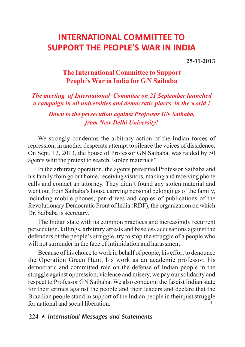# **INTERNATIONAL COMMITTEE TO SUPPORT THE PEOPLE'S WAR IN INDIA**

**25-11-2013**

### **The International Committee to Support People's War in India for G N Saibaba**

#### *The meeting of International Commitee on 21 September launched a campaign in all universities and democratic places in the world !*

#### *Down to the persecution against Professor GN Saibaba, from New Delhi University!*

We strongly condemns the arbitrary action of the Indian forces of repression, in another desperate attempt to silence the voices of dissidence. On Sept. 12, 2013, the house of Professor GN Saibaba, was raided by 50 agents whit the pretext to search "stolen materials".

In the arbitrary operation, the agents prevented Professor Saibaba and his family from go out home, receiving visitors, making and receiving phone calls and contact an attorney. They didn't found any stolen material and went out from Saibaba's house carrying personal belongings of the family, including mobile phones, pen-drives and copies of publications of the Revolutionary Democratic Front of India (RDF), the organization on which Dr. Saibaba is secretary.

The Indian state with its common practices and increasingly recurrent persecution, killings, arbitrary arrests and baseless accusations against the defenders of the people's struggle, try to stop the struggle of a people who will not surrender in the face of intimidation and harassment.

Because of his choice to work in behalf of people, his effort to denounce the Operation Green Hunt, his work as an academic professor, his democratic and committed role on the defense of Indian people in the struggle against oppression, violence and misery, we pay our solidarity and respect to Professor GN Saibaba. We also condemn the fascist Indian state for their crimes against the people and their leaders and declare that the Brazilian people stand in support of the Indian people in their just struggle for national and social liberation.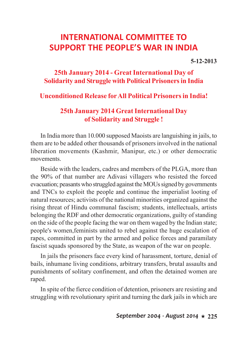# **INTERNATIONAL COMMITTEE TO SUPPORT THE PEOPLE'S WAR IN INDIA**

#### **5-12-2013**

### **25th January 2014 - Great International Day of Solidarity and Struggle with Political Prisoners in India**

#### **Unconditioned Release for All Political Prisoners in India!**

### **25th January 2014 Great International Day of Solidarity and Struggle !**

In India more than 10.000 supposed Maoists are languishing in jails, to them are to be added other thousands of prisoners involved in the national liberation movements (Kashmir, Manipur, etc.) or other democratic movements.

Beside with the leaders, cadres and members of the PLGA, more than the 90% of that number are Adivasi villagers who resisted the forced evacuation; peasants who struggled against the MOUs signed by governments and TNCs to exploit the people and continue the imperialist looting of natural resources; activists of the national minorities organized against the rising threat of Hindu communal fascism; students, intellectuals, artists belonging the RDF and other democratic organizations, guilty of standing on the side of the people facing the war on them waged by the Indian state; people's women,feminists united to rebel against the huge escalation of rapes, committed in part by the armed and police forces and paramilaty fascist squads sponsored by the State, as weapon of the war on people.

In jails the prisoners face every kind of harassment, torture, denial of bails, inhumane living conditions, arbitrary transfers, brutal assaults and punishments of solitary confinement, and often the detained women are raped.

In spite of the fierce condition of detention, prisoners are resisting and struggling with revolutionary spirit and turning the dark jails in which are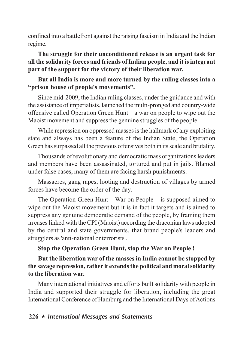confined into a battlefront against the raising fascism in India and the Indian regime.

**The struggle for their unconditioned release is an urgent task for all the solidarity forces and friends of Indian people, and it is integrant part of the support for the victory of their liberation war.**

#### **But all India is more and more turned by the ruling classes into a "prison house of people's movements".**

Since mid-2009, the Indian ruling classes, under the guidance and with the assistance of imperialists, launched the multi-pronged and country-wide offensive called Operation Green Hunt – a war on people to wipe out the Maoist movement and suppress the genuine struggles of the people.

While repression on oppressed masses is the hallmark of any exploiting state and always has been a feature of the Indian State, the Operation Green has surpassed all the previous offensives both in its scale and brutality.

Thousands of revolutionary and democratic mass organizations leaders and members have been assassinated, tortured and put in jails. Blamed under false cases, many of them are facing harsh punishments.

Massacres, gang rapes, looting and destruction of villages by armed forces have become the order of the day.

The Operation Green Hunt – War on People – is supposed aimed to wipe out the Maoist movement but it is in fact it targets and is aimed to suppress any genuine democratic demand of the people, by framing them in cases linked with the CPI (Maoist) according the draconian laws adopted by the central and state governments, that brand people's leaders and strugglers as 'anti-national or terrorists'.

#### **Stop the Operation Green Hunt, stop the War on People !**

**But the liberation war of the masses in India cannot be stopped by the savage repression, rather it extends the political and moral solidarity to the liberation war.**

Many international initiatives and efforts built solidarity with people in India and supported their struggle for liberation, including the great International Conference of Hamburg and the International Days of Actions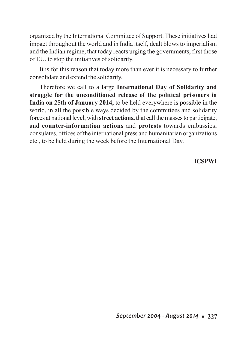organized by the International Committee of Support. These initiatives had impact throughout the world and in India itself, dealt blows to imperialism and the Indian regime, that today reacts urging the governments, first those of EU, to stop the initiatives of solidarity.

It is for this reason that today more than ever it is necessary to further consolidate and extend the solidarity.

Therefore we call to a large **International Day of Solidarity and struggle for the unconditioned release of the political prisoners in India on 25th of January 2014,** to be held everywhere is possible in the world, in all the possible ways decided by the committees and solidarity forces at national level, with **street actions,** that call the masses to participate, and **counter-information actions** and **protests** towards embassies, consulates, offices of the international press and humanitarian organizations etc., to be held during the week before the International Day.

**ICSPWI**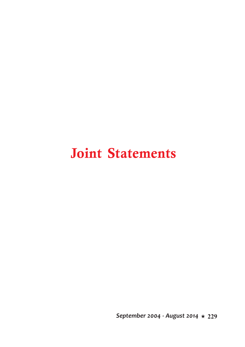# Joint Statements

*September 2004 - August 2014* **229**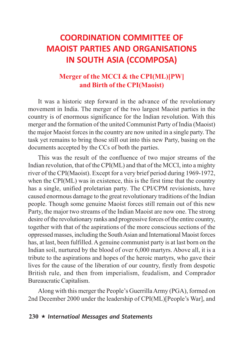# **COORDINATION COMMITTEE OF MAOIST PARTIES AND ORGANISATIONS IN SOUTH ASIA (CCOMPOSA)**

### **Merger of the MCCI & the CPI(ML)[PW] and Birth of the CPI(Maoist)**

It was a historic step forward in the advance of the revolutionary movement in India. The merger of the two largest Maoist parties in the country is of enormous significance for the Indian revolution. With this merger and the formation of the united Communist Party of India (Maoist) the major Maoist forces in the country are now united in a single party. The task yet remains to bring those still out into this new Party, basing on the documents accepted by the CCs of both the parties.

This was the result of the confluence of two major streams of the Indian revolution, that of the CPI(ML) and that of the MCCI, into a mighty river of the CPI(Maoist). Except for a very brief period during 1969-1972, when the CPI(ML) was in existence, this is the first time that the country has a single, unified proletarian party. The CPI/CPM revisionists, have caused enormous damage to the great revolutionary traditions of the Indian people. Though some genuine Maoist forces still remain out of this new Party, the major two streams of the Indian Maoist are now one. The strong desire of the revolutionary ranks and progressive forces of the entire country, together with that of the aspirations of the more conscious sections of the oppressed masses, including the South Asian and International Maoist forces has, at last, been fulfilled. A genuine communist party is at last born on the Indian soil, nurtured by the blood of over 6,000 martyrs. Above all, it is a tribute to the aspirations and hopes of the heroic martyrs, who gave their lives for the cause of the liberation of our country, firstly from despotic British rule, and then from imperialism, feudalism, and Comprador Bureaucratic Capitalism.

Along with this merger the People's Guerrilla Army (PGA), formed on 2nd December 2000 under the leadership of CPI(ML)[People's War], and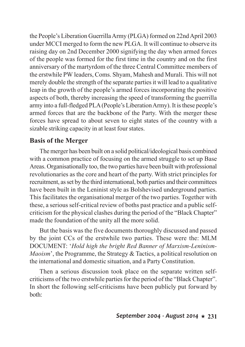the People's Liberation Guerrilla Army (PLGA) formed on 22nd April 2003 under MCCI merged to form the new PLGA. It will continue to observe its raising day on 2nd December 2000 signifying the day when armed forces of the people was formed for the first time in the country and on the first anniversary of the martyrdom of the three Central Committee members of the erstwhile PW leaders, Coms. Shyam, Mahesh and Murali. This will not merely double the strength of the separate parties it will lead to a qualitative leap in the growth of the people's armed forces incorporating the positive aspects of both, thereby increasing the speed of transforming the guerrilla army into a full-fledged PLA (People's Liberation Army). It is these people's armed forces that are the backbone of the Party. With the merger these forces have spread to about seven to eight states of the country with a sizable striking capacity in at least four states.

### **Basis of the Merger**

The merger has been built on a solid political/ideological basis combined with a common practice of focusing on the armed struggle to set up Base Areas. Organisationally too, the two parties have been built with professional revolutionaries as the core and heart of the party. With strict principles for recruitment, as set by the third international, both parties and their committees have been built in the Leninist style as Bolshevised underground parties. This facilitates the organisational merger of the two parties. Together with these, a serious self-critical review of boths past practice and a public selfcriticism for the physical clashes during the period of the "Black Chapter" made the foundation of the unity all the more solid.

But the basis was the five documents thoroughly discussed and passed by the joint CCs of the erstwhile two parties. These were the: MLM DOCUMENT: '*Hold high the bright Red Banner of Marxism-Leninism-Maoism*', the Programme, the Strategy & Tactics, a political resolution on the international and domestic situation, and a Party Constitution.

Then a serious discussion took place on the separate written selfcriticisms of the two erstwhile parties for the period of the "Black Chapter". In short the following self-criticisms have been publicly put forward by both: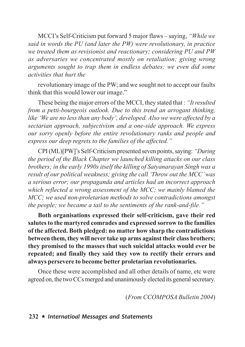MCCI's Self-Criticism put forward 5 major flaws – saying, *"While we said in words the PU (and later the PW) were revolutionary, in practice we treated them as revisionist and reactionary; considering PU and PW as adversaries we concentrated mostly on retaliation; giving wrong arguments sought to trap them in endless debates; we even did some activities that hurt the*

revolutionary image of the PW; and we sought not to accept our faults think that this would lower our image."

These being the major errors of the MCCI, they stated that : *"It resulted from a petti-bourgeois outlook. Due to this trend an arrogant thinking, like 'We are no less than any body', developed. Also we were affected by a sectarian approach, subjectivism and a one-side approach. We express our sorry openly before the entire revolutionary ranks and people and express our deep regrets to the families of the affected."*

CPI (ML)[PW]'s Self-Criticism presented seven points, saying: *"During the period of the Black Chapter we launched killing attacks on our class brothers; in the early 1990s itself the killing of Satyanarayan Singh was a result of our political weakness; giving the call 'Throw out the MCC' was a serious error; our propaganda and articles had an incorrect approach which reflected a wrong assessment of the MCC; we mainly blamed the MCC; we used non-proletarian methods to solve contradictions amongst the people; we became a tail to the sentiments of the rank-and-file."*

**Both organisations expressed their self-criticism, gave their red salutes to the martyred comrades and expressed sorrow to the families of the affected. Both pledged: no matter how sharp the contradictions between them, they will never take up arms against their class brothers; they promised to the masses that such suicidal attacks would ever be repeated; and finally they said they vow to rectify their errors and always persevere to become better proletarian revolutionaries.**

Once these were accomplished and all other details of name, etc were agreed on, the two CCs merged and unanimously elected its general secretary.

(*From CCOMPOSA Bulletin 2004*)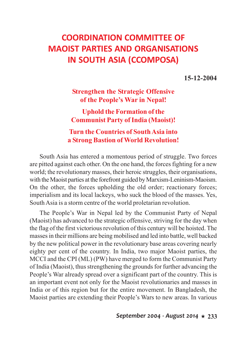# **COORDINATION COMMITTEE OF MAOIST PARTIES AND ORGANISATIONS IN SOUTH ASIA (CCOMPOSA)**

**15-12-2004**

#### **Strengthen the Strategic Offensive of the People's War in Nepal!**

**Uphold the Formation of the Communist Party of India (Maoist)!**

#### **Turn the Countries of South Asia into a Strong Bastion of World Revolution!**

South Asia has entered a momentous period of struggle. Two forces are pitted against each other. On the one hand, the forces fighting for a new world; the revolutionary masses, their heroic struggles, their organisations, with the Maoist parties at the forefront guided by Marxism-Leninism-Maoism. On the other, the forces upholding the old order; reactionary forces; imperialism and its local lackeys, who suck the blood of the masses. Yes, South Asia is a storm centre of the world proletarian revolution.

The People's War in Nepal led by the Communist Party of Nepal (Maoist) has advanced to the strategic offensive, striving for the day when the flag of the first victorious revolution of this century will be hoisted. The masses in their millions are being mobilised and led into battle, well backed by the new political power in the revolutionary base areas covering nearly eighty per cent of the country. In India, two major Maoist parties, the MCCI and the CPI (ML) (PW) have merged to form the Communist Party of India (Maoist), thus strengthening the grounds for further advancing the People's War already spread over a significant part of the country. This is an important event not only for the Maoist revolutionaries and masses in India or of this region but for the entire movement. In Bangladesh, the Maoist parties are extending their People's Wars to new areas. In various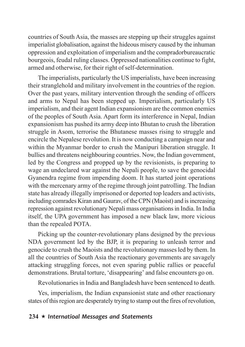countries of South Asia, the masses are stepping up their struggles against imperialist globalisation, against the hideous misery caused by the inhuman oppression and exploitation of imperialism and the compradorbureaucratic bourgeois, feudal ruling classes. Oppressed nationalities continue to fight, armed and otherwise, for their right of self-determination.

The imperialists, particularly the US imperialists, have been increasing their stranglehold and military involvement in the countries of the region. Over the past years, military intervention through the sending of officers and arms to Nepal has been stepped up. Imperialism, particularly US imperialism, and their agent Indian expansionism are the common enemies of the peoples of South Asia. Apart form its interference in Nepal, Indian expansionism has pushed its army deep into Bhutan to crush the liberation struggle in Asom, terrorise the Bhutanese masses rising to struggle and encircle the Nepalese revolution. It is now conducting a campaign near and within the Myanmar border to crush the Manipuri liberation struggle. It bullies and threatens neighbouring countries. Now, the Indian government, led by the Congress and propped up by the revisionists, is preparing to wage an undeclared war against the Nepali people, to save the genocidal Gyanendra regime from impending doom. It has started joint operations with the mercenary army of the regime through joint patrolling. The Indian state has already illegally imprisoned or deported top leaders and activists, including comrades Kiran and Gaurav, of the CPN (Maoist) and is increasing repression against revolutionary Nepali mass organisations in India. In India itself, the UPA government has imposed a new black law, more vicious than the repealed POTA.

Picking up the counter-revolutionary plans designed by the previous NDA government led by the BJP, it is preparing to unleash terror and genocide to crush the Maoists and the revolutionary masses led by them. In all the countries of South Asia the reactionary governments are savagely attacking struggling forces, not even sparing public rallies or peaceful demonstrations. Brutal torture, 'disappearing' and false encounters go on.

Revolutionaries in India and Bangladesh have been sentenced to death.

Yes, imperialism, the Indian expansionist state and other reactionary states of this region are desperately trying to stamp out the fires of revolution,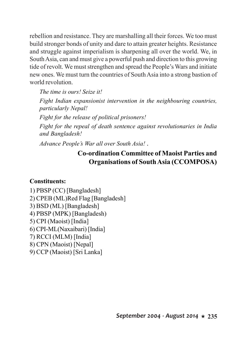rebellion and resistance. They are marshalling all their forces. We too must build stronger bonds of unity and dare to attain greater heights. Resistance and struggle against imperialism is sharpening all over the world. We, in South Asia, can and must give a powerful push and direction to this growing tide of revolt. We must strengthen and spread the People's Wars and initiate new ones. We must turn the countries of South Asia into a strong bastion of world revolution.

*The time is ours! Seize it!*

*Fight Indian expansionist intervention in the neighbouring countries, particularly Nepal!*

*Fight for the release of political prisoners!*

*Fight for the repeal of death sentence against revolutionaries in India and Bangladesh!*

*Advance People's War all over South Asia!* .

### **Co-ordination Committee of Maoist Parties and Organisations of South Asia (CCOMPOSA)**

#### **Constituents:**

1) PBSP (CC) [Bangladesh] 2) CPEB (ML)Red Flag [Bangladesh] 3) BSD (ML) [Bangladesh] 4) PBSP (MPK) [Bangladesh) 5) CPI (Maoist) [India] 6) CPI-ML(Naxaibari) [India] 7) RCCI (MLM) [India] 8) CPN (Maoist) [Nepal] 9) CCP (Maoist) [Sri Lanka]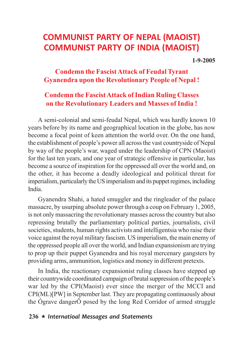# **COMMUNIST PARTY OF NEPAL (MAOIST) COMMUNIST PARTY OF INDIA (MAOIST)**

**1-9-2005**

### **Condemn the Fascist Attack of Feudal Tyrant Gyanendra upon the Revolutionary People of Nepal !**

### **Condemn the Fascist Attack of Indian Ruling Classes on the Revolutionary Leaders and Masses of India !**

A semi-colonial and semi-feudal Nepal, which was hardly known 10 years before by its name and geographical location in the globe, has now become a focal point of keen attention the world over. On the one hand, the establishment of people's power all across the vast countryside of Nepal by way of the people's war, waged under the leadership of CPN (Maoist) for the last ten years, and one year of strategic offensive in particular, has become a source of inspiration for the oppressed all over the world and, on the other, it has become a deadly ideological and political threat for imperialism, particularly the US imperialism and its puppet regimes, including India.

Gyanendra Shahi, a hated smuggler and the ringleader of the palace massacre, by usurping absolute power through a coup on February 1, 2005, is not only massacring the revolutionary masses across the country but also repressing brutally the parliamentary political parties, journalists, civil societies, students, human rights activists and intelligentsia who raise their voice against the royal military fascism. US imperialism, the main enemy of the oppressed people all over the world, and Indian expansionism are trying to prop up their puppet Gyanendra and his royal mercenary gangsters by providing arms, ammunition, logistics and money in different pretexts.

In India, the reactionary expansionist ruling classes have stepped up their countrywide coordinated campaign of brutal suppression of the people's war led by the CPI(Maoist) ever since the merger of the MCCI and CPI(ML)[PW] in September last. They are propagating continuously about the Ógrave dangerÔ posed by the long Red Corridor of armed struggle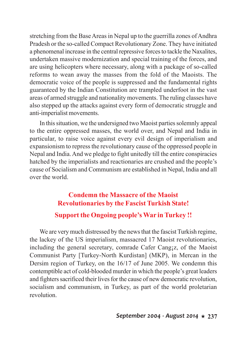stretching from the Base Areas in Nepal up to the guerrilla zones of Andhra Pradesh or the so-called Compact Revolutionary Zone. They have initiated a phenomenal increase in the central repressive forces to tackle the Naxalites, undertaken massive modernization and special training of the forces, and are using helicopters where necessary, along with a package of so-called reforms to wean away the masses from the fold of the Maoists. The democratic voice of the people is suppressed and the fundamental rights guaranteed by the Indian Constitution are trampled underfoot in the vast areas of armed struggle and nationality movements. The ruling classes have also stepped up the attacks against every form of democratic struggle and anti-imperialist movements.

In this situation, we the undersigned two Maoist parties solemnly appeal to the entire oppressed masses, the world over, and Nepal and India in particular, to raise voice against every evil design of imperialism and expansionism to repress the revolutionary cause of the oppressed people in Nepal and India. And we pledge to fight unitedly till the entire conspiracies hatched by the imperialists and reactionaries are crushed and the people's cause of Socialism and Communism are established in Nepal, India and all over the world.

# **Condemn the Massacre of the Maoist Revolutionaries by the Fascist Turkish State!**

### **Support the Ongoing people's War in Turkey !!**

We are very much distressed by the news that the fascist Turkish regime, the lackey of the US imperialism, massacred 17 Maoist revolutionaries, including the general secretary, comrade Cafer Cang<sub>i</sub>z, of the Maoist Communist Party [Turkey-North Kurdistan] (MKP), in Mercan in the Dersim region of Turkey, on the 16/17 of June 2005. We condemn this contemptible act of cold-blooded murder in which the people's great leaders and fighters sacrificed their lives for the cause of new democratic revolution, socialism and communism, in Turkey, as part of the world proletarian revolution.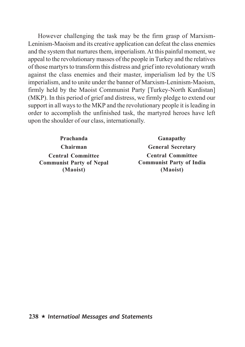However challenging the task may be the firm grasp of Marxism-Leninism-Maoism and its creative application can defeat the class enemies and the system that nurtures them, imperialism. At this painful moment, we appeal to the revolutionary masses of the people in Turkey and the relatives of those martyrs to transform this distress and grief into revolutionary wrath against the class enemies and their master, imperialism led by the US imperialism, and to unite under the banner of Marxism-Leninism-Maoism, firmly held by the Maoist Communist Party [Turkey-North Kurdistan] (MKP). In this period of grief and distress, we firmly pledge to extend our support in all ways to the MKP and the revolutionary people it is leading in order to accomplish the unfinished task, the martyred heroes have left upon the shoulder of our class, internationally.

**Ganapathy General Secretary Central Committee Communist Party of India (Maoist) Prachanda Chairman Central Committee Communist Party of Nepal (Maoist)**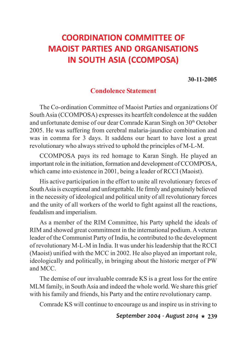# **COORDINATION COMMITTEE OF MAOIST PARTIES AND ORGANISATIONS IN SOUTH ASIA (CCOMPOSA)**

**30-11-2005**

#### **Condolence Statement**

The Co-ordination Committee of Maoist Parties and organizations Of South Asia (CCOMPOSA) expresses its heartfelt condolence at the sudden and unfortunate demise of our dear Comrade Karan Singh on 30<sup>th</sup> October 2005. He was suffering from cerebral malaria-jaundice combination and was in comma for 3 days. It saddens our heart to have lost a great revolutionary who always strived to uphold the principles of M-L-M.

CCOMPOSA pays its red homage to Karan Singh. He played an important role in the initiation, formation and development of CCOMPOSA, which came into existence in 2001, being a leader of RCCI (Maoist).

His active participation in the effort to unite all revolutionary forces of South Asia is exceptional and unforgettable. He firmly and genuinely believed in the necessity of ideological and political unity of all revolutionary forces and the unity of all workers of the world to fight against all the reactions, feudalism and imperialism.

As a member of the RIM Committee, his Party upheld the ideals of RIM and showed great commitment in the international podium. A veteran leader of the Communist Party of India, he contributed to the development of revolutionary M-L-M in India. It was under his leadership that the RCCI (Maoist) unified with the MCC in 2002. He also played an important role, ideologically and politically, in bringing about the historic merger of PW and MCC.

The demise of our invaluable comrade KS is a great loss for the entire MLM family, in South Asia and indeed the whole world. We share this grief with his family and friends, his Party and the entire revolutionary camp.

Comrade KS will continue to encourage us and inspire us in striving to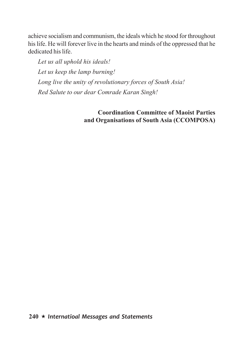achieve socialism and communism, the ideals which he stood for throughout his life. He will forever live in the hearts and minds of the oppressed that he dedicated his life.

*Let us all uphold his ideals! Let us keep the lamp burning! Long live the unity of revolutionary forces of South Asia! Red Salute to our dear Comrade Karan Singh!*

> **Coordination Committee of Maoist Parties and Organisations of South Asia (CCOMPOSA)**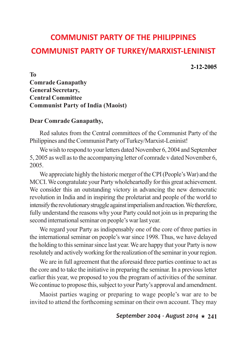# **COMMUNIST PARTY OF THE PHILIPPINES COMMUNIST PARTY OF TURKEY/MARXIST-LENINIST**

**2-12-2005**

**To Comrade Ganapathy General Secretary, Central Committee Communist Party of India (Maoist)**

#### **Dear Comrade Ganapathy,**

Red salutes from the Central committees of the Communist Party of the Philippines and the Communist Party of Turkey/Marxist-Leninist!

We wish to respond to your letters dated November 6, 2004 and September 5, 2005 as well as to the accompanying letter of comrade v dated November 6, 2005.

We appreciate highly the historic merger of the CPI (People's War) and the MCCI. We congratulate your Party wholeheartedly for this great achievement. We consider this an outstanding victory in advancing the new democratic revolution in India and in inspiring the proletariat and people of the world to intensify the revolutionary struggle against imperialism and reaction. We therefore, fully understand the reasons why your Party could not join us in preparing the second international seminar on people's war last year.

We regard your Party as indispensably one of the core of three parties in the international seminar on people's war since 1998. Thus, we have delayed the holding to this seminar since last year. We are happy that your Party is now resolutely and actively working for the realization of the seminar in your region.

We are in full agreement that the aforesaid three parties continue to act as the core and to take the initiative in preparing the seminar. In a previous letter earlier this year, we proposed to you the program of activities of the seminar. We continue to propose this, subject to your Party's approval and amendment.

Maoist parties waging or preparing to wage people's war are to be invited to attend the forthcoming seminar on their own account. They may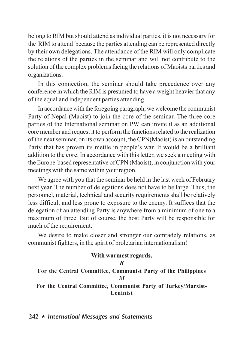belong to RIM but should attend as individual parties. it is not necessary for the RIM to attend because the parties attending can be represented directly by their own delegations. The attendance of the RIM will only complicate the relations of the parties in the seminar and will not contribute to the solution of the complex problems facing the relations of Maoists parties and organizations.

In this connection, the seminar should take precedence over any conference in which the RIM is presumed to have a weight heavier that any of the equal and independent parties attending.

In accordance with the foregoing paragraph, we welcome the communist Party of Nepal (Maoist) to join the core of the seminar. The three core parties of the International seminar on PW can invite it as an additional core member and request it to perform the functions related to the realization of the next seminar, on its own account, the CPN(Maoist) is an outstanding Party that has proven its mettle in people's war. It would be a brilliant addition to the core. In accordance with this letter, we seek a meeting with the Europe-based representative of CPN (Maoist), in conjunction with your meetings with the same within your region.

We agree with you that the seminar be held in the last week of February next year. The number of delegations does not have to be large. Thus, the personnel, material, technical and security requirements shall be relatively less difficult and less prone to exposure to the enemy. It suffices that the delegation of an attending Party is anywhere from a minimum of one to a maximum of three. But of course, the host Party will be responsible for much of the requirement.

We desire to make closer and stronger our comradely relations, as communist fighters, in the spirit of proletarian internationalism!

#### **With warmest regards,** *B* **For the Central Committee, Communist Party of the Philippines** *M* **For the Central Committee, Communist Party of Turkey/Marxist-Leninist**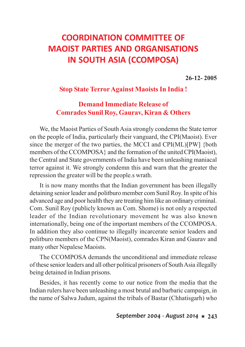# **COORDINATION COMMITTEE OF MAOIST PARTIES AND ORGANISATIONS IN SOUTH ASIA (CCOMPOSA)**

**26-12- 2005**

#### **Stop State Terror Against Maoists In India !**

### **Demand Immediate Release of Comrades Sunil Roy, Gaurav, Kiran & Others**

We, the Maoist Parties of South Asia strongly condemn the State terror on the people of India, particularly their vanguard, the CPI(Maoist). Ever since the merger of the two parties, the MCCI and CPI(ML)[PW] {both members of the CCOMPOSA} and the formation of the united CPI(Maoist), the Central and State governments of India have been unleashing maniacal terror against it. We strongly condemn this and warn that the greater the repression the greater will be the people.s wrath.

It is now many months that the Indian government has been illegally detaining senior leader and politburo member com Sunil Roy. In spite of his advanced age and poor health they are treating him like an ordinary criminal. Com. Sunil Roy (publicly known as Com. Shome) is not only a respected leader of the Indian revolutionary movement he was also known internationally, being one of the important members of the CCOMPOSA. In addition they also continue to illegally incarcerate senior leaders and politburo members of the CPN(Maoist), comrades Kiran and Gaurav and many other Nepalese Maoists.

The CCOMPOSA demands the unconditional and immediate release of these senior leaders and all other political prisoners of South Asia illegally being detained in Indian prisons.

Besides, it has recently come to our notice from the media that the Indian rulers have been unleashing a most brutal and barbaric campaign, in the name of Salwa Judum, against the tribals of Bastar (Chhatisgarh) who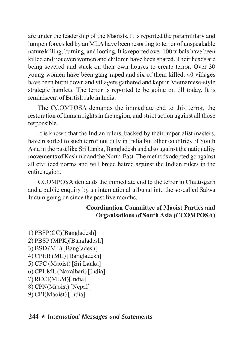are under the leadership of the Maoists. It is reported the paramilitary and lumpen forces led by an MLA have been resorting to terror of unspeakable nature killing, burning, and looting. It is reported over 100 tribals have been killed and not even women and children have been spared. Their heads are being severed and stuck on their own houses to create terror. Over 30 young women have been gang-raped and six of them killed. 40 villages have been burnt down and villagers gathered and kept in Vietnamese-style strategic hamlets. The terror is reported to be going on till today. It is reminiscent of British rule in India.

The CCOMPOSA demands the immediate end to this terror, the restoration of human rights in the region, and strict action against all those responsible.

It is known that the Indian rulers, backed by their imperialist masters, have resorted to such terror not only in India but other countries of South Asia in the past like Sri Lanka, Bangladesh and also against the nationality movements of Kashmir and the North-East. The methods adopted go against all civilized norms and will breed hatred against the Indian rulers in the entire region.

CCOMPOSA demands the immediate end to the terror in Chattisgarh and a public enquiry by an international tribunal into the so-called Salwa Judum going on since the past five months.

#### **Coordination Committee of Maoist Parties and Organisations of South Asia (CCOMPOSA)**

- 1) PBSP(CC)[Bangladesh]
- 2) PBSP (MPK)[Bangladesh]
- 3) BSD (ML) [Bangladesh]
- 4) CPEB (ML) [Bangladesh]
- 5) CPC (Maoist) [Sri Lanka]
- 6) CPI-ML (Naxalbari) [India]
- 7) RCCI(MLM)[India]
- 8) CPN(Maoist) [Nepal]
- 9) CPI(Maoist) [India]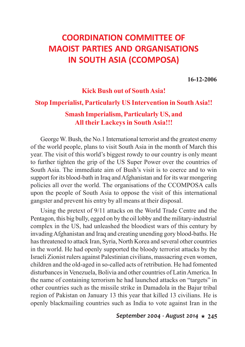# **COORDINATION COMMITTEE OF MAOIST PARTIES AND ORGANISATIONS IN SOUTH ASIA (CCOMPOSA)**

**16-12-2006**

#### **Kick Bush out of South Asia!**

#### **Stop Imperialist, Particularly US Intervention in South Asia!!**

#### **Smash Imperialism, Particularly US, and All their Lackeys in South Asia!!!**

George W. Bush, the No.1 International terrorist and the greatest enemy of the world people, plans to visit South Asia in the month of March this year. The visit of this world's biggest rowdy to our country is only meant to further tighten the grip of the US Super Power over the countries of South Asia. The immediate aim of Bush's visit is to coerce and to win support for its blood-bath in Iraq and Afghanistan and for its war mongering policies all over the world. The organisations of the CCOMPOSA calls upon the people of South Asia to oppose the visit of this international gangster and prevent his entry by all means at their disposal.

Using the pretext of 9/11 attacks on the World Trade Centre and the Pentagon, this big bully, egged on by the oil lobby and the military-industrial complex in the US, had unleashed the bloodiest wars of this century by invading Afghanistan and Iraq and creating unending gory blood-baths. He has threatened to attack Iran, Syria, North Korea and several other countries in the world. He had openly supported the bloody terrorist attacks by the Israeli Zionist rulers against Palestinian civilians, massacring even women, children and the old-aged in so-called acts of retribution. He had fomented disturbances in Venezuela, Bolivia and other countries of Latin America. In the name of containing terrorism he had launched attacks on "targets" in other countries such as the missile strike in Damadola in the Bajur tribal region of Pakistan on January 13 this year that killed 13 civilians. He is openly blackmailing countries such as India to vote against Iran in the

#### *September 2004 - August 2014* **245**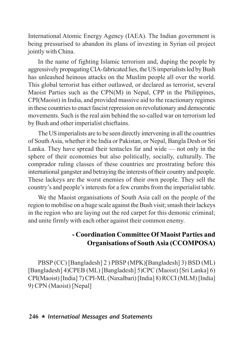International Atomic Energy Agency (IAEA). The Indian government is being pressurised to abandon its plans of investing in Syrian oil project jointly with China.

In the name of fighting Islamic terrorism and, duping the people by aggressively propagating CIA-fabricated lies, the US imperialists led by Bush has unleashed heinous attacks on the Muslim people all over the world. This global terrorist has either outlawed, or declared as terrorist, several Maoist Parties such as the CPN(M) in Nepal, CPP in the Philippines, CPI(Maoist) in India, and provided massive aid to the reactionary regimes in these countries to enact fascist repression on revolutionary and democratic movements. Such is the real aim behind the so-called war on terrorism led by Bush and other imperialist chieftains.

The US imperialists are to be seen directly intervening in all the countries of South Asia, whether it be India or Pakistan, or Nepal, Bangla Desh or Sri Lanka. They have spread their tentacles far and wide — not only in the sphere of their economies but also politically, socially, culturally. The comprador ruling classes of these countries are prostrating before this international gangster and betraying the interests of their country and people. These lackeys are the worst enemies of their own people. They sell the country's and people's interests for a few crumbs from the imperialist table.

We the Maoist organisations of South Asia call on the people of the region to mobilise on a huge scale against the Bush visit; smash their lackeys in the region who are laying out the red carpet for this demonic criminal; and unite firmly with each other against their common enemy.

### **- Coordination Committee Of Maoist Parties and Organisations of South Asia (CCOMPOSA)**

PBSP (CC) [Bangladesh] 2 ) PBSP (MPK)[Bangladesh] 3) BSD (ML) [Bangladesh] 4)CPEB (ML) [Bangladesh] 5)CPC (Maoist) [Sri Lanka] 6) CPI(Maoist) [India] 7) CPI-ML (Naxalbari) [India] 8) RCCI (MLM) [India] 9) CPN (Maoist) [Nepal]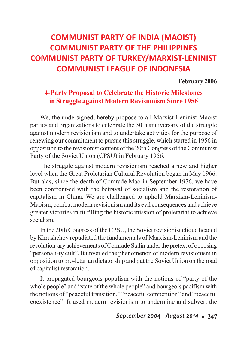# **COMMUNIST PARTY OF INDIA (MAOIST) COMMUNIST PARTY OF THE PHILIPPINES COMMUNIST PARTY OF TURKEY/MARXIST-LENINIST COMMUNIST LEAGUE OF INDONESIA**

**February 2006**

### **4-Party Proposal to Celebrate the Historic Milestones in Struggle against Modern Revisionism Since 1956**

We, the undersigned, hereby propose to all Marxist-Leninist-Maoist parties and organizations to celebrate the 50th anniversary of the struggle against modern revisionism and to undertake activities for the purpose of renewing our commitment to pursue this struggle, which started in 1956 in opposition to the revisionist content of the 20th Congress of the Communist Party of the Soviet Union (CPSU) in February 1956.

The struggle against modern revisionism reached a new and higher level when the Great Proletarian Cultural Revolution began in May 1966. But alas, since the death of Comrade Mao in September 1976, we have been confront-ed with the betrayal of socialism and the restoration of capitalism in China. We are challenged to uphold Marxism-Leninism-Maoism, combat modern revisionism and its evil consequences and achieve greater victories in fulfilling the historic mission of proletariat to achieve socialism.

In the 20th Congress of the CPSU, the Soviet revisionist clique headed by Khrushchov repudiated the fundamentals of Marxism-Leninism and the revolution-ary achievements of Comrade Stalin under the pretext of opposing "personali-ty cult". It unveiled the phenomenon of modern revisionism in opposition to pro-letarian dictatorship and put the Soviet Union on the road of capitalist restoration.

It propagated bourgeois populism with the notions of "party of the whole people" and "state of the whole people" and bourgeois pacifism with the notions of "peaceful transition," "peaceful competition" and "peaceful coexistence". It used modern revisionism to undermine and subvert the

#### *September 2004 - August 2014* **247**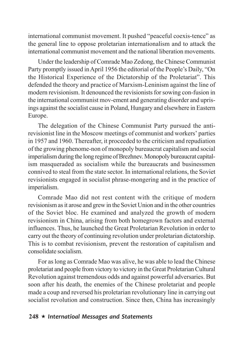international communist movement. It pushed "peaceful coexis-tence" as the general line to oppose proletarian internationalism and to attack the international communist movement and the national liberation movements.

Under the leadership of Comrade Mao Zedong, the Chinese Communist Party promptly issued in April 1956 the editorial of the People's Daily, "On the Historical Experience of the Dictatorship of the Proletariat". This defended the theory and practice of Marxism-Leninism against the line of modern revisionism. It denounced the revisionists for sowing con-fusion in the international communist mov-ement and generating disorder and uprisings against the socialist cause in Poland, Hungary and elsewhere in Eastern Europe.

The delegation of the Chinese Communist Party pursued the antirevisionist line in the Moscow meetings of communist and workers' parties in 1957 and 1960. Thereafter, it proceeded to the criticism and repudiation of the growing phenome-non of monopoly bureaucrat capitalism and social imperialism during the long regime of Brezhnev. Monopoly bureaucrat capitalism masqueraded as socialism while the bureaucrats and businessmen connived to steal from the state sector. In international relations, the Soviet revisionists engaged in socialist phrase-mongering and in the practice of imperialism.

Comrade Mao did not rest content with the critique of modern revisionism as it arose and grew in the Soviet Union and in the other countries of the Soviet bloc. He examined and analyzed the growth of modern revisionism in China, arising from both homegrown factors and external influences. Thus, he launched the Great Proletarian Revolution in order to carry out the theory of continuing revolution under proletarian dictatorship. This is to combat revisionism, prevent the restoration of capitalism and consolidate socialism.

For as long as Comrade Mao was alive, he was able to lead the Chinese proletariat and people from victory to victory in the Great Proletarian Cultural Revolution against tremendous odds and against powerful adversaries. But soon after his death, the enemies of the Chinese proletariat and people made a coup and reversed his proletarian revolutionary line in carrying out socialist revolution and construction. Since then, China has increasingly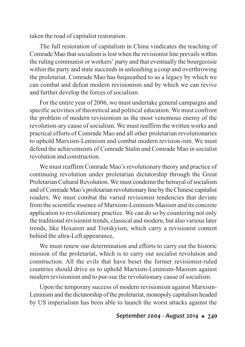taken the road of capitalist restoration.

The full restoration of capitalism in China vindicates the teaching of Comrade Mao that socialism is lost when the revisionist line prevails within the ruling communist or workers' party and that eventually the bourgeoisie within the party and state succeeds in unleashing a coup and overthrowing the proletariat. Comrade Mao has bequeathed to us a legacy by which we can combat and defeat modern revisionism and by which we can revive and further develop the forces of socialism.

For the entire year of 2006, we must undertake general campaigns and specific activities of theoretical and political education. We must confront the problem of modern revisionism as the most venomous enemy of the revolution-ary cause of socialism. We must reaffirm the written works and practical efforts of Comrade Mao and all other proletarian revolutionaries to uphold Marxism-Leninism and combat modern revision-ism. We must defend the achievements of Comrade Stalin and Comrade Mao in socialist revolution and construction.

We must reaffirm Comrade Mao's revolutionary theory and practice of continuing revolution under proletarian dictatorship through the Great Proletarian Cultural Revolution. We must condemn the betrayal of socialism and of Comrade Mao's proletarian revolutionary line by the Chinese capitalist roaders. We must combat the varied revisionist tendencies that deviate from the scientific essence of Marxism-Leninism-Maoism and its concrete application to revolutionary practice. We can do so by countering not only the traditional revisionist trends, classical and modern, but also various later trends, like Hoxaism and Trotskyism, which carry a revisionist content behind the ultra-Left appearance,

We must renew our determination and efforts to carry out the historic mission of the proletariat, which is to carry out socialist revolution and construction. All the evils that have beset the former revisionist-ruled countries should drive us to uphold Marxism-Leninism-Maoism against modern revisionism and to pur-sue the revolutionary cause of socialism.

Upon the temporary success of modern revisionism against Marxism-Leninism and the dictatorship of the proletariat, monopoly capitalism headed by US imperialism has been able to launch the worst attacks against the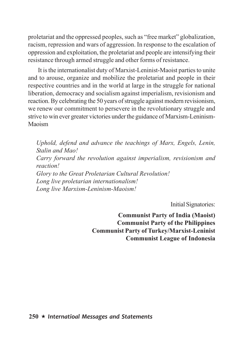proletariat and the oppressed peoples, such as "free market" globalization, racism, repression and wars of aggression. In response to the escalation of oppression and exploitation, the proletariat and people are intensifying their resistance through armed struggle and other forms of resistance.

It is the internationalist duty of Marxist-Leninist-Maoist parties to unite and to arouse, organize and mobilize the proletariat and people in their respective countries and in the world at large in the struggle for national liberation, democracy and socialism against imperialism, revisionism and reaction. By celebrating the 50 years of struggle against modern revisionism, we renew our commitment to persevere in the revolutionary struggle and strive to win ever greater victories under the guidance of Marxism-Leninism-Maoism

*Uphold, defend and advance the teachings of Marx, Engels, Lenin, Stalin and Mao! Carry forward the revolution against imperialism, revisionism and reaction! Glory to the Great Proletarian Cultural Revolution! Long live proletarian internationalism! Long live Marxism-Leninism-Maoism!*

Initial Signatories:

**Communist Party of India (Maoist) Communist Party of the Philippines Communist Party of Turkey/Marxist-Leninist Communist League of Indonesia**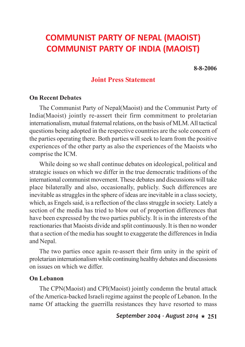# **COMMUNIST PARTY OF NEPAL (MAOIST) COMMUNIST PARTY OF INDIA (MAOIST)**

**8-8-2006**

#### **Joint Press Statement**

#### **On Recent Debates**

The Communist Party of Nepal(Maoist) and the Communist Party of India(Maoist) jointly re-assert their firm commitment to proletarian internationalism, mutual fraternal relations, on the basis of MLM. All tactical questions being adopted in the respective countries are the sole concern of the parties operating there. Both parties will seek to learn from the positive experiences of the other party as also the experiences of the Maoists who comprise the ICM.

While doing so we shall continue debates on ideological, political and strategic issues on which we differ in the true democratic traditions of the international communist movement. These debates and discussions will take place bilaterally and also, occasionally, publicly. Such differences are inevitable as struggles in the sphere of ideas are inevitable in a class society, which, as Engels said, is a reflection of the class struggle in society. Lately a section of the media has tried to blow out of proportion differences that have been expressed by the two parties publicly. It is in the interests of the reactionaries that Maoists divide and split continuously. It is then no wonder that a section of the media has sought to exaggerate the differences in India and Nepal.

The two parties once again re-assert their firm unity in the spirit of proletarian internationalism while continuing healthy debates and discussions on issues on which we differ.

#### **On Lebanon**

The CPN(Maoist) and CPI(Maoist) jointly condemn the brutal attack of the America-backed Israeli regime against the people of Lebanon. In the name Of attacking the guerrilla resistances they have resorted to mass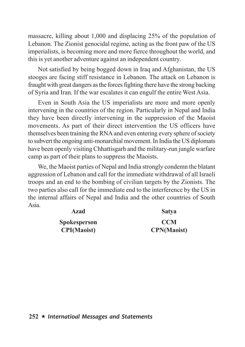massacre, killing about 1,000 and displacing 25% of the population of Lebanon. The Zionist genocidal regime, acting as the front paw of the US imperialists, is becoming more and more fierce throughout the world, and this is yet another adventure against an independent country.

Not satisfied by being bogged down in Iraq and Afghanistan, the US stooges are facing stiff resistance in Lebanon. The attack on Lebanon is fraught with great dangers as the forces fighting there have the strong backing of Syria and Iran. If the war escalates it can engulf the entire West Asia.

Even in South Asia the US imperialists are more and more openly intervening in the countries of the region. Particularly in Nepal and India they have been directly intervening in the suppression of the Maoist movements. As part of their direct intervention the US officers have themselves been training the RNA and even entering every sphere of society to subvert the ongoing anti-monarchial movement. In India the US diplomats have been openly visiting Chhattisgarh and the military-run jungle warfare camp as part of their plans to suppress the Maoists.

We, the Maoist parties of Nepal and India strongly condemn the blatant aggression of Lebanon and call for the immediate withdrawal of all Israeli troops and an end to the bombing of civilian targets by the Zionists. The two parties also call for the immediate end to the interference by the US in the internal affairs of Nepal and India and the other countries of South Asia.

| <b>Azad</b>        | <b>Satva</b>       |
|--------------------|--------------------|
| Spokesperson       | <b>CCM</b>         |
| <b>CPI(Maoist)</b> | <b>CPN(Maoist)</b> |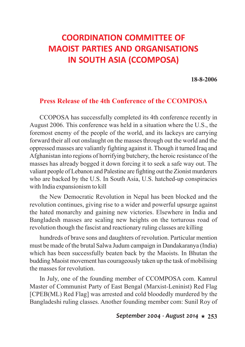# **COORDINATION COMMITTEE OF MAOIST PARTIES AND ORGANISATIONS IN SOUTH ASIA (CCOMPOSA)**

**18-8-2006**

### **Press Release of the 4th Conference of the CCOMPOSA**

CCOPOSA has successfully completed its 4th conference recently in August 2006. This conference was held in a situation where the U.S., the foremost enemy of the people of the world, and its lackeys are carrying forward their all out onslaught on the masses through out the world and the oppressed masses are valiantly fighting against it. Though it turned Iraq and Afghanistan into regions of horrifying butchery, the heroic resistance of the masses has already bogged it down forcing it to seek a safe way out. The valiant people of Lebanon and Palestine are fighting out the Zionist murderers who are backed by the U.S. In South Asia, U.S. hatched-up conspiracies with India expansionism to kill

the New Democratic Revolution in Nepal has been blocked and the revolution continues, giving rise to a wider and powerful upsurge against the hated monarchy and gaining new victories. Elsewhere in India and Bangladesh masses are scaling new heights on the torturous road of revolution though the fascist and reactionary ruling classes are killing

hundreds of brave sons and daughters of revolution. Particular mention must be made of the brutal Salwa Judum campaign in Dandakaranya (India) which has been successfully beaten back by the Maoists. In Bhutan the budding Maoist movement has courageously taken up the task of mobilising the masses for revolution.

In July, one of the founding member of CCOMPOSA com. Kamrul Master of Communist Party of East Bengal (Marxist-Leninist) Red Flag [CPEB(ML) Red Flag] was arrested and cold bloodedly murdered by the Bangladeshi ruling classes. Another founding member com: Sunil Roy of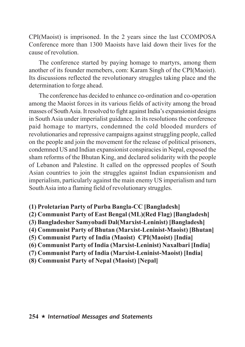CPI(Maoist) is imprisoned. In the 2 years since the last CCOMPOSA Conference more than 1300 Maoists have laid down their lives for the cause of revolution.

The conference started by paying homage to martyrs, among them another of its founder memebers, com: Karam Singh of the CPI(Maoist). Its discussions reflected the revolutionary struggles taking place and the determination to forge ahead.

The conference has decided to enhance co-ordination and co-operation among the Maoist forces in its various fields of activity among the broad masses of South Asia. It resolved to fight against India's expansionist designs in South Asia under imperialist guidance. In its resolutions the conference paid homage to martyrs, condemned the cold blooded murders of revolutionaries and repressive campaigns against struggling people, called on the people and join the movement for the release of political prisoners, condemned US and Indian expansionist conspiracies in Nepal, exposed the sham reforms of the Bhutan King, and declared solidarity with the people of Lebanon and Palestine. It called on the oppressed peoples of South Asian countries to join the struggles against Indian expansionism and imperialism, particularly against the main enemy US imperialism and turn South Asia into a flaming field of revolutionary struggles.

- **(1) Proletarian Party of Purba Bangla-CC [Bangladesh]**
- **(2) Communist Party of East Bengal (ML)(Red Flag) [Bangladesh]**
- **(3) Bangladesher Samyobadi Dal(Marxist-Leninist) [Bangladesh]**
- **(4) Communist Party of Bhutan (Marxist-Leninist-Maoist) [Bhutan]**
- **(5) Communist Party of India (Maoist) CPI(Maoist) [India]**
- **(6) Communist Party of India (Marxist-Leninist) Naxalbari [India]**
- **(7) Communist Party of India (Marxist-Leninist-Maoist) [India]**
- **(8) Communist Party of Nepal (Maoist) [Nepal]**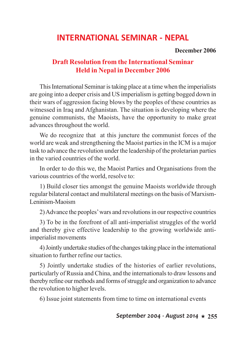## **INTERNATIONAL SEMINAR - NEPAL**

### **December 2006**

## **Draft Resolution from the International Seminar Held in Nepal in December 2006**

This International Seminar is taking place at a time when the imperialists are going into a deeper crisis and US imperialism is getting bogged down in their wars of aggression facing blows by the peoples of these countries as witnessed in Iraq and Afghanistan. The situation is developing where the genuine communists, the Maoists, have the opportunity to make great advances throughout the world.

We do recognize that at this juncture the communist forces of the world are weak and strengthening the Maoist parties in the ICM is a major task to advance the revolution under the leadership of the proletarian parties in the varied countries of the world.

In order to do this we, the Maoist Parties and Organisations from the various countries of the world, resolve to:

1) Build closer ties amongst the genuine Maoists worldwide through regular bilateral contact and multilateral meetings on the basis of Marxism-Leninism-Maoism

2) Advance the peoples' wars and revolutions in our respective countries

3) To be in the forefront of all anti-imperialist struggles of the world and thereby give effective leadership to the growing worldwide antiimperialist movements

4) Jointly undertake studies of the changes taking place in the international situation to further refine our tactics.

5) Jointly undertake studies of the histories of earlier revolutions, particularly of Russia and China, and the internationals to draw lessons and thereby refine our methods and forms of struggle and organization to advance the revolution to higher levels.

6) Issue joint statements from time to time on international events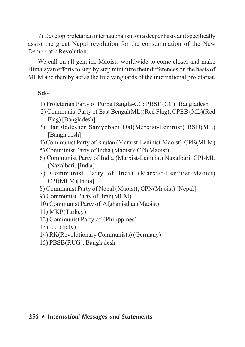7) Develop proletarian internationalism on a deeper basis and specifically assist the great Nepal revolution for the consummation of the New Democratic Revolution.

We call on all genuine Maoists worldwide to come closer and make Himalayan efforts to step by step minimize their differences on the basis of MLM and thereby act as the true vanguards of the international proletariat.

#### **Sd/-**

- 1) Proletarian Party of Purba Bangla-CC; PBSP (CC) [Bangladesh]
- 2) Communist Party of East Bengal(ML)(Red Flag); CPEB (ML)(Red Flag) [Bangladesh]
- 3) Bangladesher Samyobadi Dal(Marxist-Leninist) BSD(ML) [Bangladesh]
- 4) Communist Party of Bhutan (Marxist-Leninist-Maoist) CPB(MLM)
- 5) Comminist Party of India (Maoist); CPI(Maoist)
- 6) Communist Party of India (Marxist-Leninist) Naxalbari CPI-ML (Naxalbari) [India]
- 7) Communist Party of India (Marxist-Leninist-Maoist) CPI(MLM)[India]
- 8) Communist Party of Nepal (Maoist); CPN(Maoist) [Nepal]
- 9) Communist Party of Iran(MLM)
- 10) Communist Party of Afghanisthan(Maoist)
- 11) MKP(Turkey)
- 12) Communist Party of (Philippines)
- 13) ..... (Italy)
- 14) RK(Revolutionary Communists) (Germany)
- 15) PBSB(RUG), Bangladesh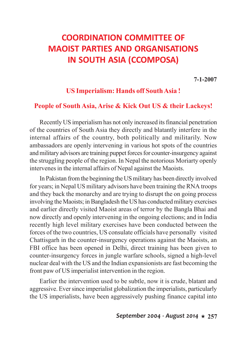# **COORDINATION COMMITTEE OF MAOIST PARTIES AND ORGANISATIONS IN SOUTH ASIA (CCOMPOSA)**

**7-1-2007**

## **US Imperialism: Hands off South Asia !**

### **People of South Asia, Arise & Kick Out US & their Lackeys!**

Recently US imperialism has not only increased its financial penetration of the countries of South Asia they directly and blatantly interfere in the internal affairs of the country, both politically and militarily. Now ambassadors are openly intervening in various hot spots of the countries and military advisors are training puppet forces for counter-insurgency against the struggling people of the region. In Nepal the notorious Moriarty openly intervenes in the internal affairs of Nepal against the Maoists.

In Pakistan from the beginning the US military has been directly involved for years; in Nepal US military advisors have been training the RNA troops and they back the monarchy and are trying to disrupt the on going process involving the Maoists; in Bangladesh the US has conducted military exercises and earlier directly visited Maoist areas of terror by the Bangla Bhai and now directly and openly intervening in the ongoing elections; and in India recently high level military exercises have been conducted between the forces of the two countries, US consulate officials have personally visited Chattisgarh in the counter-insurgency operations against the Maoists, an FBI office has been opened in Delhi, direct training has been given to counter-insurgency forces in jungle warfare schools, signed a high-level nuclear deal with the US and the Indian expansionists are fast becoming the front paw of US imperialist intervention in the region.

Earlier the intervention used to be subtle, now it is crude, blatant and aggressive. Ever since imperialist globalization the imperialists, particularly the US imperialists, have been aggressively pushing finance capital into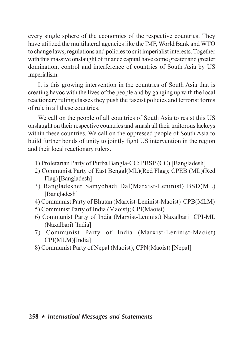every single sphere of the economies of the respective countries. They have utilized the multilateral agencies like the IMF, World Bank and WTO to change laws, regulations and policies to suit imperialist interests. Together with this massive onslaught of finance capital have come greater and greater domination, control and interference of countries of South Asia by US imperialism.

It is this growing intervention in the countries of South Asia that is creating havoc with the lives of the people and by ganging up with the local reactionary ruling classes they push the fascist policies and terrorist forms of rule in all these countries.

We call on the people of all countries of South Asia to resist this US onslaught on their respective countries and smash all their traitorous lackeys within these countries. We call on the oppressed people of South Asia to build further bonds of unity to jointly fight US intervention in the region and their local reactionary rulers.

- 1) Proletarian Party of Purba Bangla-CC; PBSP (CC) [Bangladesh]
- 2) Communist Party of East Bengal(ML)(Red Flag); CPEB (ML)(Red Flag) [Bangladesh]
- 3) Bangladesher Samyobadi Dal(Marxist-Leninist) BSD(ML) [Bangladesh]
- 4) Communist Party of Bhutan (Marxist-Leninist-Maoist) CPB(MLM)
- 5) Comminist Party of India (Maoist); CPI(Maoist)
- 6) Communist Party of India (Marxist-Leninist) Naxalbari CPI-ML (Naxalbari) [India]
- 7) Communist Party of India (Marxist-Leninist-Maoist) CPI(MLM)[India]
- 8) Communist Party of Nepal (Maoist); CPN(Maoist) [Nepal]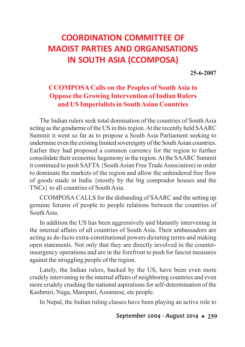# **COORDINATION COMMITTEE OF MAOIST PARTIES AND ORGANISATIONS IN SOUTH ASIA (CCOMPOSA)**

**25-6-2007**

## **CCOMPOSA Calls on the Peoples of South Asia to Oppose the Growing Intervention of Indian Rulers and US Imperialists in South Asian Countries**

The Indian rulers seek total domination of the countries of South Asia acting as the gendarme of the US in this region. At the recently held SAARC Summit it went so far as to propose a South Asia Parliament seeking to undermine even the existing limited sovereignty of the South Asian countries. Earlier they had proposed a common currency for the region to further consolidate their economic hegemony in the region. At the SAARC Summit it continued to push SAFTA {South Asian Free Trade Association) in order to dominate the markets of the region and allow the unhindered free flow of goods made in India {mostly by the big comprador houses and the TNCs} to all countries of South Asia.

CCOMPOSA CALLS for the disbanding of SAARC and the setting up genuine forums of people to people relations between the countries of South Asia.

In addition the US has been aggressively and blatantly intervening in the internal affairs of all countries of South Asia. Their ambassadors are acting as de-facto extra-constitutional powers dictating terms and making open statements. Not only that they are directly involved in the counterinsurgency operations and are in the forefront to push for fascist measures against the struggling people of the region.

Lately, the Indian rulers, backed by the US, have been even more crudely intervening in the internal affairs of neighboring countries and even more crudely crushing the national aspirations for self-determination of the Kashmiri, Naga, Manipuri, Assamese, etc people.

In Nepal, the Indian ruling classes have been playing an active role to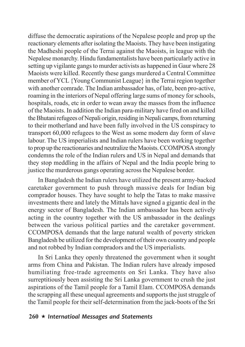diffuse the democratic aspirations of the Nepalese people and prop up the reactionary elements after isolating the Maoists. They have been instigating the Madheshi people of the Terrai against the Maoists, in league with the Nepalese monarchy. Hindu fundamentalists have been particularly active in setting up vigilante gangs to murder activists as happened in Gaur where 28 Maoists were killed. Recently these gangs murdered a Central Committee member of YCL {Young Communist League} in the Terrai region together with another comrade. The Indian ambassador has, of late, been pro-active, roaming in the interiors of Nepal offering large sums of money for schools, hospitals, roads, etc in order to wean away the masses from the influence of the Maoists. In addition the Indian para-military have fired on and killed the Bhutani refugees of Nepali origin, residing in Nepali camps, from returning to their motherland and have been fully involved in the US conspiracy to transport 60,000 refugees to the West as some modern day form of slave labour. The US imperialists and Indian rulers have been working together to prop up the reactionaries and neutralize the Maoists. CCOMPOSA strongly condemns the role of the Indian rulers and US in Nepal and demands that they stop meddling in the affairs of Nepal and the India people bring to justice the murderous gangs operating across the Nepalese border.

In Bangladesh the Indian rulers have utilized the present army-backed caretaker government to push through massive deals for Indian big comprador houses. They have sought to help the Tatas to make massive investments there and lately the Mittals have signed a gigantic deal in the energy sector of Bangladesh. The Indian ambassador has been actively acting in the country together with the US ambassador in the dealings between the various political parties and the caretaker government. CCOMPOSA demands that the large natural wealth of poverty stricken Bangladesh be utilized for the development of their own country and people and not robbed by Indian compradors and the US imperialists.

In Sri Lanka they openly threatened the government when it sought arms from China and Pakistan. The Indian rulers have already imposed humiliating free-trade agreements on Sri Lanka. They have also surreptitiously been assisting the Sri Lanka government to crush the just aspirations of the Tamil people for a Tamil Elam. CCOMPOSA demands the scrapping all these unequal agreements and supports the just struggle of the Tamil people for their self-determination from the jack-boots of the Sri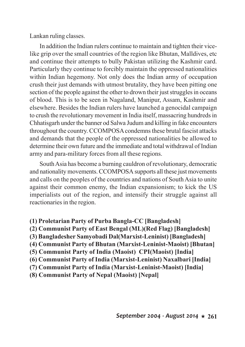Lankan ruling classes.

In addition the Indian rulers continue to maintain and tighten their vicelike grip over the small countries of the region like Bhutan, Malldives, etc and continue their attempts to bully Pakistan utilizing the Kashmir card. Particularly they continue to forcibly maintain the oppressed nationalities within Indian hegemony. Not only does the Indian army of occupation crush their just demands with utmost brutality, they have been pitting one section of the people against the other to drown their just struggles in oceans of blood. This is to be seen in Nagaland, Manipur, Assam, Kashmir and elsewhere. Besides the Indian rulers have launched a genocidal campaign to crush the revolutionary movement in India itself, massacring hundreds in Chhatisgarh under the banner od Salwa Judum and killing in fake encounters throughout the country. CCOMPOSA condemns these brutal fascist attacks and demands that the people of the oppressed nationalities be allowed to determine their own future and the immediate and total withdrawal of Indian army and para-military forces from all these regions.

South Asia has become a burning cauldron of revolutionary, democratic and nationality movements. CCOMPOSA supports all these just movements and calls on the peoples of the countries and nations of South Asia to unite against their common enemy, the Indian expansionism; to kick the US imperialists out of the region, and intensify their struggle against all reactionaries in the region.

- **(1) Proletarian Party of Purba Bangla-CC [Bangladesh]**
- **(2) Communist Party of East Bengal (ML)(Red Flag) [Bangladesh]**
- **(3) Bangladesher Samyobadi Dal(Marxist-Leninist) [Bangladesh]**
- **(4) Communist Party of Bhutan (Marxist-Leninist-Maoist) [Bhutan]**
- **(5) Communist Party of India (Maoist) CPI(Maoist) [India]**
- **(6) Communist Party of India (Marxist-Leninist) Naxalbari [India]**
- **(7) Communist Party of India (Marxist-Leninist-Maoist) [India]**
- **(8) Communist Party of Nepal (Maoist) [Nepal]**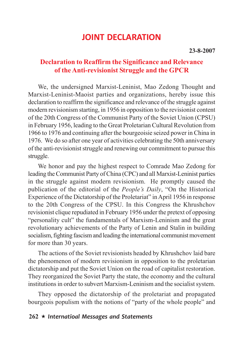## **JOINT DECLARATION**

## **Declaration to Reaffirm the Significance and Relevance of the Anti-revisionist Struggle and the GPCR**

We, the undersigned Marxist-Leninist, Mao Zedong Thought and Marxist-Leninist-Maoist parties and organizations, hereby issue this declaration to reaffirm the significance and relevance of the struggle against modern revisionism starting, in 1956 in opposition to the revisionist content of the 20th Congress of the Communist Party of the Soviet Union (CPSU) in February 1956, leading to the Great Proletarian Cultural Revolution from 1966 to 1976 and continuing after the bourgeoisie seized power in China in 1976. We do so after one year of activities celebrating the 50th anniversary of the anti-revisionist struggle and renewing our commitment to pursue this struggle.

We honor and pay the highest respect to Comrade Mao Zedong for leading the Communist Party of China (CPC) and all Marxist-Leninist parties in the struggle against modern revisionism. He promptly caused the publication of the editorial of the *People's Daily*, "On the Historical Experience of the Dictatorship of the Proletariat" in April 1956 in response to the 20th Congress of the CPSU. In this Congress the Khrushchov revisionist clique repudiated in February 1956 under the pretext of opposing "personality cult" the fundamentals of Marxism-Leninism and the great revolutionary achievements of the Party of Lenin and Stalin in building socialism, fighting fascism and leading the international communist movement for more than 30 years.

The actions of the Soviet revisionists headed by Khrushchov laid bare the phenomenon of modern revisionism in opposition to the proletarian dictatorship and put the Soviet Union on the road of capitalist restoration. They reorganized the Soviet Party the state, the economy and the cultural institutions in order to subvert Marxism-Leninism and the socialist system.

They opposed the dictatorship of the proletariat and propagated bourgeois populism with the notions of "party of the whole people" and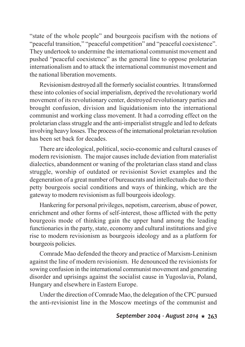"state of the whole people" and bourgeois pacifism with the notions of "peaceful transition," "peaceful competition" and "peaceful coexistence". They undertook to undermine the international communist movement and pushed "peaceful coexistence" as the general line to oppose proletarian internationalism and to attack the international communist movement and the national liberation movements.

Revisionism destroyed all the formerly socialist countries. It transformed these into colonies of social imperialism, deprived the revolutionary world movement of its revolutionary center, destroyed revolutionary parties and brought confusion, division and liquidationism into the international communist and working class movement. It had a corroding effect on the proletarian class struggle and the anti-imperialist struggle and led to defeats involving heavy losses. The process of the international proletarian revolution has been set back for decades.

There are ideological, political, socio-economic and cultural causes of modern revisionism. The major causes include deviation from materialist dialectics, abandonment or waning of the proletarian class stand and class struggle, worship of outdated or revisionist Soviet examples and the degeneration of a great number of bureaucrats and intellectuals due to their petty bourgeois social conditions and ways of thinking, which are the gateway to modern revisionism as full bourgeois ideology.

Hankering for personal privileges, nepotism, careerism, abuse of power, enrichment and other forms of self-interest, those afflicted with the petty bourgeois mode of thinking gain the upper hand among the leading functionaries in the party, state, economy and cultural institutions and give rise to modern revisionism as bourgeois ideology and as a platform for bourgeois policies.

Comrade Mao defended the theory and practice of Marxism-Leninism against the line of modern revisionism. He denounced the revisionists for sowing confusion in the international communist movement and generating disorder and uprisings against the socialist cause in Yugoslavia, Poland, Hungary and elsewhere in Eastern Europe.

Under the direction of Comrade Mao, the delegation of the CPC pursued the anti-revisionist line in the Moscow meetings of the communist and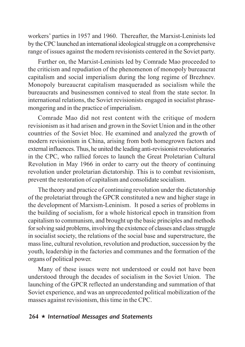workers' parties in 1957 and 1960. Thereafter, the Marxist-Leninists led by the CPC launched an international ideological struggle on a comprehensive range of issues against the modern revisionists centered in the Soviet party.

Further on, the Marxist-Leninists led by Comrade Mao proceeded to the criticism and repudiation of the phenomenon of monopoly bureaucrat capitalism and social imperialism during the long regime of Brezhnev. Monopoly bureaucrat capitalism masqueraded as socialism while the bureaucrats and businessmen connived to steal from the state sector. In international relations, the Soviet revisionists engaged in socialist phrasemongering and in the practice of imperialism.

Comrade Mao did not rest content with the critique of modern revisionism as it had arisen and grown in the Soviet Union and in the other countries of the Soviet bloc. He examined and analyzed the growth of modern revisionism in China, arising from both homegrown factors and external influences. Thus, he united the leading anti-revisionist revolutionaries in the CPC, who rallied forces to launch the Great Proletarian Cultural Revolution in May 1966 in order to carry out the theory of continuing revolution under proletarian dictatorship. This is to combat revisionism, prevent the restoration of capitalism and consolidate socialism.

The theory and practice of continuing revolution under the dictatorship of the proletariat through the GPCR constituted a new and higher stage in the development of Marxism-Leninism. It posed a series of problems in the building of socialism, for a whole historical epoch in transition from capitalism to communism, and brought up the basic principles and methods for solving said problems, involving the existence of classes and class struggle in socialist society, the relations of the social base and superstructure, the mass line, cultural revolution, revolution and production, succession by the youth, leadership in the factories and communes and the formation of the organs of political power.

Many of these issues were not understood or could not have been understood through the decades of socialism in the Soviet Union. The launching of the GPCR reflected an understanding and summation of that Soviet experience, and was an unprecedented political mobilization of the masses against revisionism, this time in the CPC.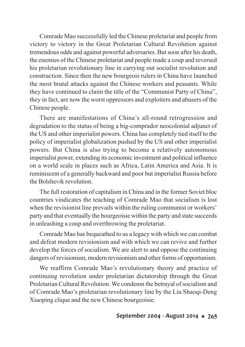Comrade Mao successfully led the Chinese proletariat and people from victory to victory in the Great Proletarian Cultural Revolution against tremendous odds and against powerful adversaries. But soon after his death, the enemies of the Chinese proletariat and people made a coup and reversed his proletarian revolutionary line in carrying out socialist revolution and construction. Since then the new bourgeois rulers in China have launched the most brutal attacks against the Chinese workers and peasants. While they have continued to claim the title of the "Communist Party of China", they in fact, are now the worst oppressors and exploiters and abusers of the Chinese people.

There are manifestations of China's all-round retrogression and degradation to the status of being a big-comprador neocolonial adjunct of the US and other imperialist powers. China has completely tied itself to the policy of imperialist globalization pushed by the US and other imperialist powers. But China is also trying to become a relatively autonomous imperialist power, extending its economic investment and political influence on a world scale in places such as Africa, Latin America and Asia. It is reminiscent of a generally backward and poor but imperialist Russia before the Bolshevik revolution.

The full restoration of capitalism in China and in the former Soviet bloc countries vindicates the teaching of Comrade Mao that socialism is lost when the revisionist line prevails within the ruling communist or workers' party and that eventually the bourgeoisie within the party and state succeeds in unleashing a coup and overthrowing the proletariat.

Comrade Mao has bequeathed to us a legacy with which we can combat and defeat modern revisionism and with which we can revive and further develop the forces of socialism. We are alert to and oppose the continuing dangers of revisionism, modern revisionism and other forms of opportunism.

We reaffirm Comrade Mao's revolutionary theory and practice of continuing revolution under proletarian dictatorship through the Great Proletarian Cultural Revolution. We condemn the betrayal of socialism and of Comrade Mao's proletarian revolutionary line by the Liu Shaoqi-Deng Xiaoping clique and the new Chinese bourgeoisie.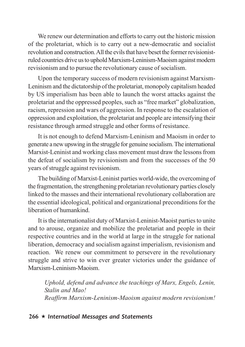We renew our determination and efforts to carry out the historic mission of the proletariat, which is to carry out a new-democratic and socialist revolution and construction. All the evils that have beset the former revisionistruled countries drive us to uphold Marxism-Leninism-Maoism against modern revisionism and to pursue the revolutionary cause of socialism.

Upon the temporary success of modern revisionism against Marxism-Leninism and the dictatorship of the proletariat, monopoly capitalism headed by US imperialism has been able to launch the worst attacks against the proletariat and the oppressed peoples, such as "free market" globalization, racism, repression and wars of aggression. In response to the escalation of oppression and exploitation, the proletariat and people are intensifying their resistance through armed struggle and other forms of resistance.

It is not enough to defend Marxism-Leninism and Maoism in order to generate a new upswing in the struggle for genuine socialism. The international Marxist-Leninist and working class movement must draw the lessons from the defeat of socialism by revisionism and from the successes of the 50 years of struggle against revisionism.

The building of Marxist-Leninist parties world-wide, the overcoming of the fragmentation, the strengthening proletarian revolutionary parties closely linked to the masses and their international revolutionary collaboration are the essential ideological, political and organizational preconditions for the liberation of humankind.

It is the internationalist duty of Marxist-Leninist-Maoist parties to unite and to arouse, organize and mobilize the proletariat and people in their respective countries and in the world at large in the struggle for national liberation, democracy and socialism against imperialism, revisionism and reaction. We renew our commitment to persevere in the revolutionary struggle and strive to win ever greater victories under the guidance of Marxism-Leninism-Maoism.

*Uphold, defend and advance the teachings of Marx, Engels, Lenin, Stalin and Mao! Reaffirm Marxism-Leninism-Maoism against modern revisionism!*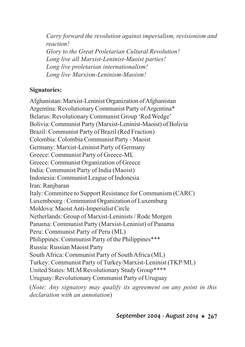*Carry forward the revolution against imperialism, revisionism and reaction! Glory to the Great Proletarian Cultural Revolution! Long live all Marxist-Leninist-Maoist parties! Long live proletarian internationalism! Long live Marxism-Leninism-Maoism!*

## **Signatories:**

Afghanistan: Marxist-Leninist Organization of Afghanistan Argentina: Revolutionary Communist Party of Argentina\* Belarus: Revolutionary Communist Group 'Red Wedge' Bolivia: Communist Party (Marxist-Leninist-Maoist) of Bolivia Brazil: Communist Party of Brazil (Red Fraction) Colombia: Colombia Communist Party - Maoist Germany: Marxist-Leninist Party of Germany Greece: Communist Party of Greece-ML Greece: Communist Organization of Greece India: Communist Party of India (Maoist) Indonesia: Communist League of Indonesia Iran: Ranjbaran Italy: Committee to Support Resistance for Communism (CARC) Luxembourg : Communist Organization of Luxemburg Moldova: Maoist Anti-Imperialist Circle Netherlands: Group of Marxist-Leninists / Rode Morgen Panama: Communist Party (Marxist-Leninist) of Panama Peru: Communist Party of Peru (ML) Philippines: Communist Party of the Philippines\*\*\* Russia: Russian Maoist Party South Africa: Communist Party of South Africa (ML) Turkey: Communist Party of Turkey/Marxist-Leninist (TKP/ML) United States: MLM Revolutionary Study Group\*\*\*\* Uruguay: Revolutionary Communist Party of Uruguay (*Note: Any signatory may qualify its agreement on any point in this declaration with an annotation*)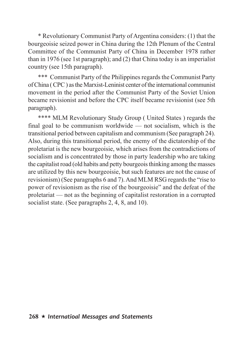\* Revolutionary Communist Party of Argentina considers: (1) that the bourgeoisie seized power in China during the 12th Plenum of the Central Committee of the Communist Party of China in December 1978 rather than in 1976 (see 1st paragraph); and (2) that China today is an imperialist country (see 15th paragraph).

\*\*\* Communist Party of the Philippines regards the Communist Party of China ( CPC ) as the Marxist-Leninist center of the international communist movement in the period after the Communist Party of the Soviet Union became revisionist and before the CPC itself became revisionist (see 5th paragraph).

\*\*\*\* MLM Revolutionary Study Group ( United States ) regards the final goal to be communism worldwide — not socialism, which is the transitional period between capitalism and communism (See paragraph 24). Also, during this transitional period, the enemy of the dictatorship of the proletariat is the new bourgeoisie, which arises from the contradictions of socialism and is concentrated by those in party leadership who are taking the capitalist road (old habits and petty bourgeois thinking among the masses are utilized by this new bourgeoisie, but such features are not the cause of revisionism) (See paragraphs 6 and 7). And MLM RSG regards the "rise to power of revisionism as the rise of the bourgeoisie" and the defeat of the proletariat — not as the beginning of capitalist restoration in a corrupted socialist state. (See paragraphs 2, 4, 8, and 10).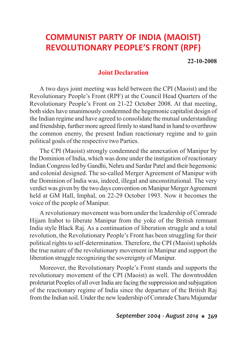# **COMMUNIST PARTY OF INDIA (MAOIST) REVOLUTIONARY PEOPLE'S FRONT (RPF)**

**22-10-2008**

## **Joint Declaration**

A two days joint meeting was held between the CPI (Maoist) and the Revolutionary People's Front (RPF) at the Council Head Quarters of the Revolutionary People's Front on 21-22 October 2008. At that meeting, both sides have unanimously condemned the hegemonic capitalist design of the Indian regime and have agreed to consolidate the mutual understanding and friendship, further more agreed firmly to stand hand in hand to overthrow the common enemy, the present Indian reactionary regime and to gain political goals of the respective two Parties.

The CPI (Maoist) strongly condemned the annexation of Manipur by the Dominion of India, which was done under the instigation of reactionary Indian Congress led by Gandhi, Nehru and Sardar Patel and their hegemonic and colonial designed. The so-called Merger Agreement of Manipur with the Dominion of India was, indeed, illegal and unconstitutional. The very verdict was given by the two days convention on Manipur Merger Agreement held at GM Hall, Imphal, on 22-29 October 1993. Now it becomes the voice of the people of Manipur.

A revolutionary movement was born under the leadership of Comrade Hijam Irabot to liberate Manipur from the yoke of the British remnant India style Black Raj. As a continuation of liberation struggle and a total revolution, the Revolutionary People's Front has been struggling for their political rights to self-determination. Therefore, the CPI (Maoist) upholds the true nature of the revolutionary movement in Manipur and support the liberation struggle recognizing the sovereignty of Manipur.

Moreover, the Revolutionary People's Front stands and supports the revolutionary movement of the CPI (Maoist) as well. The downtrodden proletariat Peoples of all over India are facing the suppression and subjugation of the reactionary regime of India since the departure of the British Raj from the Indian soil. Under the new leadership of Comrade Charu Majumdar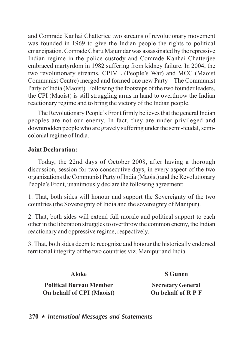and Comrade Kanhai Chatterjee two streams of revolutionary movement was founded in 1969 to give the Indian people the rights to political emancipation. Comrade Charu Majumdar was assassinated by the repressive Indian regime in the police custody and Comrade Kanhai Chatterjee embraced martyrdom in 1982 suffering from kidney failure. In 2004, the two revolutionary streams, CPIML (People's War) and MCC (Maoist Communist Centre) merged and formed one new Party – The Communist Party of India (Maoist). Following the footsteps of the two founder leaders, the CPI (Maoist) is still struggling arms in hand to overthrow the Indian reactionary regime and to bring the victory of the Indian people.

The Revolutionary People's Front firmly believes that the general Indian peoples are not our enemy. In fact, they are under privileged and downtrodden people who are gravely suffering under the semi-feudal, semicolonial regime of India.

### **Joint Declaration:**

Today, the 22nd days of October 2008, after having a thorough discussion, session for two consecutive days, in every aspect of the two organizations the Communist Party of India (Maoist) and the Revolutionary People's Front, unanimously declare the following agreement:

1. That, both sides will honour and support the Sovereignty of the two countries (the Sovereignty of India and the sovereignty of Manipur).

2. That, both sides will extend full morale and political support to each other in the liberation struggles to overthrow the common enemy, the Indian reactionary and oppressive regime, respectively.

3. That, both sides deem to recognize and honour the historically endorsed territorial integrity of the two countries viz. Manipur and India.

**Aloke**

**S Gunen**

**Political Bureau Member On behalf of CPI (Maoist)**

**Secretary General On behalf of R P F**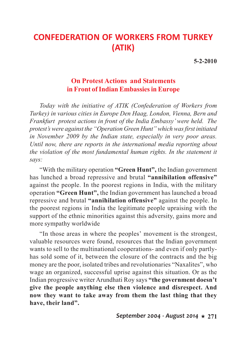# **CONFEDERATION OF WORKERS FROM TURKEY (ATIK)**

**5-2-2010**

## **On Protest Actions and Statements in Front of Indian Embassies in Europe**

*Today with the initiative of ATIK (Confederation of Workers from Turkey) in various cities in Europe Den Haag, London, Vienna, Bern and Frankfurt protest actions in front of the India Embassy' were held. The protest's were against the "Operation Green Hunt" which was first initiated in November 2009 by the Indian state, especially in very poor areas. Until now, there are reports in the international media reporting about the violation of the most fundamental human rights. In the statement it says:*

"With the military operation **"Green Hunt",** the Indian government has lunched a broad repressive and brutal **"annihilation offensive"** against the people. In the poorest regions in India, with the military operation **"Green Hunt",** the Indian government has launched a broad repressive and brutal **"annihilation offensive"** against the people. In the poorest regions in India the legitimate people upraising with the support of the ethnic minorities against this adversity, gains more and more sympathy worldwide

"In those areas in where the peoples' movement is the strongest, valuable resources were found, resources that the Indian government wants to sell to the multinational cooperations- and even if only partlyhas sold some of it, between the closure of the contracts and the big money are the poor, isolated tribes and revolutionaries "Naxalites", who wage an organized, successful uprise against this situation. Or as the Indian progressive writer Arundhati Roy says **"the government doesn't give the people anything else then violence and disrespect. And now they want to take away from them the last thing that they have, their land".**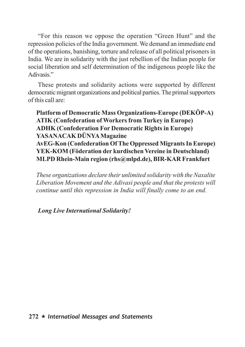"For this reason we oppose the operation "Green Hunt" and the repression policies of the India government. We demand an immediate end of the operations, banishing, torture and release of all political prisoners in India. We are in solidarity with the just rebellion of the Indian people for social liberation and self determination of the indigenous people like the Adivasis"

These protests and solidarity actions were supported by different democratic migrant organizations and political parties. The primal supporters of this call are:

**Platform of Democratic Mass Organizations-Europe (DEKÖP-A) ATIK (Confederation of Workers from Turkey in Europe) ADHK (Confederation For Democratic Rights in Europe) YASANACAK DÜNYA Magazine AvEG-Kon (Confederation Of The Oppressed Migrants In Europe) YEK-KOM (Föderation der kurdischen Vereine in Deutschland)**

**MLPD Rhein-Main region (rhs@mlpd.de), BIR-KAR Frankfurt**

*These organizations declare their unlimited solidarity with the Naxalite Liberation Movement and the Adivasi people and that the protests will continue until this repression in India will finally come to an end.*

*Long Live International Solidarity!*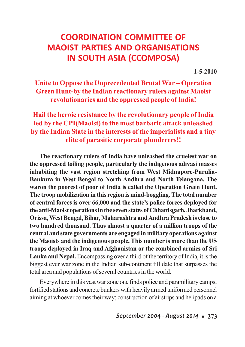# **COORDINATION COMMITTEE OF MAOIST PARTIES AND ORGANISATIONS IN SOUTH ASIA (CCOMPOSA)**

**1-5-2010**

## **Unite to Oppose the Unprecedented Brutal War – Operation Green Hunt-by the Indian reactionary rulers against Maoist revolutionaries and the oppressed people of India!**

## **Hail the heroic resistance by the revolutionary people of India led by the CPI(Maoist) to the most barbaric attack unleashed by the Indian State in the interests of the imperialists and a tiny elite of parasitic corporate plunderers!!**

**The reactionary rulers of India have unleashed the cruelest war on the oppressed toiling people, particularly the indigenous adivasi masses inhabiting the vast region stretching from West Midnapore-Purulia-Bankura in West Bengal to North Andhra and North Telangana. The waron the poorest of poor of India is called the Operation Green Hunt. The troop mobilization in this region is mind-boggling. The total number of central forces is over 66,000 and the state's police forces deployed for the anti-Maoist operations in the seven states of Chhattisgarh, Jharkhand, Orissa, West Bengal, Bihar, Maharashtra and Andhra Pradesh is close to two hundred thousand. Thus almost a quarter of a million troops of the central and state governments are engaged in military operations against the Maoists and the indigenous people. This number is more than the US troops deployed in Iraq and Afghanistan or the combined armies of Sri Lanka and Nepal.** Encompassing over a third of the territory of India, it is the biggest ever war zone in the Indian sub-continent till date that surpasses the total area and populations of several countries in the world.

Everywhere in this vast war zone one finds police and paramilitary camps; fortified stations and concrete bunkers with heavily armed uniformed personnel aiming at whoever comes their way; construction of airstrips and helipads on a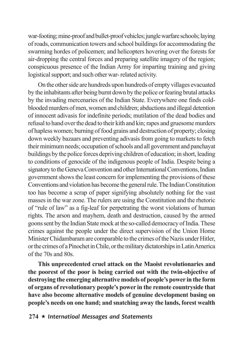war-footing; mine-proof and bullet-proof vehicles; jungle warfare schools; laying of roads, communication towers and school buildings for accommodating the swarming hordes of policemen; and helicopters hovering over the forests for air-dropping the central forces and preparing satellite imagery of the region; conspicuous presence of the Indian Army for imparting training and giving logistical support; and such other war- related activity.

On the other side are hundreds upon hundreds of empty villages evacuated by the inhabitants after being burnt down by the police or fearing brutal attacks by the invading mercenaries of the Indian State. Everywhere one finds coldblooded murders of men, women and children; abductions and illegal detention of innocent adivasis for indefinite periods; mutilation of the dead bodies and refusal to hand over the dead to their kith and kin; rapes and gruesome murders of hapless women; burning of food grains and destruction of property; closing down weekly bazaars and preventing adivasis from going to markets to fetch their minimum needs; occupation of schools and all government and panchayat buildings by the police forces depriving children of education; in short, leading to conditions of genocide of the indigenous people of India. Despite being a signatory to the Geneva Convention and other International Conventions, Indian government shows the least concern for implementing the provisions of these Conventions and violation has become the general rule. The Indian Constitution too has become a scrap of paper signifying absolutely nothing for the vast masses in the war zone. The rulers are using the Constitution and the rhetoric of "rule of law" as a fig-leaf for perpetrating the worst violations of human rights. The arson and mayhem, death and destruction, caused by the armed goons sent by the Indian State mock at the so-called democracy of India. These crimes against the people under the direct supervision of the Union Home Minister Chidambaram are comparable to the crimes of the Nazis under Hitler, or the crimes of a Pinochet in Chile, or the military dictatorships in Latin America of the 70s and 80s.

**This unprecedented cruel attack on the Maoist revolutionaries and the poorest of the poor is being carried out with the twin-objective of destroying the emerging alternative models of people's power in the form of organs of revolutionary people's power in the remote countryside that have also become alternative models of genuine development basing on people's needs on one hand; and snatching away the lands, forest wealth**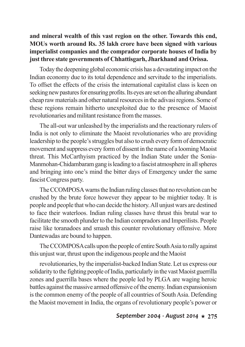**and mineral wealth of this vast region on the other. Towards this end, MOUs worth around Rs. 35 lakh crore have been signed with various imperialist companies and the comprador corporate houses of India by just three state governments of Chhattisgarh, Jharkhand and Orissa.**

Today the deepening global economic crisis has a devastating impact on the Indian economy due to its total dependence and servitude to the imperialists. To offset the effects of the crisis the international capitalist class is keen on seeking new pastures for ensuring profits. Its eyes are set on the alluring abundant cheap raw materials and other natural resources in the adivasi regions. Some of these regions remain hitherto unexploited due to the presence of Maoist revolutionaries and militant resistance from the masses.

The all-out war unleashed by the imperialists and the reactionary rulers of India is not only to eliminate the Maoist revolutionaries who are providing leadership to the people's struggles but also to crush every form of democratic movement and suppress every form of dissent in the name of a looming Maoist threat. This McCarthyism practiced by the Indian State under the Sonia-Manmohan-Chidambaram gang is leading to a fascist atmosphere in all spheres and bringing into one's mind the bitter days of Emergency under the same fascist Congress party.

The CCOMPOSA warns the Indian ruling classes that no revolution can be crushed by the brute force however they appear to be mightier today. It is people and people that who can decide the history. All unjust wars are destined to face their waterloos. Indian ruling classes have thrust this brutal war to facilitate the smooth plunder to the Indian compradors and Imperilists. People raise like toranadoes and smash this counter revolutionary offensive. More Dantewadas are bound to happen.

The CCOMPOSA calls upon the people of entire South Asia to rally against this unjust war, thrust upon the indigenous people and the Maoist

revolutionaries, by the imperialist-backed Indian State. Let us express our solidarity to the fighting people of India, particularly in the vast Maoist guerrilla zones and guerrilla bases where the people led by PLGA are waging heroic battles against the massive armed offensive of the enemy. Indian expansionism is the common enemy of the people of all countries of South Asia. Defending the Maoist movement in India, the organs of revolutionary people's power or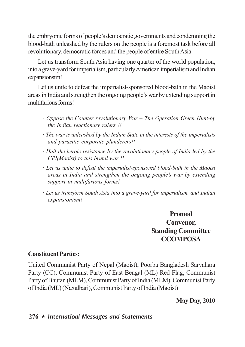the embryonic forms of people's democratic governments and condemning the blood-bath unleashed by the rulers on the people is a foremost task before all revolutionary, democratic forces and the people of entire South Asia.

Let us transform South Asia having one quarter of the world population, into a grave-yard for imperialism, particularly American imperialism and Indian expansionsim!

Let us unite to defeat the imperialist-sponsored blood-bath in the Maoist areas in India and strengthen the ongoing people's war by extending support in multifarious forms!

- *· Oppose the Counter revolutionary War The Operation Green Hunt-by the Indian reactionary rulers !!*
- *· The war is unleashed by the Indian State in the interests of the imperialists and parasitic corporate plunderers!!*
- *· Hail the heroic resistance by the revolutionary people of India led by the CPI(Maoist) to this brutal war !!*
- *· Let us unite to defeat the imperialist-sponsored blood-bath in the Maoist areas in India and strengthen the ongoing people's war by extending support in multifarious forms!*
- *· Let us transform South Asia into a grave-yard for imperialism, and Indian expansionism!*

**Promod Convenor, Standing Committee CCOMPOSA**

### **Constituent Parties:**

United Communist Party of Nepal (Maoist), Poorba Bangladesh Sarvahara Party (CC), Communist Party of East Bengal (ML) Red Flag, Communist Party of Bhutan (MLM), Communist Party of India (MLM), Communist Party of India (ML) (Naxalbari), Communist Party of India (Maoist)

**May Day, 2010**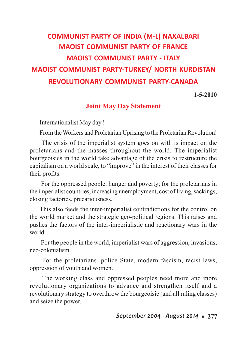# **COMMUNIST PARTY OF INDIA (M-L) NAXALBARI MAOIST COMMUNIST PARTY OF FRANCE MAOIST COMMUNIST PARTY - ITALY MAOIST COMMUNIST PARTY-TURKEY/ NORTH KURDISTAN REVOLUTIONARY COMMUNIST PARTY-CANADA**

**1-5-2010**

## **Joint May Day Statement**

Internationalist May day !

From the Workers and Proletarian Uprising to the Proletarian Revolution!

 The crisis of the imperialist system goes on with is impact on the proletarians and the masses throughout the world. The imperialist bourgeoisies in the world take advantage of the crisis to restructure the capitalism on a world scale, to "improve" in the interest of their classes for their profits.

 For the oppressed people: hunger and poverty; for the proletarians in the imperialist countries, increasing unemployment, cost of living, sackings, closing factories, precariousness.

This also feeds the inter-imperialist contradictions for the control on the world market and the strategic geo-political regions. This raises and pushes the factors of the inter-imperialistic and reactionary wars in the world.

 For the people in the world, imperialist wars of aggression, invasions, neo-colonialism.

 For the proletarians, police State, modern fascism, racist laws, oppression of youth and women.

 The working class and oppressed peoples need more and more revolutionary organizations to advance and strengthen itself and a revolutionary strategy to overthrow the bourgeoisie (and all ruling classes) and seize the power.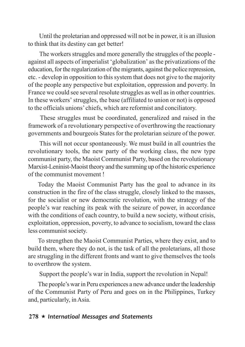Until the proletarian and oppressed will not be in power, it is an illusion to think that its destiny can get better!

 The workers struggles and more generally the struggles of the people against all aspects of imperialist 'globalization' as the privatizations of the education, for the regularization of the migrants, against the police repression, etc. - develop in opposition to this system that does not give to the majority of the people any perspective but exploitation, oppression and poverty. In France we could see several resolute struggles as well as in other countries. In these workers' struggles, the base (affiliated to union or not) is opposed to the officials unions' chiefs, which are reformist and conciliatory.

 These struggles must be coordinated, generalized and raised in the framework of a revolutionary perspective of overthrowing the reactionary governments and bourgeois States for the proletarian seizure of the power.

 This will not occur spontaneously. We must build in all countries the revolutionary tools, the new party of the working class, the new type communist party, the Maoist Communist Party, based on the revolutionary Marxist-Leninist-Maoist theory and the summing up of the historic experience of the communist movement !

Today the Maoist Communist Party has the goal to advance in its construction in the fire of the class struggle, closely linked to the masses, for the socialist or new democratic revolution, with the strategy of the people's war reaching its peak with the seizure of power, in accordance with the conditions of each country, to build a new society, without crisis, exploitation, oppression, poverty, to advance to socialism, toward the class less communist society.

To strengthen the Maoist Communist Parties, where they exist, and to build them, where they do not, is the task of all the proletarians, all those are struggling in the different fronts and want to give themselves the tools to overthrow the system.

Support the people's war in India, support the revolution in Nepal!

The people's war in Peru experiences a new advance under the leadership of the Communist Party of Peru and goes on in the Philippines, Turkey and, particularly, in Asia.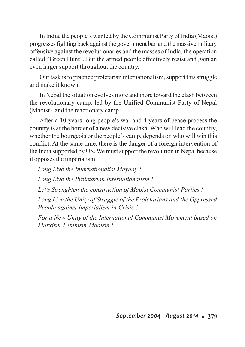In India, the people's war led by the Communist Party of India (Maoist) progresses fighting back against the government ban and the massive military offensive against the revolutionaries and the masses of India, the operation called "Green Hunt". But the armed people effectively resist and gain an even larger support throughout the country.

Our task is to practice proletarian internationalism, support this struggle and make it known.

In Nepal the situation evolves more and more toward the clash between the revolutionary camp, led by the Unified Communist Party of Nepal (Maoist), and the reactionary camp.

After a 10-years-long people's war and 4 years of peace process the country is at the border of a new decisive clash. Who will lead the country, whether the bourgeois or the people's camp, depends on who will win this conflict. At the same time, there is the danger of a foreign intervention of the India supported by US. We must support the revolution in Nepal because it opposes the imperialism.

*Long Live the Internationalist Mayday ! Long Live the Proletarian Internationalism !*

*Let's Strenghten the construction of Maoist Communist Parties !*

*Long Live the Unity of Struggle of the Proletarians and the Oppressed People against Imperialism in Crisis !*

*For a New Unity of the International Communist Movement based on Marxism-Leninism-Maoism !*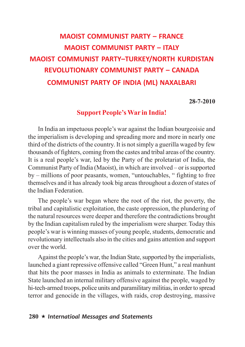# **MAOIST COMMUNIST PARTY – FRANCE MAOIST COMMUNIST PARTY – ITALY MAOIST COMMUNIST PARTY–TURKEY/NORTH KURDISTAN REVOLUTIONARY COMMUNIST PARTY – CANADA COMMUNIST PARTY OF INDIA (ML) NAXALBARI**

#### **28-7-2010**

### **Support People's War in India!**

In India an impetuous people's war against the Indian bourgeoisie and the imperialism is developing and spreading more and more in nearly one third of the districts of the country. It is not simply a guerilla waged by few thousands of fighters, coming from the castes and tribal areas of the country. It is a real people's war, led by the Party of the proletariat of India, the Communist Party of India (Maoist), in which are involved – or is supported by – millions of poor peasants, women, "untouchables, " fighting to free themselves and it has already took big areas throughout a dozen of states of the Indian Federation.

The people's war began where the root of the riot, the poverty, the tribal and capitalistic exploitation, the caste oppression, the plundering of the natural resources were deeper and therefore the contradictions brought by the Indian capitalism ruled by the imperialism were sharper. Today this people's war is winning masses of young people, students, democratic and revolutionary intellectuals also in the cities and gains attention and support over the world.

Against the people's war, the Indian State, supported by the imperialists, launched a giant repressive offensive called "Green Hunt," a real manhunt that hits the poor masses in India as animals to exterminate. The Indian State launched an internal military offensive against the people, waged by hi-tech-armed troops, police units and paramilitary militias, in order to spread terror and genocide in the villages, with raids, crop destroying, massive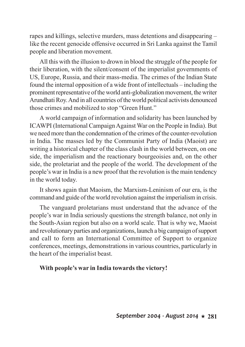rapes and killings, selective murders, mass detentions and disappearing – like the recent genocide offensive occurred in Sri Lanka against the Tamil people and liberation movement.

All this with the illusion to drown in blood the struggle of the people for their liberation, with the silent/consent of the imperialist governments of US, Europe, Russia, and their mass-media. The crimes of the Indian State found the internal opposition of a wide front of intellectuals – including the prominent representative of the world anti-globalization movement, the writer Arundhati Roy. And in all countries of the world political activists denounced those crimes and mobilized to stop "Green Hunt."

A world campaign of information and solidarity has been launched by ICAWPI (International Campaign Against War on the People in India). But we need more than the condemnation of the crimes of the counter-revolution in India. The masses led by the Communist Party of India (Maoist) are writing a historical chapter of the class clash in the world between, on one side, the imperialism and the reactionary bourgeoisies and, on the other side, the proletariat and the people of the world. The development of the people's war in India is a new proof that the revolution is the main tendency in the world today.

It shows again that Maoism, the Marxism-Leninism of our era, is the command and guide of the world revolution against the imperialism in crisis.

The vanguard proletarians must understand that the advance of the people's war in India seriously questions the strength balance, not only in the South-Asian region but also on a world scale. That is why we, Maoist and revolutionary parties and organizations, launch a big campaign of support and call to form an International Committee of Support to organize conferences, meetings, demonstrations in various countries, particularly in the heart of the imperialist beast.

### **With people's war in India towards the victory!**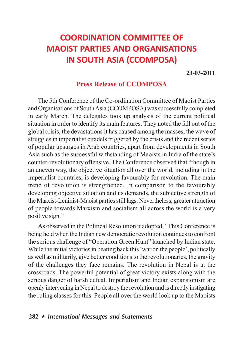# **COORDINATION COMMITTEE OF MAOIST PARTIES AND ORGANISATIONS IN SOUTH ASIA (CCOMPOSA)**

#### **23-03-2011**

### **Press Release of CCOMPOSA**

The 5th Conference of the Co-ordination Committee of Maoist Parties and Organisations of South Asia (CCOMPOSA) was successfully completed in early March. The delegates took up analysis of the current political situation in order to identify its main features. They noted the fall out of the global crisis, the devastations it has caused among the masses, the wave of struggles in imperialist citadels triggered by the crisis and the recent series of popular upsurges in Arab countries, apart from developments in South Asia such as the successful withstanding of Maoists in India of the state's counter-revolutionary offensive. The Conference observed that "though in an uneven way, the objective situation all over the world, including in the imperialist countries, is developing favourably for revolution. The main trend of revolution is strengthened. In comparison to the favourably developing objective situation and its demands, the subjective strength of the Marxist-Leninist-Maoist parties still lags. Nevertheless, greater attraction of people towards Marxism and socialism all across the world is a very positive sign."

As observed in the Political Resolution it adopted, "This Conference is being held when the Indian new democratic revolution continues to confront the serious challenge of "Operation Green Hunt" launched by Indian state. While the initial victories in beating back this 'war on the people', politically as well as militarily, give better conditions to the revolutionaries, the gravity of the challenges they face remains. The revolution in Nepal is at the crossroads. The powerful potential of great victory exists along with the serious danger of harsh defeat. Imperialism and Indian expansionism are openly intervening in Nepal to destroy the revolution and is directly instigating the ruling classes for this. People all over the world look up to the Maoists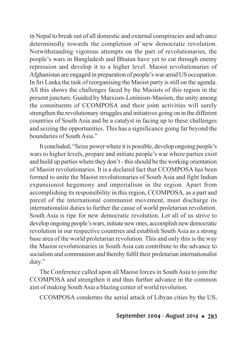in Nepal to break out of all domestic and external conspiracies and advance determinedly towards the completion of new democratic revolution. Notwithstanding vigorous attempts on the part of revolutionaries, the people's wars in Bangladesh and Bhutan have yet to cut through enemy repression and develop it to a higher level. Maoist revolutionaries of Afghanistan are engaged in preparation of people's war amid US occupation. In Sri Lanka the task of reorganising the Maoist party is still on the agenda. All this shows the challenges faced by the Maoists of this region in the present juncture. Guided by Marxism-Leninism-Maoism, the unity among the constituents of CCOMPOSA and their joint activities will surely strengthen the revolutionary struggles and initiatives going on in the different countries of South Asia and be a catalyst in facing up to these challenges and seizing the opportunities. This has a significance going far beyond the boundaries of South Asia."

It concluded, "Seize power where it is possible, develop ongoing people's wars to higher levels, prepare and initiate people's war where parties exist and build up parties where they don't - this should be the working orientation of Maoist revolutionaries. It is a declared fact that CCOMPOSA has been formed to unite the Maoist revolutionaries of South Asia and fight Indian expansionist hegemony and imperialism in the region. Apart from accomplishing its responsibility in this region, CCOMPOSA, as a part and parcel of the international communist movement, must discharge its internationalist duties to further the cause of world proletarian revolution. South Asia is ripe for new democratic revolution. Let all of us strive to develop ongoing people's wars, initiate new ones, accomplish new democratic revolution in our respective countries and establish South Asia as a strong base area of the world proletarian revolution. This and only this is the way the Maoist revolutionaries in South Asia can contribute to the advance to socialism and communism and thereby fulfil their proletarian internationalist duty."

The Conference called upon all Maoist forces in South Asia to join the CCOMPOSA and strengthen it and thus further advance in the common aim of making South Asia a blazing center of world revolution.

CCOMPOSA condemns the aerial attack of Libyan cities by the US,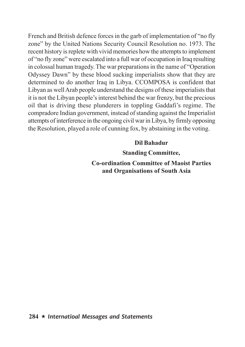French and British defence forces in the garb of implementation of "no fly zone" by the United Nations Security Council Resolution no. 1973. The recent history is replete with vivid memories how the attempts to implement of "no fly zone" were escalated into a full war of occupation in Iraq resulting in colossal human tragedy. The war preparations in the name of "Operation Odyssey Dawn" by these blood sucking imperialists show that they are determined to do another Iraq in Libya. CCOMPOSA is confident that Libyan as well Arab people understand the designs of these imperialists that it is not the Libyan people's interest behind the war frenzy, but the precious oil that is driving these plunderers in toppling Gaddafi's regime. The compradore Indian government, instead of standing against the Imperialist attempts of interference in the ongoing civil war in Libya, by firmly opposing the Resolution, played a role of cunning fox, by abstaining in the voting.

### **Dil Bahadur**

### **Standing Committee,**

**Co-ordination Committee of Maoist Parties and Organisations of South Asia**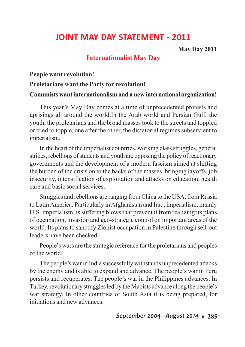# **JOINT MAY DAY STATEMENT - 2011**

**May Day 2011**

## **Internationalist May Day**

### **People want revolution!**

### **Proletarians want the Party for revolution!**

### **Comunists want internationalism and a new international organization!**

This year's May Day comes at a time of unprecedented protests and uprisings all around the world.In the Arab world and Persian Gulf, the youth, the proletarians and the broad masses took to the streets and toppled or tried to topple, one after the other, the dictatorial regimes subservient to imperialism.

In the heart of the imperialist countries, working class struggles, general strikes, rebellions of students and youth are opposing the policy of reactionary governments and the development of a modern fascism aimed at shifting the burden of the crisis on to the backs of the masses, bringing layoffs, job insecurity, intensification of exploitation and attacks on education, health care and basic social services.

Struggles and rebellions are ranging from China to the USA, from Russia to Latin America. Particularly in Afghanistan and Iraq, imperialism, mainly U.S. imperialism, is suffering blows that prevent it from realizing its plans of occupation, invasion and geo-strategic control on important areas of the world. Its plans to sanctify Zionist occupation in Palestine through sell-out leaders have been checked.

People's wars are the strategic reference for the proletarians and peoples of the world.

The people's war in India successfully withstands unprecedented attacks by the enemy and is able to expand and advance. The people's war in Peru persists and recuperates. The people's war in the Philippines advances. In Turkey, revolutionary struggles led by the Maoists advance along the people's war strategy. In other countries of South Asia it is being prepared, for initiations and new advances.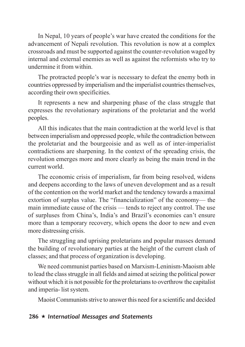In Nepal, 10 years of people's war have created the conditions for the advancement of Nepali revolution. This revolution is now at a complex crossroads and must be supported against the counter-revolution waged by internal and external enemies as well as against the reformists who try to undermine it from within.

The protracted people's war is necessary to defeat the enemy both in countries oppressed by imperialism and the imperialist countries themselves, according their own specificities.

It represents a new and sharpening phase of the class struggle that expresses the revolutionary aspirations of the proletariat and the world peoples.

All this indicates that the main contradiction at the world level is that between imperialism and oppressed people, while the contradiction between the proletariat and the bourgeoisie and as well as of inter-imperialist contradictions are sharpening. In the context of the spreading crisis, the revolution emerges more and more clearly as being the main trend in the current world.

The economic crisis of imperialism, far from being resolved, widens and deepens according to the laws of uneven development and as a result of the contention on the world market and the tendency towards a maximal extortion of surplus value. The "financialization" of the economy— the main immediate cause of the crisis — tends to reject any control. The use of surpluses from China's, India's and Brazil's economies can't ensure more than a temporary recovery, which opens the door to new and even more distressing crisis.

The struggling and uprising proletarians and popular masses demand the building of revolutionary parties at the height of the current clash of classes; and that process of organization is developing.

We need communist parties based on Marxism-Leninism-Maoism able to lead the class struggle in all fields and aimed at seizing the political power without which it is not possible for the proletarians to overthrow the capitalist and imperia- list system.

Maoist Communists strive to answer this need for a scientific and decided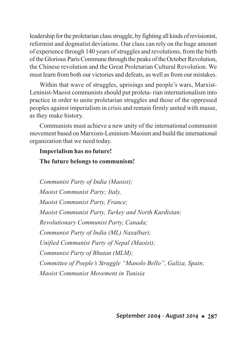leadership for the proletarian class struggle, by fighting all kinds of revisionist, reformist and dogmatist deviations. Our class can rely on the huge amount of experience through 140 years of struggles and revolutions, from the birth of the Glorious Paris Commune through the peaks of the October Revolution, the Chinese revolution and the Great Proletarian Cultural Revolution. We must learn from both our victories and defeats, as well as from our mistakes.

Within that wave of struggles, uprisings and people's wars, Marxist-Leninist-Maoist communists should put proleta- rian internationalism into practice in order to unite proletarian struggles and those of the oppressed peoples against imperialism in crisis and remain firmly united with masse, as they make history.

Communists must achieve a new unity of the international communist movement based on Marxism-Leninism-Maoism and build the international organization that we need today.

## **Imperialism has no future!**

## **The future belongs to communism!**

*Communist Party of India (Maoist); Maoist Communist Party; Italy, Maoist Communist Party, France; Maoist Communist Party, Turkey and North Kurdistan; Revolutionary Communist Party, Canada; Communist Party of India (ML) Naxalbari; Unified Communist Party of Nepal (Maoist); Communist Party of Bhutan (MLM); Committee of Poeple's Struggle "Manolo Bello", Galiza, Spain; Maoist Communist Movement in Tunisia*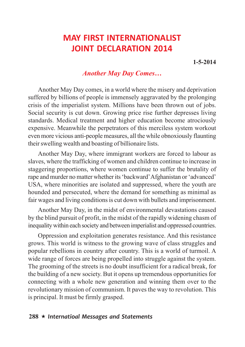# **MAY FIRST INTERNATIONALIST JOINT DECLARATION 2014**

**1-5-2014**

### *Another May Day Comes…*

Another May Day comes, in a world where the misery and deprivation suffered by billions of people is immensely aggravated by the prolonging crisis of the imperialist system. Millions have been thrown out of jobs. Social security is cut down. Growing price rise further depresses living standards. Medical treatment and higher education become atrociously expensive. Meanwhile the perpetrators of this merciless system workout even more vicious anti-people measures, all the while obnoxiously flaunting their swelling wealth and boasting of billionaire lists.

Another May Day, where immigrant workers are forced to labour as slaves, where the trafficking of women and children continue to increase in staggering proportions, where women continue to suffer the brutality of rape and murder no matter whether its 'backward' Afghanistan or 'advanced' USA, where minorities are isolated and suppressed, where the youth are hounded and persecuted, where the demand for something as minimal as fair wages and living conditions is cut down with bullets and imprisonment.

Another May Day, in the midst of environmental devastations caused by the blind pursuit of profit, in the midst of the rapidly widening chasm of inequality within each society and between imperialist and oppressed countries.

Oppression and exploitation generates resistance. And this resistance grows. This world is witness to the growing wave of class struggles and popular rebellions in country after country. This is a world of turmoil. A wide range of forces are being propelled into struggle against the system. The grooming of the streets is no doubt insufficient for a radical break, for the building of a new society. But it opens up tremendous opportunities for connecting with a whole new generation and winning them over to the revolutionary mission of communism. It paves the way to revolution. This is principal. It must be firmly grasped.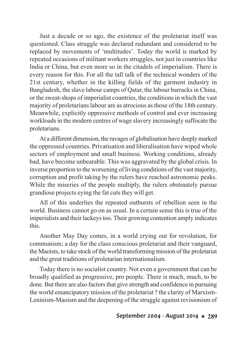Just a decade or so ago, the existence of the proletariat itself was questioned. Class struggle was declared redundant and considered to be replaced by movements of 'multitudes'. Today the world is marked by repeated occasions of militant workers struggles, not just in countries like India or China, but even more so in the citadels of imperialism. There is every reason for this. For all the tall talk of the technical wonders of the 21st century, whether in the killing fields of the garment industry in Bangladesh, the slave labour camps of Qatar, the labour barracks in China, or the sweat-shops of imperialist countries, the conditions in which the vast majority of proletarians labour are as atrocious as those of the 18th century. Meanwhile, explicitly oppressive methods of control and ever increasing workloads in the modern centres of wage slavery increasingly suffocate the proletarians.

At a different dimension, the ravages of globalisation have deeply marked the oppressed countries. Privatisation and liberalisation have wiped whole sectors of employment and small business. Working conditions, already bad, have become unbearable. This was aggravated by the global crisis. In inverse proportion to the worsening of living conditions of the vast majority, corruption and profit taking by the rulers have reached astronomic peaks. While the miseries of the people multiply, the rulers obstinately pursue grandiose projects eying the fat cuts they will get.

All of this underlies the repeated outbursts of rebellion seen in the world. Business cannot go on as usual. In a certain sense this is true of the imperialists and their lackeys too. Their growing contention amply indicates this.

Another May Day comes, in a world crying out for revolution, for communism; a day for the class conscious proletariat and their vanguard, the Maoists, to take stock of the world transforming mission of the proletariat and the great traditions of proletarian internationalism.

Today there is no socialist country. Not even a government that can be broadly qualified as progressive, pro people. There is much, much, to be done. But there are also factors that give strength and confidence in pursuing the world emancipatory mission of the proletariat ? the clarity of Marxism-Leninism-Maoism and the deepening of the struggle against revisionism of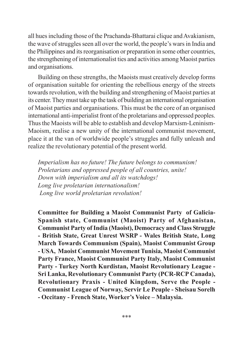all hues including those of the Prachanda-Bhattarai clique and Avakianism, the wave of struggles seen all over the world, the people's wars in India and the Philippines and its reorganisation or preparation in some other countries, the strengthening of internationalist ties and activities among Maoist parties and organisations.

Building on these strengths, the Maoists must creatively develop forms of organisation suitable for orienting the rebellious energy of the streets towards revolution, with the building and strengthening of Maoist parties at its center. They must take up the task of building an international organisation of Maoist parties and organisations. This must be the core of an organised international anti-imperialist front of the proletarians and oppressed peoples. Thus the Maoists will be able to establish and develop Marxism-Leninism-Maoism, realise a new unity of the international communist movement, place it at the van of worldwide people's struggles and fully unleash and realize the revolutionary potential of the present world.

*Imperialism has no future! The future belongs to communism! Proletarians and oppressed people of all countries, unite! Down with imperialism and all its watchdogs! Long live proletarian internationalism! Long live world proletarian revolution!*

**Committee for Building a Maoist Communist Party of Galicia-Spanish state, Communist (Maoist) Party of Afghanistan, Communist Party of India (Maoist), Democracy and Class Struggle - British State, Great Unrest WSRP - Wales British State, Long March Towards Communism (Spain), Maoist Communist Group - USA, Maoist Communist Movement Tunisia, Maoist Communist Party France, Maoist Communist Party Italy, Maoist Communist Party - Turkey North Kurdistan, Maoist Revolutionary League - Sri Lanka, Revolutionary Communist Party (PCR-RCP Canada), Revolutionary Praxis - United Kingdom, Serve the People - Communist League of Norway, Servir Le Peuple - Sheisau Sorelh - Occitany - French State, Worker's Voice – Malaysia.**